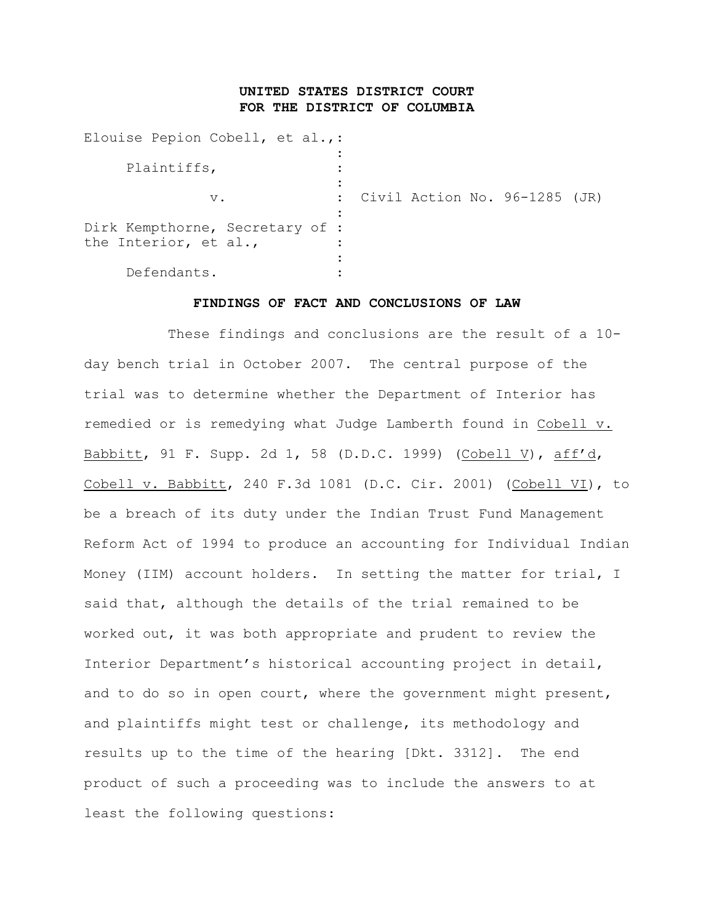# **UNITED STATES DISTRICT COURT FOR THE DISTRICT OF COLUMBIA**

| Elouise Pepion Cobell, et al.,:                          |                                 |  |  |
|----------------------------------------------------------|---------------------------------|--|--|
| Plaintiffs,                                              |                                 |  |  |
| $V$ .                                                    | : Civil Action No. 96-1285 (JR) |  |  |
| Dirk Kempthorne, Secretary of :<br>the Interior, et al., |                                 |  |  |
| Defendants.                                              |                                 |  |  |
|                                                          |                                 |  |  |

### **FINDINGS OF FACT AND CONCLUSIONS OF LAW**

These findings and conclusions are the result of a 10 day bench trial in October 2007. The central purpose of the trial was to determine whether the Department of Interior has remedied or is remedying what Judge Lamberth found in Cobell v. Babbitt, 91 F. Supp. 2d 1, 58 (D.D.C. 1999) (Cobell V), aff'd, Cobell v. Babbitt, 240 F.3d 1081 (D.C. Cir. 2001) (Cobell VI), to be a breach of its duty under the Indian Trust Fund Management Reform Act of 1994 to produce an accounting for Individual Indian Money (IIM) account holders. In setting the matter for trial, I said that, although the details of the trial remained to be worked out, it was both appropriate and prudent to review the Interior Department's historical accounting project in detail, and to do so in open court, where the government might present, and plaintiffs might test or challenge, its methodology and results up to the time of the hearing [Dkt. 3312]. The end product of such a proceeding was to include the answers to at least the following questions: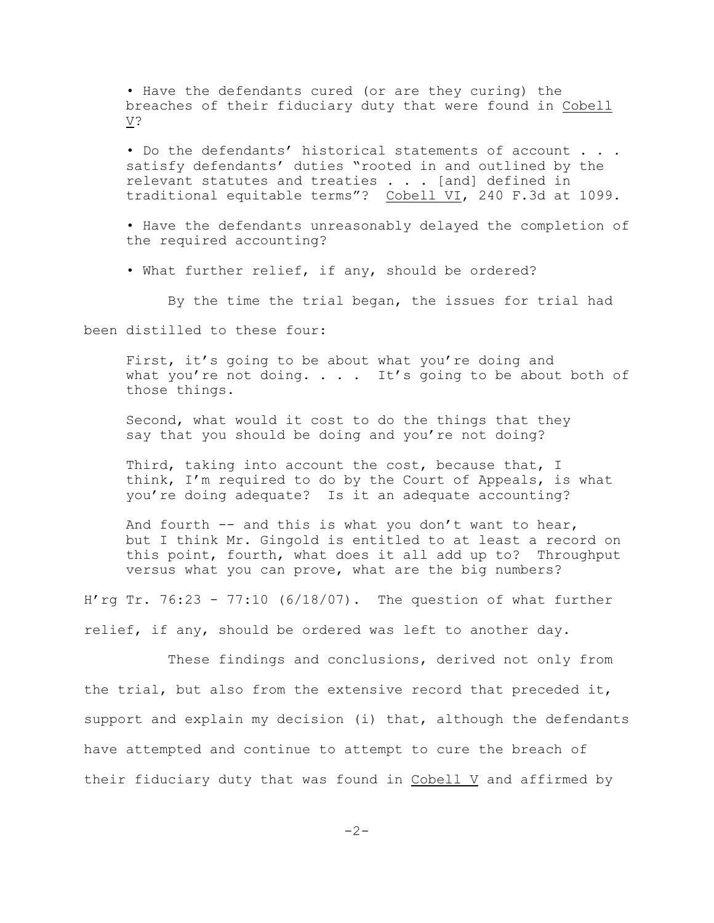• Have the defendants cured (or are they curing) the breaches of their fiduciary duty that were found in Cobell V?

• Do the defendants' historical statements of account . . . satisfy defendants' duties "rooted in and outlined by the relevant statutes and treaties . . . [and] defined in traditional equitable terms"? Cobell VI, 240 F.3d at 1099.

• Have the defendants unreasonably delayed the completion of the required accounting?

• What further relief, if any, should be ordered?

By the time the trial began, the issues for trial had

been distilled to these four:

First, it's going to be about what you're doing and what you're not doing.  $\ldots$  . It's going to be about both of those things.

Second, what would it cost to do the things that they say that you should be doing and you're not doing?

Third, taking into account the cost, because that, I think, I'm required to do by the Court of Appeals, is what you're doing adequate? Is it an adequate accounting?

And fourth  $-$  and this is what you don't want to hear, but I think Mr. Gingold is entitled to at least a record on this point, fourth, what does it all add up to? Throughput versus what you can prove, what are the big numbers?

H'rg Tr.  $76:23 - 77:10$  (6/18/07). The question of what further relief, if any, should be ordered was left to another day.

These findings and conclusions, derived not only from the trial, but also from the extensive record that preceded it, support and explain my decision (i) that, although the defendants have attempted and continue to attempt to cure the breach of their fiduciary duty that was found in Cobell V and affirmed by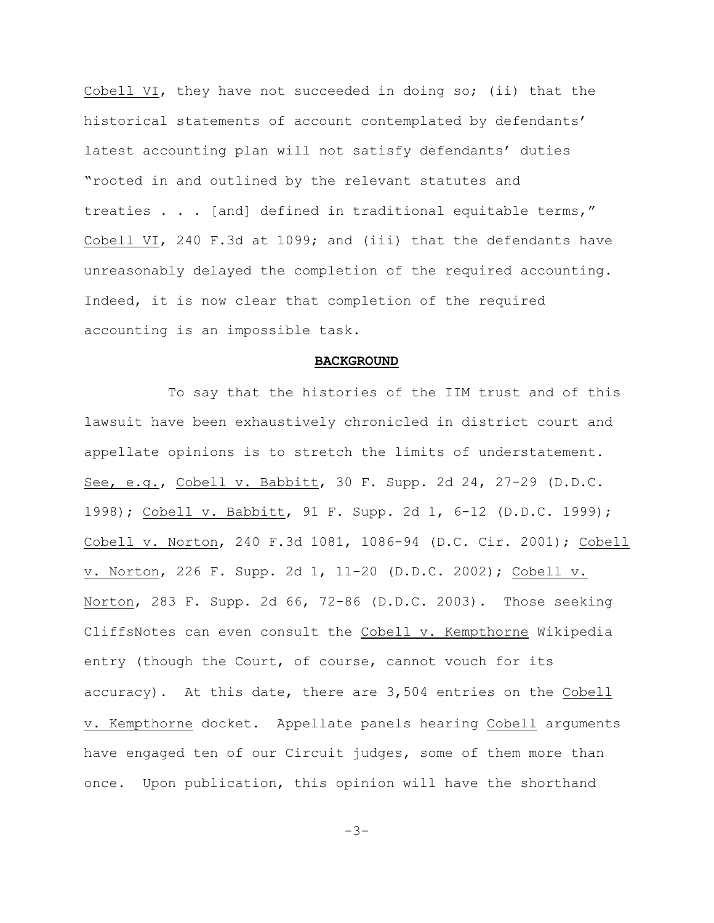Cobell VI, they have not succeeded in doing so; (ii) that the historical statements of account contemplated by defendants' latest accounting plan will not satisfy defendants' duties "rooted in and outlined by the relevant statutes and treaties . . . [and] defined in traditional equitable terms," Cobell VI, 240 F.3d at 1099; and (iii) that the defendants have unreasonably delayed the completion of the required accounting. Indeed, it is now clear that completion of the required accounting is an impossible task.

#### **BACKGROUND**

To say that the histories of the IIM trust and of this lawsuit have been exhaustively chronicled in district court and appellate opinions is to stretch the limits of understatement. See, e.g., Cobell v. Babbitt, 30 F. Supp. 2d 24, 27-29 (D.D.C. 1998); Cobell v. Babbitt, 91 F. Supp. 2d 1, 6-12 (D.D.C. 1999); Cobell v. Norton, 240 F.3d 1081, 1086-94 (D.C. Cir. 2001); Cobell v. Norton, 226 F. Supp. 2d 1, 11-20 (D.D.C. 2002); Cobell v. Norton, 283 F. Supp. 2d 66, 72-86 (D.D.C. 2003). Those seeking CliffsNotes can even consult the Cobell v. Kempthorne Wikipedia entry (though the Court, of course, cannot vouch for its accuracy). At this date, there are 3,504 entries on the Cobell v. Kempthorne docket. Appellate panels hearing Cobell arguments have engaged ten of our Circuit judges, some of them more than once. Upon publication, this opinion will have the shorthand

 $-3-$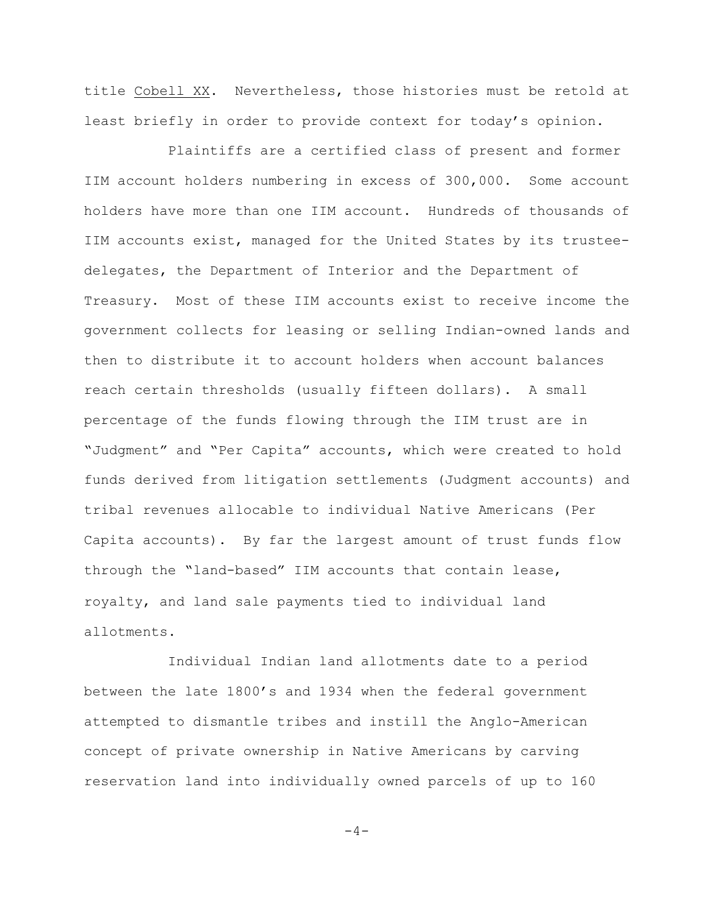title Cobell XX. Nevertheless, those histories must be retold at least briefly in order to provide context for today's opinion.

Plaintiffs are a certified class of present and former IIM account holders numbering in excess of 300,000. Some account holders have more than one IIM account. Hundreds of thousands of IIM accounts exist, managed for the United States by its trusteedelegates, the Department of Interior and the Department of Treasury. Most of these IIM accounts exist to receive income the government collects for leasing or selling Indian-owned lands and then to distribute it to account holders when account balances reach certain thresholds (usually fifteen dollars). A small percentage of the funds flowing through the IIM trust are in "Judgment" and "Per Capita" accounts, which were created to hold funds derived from litigation settlements (Judgment accounts) and tribal revenues allocable to individual Native Americans (Per Capita accounts). By far the largest amount of trust funds flow through the "land-based" IIM accounts that contain lease, royalty, and land sale payments tied to individual land allotments.

Individual Indian land allotments date to a period between the late 1800's and 1934 when the federal government attempted to dismantle tribes and instill the Anglo-American concept of private ownership in Native Americans by carving reservation land into individually owned parcels of up to 160

 $-4-$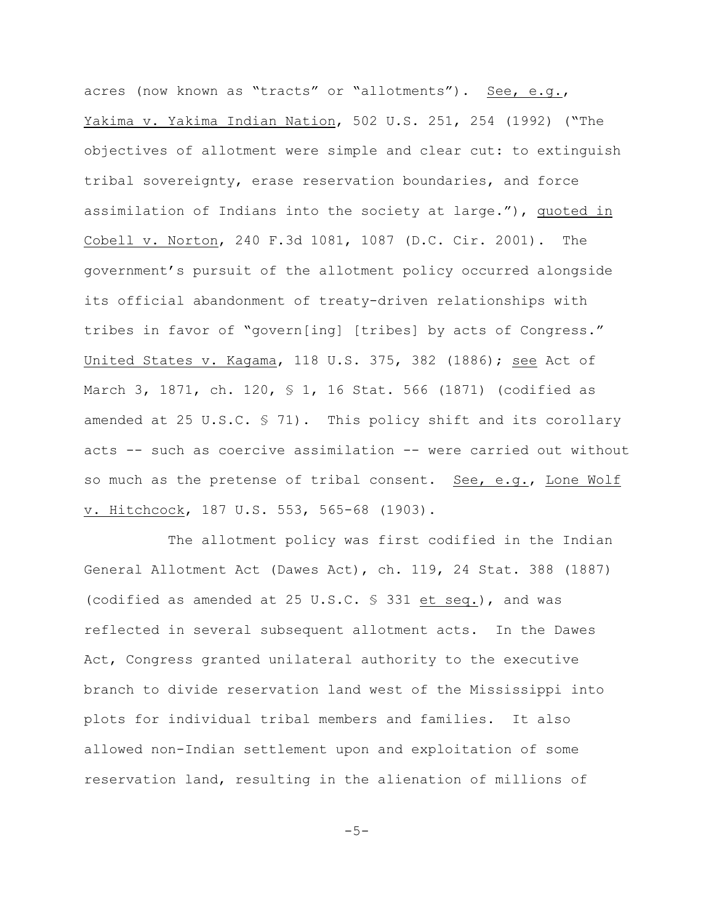acres (now known as "tracts" or "allotments"). See, e.g., Yakima v. Yakima Indian Nation, 502 U.S. 251, 254 (1992) ("The objectives of allotment were simple and clear cut: to extinguish tribal sovereignty, erase reservation boundaries, and force assimilation of Indians into the society at large."), quoted in Cobell v. Norton, 240 F.3d 1081, 1087 (D.C. Cir. 2001). The government's pursuit of the allotment policy occurred alongside its official abandonment of treaty-driven relationships with tribes in favor of "govern[ing] [tribes] by acts of Congress." United States v. Kagama, 118 U.S. 375, 382 (1886); see Act of March 3, 1871, ch. 120, § 1, 16 Stat. 566 (1871) (codified as amended at 25 U.S.C. § 71). This policy shift and its corollary acts -- such as coercive assimilation -- were carried out without so much as the pretense of tribal consent. See, e.g., Lone Wolf v. Hitchcock, 187 U.S. 553, 565-68 (1903).

The allotment policy was first codified in the Indian General Allotment Act (Dawes Act), ch. 119, 24 Stat. 388 (1887) (codified as amended at 25 U.S.C. § 331 et seq.), and was reflected in several subsequent allotment acts. In the Dawes Act, Congress granted unilateral authority to the executive branch to divide reservation land west of the Mississippi into plots for individual tribal members and families. It also allowed non-Indian settlement upon and exploitation of some reservation land, resulting in the alienation of millions of

 $-5-$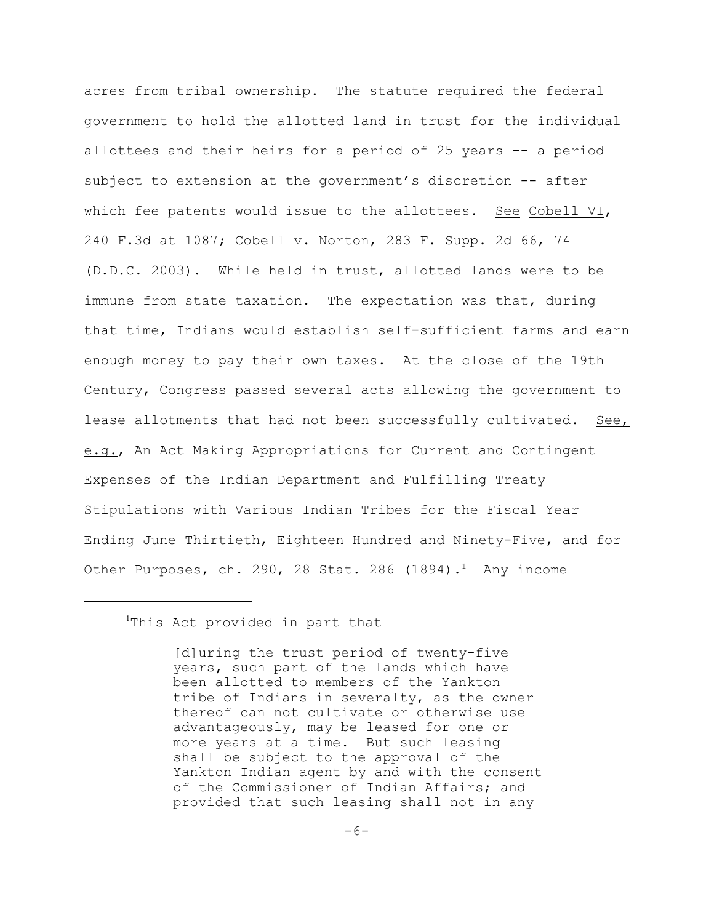acres from tribal ownership. The statute required the federal government to hold the allotted land in trust for the individual allottees and their heirs for a period of 25 years -- a period subject to extension at the government's discretion -- after which fee patents would issue to the allottees. See Cobell VI, 240 F.3d at 1087; Cobell v. Norton, 283 F. Supp. 2d 66, 74 (D.D.C. 2003). While held in trust, allotted lands were to be immune from state taxation. The expectation was that, during that time, Indians would establish self-sufficient farms and earn enough money to pay their own taxes. At the close of the 19th Century, Congress passed several acts allowing the government to lease allotments that had not been successfully cultivated. See, e.g., An Act Making Appropriations for Current and Contingent Expenses of the Indian Department and Fulfilling Treaty Stipulations with Various Indian Tribes for the Fiscal Year Ending June Thirtieth, Eighteen Hundred and Ninety-Five, and for Other Purposes, ch. 290, 28 Stat. 286  $(1894)$ . Any income

<sup>1</sup>This Act provided in part that

[d]uring the trust period of twenty-five years, such part of the lands which have been allotted to members of the Yankton tribe of Indians in severalty, as the owner thereof can not cultivate or otherwise use advantageously, may be leased for one or more years at a time. But such leasing shall be subject to the approval of the Yankton Indian agent by and with the consent of the Commissioner of Indian Affairs; and provided that such leasing shall not in any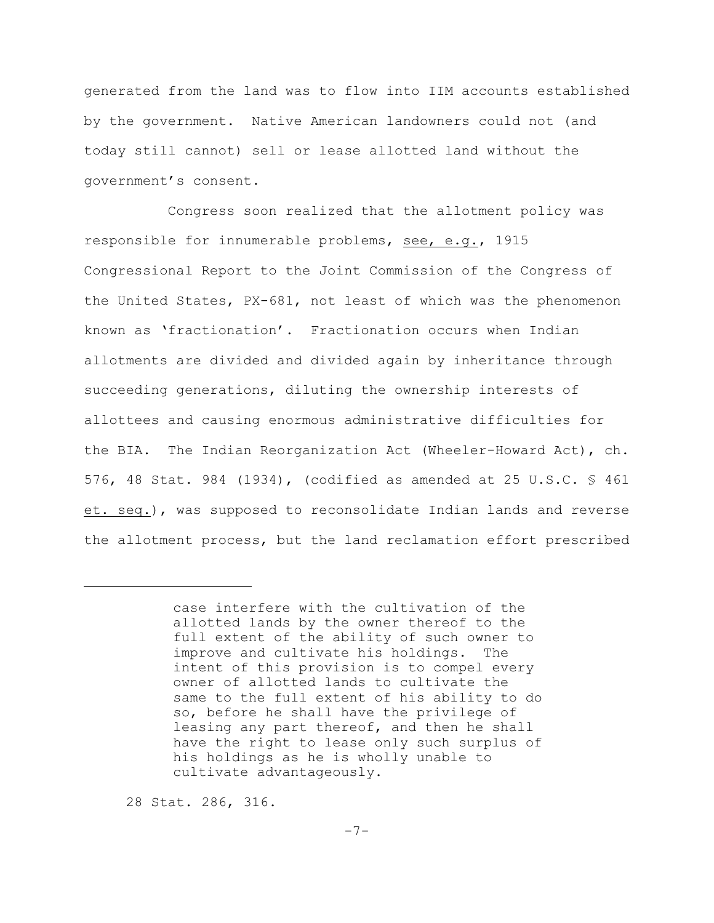generated from the land was to flow into IIM accounts established by the government. Native American landowners could not (and today still cannot) sell or lease allotted land without the government's consent.

Congress soon realized that the allotment policy was responsible for innumerable problems, see, e.g., 1915 Congressional Report to the Joint Commission of the Congress of the United States, PX-681, not least of which was the phenomenon known as 'fractionation'. Fractionation occurs when Indian allotments are divided and divided again by inheritance through succeeding generations, diluting the ownership interests of allottees and causing enormous administrative difficulties for the BIA. The Indian Reorganization Act (Wheeler-Howard Act), ch. 576, 48 Stat. 984 (1934), (codified as amended at 25 U.S.C. § 461 et. seq.), was supposed to reconsolidate Indian lands and reverse the allotment process, but the land reclamation effort prescribed

28 Stat. 286, 316.

case interfere with the cultivation of the allotted lands by the owner thereof to the full extent of the ability of such owner to improve and cultivate his holdings. The intent of this provision is to compel every owner of allotted lands to cultivate the same to the full extent of his ability to do so, before he shall have the privilege of leasing any part thereof, and then he shall have the right to lease only such surplus of his holdings as he is wholly unable to cultivate advantageously.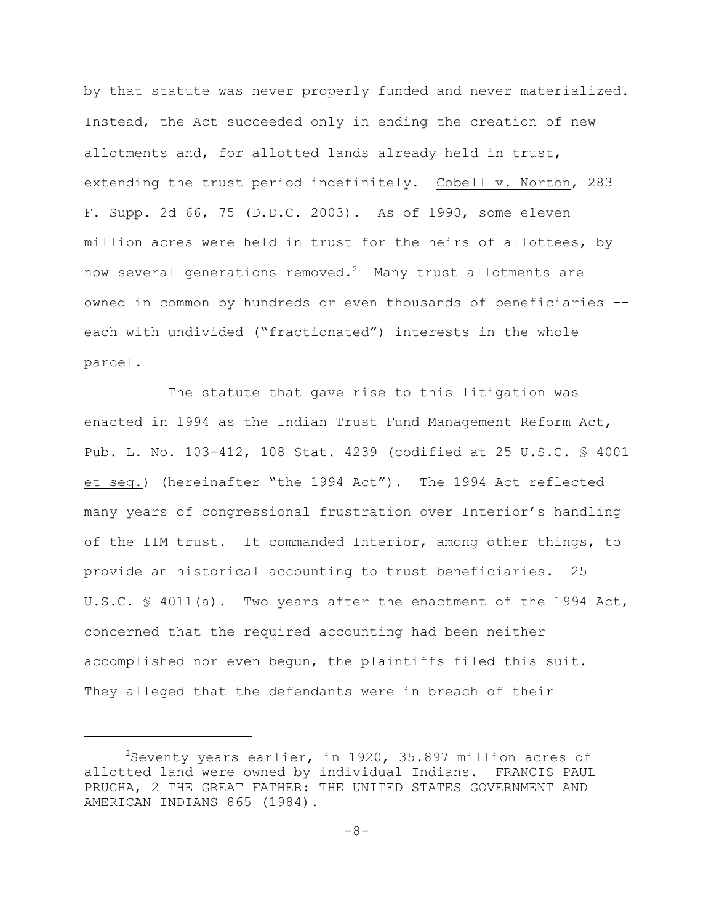by that statute was never properly funded and never materialized. Instead, the Act succeeded only in ending the creation of new allotments and, for allotted lands already held in trust, extending the trust period indefinitely. Cobell v. Norton, 283 F. Supp. 2d 66, 75 (D.D.C. 2003). As of 1990, some eleven million acres were held in trust for the heirs of allottees, by now several generations removed.<sup>2</sup> Many trust allotments are owned in common by hundreds or even thousands of beneficiaries - each with undivided ("fractionated") interests in the whole parcel.

The statute that gave rise to this litigation was enacted in 1994 as the Indian Trust Fund Management Reform Act, Pub. L. No. 103-412, 108 Stat. 4239 (codified at 25 U.S.C. § 4001 et seq.) (hereinafter "the 1994 Act"). The 1994 Act reflected many years of congressional frustration over Interior's handling of the IIM trust. It commanded Interior, among other things, to provide an historical accounting to trust beneficiaries. 25 U.S.C. § 4011(a). Two years after the enactment of the 1994 Act, concerned that the required accounting had been neither accomplished nor even begun, the plaintiffs filed this suit. They alleged that the defendants were in breach of their

 $2$ Seventy years earlier, in 1920, 35.897 million acres of allotted land were owned by individual Indians. FRANCIS PAUL PRUCHA, 2 THE GREAT FATHER: THE UNITED STATES GOVERNMENT AND AMERICAN INDIANS 865 (1984).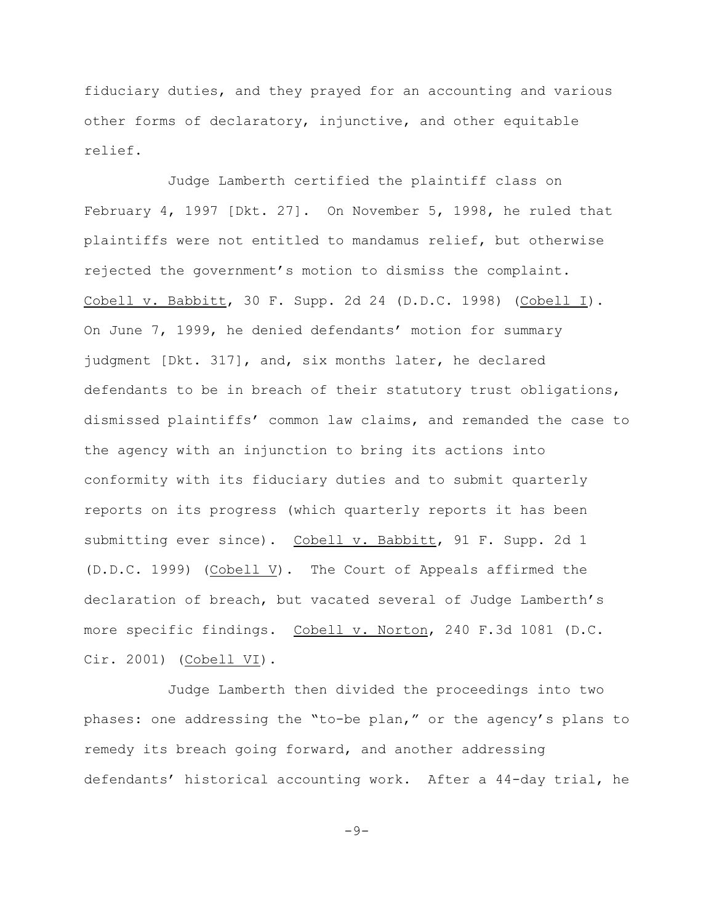fiduciary duties, and they prayed for an accounting and various other forms of declaratory, injunctive, and other equitable relief.

Judge Lamberth certified the plaintiff class on February 4, 1997 [Dkt. 27]. On November 5, 1998, he ruled that plaintiffs were not entitled to mandamus relief, but otherwise rejected the government's motion to dismiss the complaint. Cobell v. Babbitt, 30 F. Supp. 2d 24 (D.D.C. 1998) (Cobell I). On June 7, 1999, he denied defendants' motion for summary judgment [Dkt. 317], and, six months later, he declared defendants to be in breach of their statutory trust obligations, dismissed plaintiffs' common law claims, and remanded the case to the agency with an injunction to bring its actions into conformity with its fiduciary duties and to submit quarterly reports on its progress (which quarterly reports it has been submitting ever since). Cobell v. Babbitt, 91 F. Supp. 2d 1 (D.D.C. 1999) (Cobell V). The Court of Appeals affirmed the declaration of breach, but vacated several of Judge Lamberth's more specific findings. Cobell v. Norton, 240 F.3d 1081 (D.C. Cir. 2001) (Cobell VI).

Judge Lamberth then divided the proceedings into two phases: one addressing the "to-be plan," or the agency's plans to remedy its breach going forward, and another addressing defendants' historical accounting work. After a 44-day trial, he

 $-9-$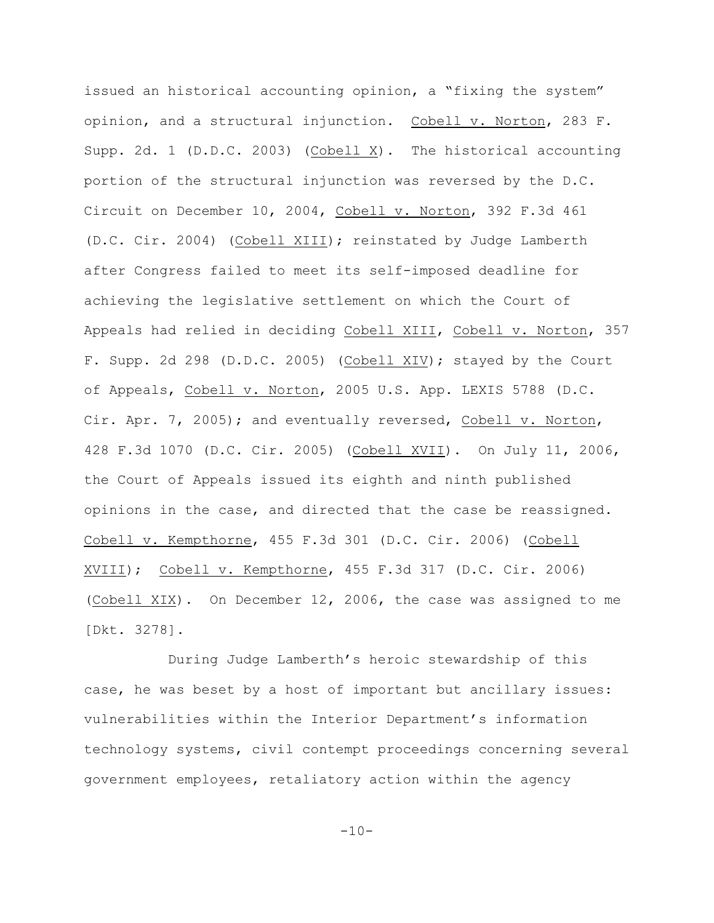issued an historical accounting opinion, a "fixing the system" opinion, and a structural injunction. Cobell v. Norton, 283 F. Supp. 2d. 1 (D.D.C. 2003) (Cobell  $X$ ). The historical accounting portion of the structural injunction was reversed by the D.C. Circuit on December 10, 2004, Cobell v. Norton, 392 F.3d 461 (D.C. Cir. 2004) (Cobell XIII); reinstated by Judge Lamberth after Congress failed to meet its self-imposed deadline for achieving the legislative settlement on which the Court of Appeals had relied in deciding Cobell XIII, Cobell v. Norton, 357 F. Supp. 2d 298 (D.D.C. 2005) (Cobell XIV); stayed by the Court of Appeals, Cobell v. Norton, 2005 U.S. App. LEXIS 5788 (D.C. Cir. Apr. 7, 2005); and eventually reversed, Cobell v. Norton, 428 F.3d 1070 (D.C. Cir. 2005) (Cobell XVII). On July 11, 2006, the Court of Appeals issued its eighth and ninth published opinions in the case, and directed that the case be reassigned. Cobell v. Kempthorne, 455 F.3d 301 (D.C. Cir. 2006) (Cobell XVIII); Cobell v. Kempthorne, 455 F.3d 317 (D.C. Cir. 2006) (Cobell XIX). On December 12, 2006, the case was assigned to me [Dkt. 3278].

During Judge Lamberth's heroic stewardship of this case, he was beset by a host of important but ancillary issues: vulnerabilities within the Interior Department's information technology systems, civil contempt proceedings concerning several government employees, retaliatory action within the agency

 $-10-$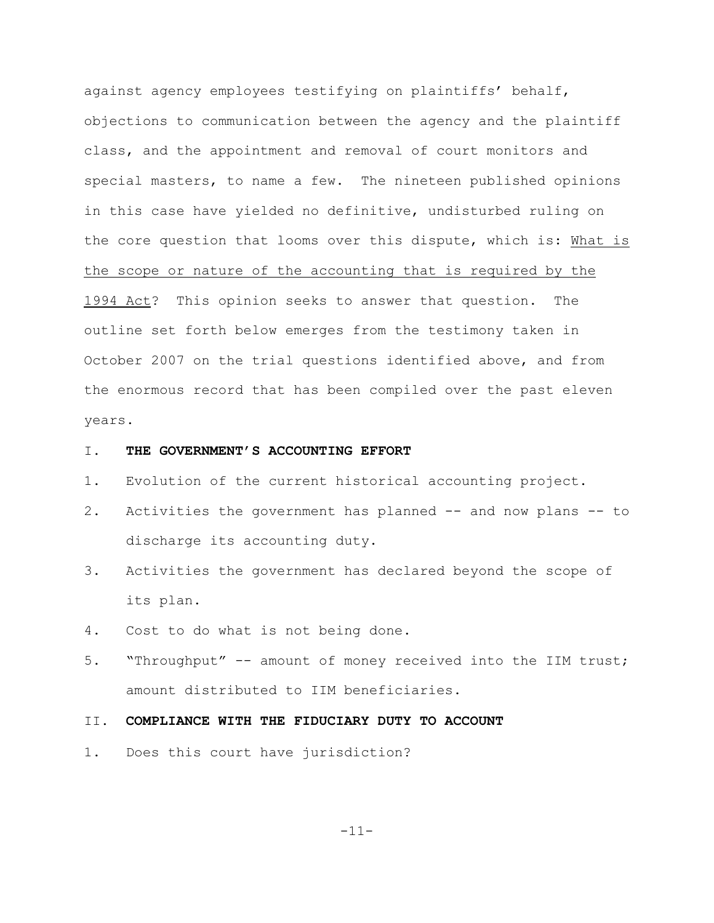against agency employees testifying on plaintiffs' behalf, objections to communication between the agency and the plaintiff class, and the appointment and removal of court monitors and special masters, to name a few. The nineteen published opinions in this case have yielded no definitive, undisturbed ruling on the core question that looms over this dispute, which is: What is the scope or nature of the accounting that is required by the 1994 Act? This opinion seeks to answer that question. The outline set forth below emerges from the testimony taken in October 2007 on the trial questions identified above, and from the enormous record that has been compiled over the past eleven years.

### I. **THE GOVERNMENT'S ACCOUNTING EFFORT**

- 1. Evolution of the current historical accounting project.
- 2. Activities the government has planned -- and now plans -- to discharge its accounting duty.
- 3. Activities the government has declared beyond the scope of its plan.
- 4. Cost to do what is not being done.
- 5. "Throughput" -- amount of money received into the IIM trust; amount distributed to IIM beneficiaries.

## II. **COMPLIANCE WITH THE FIDUCIARY DUTY TO ACCOUNT**

1. Does this court have jurisdiction?

-11-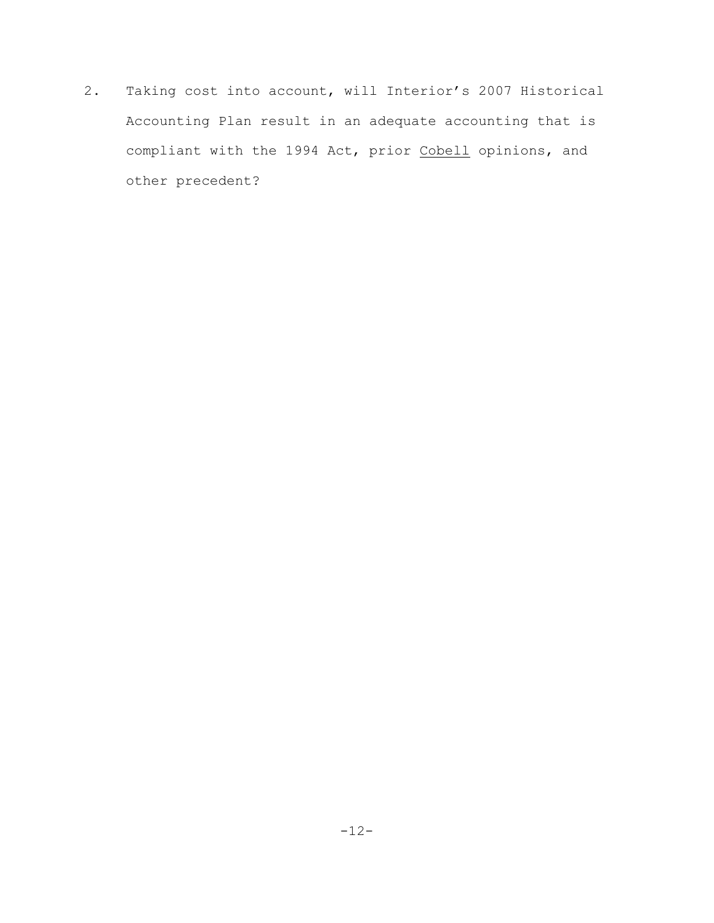2. Taking cost into account, will Interior's 2007 Historical Accounting Plan result in an adequate accounting that is compliant with the 1994 Act, prior Cobell opinions, and other precedent?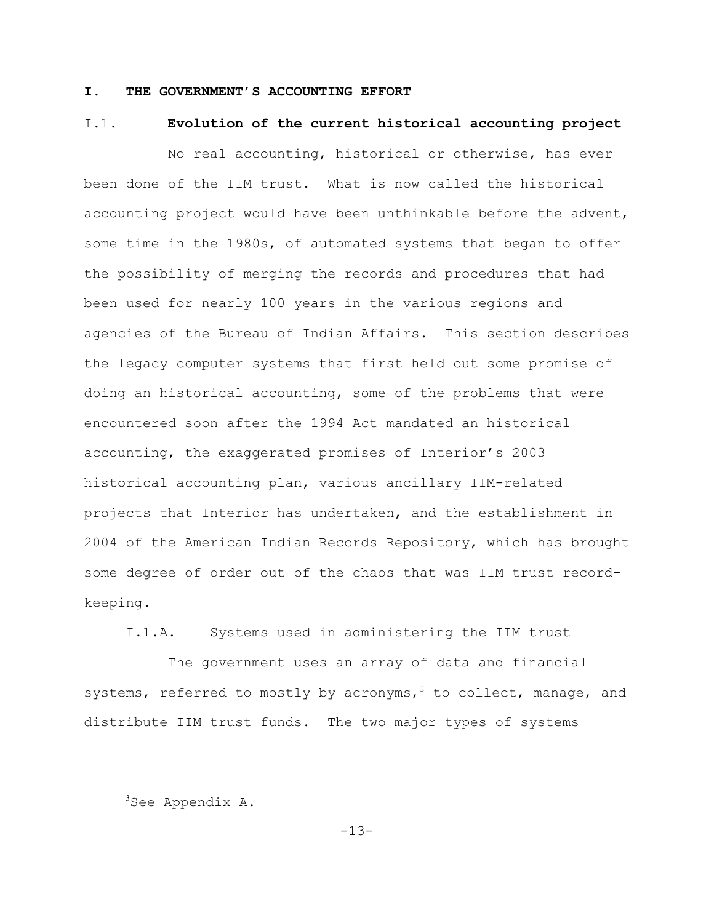## **I. THE GOVERNMENT'S ACCOUNTING EFFORT**

### I.1. **Evolution of the current historical accounting project**

No real accounting, historical or otherwise, has ever been done of the IIM trust. What is now called the historical accounting project would have been unthinkable before the advent, some time in the 1980s, of automated systems that began to offer the possibility of merging the records and procedures that had been used for nearly 100 years in the various regions and agencies of the Bureau of Indian Affairs. This section describes the legacy computer systems that first held out some promise of doing an historical accounting, some of the problems that were encountered soon after the 1994 Act mandated an historical accounting, the exaggerated promises of Interior's 2003 historical accounting plan, various ancillary IIM-related projects that Interior has undertaken, and the establishment in 2004 of the American Indian Records Repository, which has brought some degree of order out of the chaos that was IIM trust recordkeeping.

## I.1.A. Systems used in administering the IIM trust

The government uses an array of data and financial systems, referred to mostly by acronyms,  $3$  to collect, manage, and distribute IIM trust funds. The two major types of systems

 $3$ See Appendix A.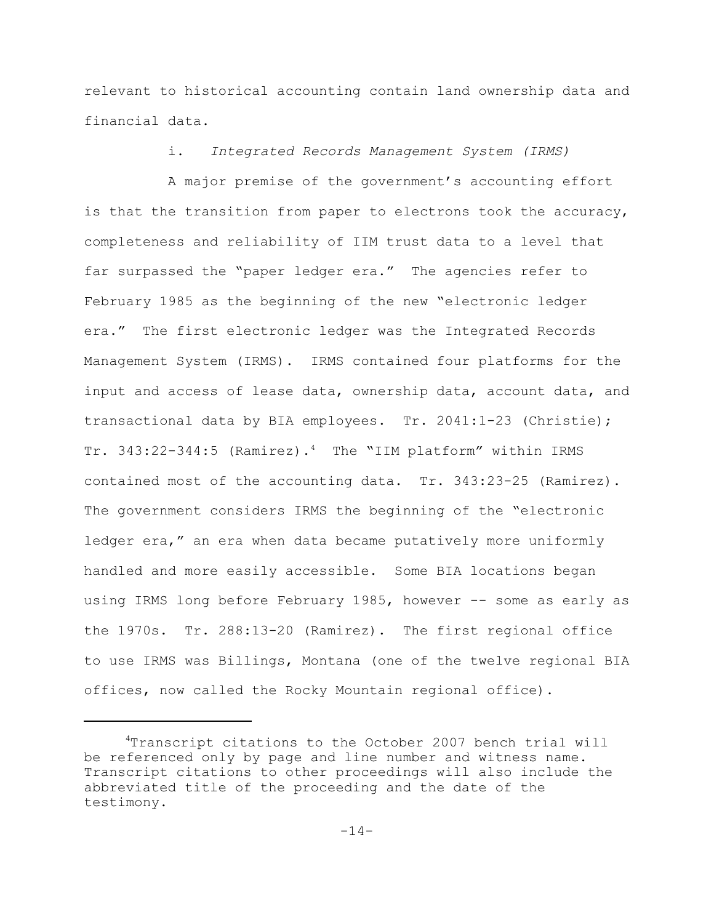relevant to historical accounting contain land ownership data and financial data.

i. *Integrated Records Management System (IRMS)*

A major premise of the government's accounting effort is that the transition from paper to electrons took the accuracy, completeness and reliability of IIM trust data to a level that far surpassed the "paper ledger era." The agencies refer to February 1985 as the beginning of the new "electronic ledger era." The first electronic ledger was the Integrated Records Management System (IRMS). IRMS contained four platforms for the input and access of lease data, ownership data, account data, and transactional data by BIA employees. Tr. 2041:1-23 (Christie); Tr.  $343:22-344:5$  (Ramirez).<sup>4</sup> The "IIM platform" within IRMS contained most of the accounting data. Tr. 343:23-25 (Ramirez). The government considers IRMS the beginning of the "electronic ledger era," an era when data became putatively more uniformly handled and more easily accessible. Some BIA locations began using IRMS long before February 1985, however -- some as early as the 1970s. Tr. 288:13-20 (Ramirez). The first regional office to use IRMS was Billings, Montana (one of the twelve regional BIA offices, now called the Rocky Mountain regional office).

Transcript citations to the October 2007 bench trial will <sup>4</sup> be referenced only by page and line number and witness name. Transcript citations to other proceedings will also include the abbreviated title of the proceeding and the date of the testimony.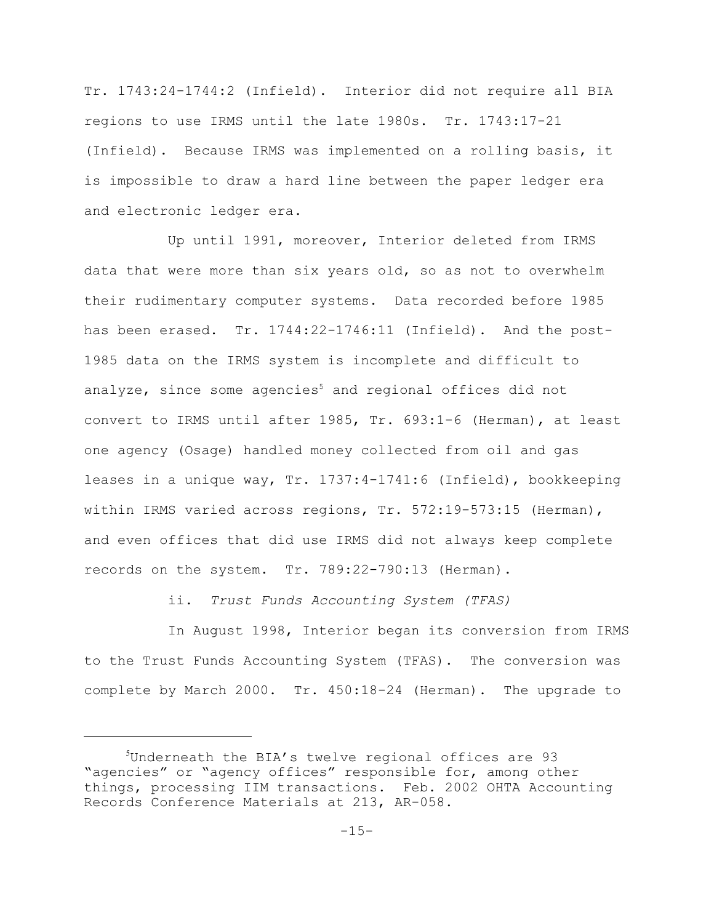Tr. 1743:24-1744:2 (Infield). Interior did not require all BIA regions to use IRMS until the late 1980s. Tr. 1743:17-21 (Infield). Because IRMS was implemented on a rolling basis, it is impossible to draw a hard line between the paper ledger era and electronic ledger era.

Up until 1991, moreover, Interior deleted from IRMS data that were more than six years old, so as not to overwhelm their rudimentary computer systems. Data recorded before 1985 has been erased. Tr. 1744:22-1746:11 (Infield). And the post-1985 data on the IRMS system is incomplete and difficult to analyze, since some agencies<sup>5</sup> and regional offices did not convert to IRMS until after 1985, Tr. 693:1-6 (Herman), at least one agency (Osage) handled money collected from oil and gas leases in a unique way, Tr. 1737:4-1741:6 (Infield), bookkeeping within IRMS varied across regions, Tr. 572:19-573:15 (Herman), and even offices that did use IRMS did not always keep complete records on the system. Tr. 789:22-790:13 (Herman).

ii. *Trust Funds Accounting System (TFAS)*

In August 1998, Interior began its conversion from IRMS to the Trust Funds Accounting System (TFAS). The conversion was complete by March 2000. Tr. 450:18-24 (Herman). The upgrade to

 $5$ Underneath the BIA's twelve regional offices are 93 "agencies" or "agency offices" responsible for, among other things, processing IIM transactions. Feb. 2002 OHTA Accounting Records Conference Materials at 213, AR-058.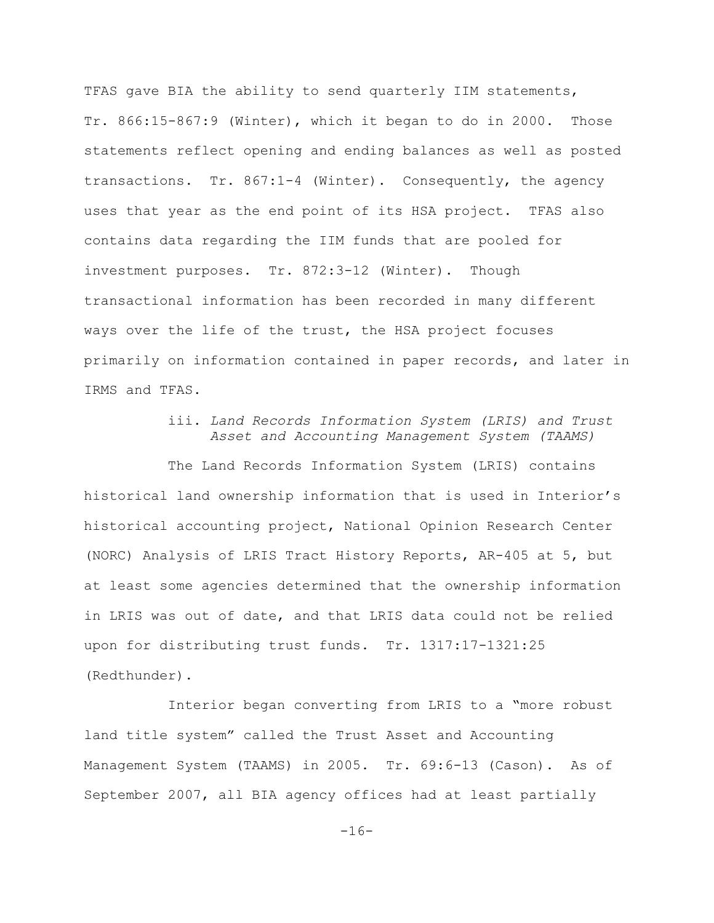TFAS gave BIA the ability to send quarterly IIM statements, Tr. 866:15-867:9 (Winter), which it began to do in 2000. Those statements reflect opening and ending balances as well as posted transactions. Tr. 867:1-4 (Winter). Consequently, the agency uses that year as the end point of its HSA project. TFAS also contains data regarding the IIM funds that are pooled for investment purposes. Tr. 872:3-12 (Winter). Though transactional information has been recorded in many different ways over the life of the trust, the HSA project focuses primarily on information contained in paper records, and later in IRMS and TFAS.

# iii. *Land Records Information System (LRIS) and Trust Asset and Accounting Management System (TAAMS)*

The Land Records Information System (LRIS) contains historical land ownership information that is used in Interior's historical accounting project, National Opinion Research Center (NORC) Analysis of LRIS Tract History Reports, AR-405 at 5, but at least some agencies determined that the ownership information in LRIS was out of date, and that LRIS data could not be relied upon for distributing trust funds. Tr. 1317:17-1321:25 (Redthunder).

Interior began converting from LRIS to a "more robust land title system" called the Trust Asset and Accounting Management System (TAAMS) in 2005. Tr. 69:6-13 (Cason). As of September 2007, all BIA agency offices had at least partially

 $-16-$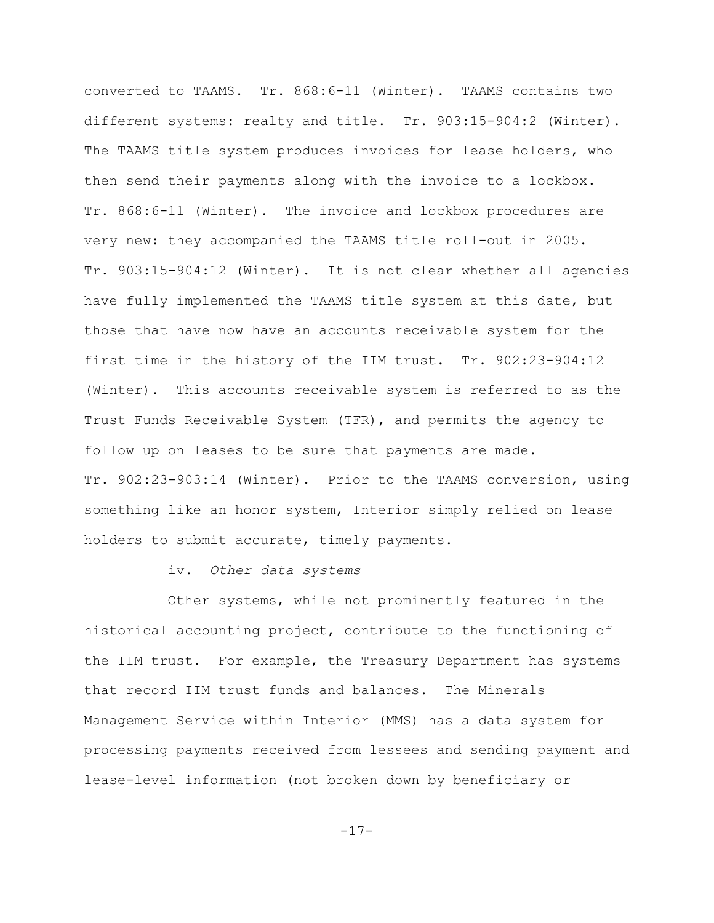converted to TAAMS. Tr. 868:6-11 (Winter). TAAMS contains two different systems: realty and title. Tr. 903:15-904:2 (Winter). The TAAMS title system produces invoices for lease holders, who then send their payments along with the invoice to a lockbox. Tr. 868:6-11 (Winter). The invoice and lockbox procedures are very new: they accompanied the TAAMS title roll-out in 2005. Tr. 903:15-904:12 (Winter). It is not clear whether all agencies have fully implemented the TAAMS title system at this date, but those that have now have an accounts receivable system for the first time in the history of the IIM trust. Tr. 902:23-904:12 (Winter). This accounts receivable system is referred to as the Trust Funds Receivable System (TFR), and permits the agency to follow up on leases to be sure that payments are made. Tr. 902:23-903:14 (Winter). Prior to the TAAMS conversion, using something like an honor system, Interior simply relied on lease holders to submit accurate, timely payments.

# iv. *Other data systems*

Other systems, while not prominently featured in the historical accounting project, contribute to the functioning of the IIM trust. For example, the Treasury Department has systems that record IIM trust funds and balances. The Minerals Management Service within Interior (MMS) has a data system for processing payments received from lessees and sending payment and lease-level information (not broken down by beneficiary or

-17-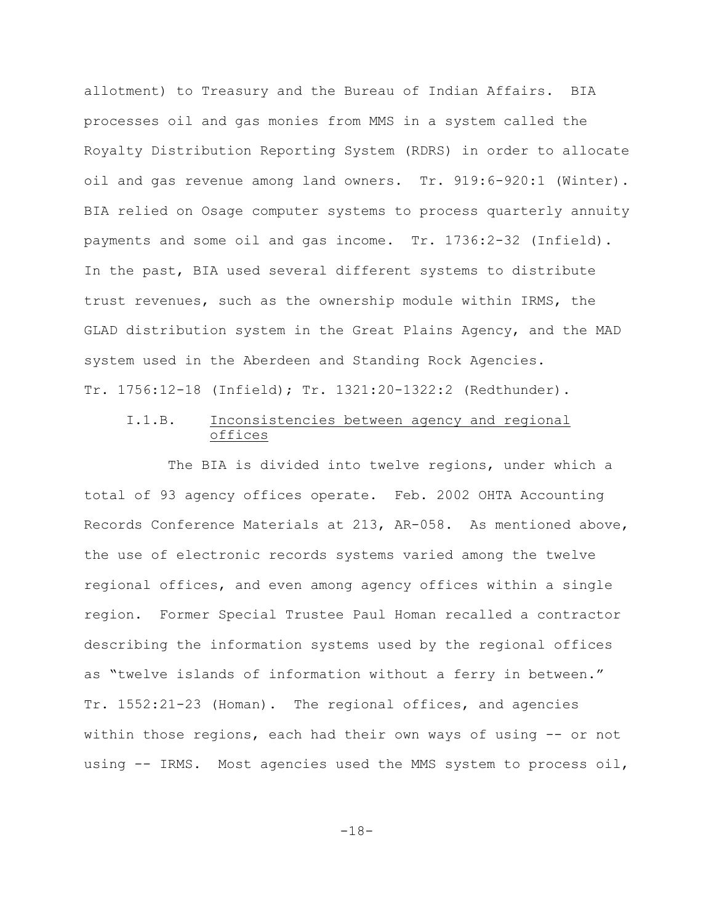allotment) to Treasury and the Bureau of Indian Affairs. BIA processes oil and gas monies from MMS in a system called the Royalty Distribution Reporting System (RDRS) in order to allocate oil and gas revenue among land owners. Tr. 919:6-920:1 (Winter). BIA relied on Osage computer systems to process quarterly annuity payments and some oil and gas income. Tr. 1736:2-32 (Infield). In the past, BIA used several different systems to distribute trust revenues, such as the ownership module within IRMS, the GLAD distribution system in the Great Plains Agency, and the MAD system used in the Aberdeen and Standing Rock Agencies. Tr. 1756:12-18 (Infield); Tr. 1321:20-1322:2 (Redthunder).

# I.1.B. Inconsistencies between agency and regional offices

The BIA is divided into twelve regions, under which a total of 93 agency offices operate. Feb. 2002 OHTA Accounting Records Conference Materials at 213, AR-058. As mentioned above, the use of electronic records systems varied among the twelve regional offices, and even among agency offices within a single region. Former Special Trustee Paul Homan recalled a contractor describing the information systems used by the regional offices as "twelve islands of information without a ferry in between." Tr. 1552:21-23 (Homan). The regional offices, and agencies within those regions, each had their own ways of using -- or not using -- IRMS. Most agencies used the MMS system to process oil,

-18-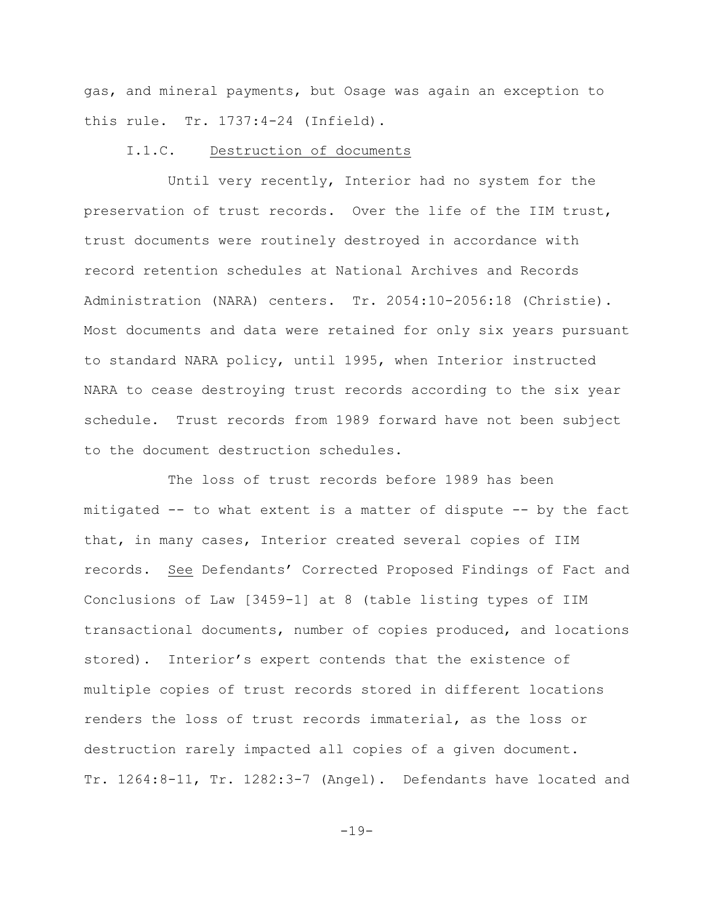gas, and mineral payments, but Osage was again an exception to this rule. Tr. 1737:4-24 (Infield).

#### I.1.C. Destruction of documents

Until very recently, Interior had no system for the preservation of trust records. Over the life of the IIM trust, trust documents were routinely destroyed in accordance with record retention schedules at National Archives and Records Administration (NARA) centers. Tr. 2054:10-2056:18 (Christie). Most documents and data were retained for only six years pursuant to standard NARA policy, until 1995, when Interior instructed NARA to cease destroying trust records according to the six year schedule. Trust records from 1989 forward have not been subject to the document destruction schedules.

The loss of trust records before 1989 has been mitigated -- to what extent is a matter of dispute -- by the fact that, in many cases, Interior created several copies of IIM records. See Defendants' Corrected Proposed Findings of Fact and Conclusions of Law [3459-1] at 8 (table listing types of IIM transactional documents, number of copies produced, and locations stored). Interior's expert contends that the existence of multiple copies of trust records stored in different locations renders the loss of trust records immaterial, as the loss or destruction rarely impacted all copies of a given document. Tr. 1264:8-11, Tr. 1282:3-7 (Angel). Defendants have located and

-19-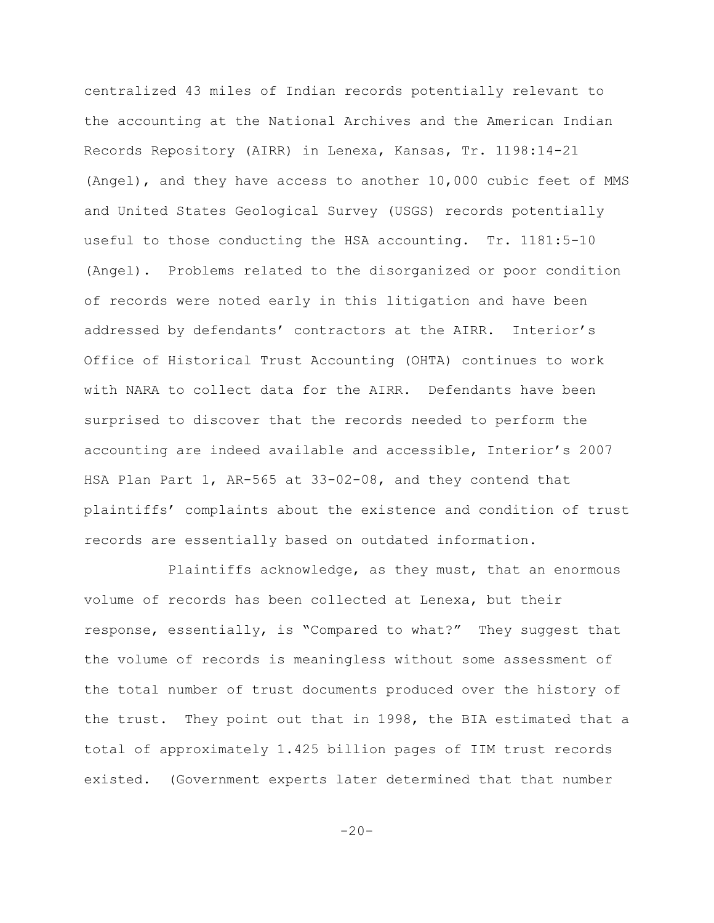centralized 43 miles of Indian records potentially relevant to the accounting at the National Archives and the American Indian Records Repository (AIRR) in Lenexa, Kansas, Tr. 1198:14-21 (Angel), and they have access to another 10,000 cubic feet of MMS and United States Geological Survey (USGS) records potentially useful to those conducting the HSA accounting. Tr. 1181:5-10 (Angel). Problems related to the disorganized or poor condition of records were noted early in this litigation and have been addressed by defendants' contractors at the AIRR. Interior's Office of Historical Trust Accounting (OHTA) continues to work with NARA to collect data for the AIRR. Defendants have been surprised to discover that the records needed to perform the accounting are indeed available and accessible, Interior's 2007 HSA Plan Part 1, AR-565 at 33-02-08, and they contend that plaintiffs' complaints about the existence and condition of trust records are essentially based on outdated information.

Plaintiffs acknowledge, as they must, that an enormous volume of records has been collected at Lenexa, but their response, essentially, is "Compared to what?" They suggest that the volume of records is meaningless without some assessment of the total number of trust documents produced over the history of the trust. They point out that in 1998, the BIA estimated that a total of approximately 1.425 billion pages of IIM trust records existed. (Government experts later determined that that number

 $-20-$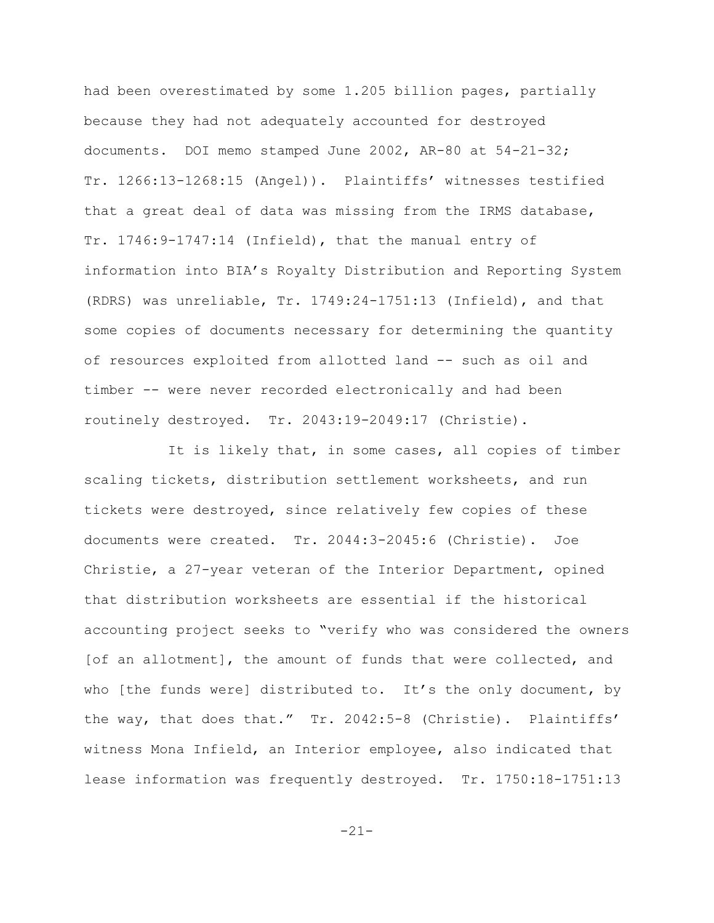had been overestimated by some 1.205 billion pages, partially because they had not adequately accounted for destroyed documents. DOI memo stamped June 2002, AR-80 at 54-21-32; Tr. 1266:13-1268:15 (Angel)). Plaintiffs' witnesses testified that a great deal of data was missing from the IRMS database, Tr. 1746:9-1747:14 (Infield), that the manual entry of information into BIA's Royalty Distribution and Reporting System (RDRS) was unreliable, Tr. 1749:24-1751:13 (Infield), and that some copies of documents necessary for determining the quantity of resources exploited from allotted land -- such as oil and timber -- were never recorded electronically and had been routinely destroyed. Tr. 2043:19-2049:17 (Christie).

It is likely that, in some cases, all copies of timber scaling tickets, distribution settlement worksheets, and run tickets were destroyed, since relatively few copies of these documents were created. Tr. 2044:3-2045:6 (Christie). Joe Christie, a 27-year veteran of the Interior Department, opined that distribution worksheets are essential if the historical accounting project seeks to "verify who was considered the owners [of an allotment], the amount of funds that were collected, and who [the funds were] distributed to. It's the only document, by the way, that does that." Tr. 2042:5-8 (Christie). Plaintiffs' witness Mona Infield, an Interior employee, also indicated that lease information was frequently destroyed. Tr. 1750:18-1751:13

-21-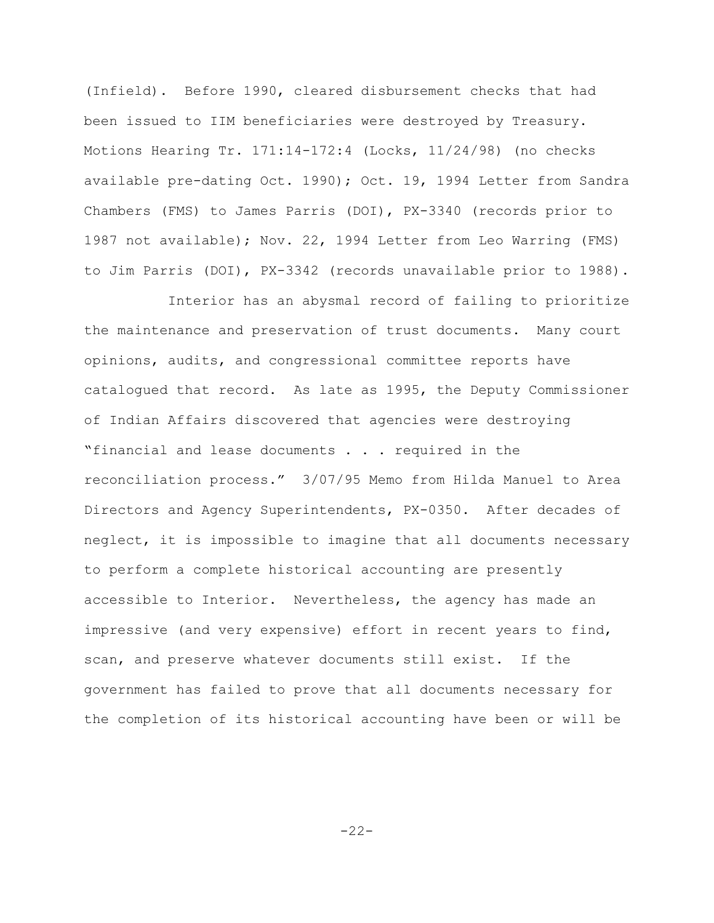(Infield). Before 1990, cleared disbursement checks that had been issued to IIM beneficiaries were destroyed by Treasury. Motions Hearing Tr. 171:14-172:4 (Locks, 11/24/98) (no checks available pre-dating Oct. 1990); Oct. 19, 1994 Letter from Sandra Chambers (FMS) to James Parris (DOI), PX-3340 (records prior to 1987 not available); Nov. 22, 1994 Letter from Leo Warring (FMS) to Jim Parris (DOI), PX-3342 (records unavailable prior to 1988).

Interior has an abysmal record of failing to prioritize the maintenance and preservation of trust documents. Many court opinions, audits, and congressional committee reports have catalogued that record. As late as 1995, the Deputy Commissioner of Indian Affairs discovered that agencies were destroying "financial and lease documents . . . required in the reconciliation process." 3/07/95 Memo from Hilda Manuel to Area Directors and Agency Superintendents, PX-0350. After decades of neglect, it is impossible to imagine that all documents necessary to perform a complete historical accounting are presently accessible to Interior. Nevertheless, the agency has made an impressive (and very expensive) effort in recent years to find, scan, and preserve whatever documents still exist. If the government has failed to prove that all documents necessary for the completion of its historical accounting have been or will be

-22-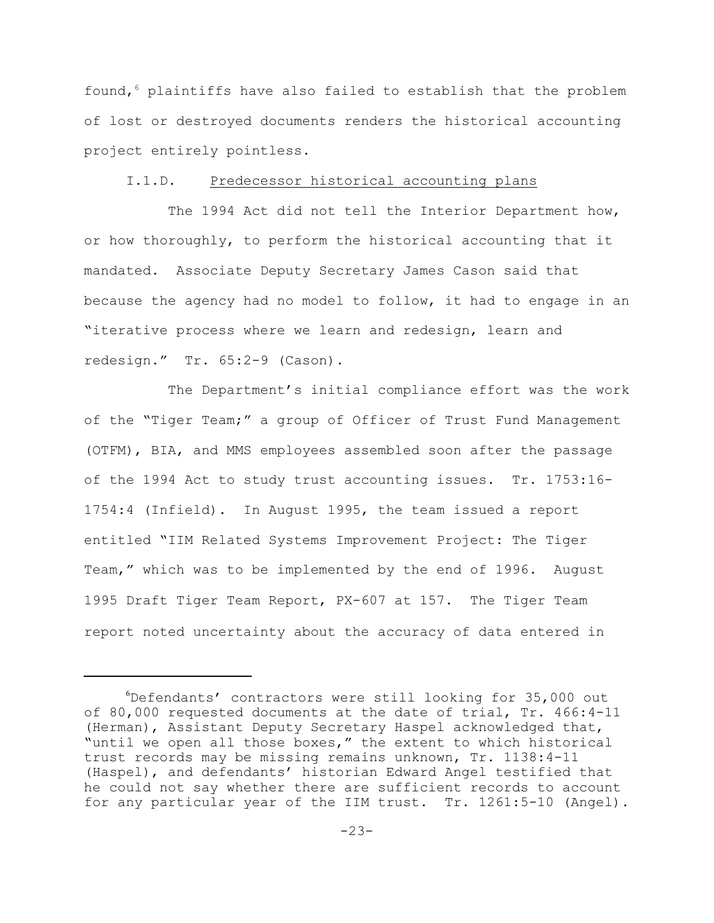found,  $6$  plaintiffs have also failed to establish that the problem of lost or destroyed documents renders the historical accounting project entirely pointless.

### I.1.D. Predecessor historical accounting plans

The 1994 Act did not tell the Interior Department how, or how thoroughly, to perform the historical accounting that it mandated. Associate Deputy Secretary James Cason said that because the agency had no model to follow, it had to engage in an "iterative process where we learn and redesign, learn and redesign." Tr. 65:2-9 (Cason).

The Department's initial compliance effort was the work of the "Tiger Team;" a group of Officer of Trust Fund Management (OTFM), BIA, and MMS employees assembled soon after the passage of the 1994 Act to study trust accounting issues. Tr. 1753:16- 1754:4 (Infield). In August 1995, the team issued a report entitled "IIM Related Systems Improvement Project: The Tiger Team," which was to be implemented by the end of 1996. August 1995 Draft Tiger Team Report, PX-607 at 157.The Tiger Team report noted uncertainty about the accuracy of data entered in

 $6$ Defendants' contractors were still looking for 35,000 out of 80,000 requested documents at the date of trial, Tr. 466:4-11 (Herman), Assistant Deputy Secretary Haspel acknowledged that, "until we open all those boxes," the extent to which historical trust records may be missing remains unknown, Tr. 1138:4-11 (Haspel), and defendants' historian Edward Angel testified that he could not say whether there are sufficient records to account for any particular year of the IIM trust. Tr. 1261:5-10 (Angel).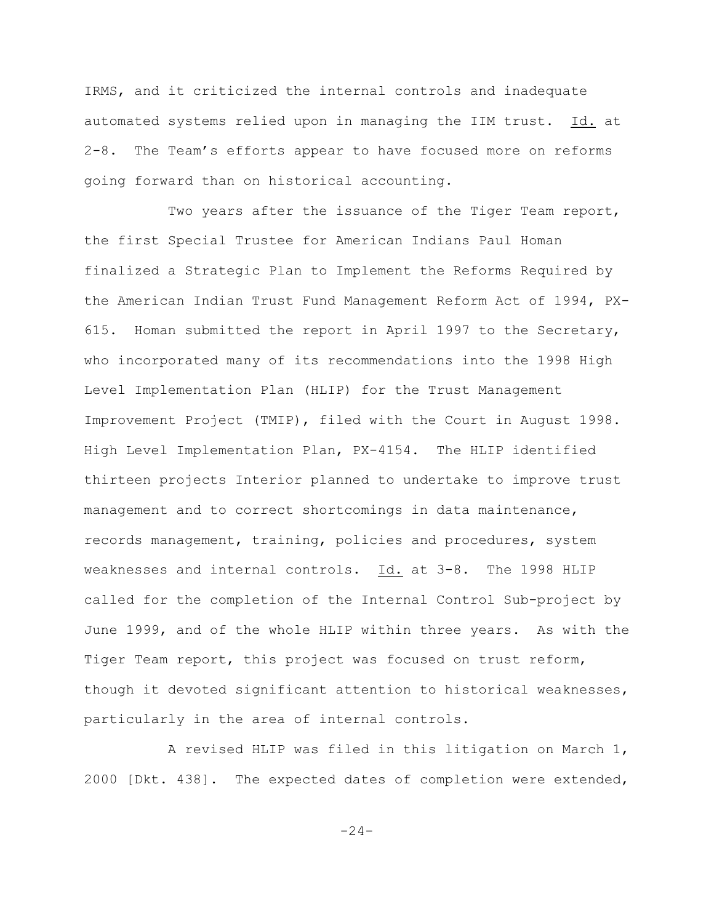IRMS, and it criticized the internal controls and inadequate automated systems relied upon in managing the IIM trust. Id. at 2-8. The Team's efforts appear to have focused more on reforms going forward than on historical accounting.

Two years after the issuance of the Tiger Team report, the first Special Trustee for American Indians Paul Homan finalized a Strategic Plan to Implement the Reforms Required by the American Indian Trust Fund Management Reform Act of 1994, PX-615. Homan submitted the report in April 1997 to the Secretary, who incorporated many of its recommendations into the 1998 High Level Implementation Plan (HLIP) for the Trust Management Improvement Project (TMIP), filed with the Court in August 1998. High Level Implementation Plan, PX-4154. The HLIP identified thirteen projects Interior planned to undertake to improve trust management and to correct shortcomings in data maintenance, records management, training, policies and procedures, system weaknesses and internal controls. Id. at 3-8. The 1998 HLIP called for the completion of the Internal Control Sub-project by June 1999, and of the whole HLIP within three years. As with the Tiger Team report, this project was focused on trust reform, though it devoted significant attention to historical weaknesses, particularly in the area of internal controls.

A revised HLIP was filed in this litigation on March 1, 2000 [Dkt. 438]. The expected dates of completion were extended,

 $-24-$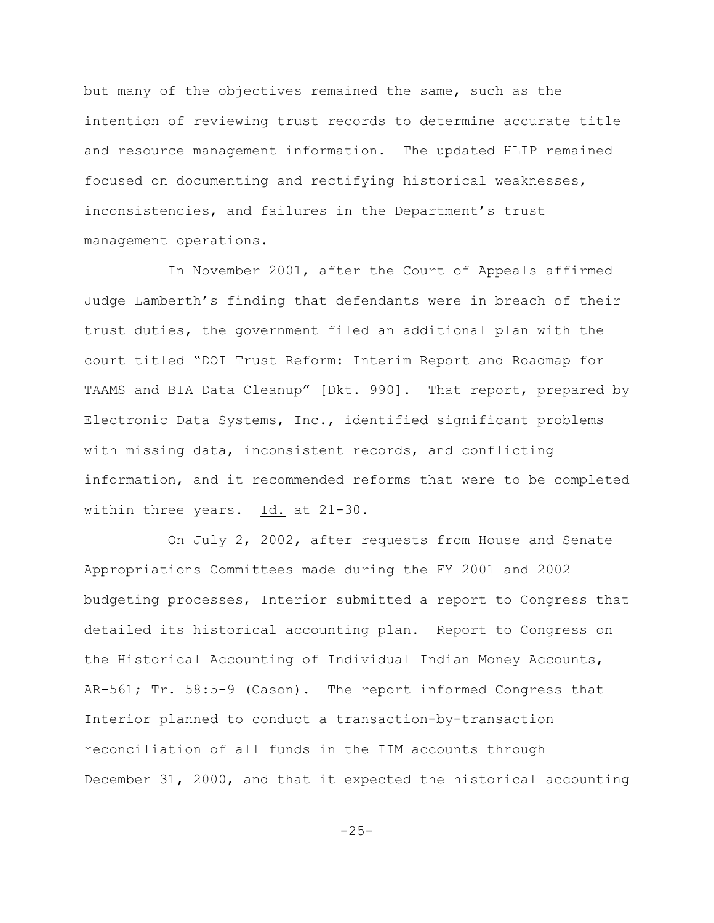but many of the objectives remained the same, such as the intention of reviewing trust records to determine accurate title and resource management information. The updated HLIP remained focused on documenting and rectifying historical weaknesses, inconsistencies, and failures in the Department's trust management operations.

In November 2001, after the Court of Appeals affirmed Judge Lamberth's finding that defendants were in breach of their trust duties, the government filed an additional plan with the court titled "DOI Trust Reform: Interim Report and Roadmap for TAAMS and BIA Data Cleanup" [Dkt. 990]. That report, prepared by Electronic Data Systems, Inc., identified significant problems with missing data, inconsistent records, and conflicting information, and it recommended reforms that were to be completed within three years. Id. at 21-30.

On July 2, 2002, after requests from House and Senate Appropriations Committees made during the FY 2001 and 2002 budgeting processes, Interior submitted a report to Congress that detailed its historical accounting plan. Report to Congress on the Historical Accounting of Individual Indian Money Accounts, AR-561; Tr. 58:5-9 (Cason). The report informed Congress that Interior planned to conduct a transaction-by-transaction reconciliation of all funds in the IIM accounts through December 31, 2000, and that it expected the historical accounting

 $-25-$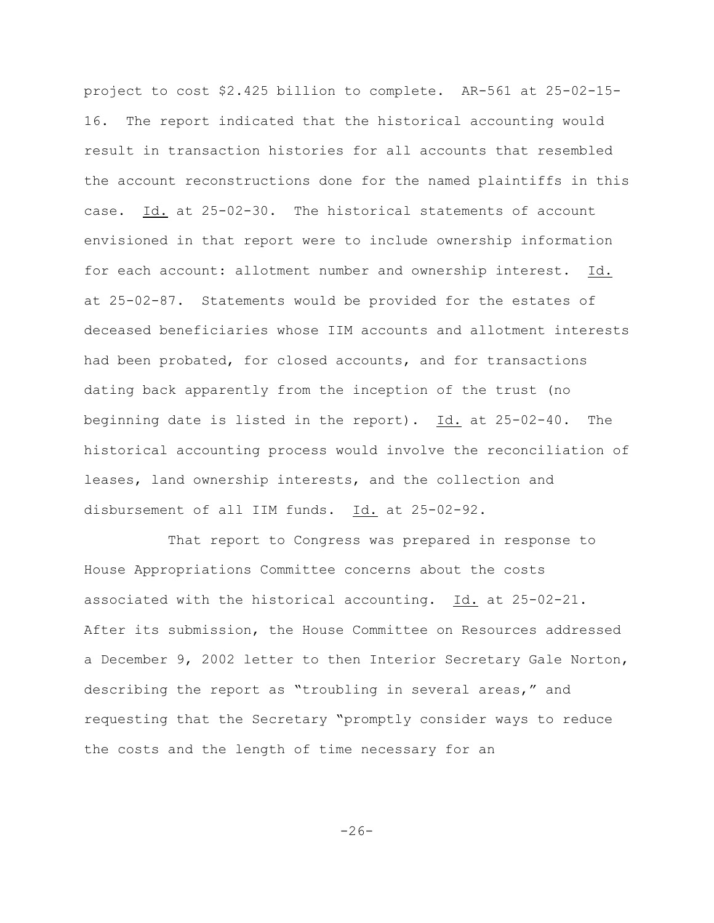project to cost \$2.425 billion to complete. AR-561 at 25-02-15- 16. The report indicated that the historical accounting would result in transaction histories for all accounts that resembled the account reconstructions done for the named plaintiffs in this case. Id. at 25-02-30. The historical statements of account envisioned in that report were to include ownership information for each account: allotment number and ownership interest. Id. at 25-02-87. Statements would be provided for the estates of deceased beneficiaries whose IIM accounts and allotment interests had been probated, for closed accounts, and for transactions dating back apparently from the inception of the trust (no beginning date is listed in the report). Id. at 25-02-40. The historical accounting process would involve the reconciliation of leases, land ownership interests, and the collection and disbursement of all IIM funds. Id. at 25-02-92.

That report to Congress was prepared in response to House Appropriations Committee concerns about the costs associated with the historical accounting. Id. at 25-02-21. After its submission, the House Committee on Resources addressed a December 9, 2002 letter to then Interior Secretary Gale Norton, describing the report as "troubling in several areas," and requesting that the Secretary "promptly consider ways to reduce the costs and the length of time necessary for an

-26-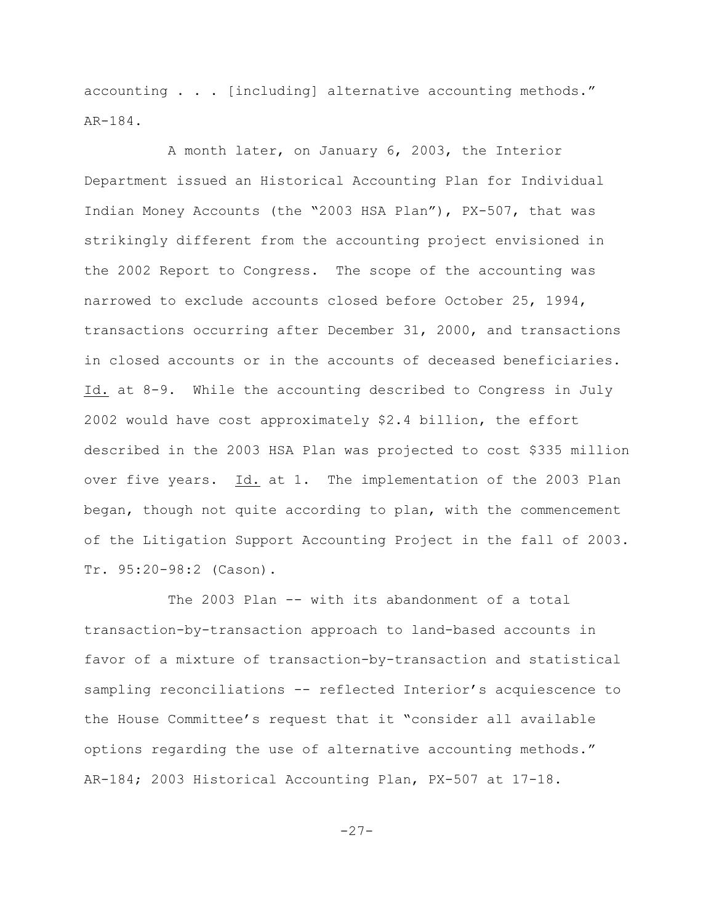accounting . . . [including] alternative accounting methods." AR-184.

A month later, on January 6, 2003, the Interior Department issued an Historical Accounting Plan for Individual Indian Money Accounts (the "2003 HSA Plan"), PX-507, that was strikingly different from the accounting project envisioned in the 2002 Report to Congress. The scope of the accounting was narrowed to exclude accounts closed before October 25, 1994, transactions occurring after December 31, 2000, and transactions in closed accounts or in the accounts of deceased beneficiaries. Id. at 8-9. While the accounting described to Congress in July 2002 would have cost approximately \$2.4 billion, the effort described in the 2003 HSA Plan was projected to cost \$335 million over five years. Id. at 1. The implementation of the 2003 Plan began, though not quite according to plan, with the commencement of the Litigation Support Accounting Project in the fall of 2003. Tr. 95:20-98:2 (Cason).

The 2003 Plan -- with its abandonment of a total transaction-by-transaction approach to land-based accounts in favor of a mixture of transaction-by-transaction and statistical sampling reconciliations -- reflected Interior's acquiescence to the House Committee's request that it "consider all available options regarding the use of alternative accounting methods." AR-184; 2003 Historical Accounting Plan, PX-507 at 17-18.

 $-27-$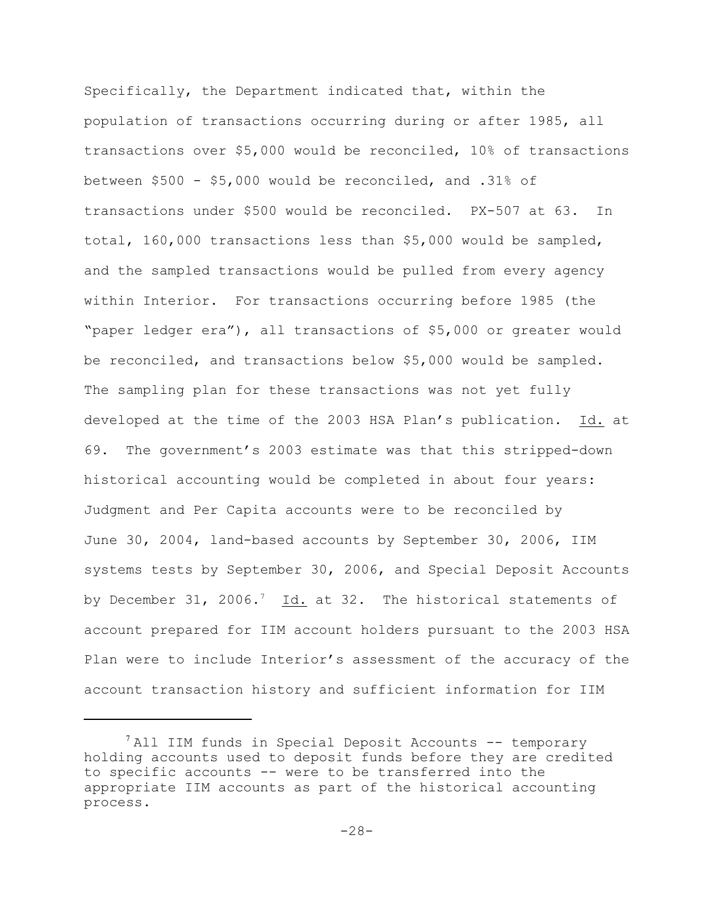Specifically, the Department indicated that, within the population of transactions occurring during or after 1985, all transactions over \$5,000 would be reconciled, 10% of transactions between \$500 - \$5,000 would be reconciled, and .31% of transactions under \$500 would be reconciled. PX-507 at 63. In total, 160,000 transactions less than \$5,000 would be sampled, and the sampled transactions would be pulled from every agency within Interior. For transactions occurring before 1985 (the "paper ledger era"), all transactions of \$5,000 or greater would be reconciled, and transactions below \$5,000 would be sampled. The sampling plan for these transactions was not yet fully developed at the time of the 2003 HSA Plan's publication. Id. at 69. The government's 2003 estimate was that this stripped-down historical accounting would be completed in about four years: Judgment and Per Capita accounts were to be reconciled by June 30, 2004, land-based accounts by September 30, 2006, IIM systems tests by September 30, 2006, and Special Deposit Accounts by December 31, 2006.<sup>7</sup> Id. at 32. The historical statements of account prepared for IIM account holders pursuant to the 2003 HSA Plan were to include Interior's assessment of the accuracy of the account transaction history and sufficient information for IIM

 $^7$ All IIM funds in Special Deposit Accounts -- temporary holding accounts used to deposit funds before they are credited to specific accounts -- were to be transferred into the appropriate IIM accounts as part of the historical accounting process.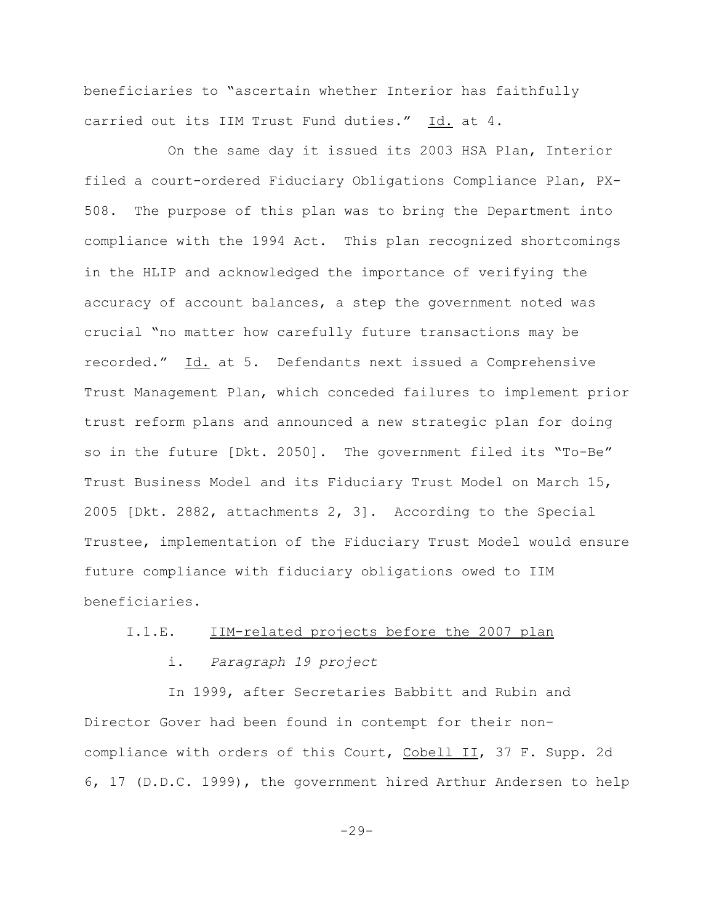beneficiaries to "ascertain whether Interior has faithfully carried out its IIM Trust Fund duties." Id. at 4.

On the same day it issued its 2003 HSA Plan, Interior filed a court-ordered Fiduciary Obligations Compliance Plan, PX-508. The purpose of this plan was to bring the Department into compliance with the 1994 Act. This plan recognized shortcomings in the HLIP and acknowledged the importance of verifying the accuracy of account balances, a step the government noted was crucial "no matter how carefully future transactions may be recorded." Id. at 5. Defendants next issued a Comprehensive Trust Management Plan, which conceded failures to implement prior trust reform plans and announced a new strategic plan for doing so in the future [Dkt. 2050]. The government filed its "To-Be" Trust Business Model and its Fiduciary Trust Model on March 15, 2005 [Dkt. 2882, attachments 2, 3]. According to the Special Trustee, implementation of the Fiduciary Trust Model would ensure future compliance with fiduciary obligations owed to IIM beneficiaries.

# I.1.E. IIM-related projects before the 2007 plan

i. *Paragraph 19 project*

In 1999, after Secretaries Babbitt and Rubin and Director Gover had been found in contempt for their noncompliance with orders of this Court, Cobell II, 37 F. Supp. 2d 6, 17 (D.D.C. 1999), the government hired Arthur Andersen to help

 $-29-$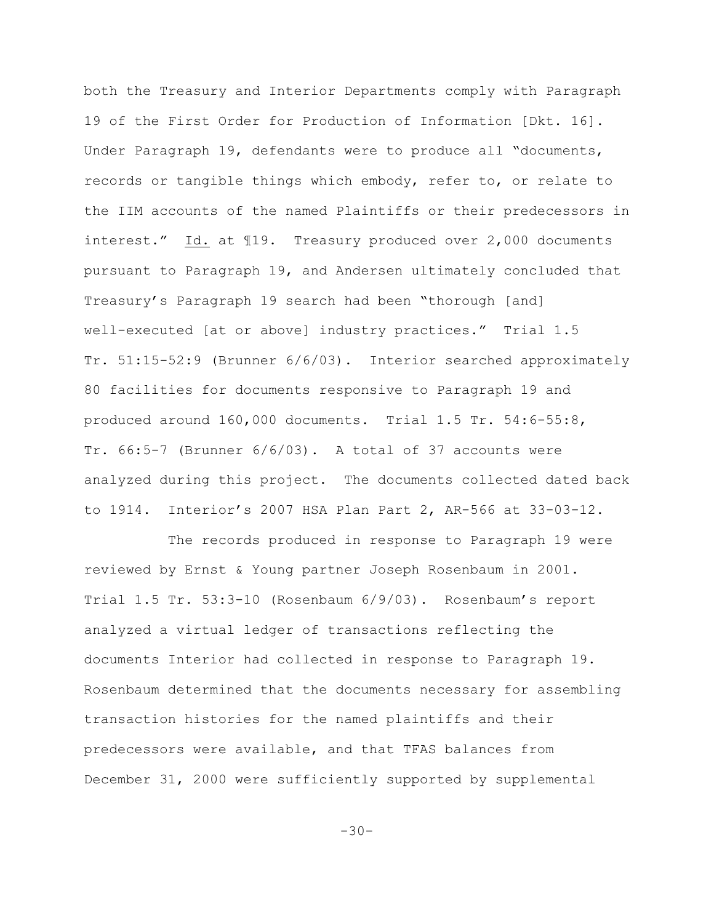both the Treasury and Interior Departments comply with Paragraph 19 of the First Order for Production of Information [Dkt. 16]. Under Paragraph 19, defendants were to produce all "documents, records or tangible things which embody, refer to, or relate to the IIM accounts of the named Plaintiffs or their predecessors in interest." Id. at ¶19. Treasury produced over 2,000 documents pursuant to Paragraph 19, and Andersen ultimately concluded that Treasury's Paragraph 19 search had been "thorough [and] well-executed [at or above] industry practices." Trial 1.5 Tr. 51:15-52:9 (Brunner 6/6/03). Interior searched approximately 80 facilities for documents responsive to Paragraph 19 and produced around 160,000 documents. Trial 1.5 Tr. 54:6-55:8, Tr. 66:5-7 (Brunner 6/6/03). A total of 37 accounts were analyzed during this project. The documents collected dated back to 1914. Interior's 2007 HSA Plan Part 2, AR-566 at 33-03-12.

The records produced in response to Paragraph 19 were reviewed by Ernst & Young partner Joseph Rosenbaum in 2001. Trial 1.5 Tr. 53:3-10 (Rosenbaum 6/9/03). Rosenbaum's report analyzed a virtual ledger of transactions reflecting the documents Interior had collected in response to Paragraph 19. Rosenbaum determined that the documents necessary for assembling transaction histories for the named plaintiffs and their predecessors were available, and that TFAS balances from December 31, 2000 were sufficiently supported by supplemental

 $-30-$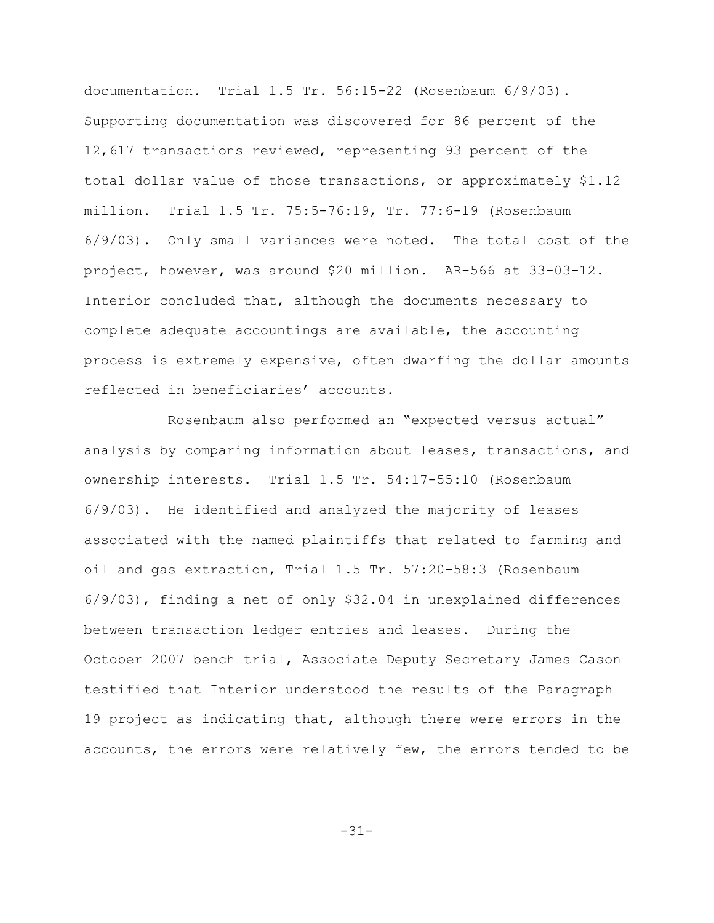documentation. Trial 1.5 Tr. 56:15-22 (Rosenbaum 6/9/03). Supporting documentation was discovered for 86 percent of the 12,617 transactions reviewed, representing 93 percent of the total dollar value of those transactions, or approximately \$1.12 million. Trial 1.5 Tr. 75:5-76:19, Tr. 77:6-19 (Rosenbaum 6/9/03). Only small variances were noted. The total cost of the project, however, was around \$20 million. AR-566 at 33-03-12. Interior concluded that, although the documents necessary to complete adequate accountings are available, the accounting process is extremely expensive, often dwarfing the dollar amounts reflected in beneficiaries' accounts.

Rosenbaum also performed an "expected versus actual" analysis by comparing information about leases, transactions, and ownership interests. Trial 1.5 Tr. 54:17-55:10 (Rosenbaum 6/9/03). He identified and analyzed the majority of leases associated with the named plaintiffs that related to farming and oil and gas extraction, Trial 1.5 Tr. 57:20-58:3 (Rosenbaum 6/9/03), finding a net of only \$32.04 in unexplained differences between transaction ledger entries and leases. During the October 2007 bench trial, Associate Deputy Secretary James Cason testified that Interior understood the results of the Paragraph 19 project as indicating that, although there were errors in the accounts, the errors were relatively few, the errors tended to be

-31-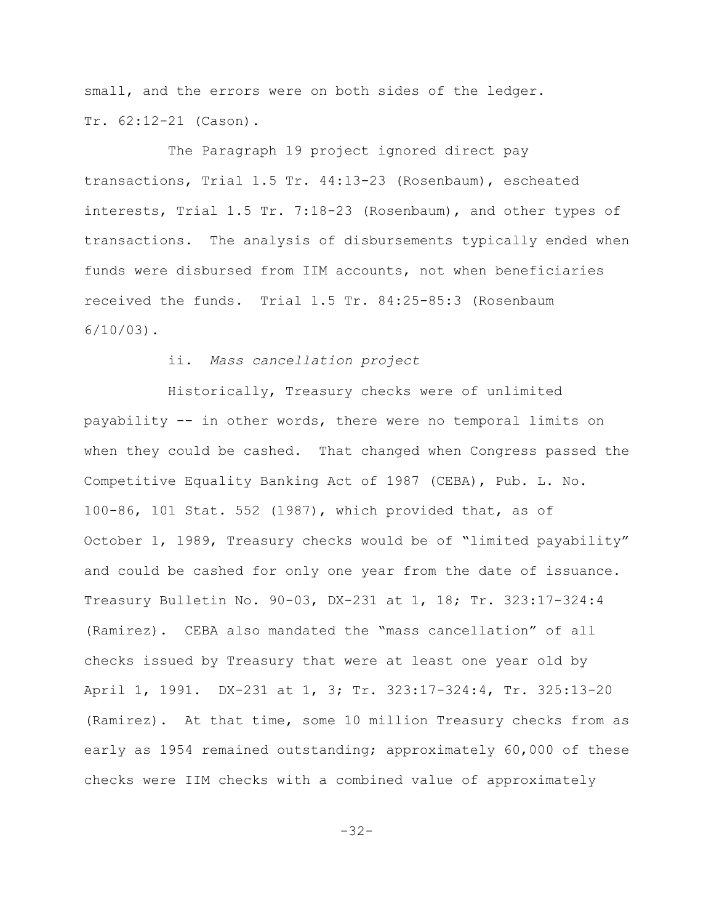small, and the errors were on both sides of the ledger. Tr. 62:12-21 (Cason).

The Paragraph 19 project ignored direct pay transactions, Trial 1.5 Tr. 44:13-23 (Rosenbaum), escheated interests, Trial 1.5 Tr. 7:18-23 (Rosenbaum), and other types of transactions. The analysis of disbursements typically ended when funds were disbursed from IIM accounts, not when beneficiaries received the funds. Trial 1.5 Tr. 84:25-85:3 (Rosenbaum  $6/10/03$ .

## ii. *Mass cancellation project*

Historically, Treasury checks were of unlimited payability -- in other words, there were no temporal limits on when they could be cashed. That changed when Congress passed the Competitive Equality Banking Act of 1987 (CEBA), Pub. L. No. 100-86, 101 Stat. 552 (1987), which provided that, as of October 1, 1989, Treasury checks would be of "limited payability" and could be cashed for only one year from the date of issuance. Treasury Bulletin No. 90-03, DX-231 at 1, 18; Tr. 323:17-324:4 (Ramirez). CEBA also mandated the "mass cancellation" of all checks issued by Treasury that were at least one year old by April 1, 1991. DX-231 at 1, 3; Tr. 323:17-324:4, Tr. 325:13-20 (Ramirez). At that time, some 10 million Treasury checks from as early as 1954 remained outstanding; approximately 60,000 of these checks were IIM checks with a combined value of approximately

-32-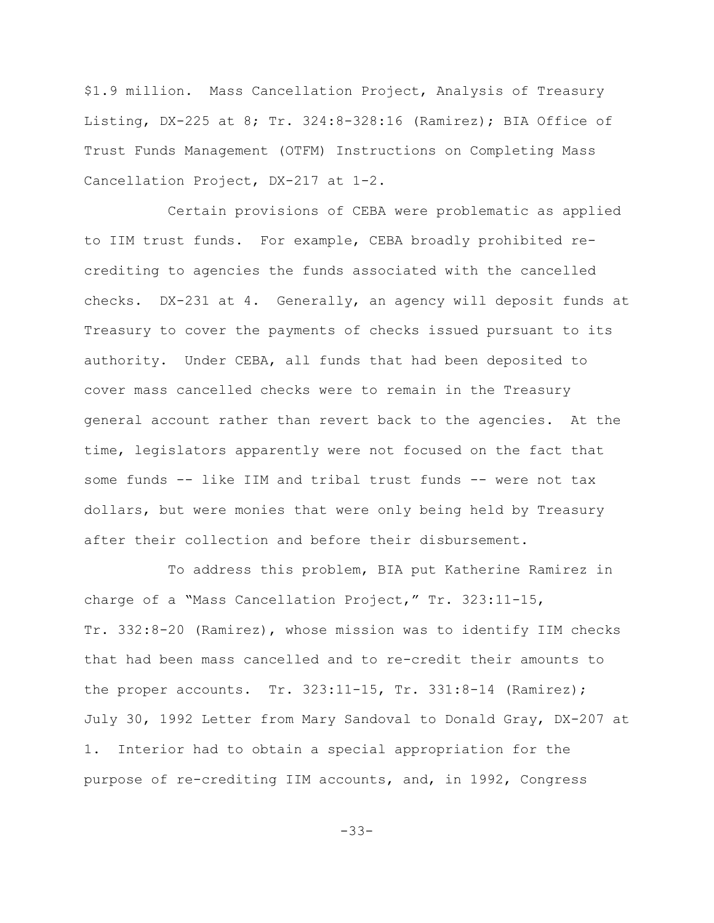\$1.9 million. Mass Cancellation Project, Analysis of Treasury Listing, DX-225 at 8; Tr. 324:8-328:16 (Ramirez); BIA Office of Trust Funds Management (OTFM) Instructions on Completing Mass Cancellation Project, DX-217 at 1-2.

Certain provisions of CEBA were problematic as applied to IIM trust funds. For example, CEBA broadly prohibited recrediting to agencies the funds associated with the cancelled checks. DX-231 at 4. Generally, an agency will deposit funds at Treasury to cover the payments of checks issued pursuant to its authority. Under CEBA, all funds that had been deposited to cover mass cancelled checks were to remain in the Treasury general account rather than revert back to the agencies. At the time, legislators apparently were not focused on the fact that some funds -- like IIM and tribal trust funds -- were not tax dollars, but were monies that were only being held by Treasury after their collection and before their disbursement.

To address this problem, BIA put Katherine Ramirez in charge of a "Mass Cancellation Project," Tr. 323:11-15, Tr. 332:8-20 (Ramirez), whose mission was to identify IIM checks that had been mass cancelled and to re-credit their amounts to the proper accounts. Tr. 323:11-15, Tr. 331:8-14 (Ramirez); July 30, 1992 Letter from Mary Sandoval to Donald Gray, DX-207 at 1. Interior had to obtain a special appropriation for the purpose of re-crediting IIM accounts, and, in 1992, Congress

-33-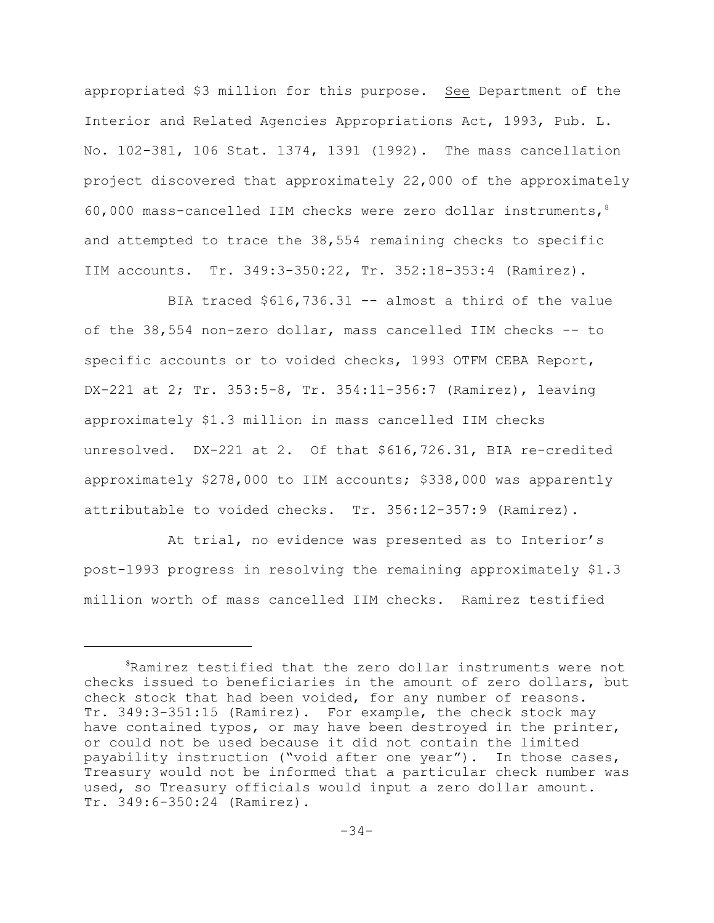appropriated \$3 million for this purpose. See Department of the Interior and Related Agencies Appropriations Act, 1993, Pub. L. No. 102-381, 106 Stat. 1374, 1391 (1992). The mass cancellation project discovered that approximately 22,000 of the approximately 60,000 mass-cancelled IIM checks were zero dollar instruments,  $8$ and attempted to trace the 38,554 remaining checks to specific IIM accounts. Tr. 349:3-350:22, Tr. 352:18-353:4 (Ramirez).

BIA traced \$616,736.31 -- almost a third of the value of the 38,554 non-zero dollar, mass cancelled IIM checks -- to specific accounts or to voided checks, 1993 OTFM CEBA Report, DX-221 at 2; Tr. 353:5-8, Tr. 354:11-356:7 (Ramirez), leaving approximately \$1.3 million in mass cancelled IIM checks unresolved. DX-221 at 2. Of that \$616,726.31, BIA re-credited approximately \$278,000 to IIM accounts; \$338,000 was apparently attributable to voided checks. Tr. 356:12-357:9 (Ramirez).

At trial, no evidence was presented as to Interior's post-1993 progress in resolving the remaining approximately \$1.3 million worth of mass cancelled IIM checks. Ramirez testified

 ${}^{8}$ Ramirez testified that the zero dollar instruments were not checks issued to beneficiaries in the amount of zero dollars, but check stock that had been voided, for any number of reasons. Tr. 349:3-351:15 (Ramirez). For example, the check stock may have contained typos, or may have been destroyed in the printer, or could not be used because it did not contain the limited payability instruction ("void after one year"). In those cases, Treasury would not be informed that a particular check number was used, so Treasury officials would input a zero dollar amount. Tr. 349:6-350:24 (Ramirez).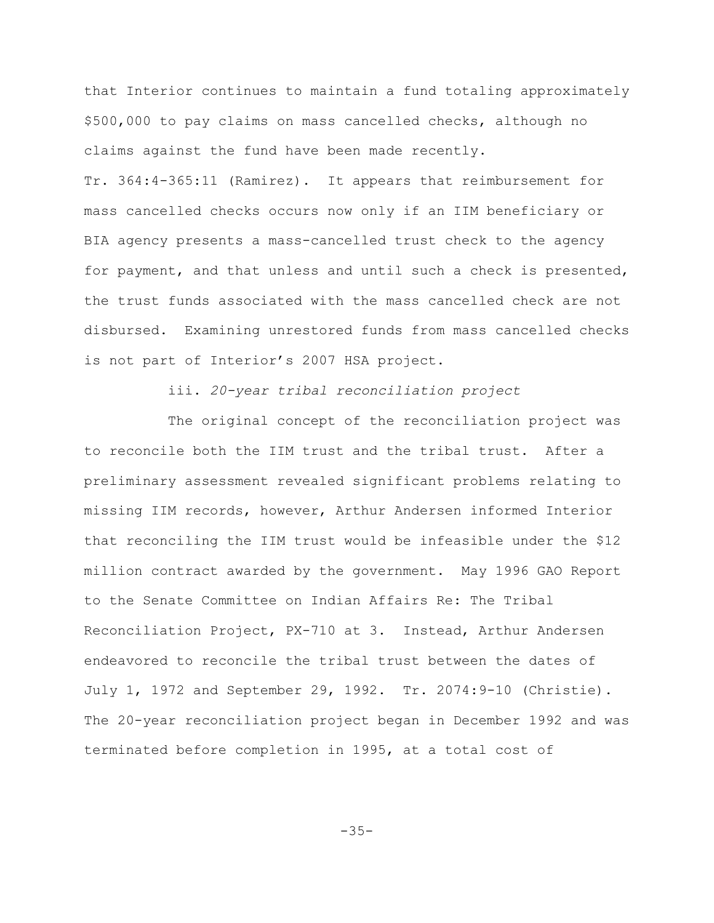that Interior continues to maintain a fund totaling approximately \$500,000 to pay claims on mass cancelled checks, although no claims against the fund have been made recently.

Tr. 364:4-365:11 (Ramirez). It appears that reimbursement for mass cancelled checks occurs now only if an IIM beneficiary or BIA agency presents a mass-cancelled trust check to the agency for payment, and that unless and until such a check is presented, the trust funds associated with the mass cancelled check are not disbursed. Examining unrestored funds from mass cancelled checks is not part of Interior's 2007 HSA project.

iii. *20-year tribal reconciliation project*

The original concept of the reconciliation project was to reconcile both the IIM trust and the tribal trust. After a preliminary assessment revealed significant problems relating to missing IIM records, however, Arthur Andersen informed Interior that reconciling the IIM trust would be infeasible under the \$12 million contract awarded by the government. May 1996 GAO Report to the Senate Committee on Indian Affairs Re: The Tribal Reconciliation Project, PX-710 at 3. Instead, Arthur Andersen endeavored to reconcile the tribal trust between the dates of July 1, 1972 and September 29, 1992. Tr. 2074:9-10 (Christie). The 20-year reconciliation project began in December 1992 and was terminated before completion in 1995, at a total cost of

-35-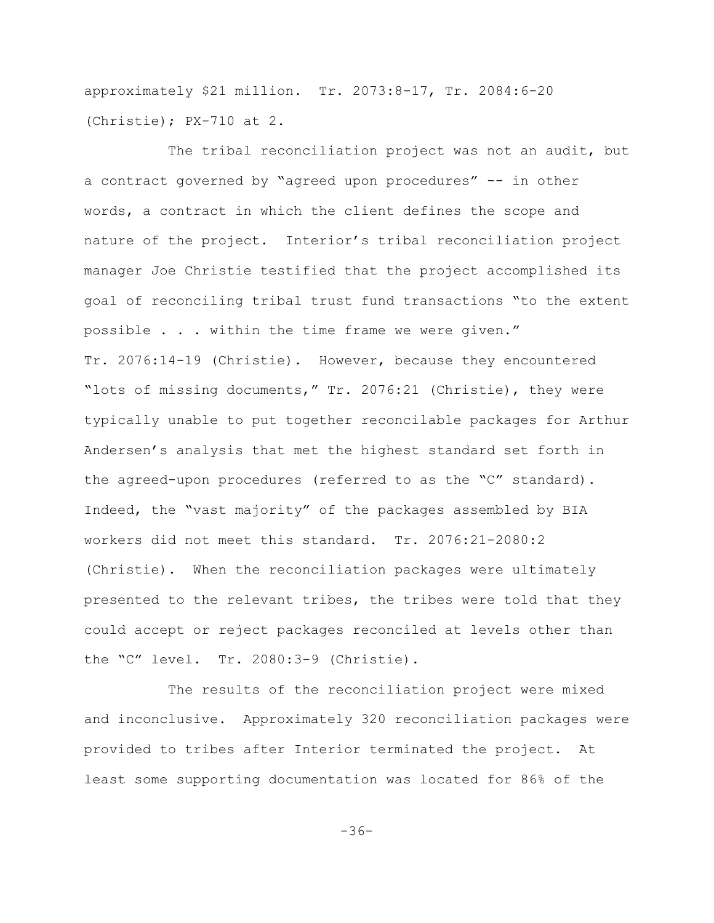approximately \$21 million. Tr. 2073:8-17, Tr. 2084:6-20 (Christie); PX-710 at 2.

The tribal reconciliation project was not an audit, but a contract governed by "agreed upon procedures" -- in other words, a contract in which the client defines the scope and nature of the project. Interior's tribal reconciliation project manager Joe Christie testified that the project accomplished its goal of reconciling tribal trust fund transactions "to the extent possible . . . within the time frame we were given." Tr. 2076:14-19 (Christie). However, because they encountered "lots of missing documents," Tr. 2076:21 (Christie), they were typically unable to put together reconcilable packages for Arthur Andersen's analysis that met the highest standard set forth in the agreed-upon procedures (referred to as the "C" standard). Indeed, the "vast majority" of the packages assembled by BIA workers did not meet this standard. Tr. 2076:21-2080:2 (Christie). When the reconciliation packages were ultimately presented to the relevant tribes, the tribes were told that they could accept or reject packages reconciled at levels other than the "C" level. Tr. 2080:3-9 (Christie).

The results of the reconciliation project were mixed and inconclusive. Approximately 320 reconciliation packages were provided to tribes after Interior terminated the project. At least some supporting documentation was located for 86% of the

-36-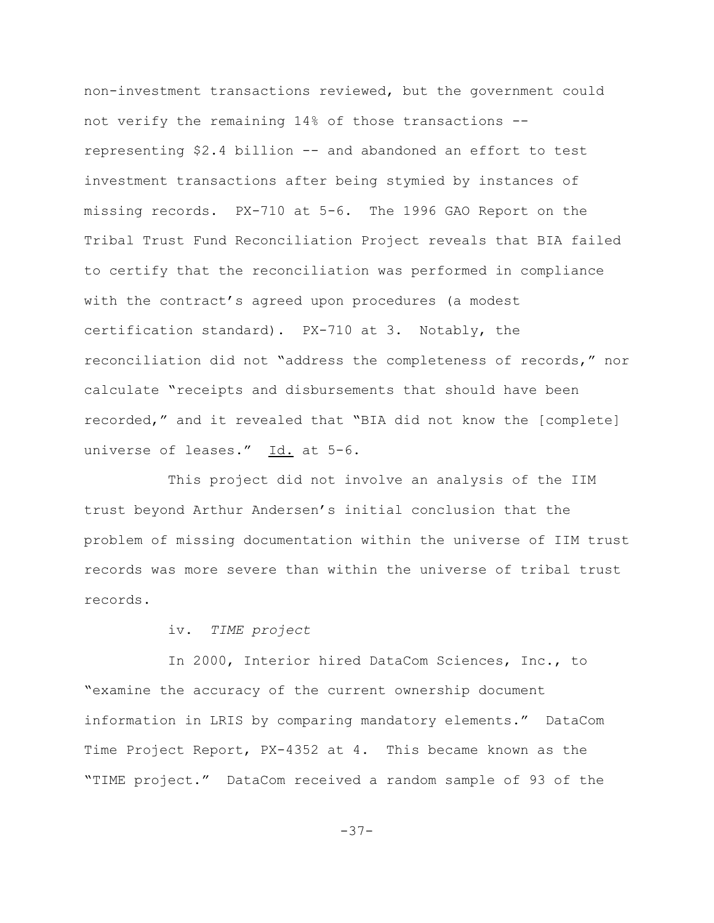non-investment transactions reviewed, but the government could not verify the remaining 14% of those transactions - representing \$2.4 billion -- and abandoned an effort to test investment transactions after being stymied by instances of missing records. PX-710 at 5-6. The 1996 GAO Report on the Tribal Trust Fund Reconciliation Project reveals that BIA failed to certify that the reconciliation was performed in compliance with the contract's agreed upon procedures (a modest certification standard). PX-710 at 3. Notably, the reconciliation did not "address the completeness of records," nor calculate "receipts and disbursements that should have been recorded," and it revealed that "BIA did not know the [complete] universe of leases." Id. at 5-6.

This project did not involve an analysis of the IIM trust beyond Arthur Andersen's initial conclusion that the problem of missing documentation within the universe of IIM trust records was more severe than within the universe of tribal trust records.

#### iv. *TIME project*

In 2000, Interior hired DataCom Sciences, Inc., to "examine the accuracy of the current ownership document information in LRIS by comparing mandatory elements." DataCom Time Project Report, PX-4352 at 4. This became known as the "TIME project." DataCom received a random sample of 93 of the

-37-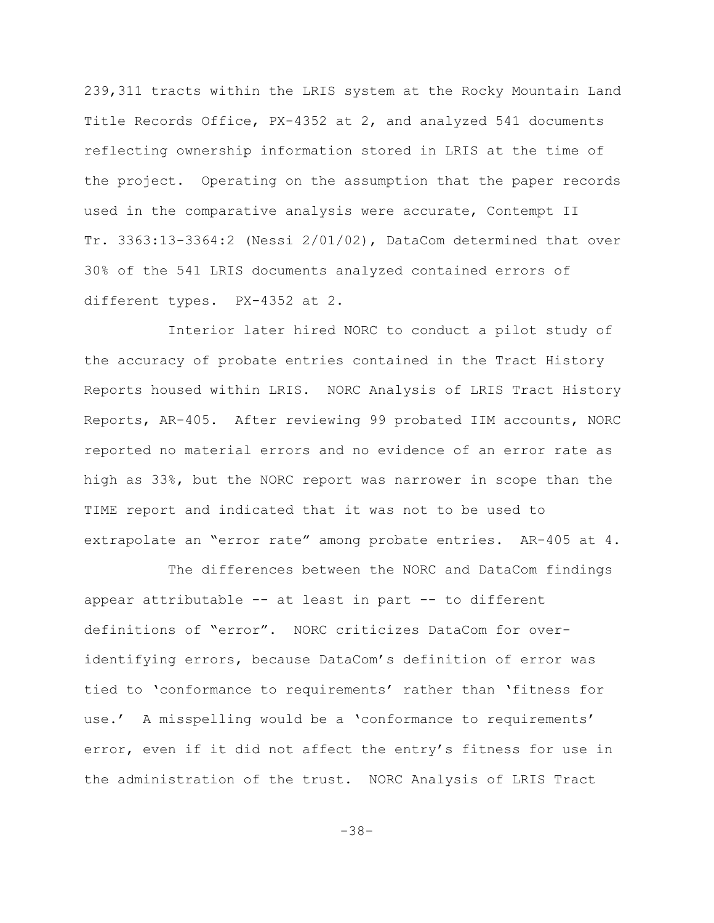239,311 tracts within the LRIS system at the Rocky Mountain Land Title Records Office, PX-4352 at 2, and analyzed 541 documents reflecting ownership information stored in LRIS at the time of the project. Operating on the assumption that the paper records used in the comparative analysis were accurate, Contempt II Tr. 3363:13-3364:2 (Nessi 2/01/02), DataCom determined that over 30% of the 541 LRIS documents analyzed contained errors of different types. PX-4352 at 2.

Interior later hired NORC to conduct a pilot study of the accuracy of probate entries contained in the Tract History Reports housed within LRIS. NORC Analysis of LRIS Tract History Reports, AR-405. After reviewing 99 probated IIM accounts, NORC reported no material errors and no evidence of an error rate as high as 33%, but the NORC report was narrower in scope than the TIME report and indicated that it was not to be used to extrapolate an "error rate" among probate entries. AR-405 at 4.

The differences between the NORC and DataCom findings appear attributable -- at least in part -- to different definitions of "error". NORC criticizes DataCom for overidentifying errors, because DataCom's definition of error was tied to 'conformance to requirements' rather than 'fitness for use.' A misspelling would be a 'conformance to requirements' error, even if it did not affect the entry's fitness for use in the administration of the trust. NORC Analysis of LRIS Tract

-38-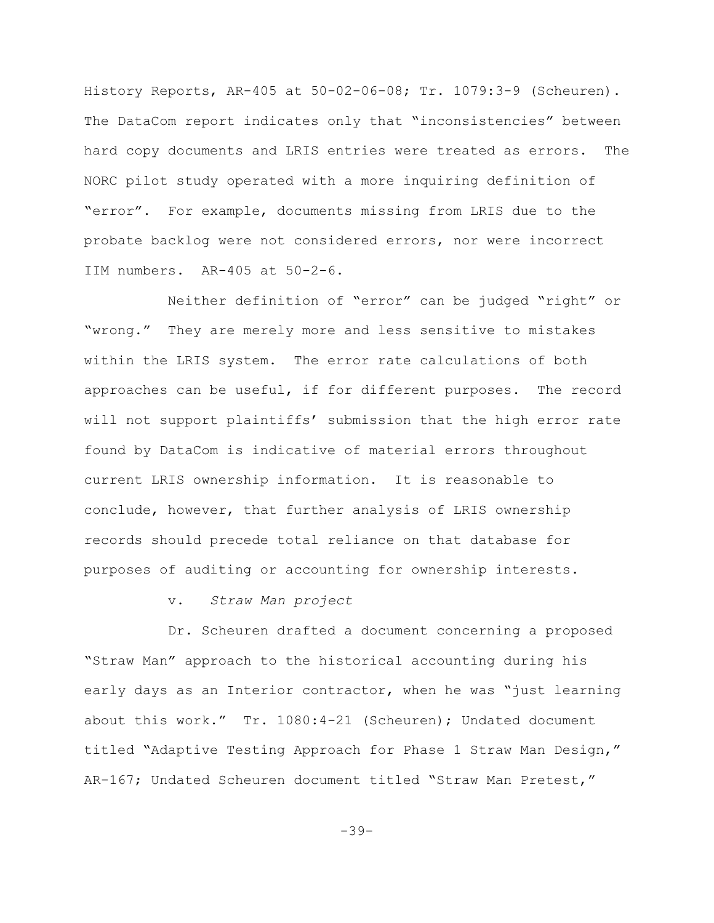History Reports, AR-405 at 50-02-06-08; Tr. 1079:3-9 (Scheuren). The DataCom report indicates only that "inconsistencies" between hard copy documents and LRIS entries were treated as errors. The NORC pilot study operated with a more inquiring definition of "error". For example, documents missing from LRIS due to the probate backlog were not considered errors, nor were incorrect IIM numbers. AR-405 at 50-2-6.

Neither definition of "error" can be judged "right" or "wrong." They are merely more and less sensitive to mistakes within the LRIS system. The error rate calculations of both approaches can be useful, if for different purposes. The record will not support plaintiffs' submission that the high error rate found by DataCom is indicative of material errors throughout current LRIS ownership information. It is reasonable to conclude, however, that further analysis of LRIS ownership records should precede total reliance on that database for purposes of auditing or accounting for ownership interests.

#### v. *Straw Man project*

Dr. Scheuren drafted a document concerning a proposed "Straw Man" approach to the historical accounting during his early days as an Interior contractor, when he was "just learning about this work." Tr. 1080:4-21 (Scheuren); Undated document titled "Adaptive Testing Approach for Phase 1 Straw Man Design," AR-167; Undated Scheuren document titled "Straw Man Pretest,"

 $-39-$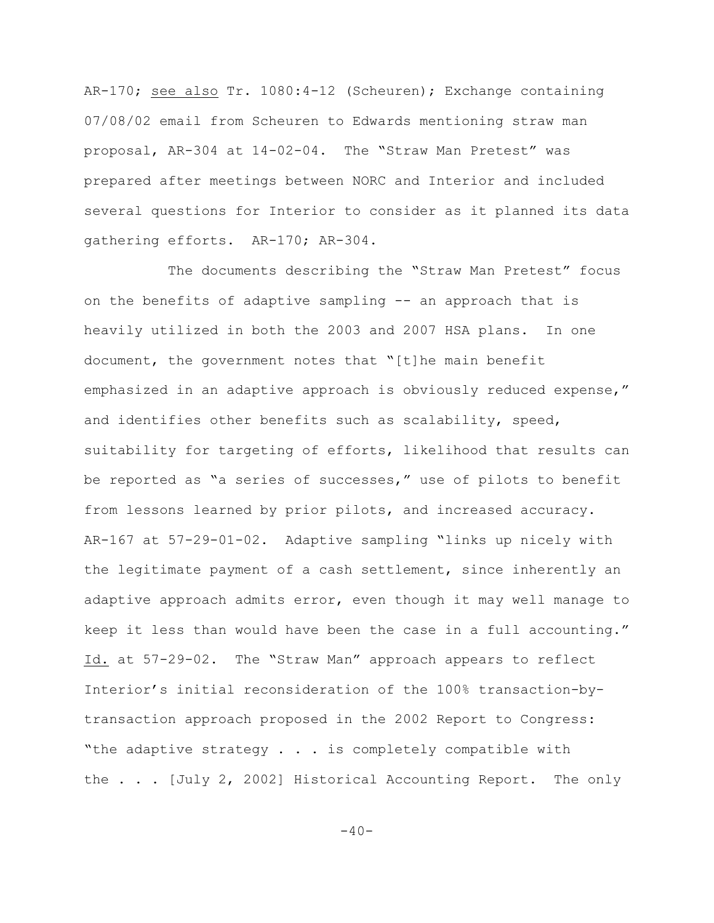AR-170; see also Tr. 1080:4-12 (Scheuren); Exchange containing 07/08/02 email from Scheuren to Edwards mentioning straw man proposal, AR-304 at 14-02-04. The "Straw Man Pretest" was prepared after meetings between NORC and Interior and included several questions for Interior to consider as it planned its data gathering efforts. AR-170; AR-304.

The documents describing the "Straw Man Pretest" focus on the benefits of adaptive sampling -- an approach that is heavily utilized in both the 2003 and 2007 HSA plans. In one document, the government notes that "[t]he main benefit emphasized in an adaptive approach is obviously reduced expense," and identifies other benefits such as scalability, speed, suitability for targeting of efforts, likelihood that results can be reported as "a series of successes," use of pilots to benefit from lessons learned by prior pilots, and increased accuracy. AR-167 at 57-29-01-02. Adaptive sampling "links up nicely with the legitimate payment of a cash settlement, since inherently an adaptive approach admits error, even though it may well manage to keep it less than would have been the case in a full accounting." Id. at 57-29-02. The "Straw Man" approach appears to reflect Interior's initial reconsideration of the 100% transaction-bytransaction approach proposed in the 2002 Report to Congress: "the adaptive strategy . . . is completely compatible with the . . . [July 2, 2002] Historical Accounting Report. The only

 $-40-$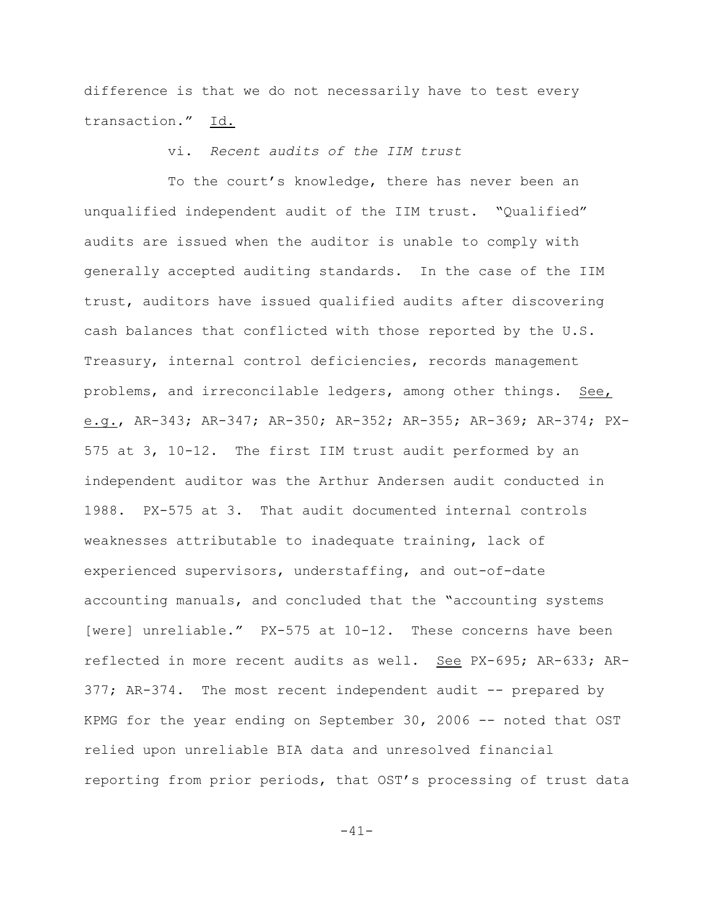difference is that we do not necessarily have to test every transaction." Id.

vi. *Recent audits of the IIM trust*

To the court's knowledge, there has never been an unqualified independent audit of the IIM trust. "Qualified" audits are issued when the auditor is unable to comply with generally accepted auditing standards. In the case of the IIM trust, auditors have issued qualified audits after discovering cash balances that conflicted with those reported by the U.S. Treasury, internal control deficiencies, records management problems, and irreconcilable ledgers, among other things. See, e.g., AR-343; AR-347; AR-350; AR-352; AR-355; AR-369; AR-374; PX-575 at 3, 10-12. The first IIM trust audit performed by an independent auditor was the Arthur Andersen audit conducted in 1988. PX-575 at 3. That audit documented internal controls weaknesses attributable to inadequate training, lack of experienced supervisors, understaffing, and out-of-date accounting manuals, and concluded that the "accounting systems [were] unreliable." PX-575 at 10-12. These concerns have been reflected in more recent audits as well. See PX-695; AR-633; AR-377; AR-374. The most recent independent audit -- prepared by KPMG for the year ending on September 30, 2006 -- noted that OST relied upon unreliable BIA data and unresolved financial reporting from prior periods, that OST's processing of trust data

-41-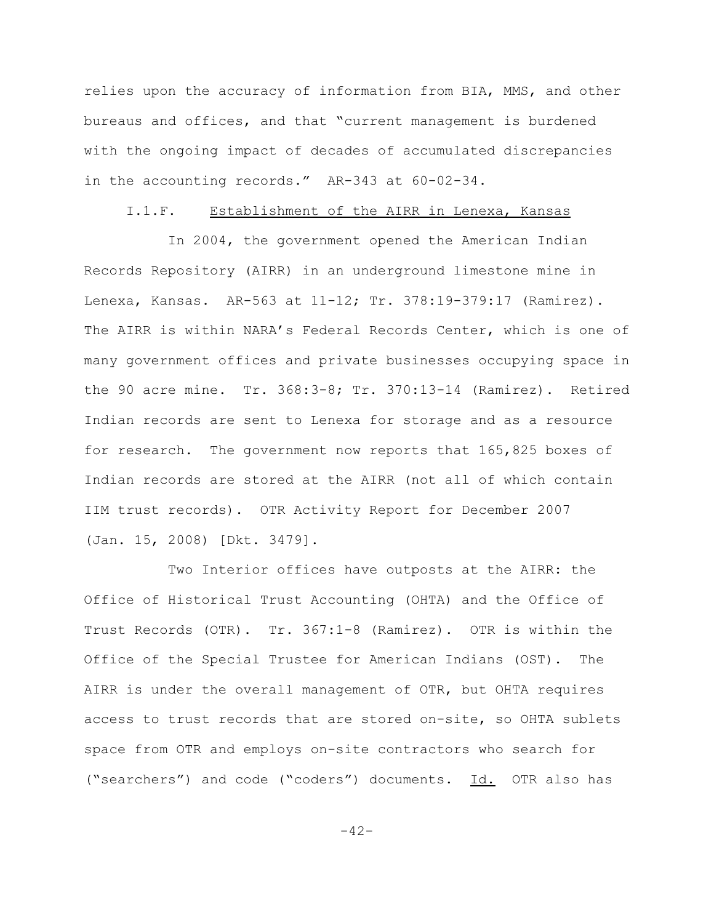relies upon the accuracy of information from BIA, MMS, and other bureaus and offices, and that "current management is burdened with the ongoing impact of decades of accumulated discrepancies in the accounting records." AR-343 at 60-02-34.

## I.1.F. Establishment of the AIRR in Lenexa, Kansas

In 2004, the government opened the American Indian Records Repository (AIRR) in an underground limestone mine in Lenexa, Kansas. AR-563 at 11-12; Tr. 378:19-379:17 (Ramirez). The AIRR is within NARA's Federal Records Center, which is one of many government offices and private businesses occupying space in the 90 acre mine. Tr. 368:3-8; Tr. 370:13-14 (Ramirez). Retired Indian records are sent to Lenexa for storage and as a resource for research. The government now reports that 165,825 boxes of Indian records are stored at the AIRR (not all of which contain IIM trust records). OTR Activity Report for December 2007 (Jan. 15, 2008) [Dkt. 3479].

Two Interior offices have outposts at the AIRR: the Office of Historical Trust Accounting (OHTA) and the Office of Trust Records (OTR). Tr. 367:1-8 (Ramirez). OTR is within the Office of the Special Trustee for American Indians (OST). The AIRR is under the overall management of OTR, but OHTA requires access to trust records that are stored on-site, so OHTA sublets space from OTR and employs on-site contractors who search for ("searchers") and code ("coders") documents. Id. OTR also has

-42-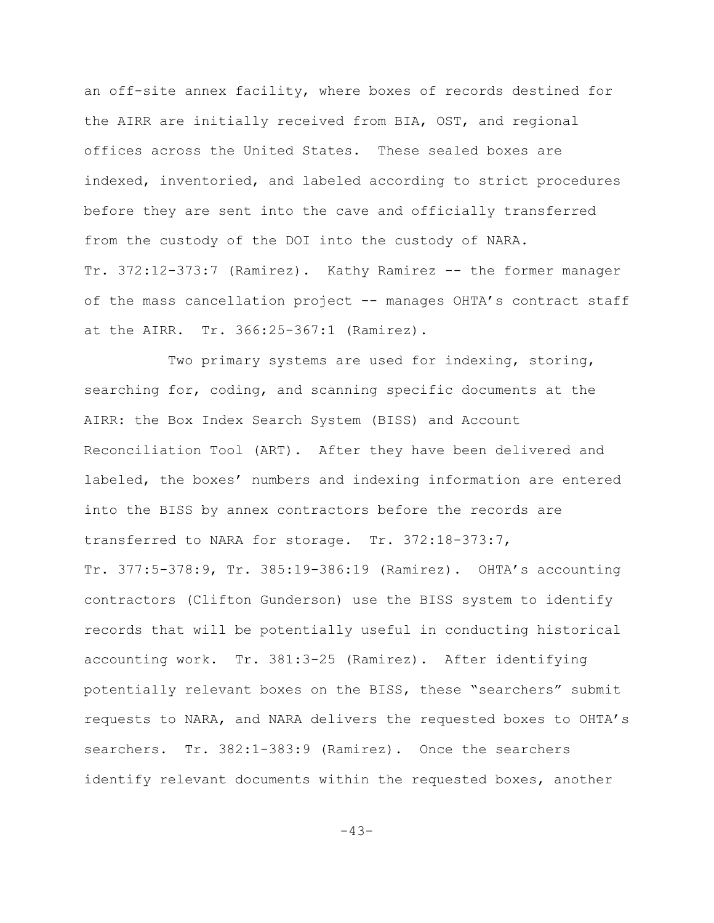an off-site annex facility, where boxes of records destined for the AIRR are initially received from BIA, OST, and regional offices across the United States. These sealed boxes are indexed, inventoried, and labeled according to strict procedures before they are sent into the cave and officially transferred from the custody of the DOI into the custody of NARA. Tr. 372:12-373:7 (Ramirez). Kathy Ramirez -- the former manager of the mass cancellation project -- manages OHTA's contract staff at the AIRR. Tr. 366:25-367:1 (Ramirez).

Two primary systems are used for indexing, storing, searching for, coding, and scanning specific documents at the AIRR: the Box Index Search System (BISS) and Account Reconciliation Tool (ART). After they have been delivered and labeled, the boxes' numbers and indexing information are entered into the BISS by annex contractors before the records are transferred to NARA for storage. Tr. 372:18-373:7, Tr. 377:5-378:9, Tr. 385:19-386:19 (Ramirez). OHTA's accounting contractors (Clifton Gunderson) use the BISS system to identify records that will be potentially useful in conducting historical accounting work. Tr. 381:3-25 (Ramirez). After identifying potentially relevant boxes on the BISS, these "searchers" submit requests to NARA, and NARA delivers the requested boxes to OHTA's searchers. Tr. 382:1-383:9 (Ramirez). Once the searchers identify relevant documents within the requested boxes, another

 $-43-$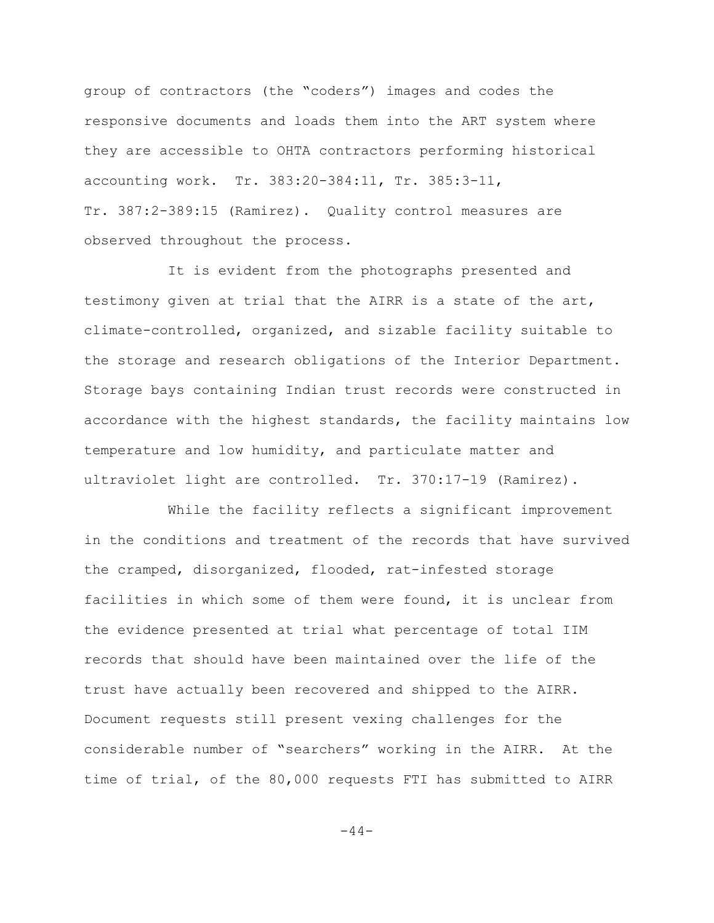group of contractors (the "coders") images and codes the responsive documents and loads them into the ART system where they are accessible to OHTA contractors performing historical accounting work. Tr. 383:20-384:11, Tr. 385:3-11, Tr. 387:2-389:15 (Ramirez). Quality control measures are observed throughout the process.

It is evident from the photographs presented and testimony given at trial that the AIRR is a state of the art, climate-controlled, organized, and sizable facility suitable to the storage and research obligations of the Interior Department. Storage bays containing Indian trust records were constructed in accordance with the highest standards, the facility maintains low temperature and low humidity, and particulate matter and ultraviolet light are controlled. Tr. 370:17-19 (Ramirez).

While the facility reflects a significant improvement in the conditions and treatment of the records that have survived the cramped, disorganized, flooded, rat-infested storage facilities in which some of them were found, it is unclear from the evidence presented at trial what percentage of total IIM records that should have been maintained over the life of the trust have actually been recovered and shipped to the AIRR. Document requests still present vexing challenges for the considerable number of "searchers" working in the AIRR. At the time of trial, of the 80,000 requests FTI has submitted to AIRR

 $-44-$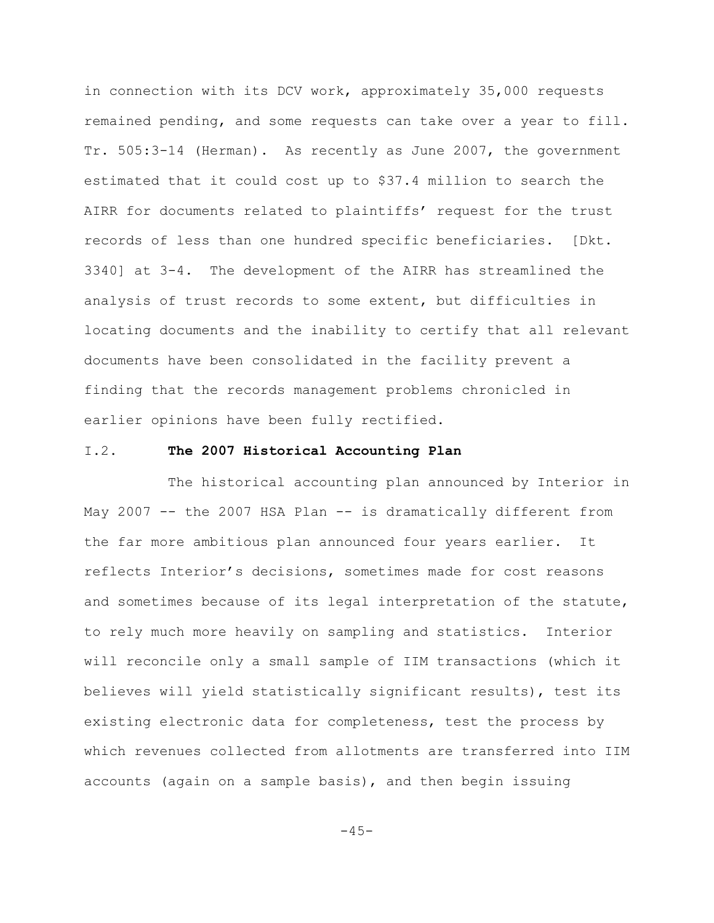in connection with its DCV work, approximately 35,000 requests remained pending, and some requests can take over a year to fill. Tr. 505:3-14 (Herman). As recently as June 2007, the government estimated that it could cost up to \$37.4 million to search the AIRR for documents related to plaintiffs' request for the trust records of less than one hundred specific beneficiaries. [Dkt. 3340] at 3-4. The development of the AIRR has streamlined the analysis of trust records to some extent, but difficulties in locating documents and the inability to certify that all relevant documents have been consolidated in the facility prevent a finding that the records management problems chronicled in earlier opinions have been fully rectified.

### I.2. **The 2007 Historical Accounting Plan**

The historical accounting plan announced by Interior in May 2007 -- the 2007 HSA Plan -- is dramatically different from the far more ambitious plan announced four years earlier. It reflects Interior's decisions, sometimes made for cost reasons and sometimes because of its legal interpretation of the statute, to rely much more heavily on sampling and statistics. Interior will reconcile only a small sample of IIM transactions (which it believes will yield statistically significant results), test its existing electronic data for completeness, test the process by which revenues collected from allotments are transferred into IIM accounts (again on a sample basis), and then begin issuing

 $-45-$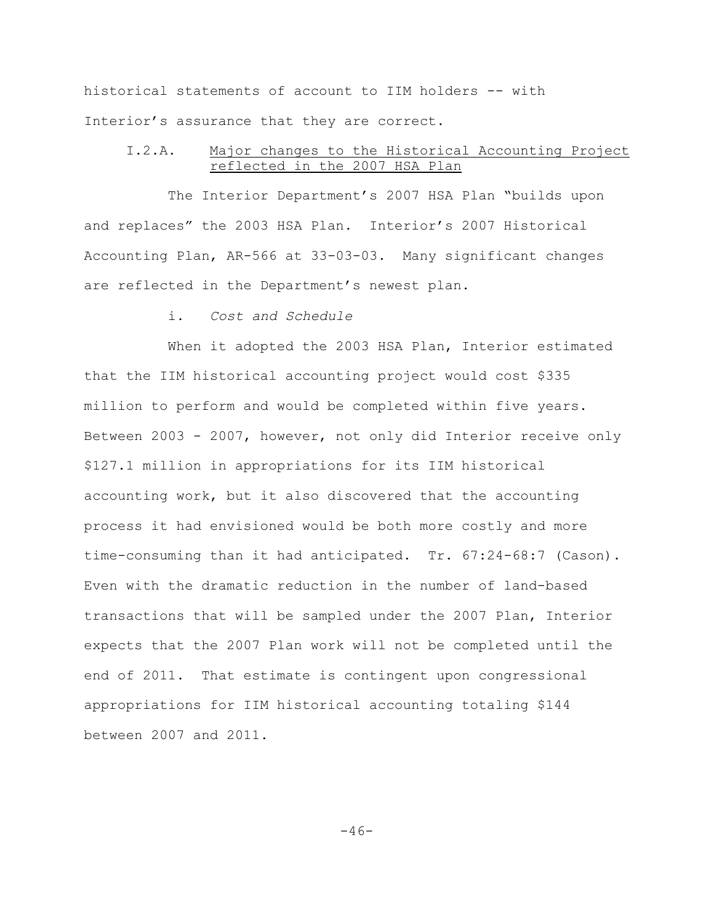historical statements of account to IIM holders -- with Interior's assurance that they are correct.

### I.2.A. Major changes to the Historical Accounting Project reflected in the 2007 HSA Plan

The Interior Department's 2007 HSA Plan "builds upon and replaces" the 2003 HSA Plan. Interior's 2007 Historical Accounting Plan, AR-566 at 33-03-03. Many significant changes are reflected in the Department's newest plan.

i. *Cost and Schedule*

When it adopted the 2003 HSA Plan, Interior estimated that the IIM historical accounting project would cost \$335 million to perform and would be completed within five years. Between 2003 - 2007, however, not only did Interior receive only \$127.1 million in appropriations for its IIM historical accounting work, but it also discovered that the accounting process it had envisioned would be both more costly and more time-consuming than it had anticipated. Tr. 67:24-68:7 (Cason). Even with the dramatic reduction in the number of land-based transactions that will be sampled under the 2007 Plan, Interior expects that the 2007 Plan work will not be completed until the end of 2011. That estimate is contingent upon congressional appropriations for IIM historical accounting totaling \$144 between 2007 and 2011.

 $-46-$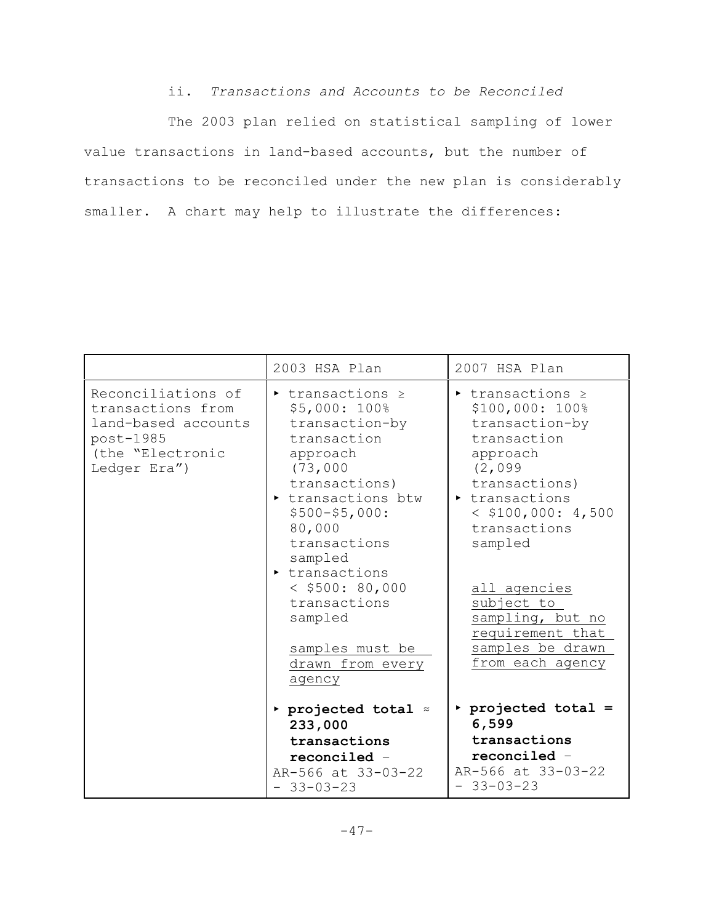ii. *Transactions and Accounts to be Reconciled*

The 2003 plan relied on statistical sampling of lower value transactions in land-based accounts, but the number of transactions to be reconciled under the new plan is considerably smaller. A chart may help to illustrate the differences:

|                                                                                                                 | 2003 HSA Plan                                                                                                                                                                                                                                                                                                                | 2007 HSA Plan                                                                                                                                                                                                                                                                                                                                |
|-----------------------------------------------------------------------------------------------------------------|------------------------------------------------------------------------------------------------------------------------------------------------------------------------------------------------------------------------------------------------------------------------------------------------------------------------------|----------------------------------------------------------------------------------------------------------------------------------------------------------------------------------------------------------------------------------------------------------------------------------------------------------------------------------------------|
| Reconciliations of<br>transactions from<br>land-based accounts<br>post-1985<br>(the "Electronic<br>Ledger Era") | $\triangleright$ transactions $\ge$<br>\$5,000: 100%<br>transaction-by<br>transaction<br>approach<br>(73,000)<br>transactions)<br>transactions btw<br>$$500 - $5,000:$<br>80,000<br>transactions<br>sampled<br>transactions<br>$<$ \$500: 80,000<br>transactions<br>sampled<br>samples must be<br>drawn from every<br>agency | $\triangleright$ transactions $\triangleright$<br>\$100,000: 100%<br>transaction-by<br>transaction<br>approach<br>(2,099)<br>transactions)<br>$\triangleright$ transactions<br>$<$ \$100,000: 4,500<br>transactions<br>sampled<br>all agencies<br>subject to<br>sampling, but no<br>requirement that<br>samples be drawn<br>from each agency |
|                                                                                                                 | $\triangleright$ projected total $\approx$<br>233,000<br>transactions<br>$reconciled -$<br>AR-566 at 33-03-22<br>$-33-03-23$                                                                                                                                                                                                 | projected total =<br>6,599<br>transactions<br>reconciled -<br>AR-566 at 33-03-22<br>$-33-03-23$                                                                                                                                                                                                                                              |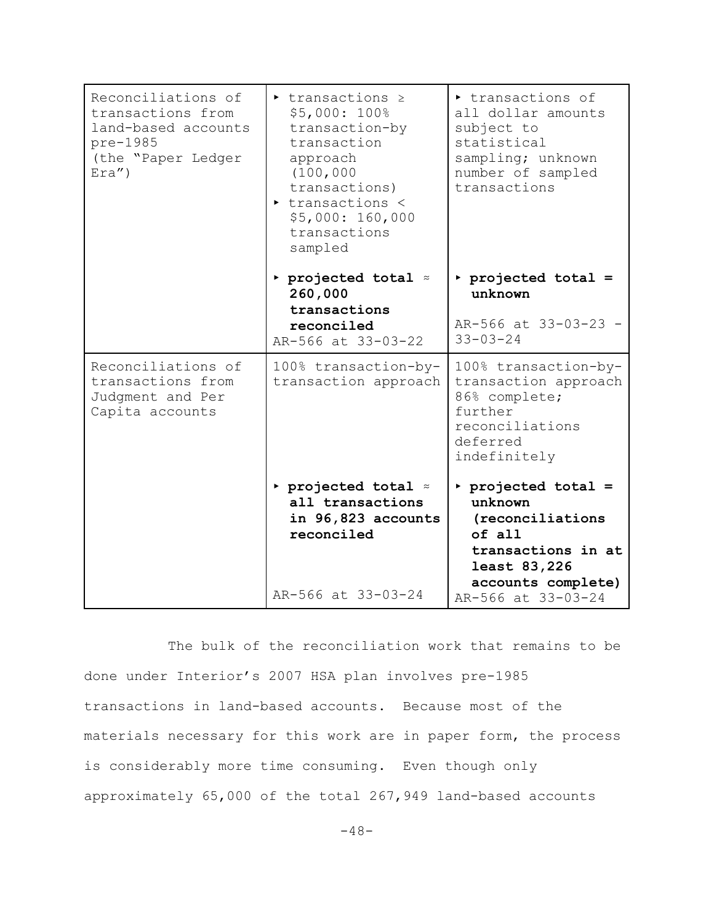| Reconciliations of<br>transactions from<br>land-based accounts<br>pre-1985<br>(the "Paper Ledger<br>$Exa'$ ) | $\triangleright$ transactions $\ge$<br>\$5,000: 100%<br>transaction-by<br>transaction<br>approach<br>(100, 000)<br>transactions)<br>transactions <<br>\$5,000: 160,000<br>transactions<br>sampled | transactions of<br>all dollar amounts<br>subject to<br>statistical<br>sampling; unknown<br>number of sampled<br>transactions |
|--------------------------------------------------------------------------------------------------------------|---------------------------------------------------------------------------------------------------------------------------------------------------------------------------------------------------|------------------------------------------------------------------------------------------------------------------------------|
|                                                                                                              | $\triangleright$ projected total $\approx$<br>260,000<br>transactions                                                                                                                             | projected total =<br>unknown                                                                                                 |
|                                                                                                              | reconciled<br>AR-566 at 33-03-22                                                                                                                                                                  | AR-566 at 33-03-23 -<br>$33 - 03 - 24$                                                                                       |
| Reconciliations of<br>transactions from<br>Judgment and Per<br>Capita accounts                               | 100% transaction-by-<br>transaction approach                                                                                                                                                      | 100% transaction-by-<br>transaction approach<br>86% complete;<br>further<br>reconciliations<br>deferred<br>indefinitely      |
|                                                                                                              | $\triangleright$ projected total $\approx$<br>all transactions<br>in 96,823 accounts<br>reconciled                                                                                                | projected total =<br>unknown<br>(reconciliations<br>of all<br>transactions in at<br>least 83,226                             |
|                                                                                                              | AR-566 at 33-03-24                                                                                                                                                                                | accounts complete)<br>AR-566 at 33-03-24                                                                                     |

The bulk of the reconciliation work that remains to be done under Interior's 2007 HSA plan involves pre-1985 transactions in land-based accounts. Because most of the materials necessary for this work are in paper form, the process is considerably more time consuming. Even though only approximately 65,000 of the total 267,949 land-based accounts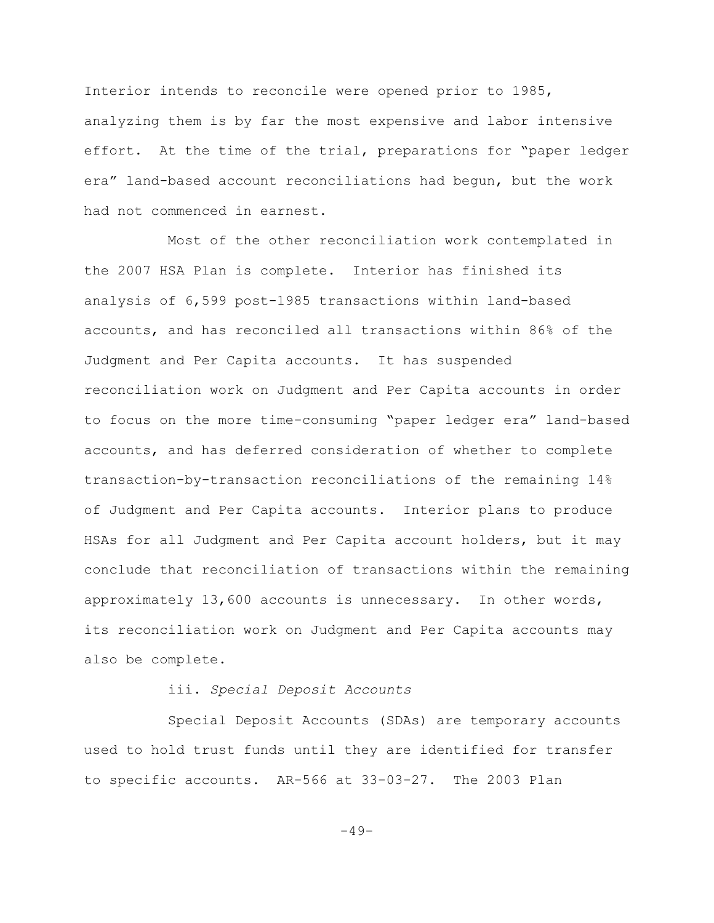Interior intends to reconcile were opened prior to 1985, analyzing them is by far the most expensive and labor intensive effort. At the time of the trial, preparations for "paper ledger era" land-based account reconciliations had begun, but the work had not commenced in earnest.

Most of the other reconciliation work contemplated in the 2007 HSA Plan is complete. Interior has finished its analysis of 6,599 post-1985 transactions within land-based accounts, and has reconciled all transactions within 86% of the Judgment and Per Capita accounts. It has suspended reconciliation work on Judgment and Per Capita accounts in order to focus on the more time-consuming "paper ledger era" land-based accounts, and has deferred consideration of whether to complete transaction-by-transaction reconciliations of the remaining 14% of Judgment and Per Capita accounts. Interior plans to produce HSAs for all Judgment and Per Capita account holders, but it may conclude that reconciliation of transactions within the remaining approximately 13,600 accounts is unnecessary. In other words, its reconciliation work on Judgment and Per Capita accounts may also be complete.

## iii. *Special Deposit Accounts*

Special Deposit Accounts (SDAs) are temporary accounts used to hold trust funds until they are identified for transfer to specific accounts. AR-566 at 33-03-27. The 2003 Plan

 $-49-$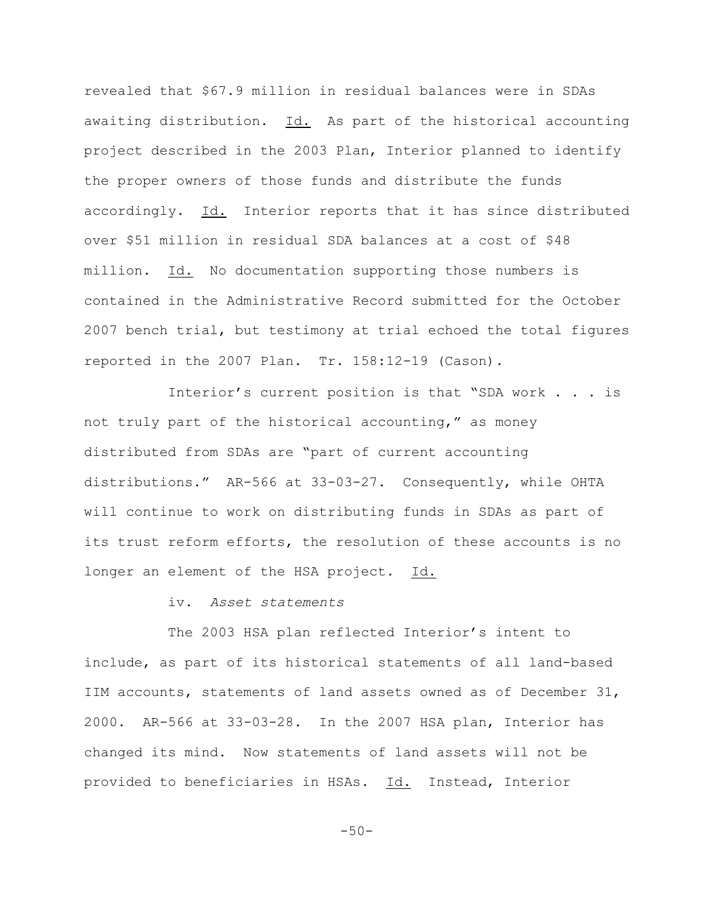revealed that \$67.9 million in residual balances were in SDAs awaiting distribution. Id. As part of the historical accounting project described in the 2003 Plan, Interior planned to identify the proper owners of those funds and distribute the funds accordingly. Id. Interior reports that it has since distributed over \$51 million in residual SDA balances at a cost of \$48 million. Id. No documentation supporting those numbers is contained in the Administrative Record submitted for the October 2007 bench trial, but testimony at trial echoed the total figures reported in the 2007 Plan. Tr. 158:12-19 (Cason).

Interior's current position is that "SDA work . . . is not truly part of the historical accounting," as money distributed from SDAs are "part of current accounting distributions." AR-566 at 33-03-27. Consequently, while OHTA will continue to work on distributing funds in SDAs as part of its trust reform efforts, the resolution of these accounts is no longer an element of the HSA project. Id.

iv. *Asset statements*

The 2003 HSA plan reflected Interior's intent to include, as part of its historical statements of all land-based IIM accounts, statements of land assets owned as of December 31, 2000. AR-566 at 33-03-28. In the 2007 HSA plan, Interior has changed its mind. Now statements of land assets will not be provided to beneficiaries in HSAs. Id. Instead, Interior

 $-50-$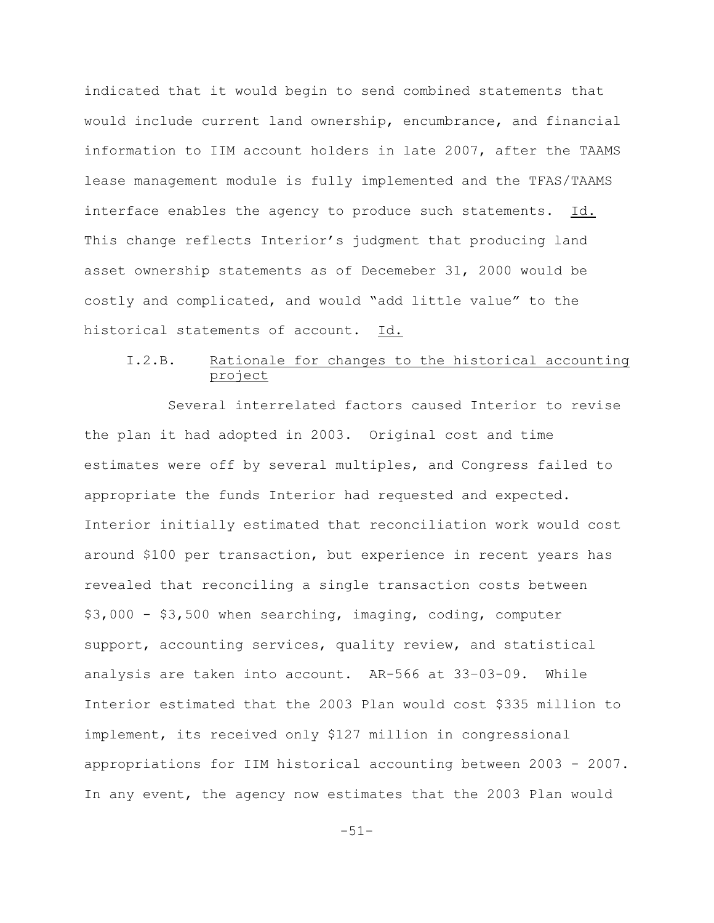indicated that it would begin to send combined statements that would include current land ownership, encumbrance, and financial information to IIM account holders in late 2007, after the TAAMS lease management module is fully implemented and the TFAS/TAAMS interface enables the agency to produce such statements. Id. This change reflects Interior's judgment that producing land asset ownership statements as of Decemeber 31, 2000 would be costly and complicated, and would "add little value" to the historical statements of account. Id.

## I.2.B. Rationale for changes to the historical accounting project

Several interrelated factors caused Interior to revise the plan it had adopted in 2003. Original cost and time estimates were off by several multiples, and Congress failed to appropriate the funds Interior had requested and expected. Interior initially estimated that reconciliation work would cost around \$100 per transaction, but experience in recent years has revealed that reconciling a single transaction costs between \$3,000 - \$3,500 when searching, imaging, coding, computer support, accounting services, quality review, and statistical analysis are taken into account. AR-566 at 33–03-09. While Interior estimated that the 2003 Plan would cost \$335 million to implement, its received only \$127 million in congressional appropriations for IIM historical accounting between 2003 - 2007. In any event, the agency now estimates that the 2003 Plan would

-51-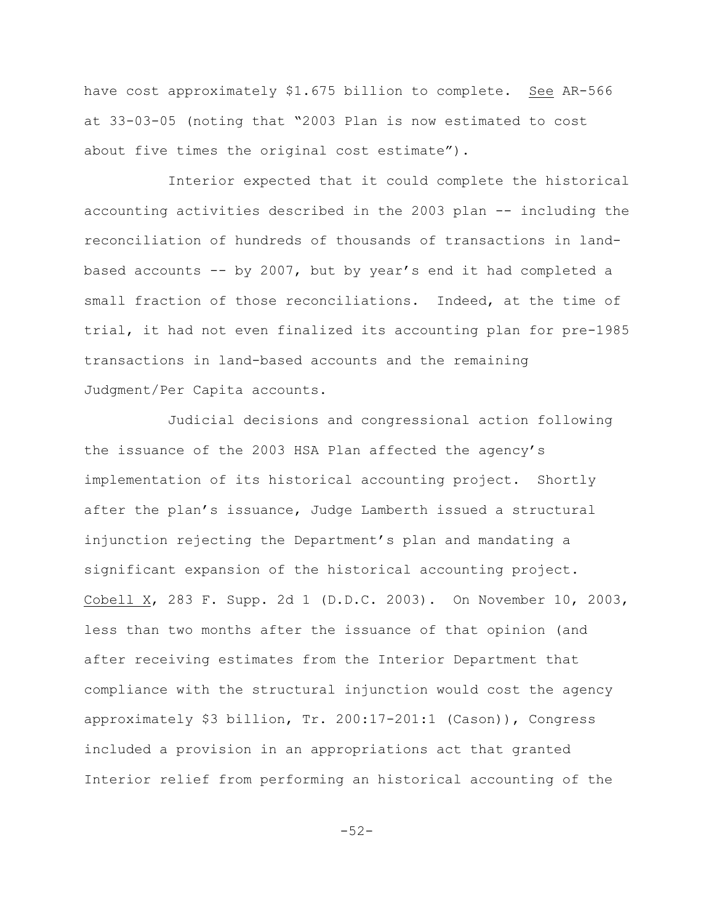have cost approximately \$1.675 billion to complete. See AR-566 at 33-03-05 (noting that "2003 Plan is now estimated to cost about five times the original cost estimate").

Interior expected that it could complete the historical accounting activities described in the 2003 plan -- including the reconciliation of hundreds of thousands of transactions in landbased accounts -- by 2007, but by year's end it had completed a small fraction of those reconciliations. Indeed, at the time of trial, it had not even finalized its accounting plan for pre-1985 transactions in land-based accounts and the remaining Judgment/Per Capita accounts.

Judicial decisions and congressional action following the issuance of the 2003 HSA Plan affected the agency's implementation of its historical accounting project. Shortly after the plan's issuance, Judge Lamberth issued a structural injunction rejecting the Department's plan and mandating a significant expansion of the historical accounting project. Cobell X, 283 F. Supp. 2d 1 (D.D.C. 2003). On November 10, 2003, less than two months after the issuance of that opinion (and after receiving estimates from the Interior Department that compliance with the structural injunction would cost the agency approximately \$3 billion, Tr. 200:17-201:1 (Cason)), Congress included a provision in an appropriations act that granted Interior relief from performing an historical accounting of the

-52-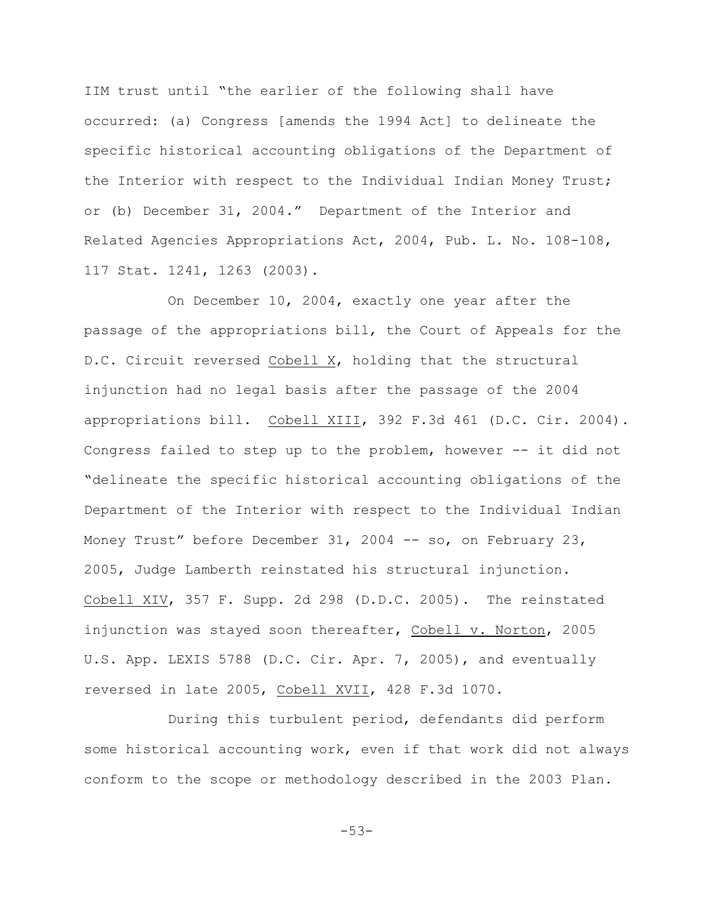IIM trust until "the earlier of the following shall have occurred: (a) Congress [amends the 1994 Act] to delineate the specific historical accounting obligations of the Department of the Interior with respect to the Individual Indian Money Trust; or (b) December 31, 2004." Department of the Interior and Related Agencies Appropriations Act, 2004, Pub. L. No. 108-108, 117 Stat. 1241, 1263 (2003).

On December 10, 2004, exactly one year after the passage of the appropriations bill, the Court of Appeals for the D.C. Circuit reversed Cobell X, holding that the structural injunction had no legal basis after the passage of the 2004 appropriations bill. Cobell XIII, 392 F.3d 461 (D.C. Cir. 2004). Congress failed to step up to the problem, however -- it did not "delineate the specific historical accounting obligations of the Department of the Interior with respect to the Individual Indian Money Trust" before December 31, 2004 -- so, on February 23, 2005, Judge Lamberth reinstated his structural injunction. Cobell XIV, 357 F. Supp. 2d 298 (D.D.C. 2005). The reinstated injunction was stayed soon thereafter, Cobell v. Norton, 2005 U.S. App. LEXIS 5788 (D.C. Cir. Apr. 7, 2005), and eventually reversed in late 2005, Cobell XVII, 428 F.3d 1070.

During this turbulent period, defendants did perform some historical accounting work, even if that work did not always conform to the scope or methodology described in the 2003 Plan.

-53-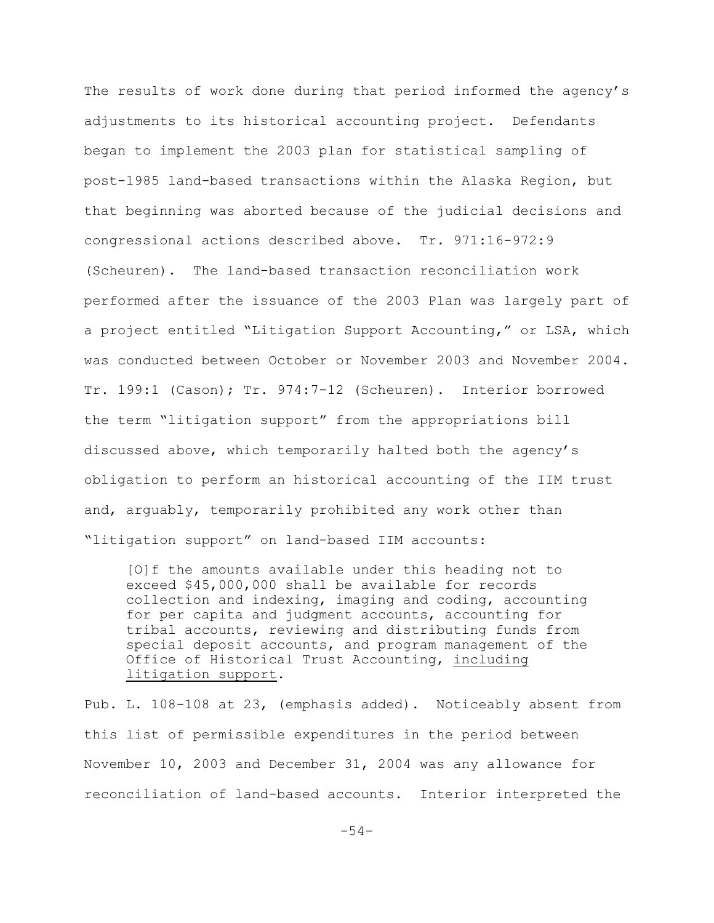The results of work done during that period informed the agency's adjustments to its historical accounting project. Defendants began to implement the 2003 plan for statistical sampling of post-1985 land-based transactions within the Alaska Region, but that beginning was aborted because of the judicial decisions and congressional actions described above. Tr. 971:16-972:9 (Scheuren). The land-based transaction reconciliation work performed after the issuance of the 2003 Plan was largely part of a project entitled "Litigation Support Accounting," or LSA, which was conducted between October or November 2003 and November 2004. Tr. 199:1 (Cason); Tr. 974:7-12 (Scheuren). Interior borrowed the term "litigation support" from the appropriations bill discussed above, which temporarily halted both the agency's obligation to perform an historical accounting of the IIM trust and, arguably, temporarily prohibited any work other than "litigation support" on land-based IIM accounts:

[O]f the amounts available under this heading not to exceed \$45,000,000 shall be available for records collection and indexing, imaging and coding, accounting for per capita and judgment accounts, accounting for tribal accounts, reviewing and distributing funds from special deposit accounts, and program management of the Office of Historical Trust Accounting, including litigation support.

Pub. L. 108-108 at 23, (emphasis added). Noticeably absent from this list of permissible expenditures in the period between November 10, 2003 and December 31, 2004 was any allowance for reconciliation of land-based accounts. Interior interpreted the

-54-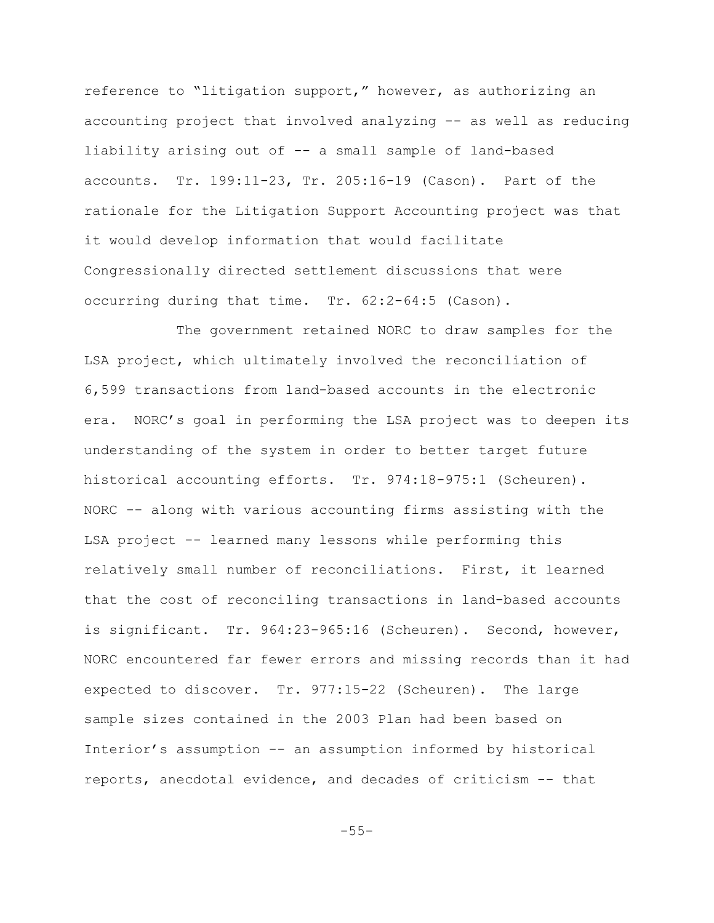reference to "litigation support," however, as authorizing an accounting project that involved analyzing -- as well as reducing liability arising out of -- a small sample of land-based accounts. Tr. 199:11-23, Tr. 205:16-19 (Cason). Part of the rationale for the Litigation Support Accounting project was that it would develop information that would facilitate Congressionally directed settlement discussions that were occurring during that time. Tr. 62:2-64:5 (Cason).

 The government retained NORC to draw samples for the LSA project, which ultimately involved the reconciliation of 6,599 transactions from land-based accounts in the electronic era. NORC's goal in performing the LSA project was to deepen its understanding of the system in order to better target future historical accounting efforts. Tr. 974:18-975:1 (Scheuren). NORC -- along with various accounting firms assisting with the LSA project -- learned many lessons while performing this relatively small number of reconciliations. First, it learned that the cost of reconciling transactions in land-based accounts is significant. Tr. 964:23-965:16 (Scheuren). Second, however, NORC encountered far fewer errors and missing records than it had expected to discover. Tr. 977:15-22 (Scheuren). The large sample sizes contained in the 2003 Plan had been based on Interior's assumption -- an assumption informed by historical reports, anecdotal evidence, and decades of criticism -- that

-55-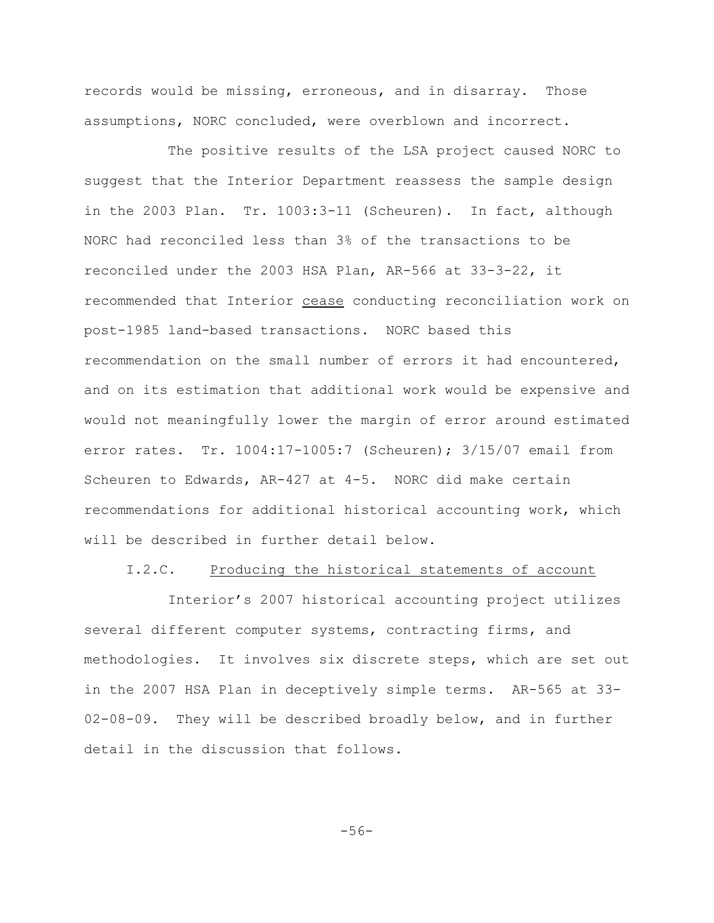records would be missing, erroneous, and in disarray. Those assumptions, NORC concluded, were overblown and incorrect.

The positive results of the LSA project caused NORC to suggest that the Interior Department reassess the sample design in the 2003 Plan. Tr. 1003:3-11 (Scheuren). In fact, although NORC had reconciled less than 3% of the transactions to be reconciled under the 2003 HSA Plan, AR-566 at 33-3-22, it recommended that Interior cease conducting reconciliation work on post-1985 land-based transactions. NORC based this recommendation on the small number of errors it had encountered, and on its estimation that additional work would be expensive and would not meaningfully lower the margin of error around estimated error rates. Tr. 1004:17-1005:7 (Scheuren); 3/15/07 email from Scheuren to Edwards, AR-427 at 4-5. NORC did make certain recommendations for additional historical accounting work, which will be described in further detail below.

### I.2.C. Producing the historical statements of account

Interior's 2007 historical accounting project utilizes several different computer systems, contracting firms, and methodologies. It involves six discrete steps, which are set out in the 2007 HSA Plan in deceptively simple terms. AR-565 at 33- 02-08-09. They will be described broadly below, and in further detail in the discussion that follows.

-56-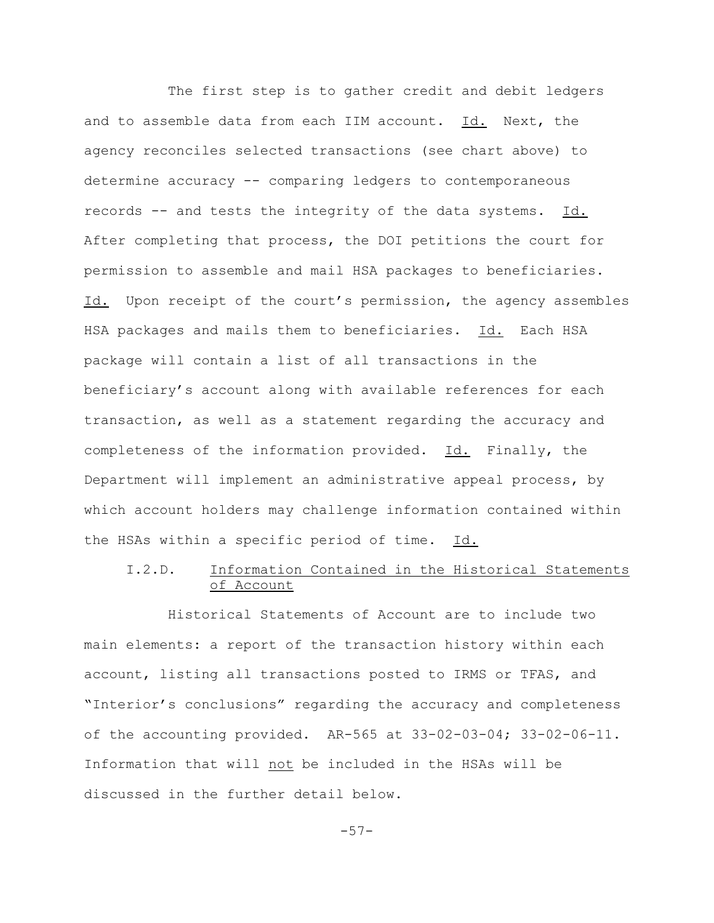The first step is to gather credit and debit ledgers and to assemble data from each IIM account. Id. Next, the agency reconciles selected transactions (see chart above) to determine accuracy -- comparing ledgers to contemporaneous records -- and tests the integrity of the data systems. Id. After completing that process, the DOI petitions the court for permission to assemble and mail HSA packages to beneficiaries. Id. Upon receipt of the court's permission, the agency assembles HSA packages and mails them to beneficiaries. Id. Each HSA package will contain a list of all transactions in the beneficiary's account along with available references for each transaction, as well as a statement regarding the accuracy and completeness of the information provided. Id. Finally, the Department will implement an administrative appeal process, by which account holders may challenge information contained within the HSAs within a specific period of time. Id.

# I.2.D. Information Contained in the Historical Statements of Account

Historical Statements of Account are to include two main elements: a report of the transaction history within each account, listing all transactions posted to IRMS or TFAS, and "Interior's conclusions" regarding the accuracy and completeness of the accounting provided. AR-565 at  $33-02-03-04$ ;  $33-02-06-11$ . Information that will not be included in the HSAs will be discussed in the further detail below.

-57-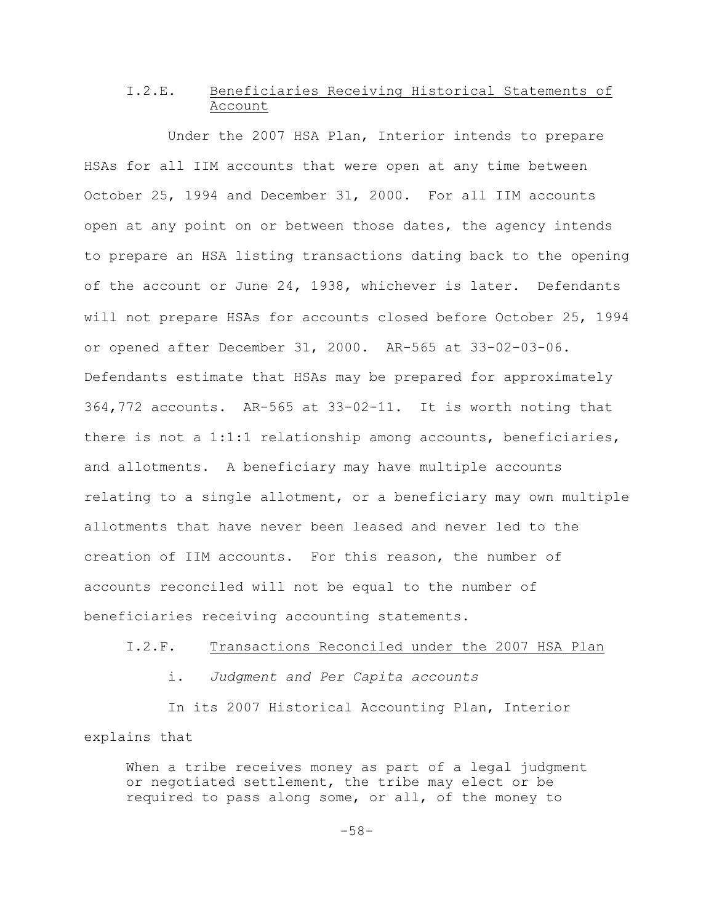# I.2.E. Beneficiaries Receiving Historical Statements of Account

Under the 2007 HSA Plan, Interior intends to prepare HSAs for all IIM accounts that were open at any time between October 25, 1994 and December 31, 2000. For all IIM accounts open at any point on or between those dates, the agency intends to prepare an HSA listing transactions dating back to the opening of the account or June 24, 1938, whichever is later. Defendants will not prepare HSAs for accounts closed before October 25, 1994 or opened after December 31, 2000. AR-565 at 33-02-03-06. Defendants estimate that HSAs may be prepared for approximately 364,772 accounts. AR-565 at 33-02-11. It is worth noting that there is not a 1:1:1 relationship among accounts, beneficiaries, and allotments. A beneficiary may have multiple accounts relating to a single allotment, or a beneficiary may own multiple allotments that have never been leased and never led to the creation of IIM accounts. For this reason, the number of accounts reconciled will not be equal to the number of beneficiaries receiving accounting statements.

#### I.2.F. Transactions Reconciled under the 2007 HSA Plan

i. *Judgment and Per Capita accounts*

In its 2007 Historical Accounting Plan, Interior explains that

When a tribe receives money as part of a legal judgment or negotiated settlement, the tribe may elect or be required to pass along some, or all, of the money to

-58-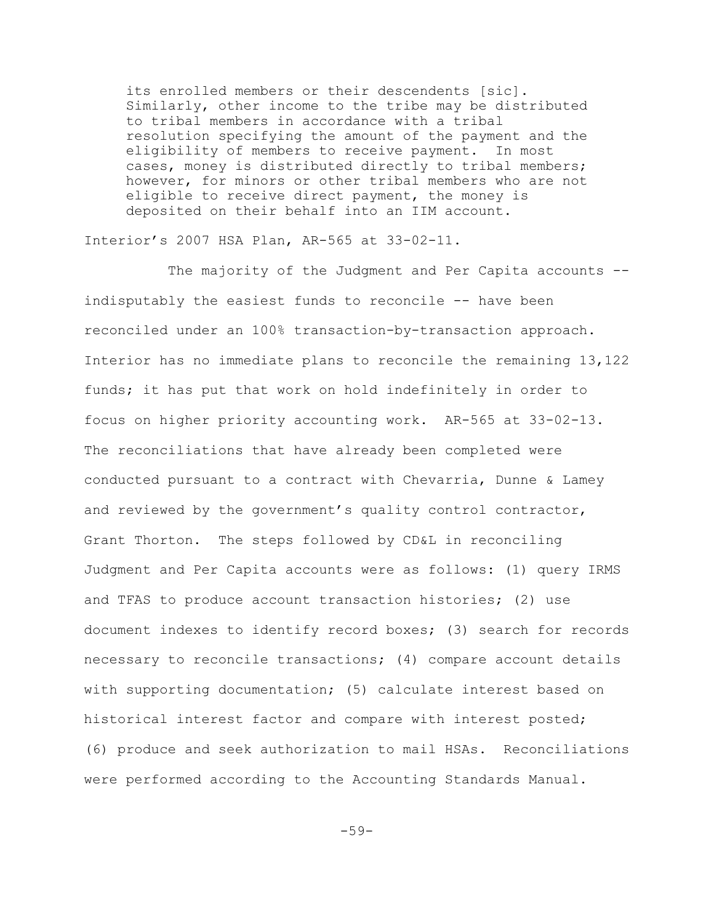its enrolled members or their descendents [sic]. Similarly, other income to the tribe may be distributed to tribal members in accordance with a tribal resolution specifying the amount of the payment and the eligibility of members to receive payment. In most cases, money is distributed directly to tribal members; however, for minors or other tribal members who are not eligible to receive direct payment, the money is deposited on their behalf into an IIM account.

Interior's 2007 HSA Plan, AR-565 at 33-02-11.

The majority of the Judgment and Per Capita accounts - indisputably the easiest funds to reconcile -- have been reconciled under an 100% transaction-by-transaction approach. Interior has no immediate plans to reconcile the remaining 13,122 funds; it has put that work on hold indefinitely in order to focus on higher priority accounting work. AR-565 at 33-02-13. The reconciliations that have already been completed were conducted pursuant to a contract with Chevarria, Dunne & Lamey and reviewed by the government's quality control contractor, Grant Thorton. The steps followed by CD&L in reconciling Judgment and Per Capita accounts were as follows: (1) query IRMS and TFAS to produce account transaction histories; (2) use document indexes to identify record boxes; (3) search for records necessary to reconcile transactions; (4) compare account details with supporting documentation; (5) calculate interest based on historical interest factor and compare with interest posted; (6) produce and seek authorization to mail HSAs. Reconciliations were performed according to the Accounting Standards Manual.

-59-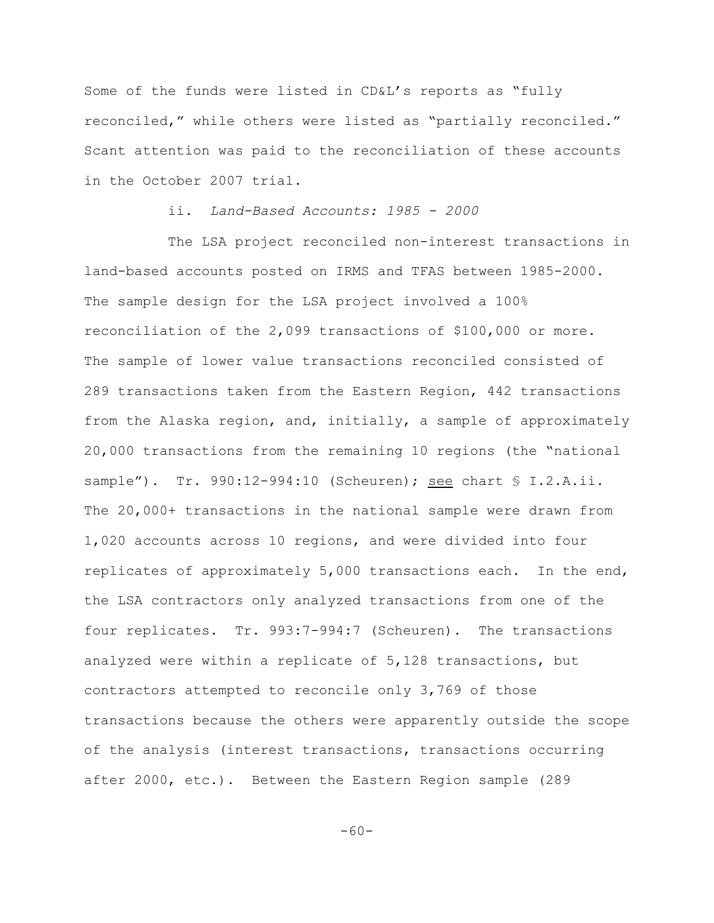Some of the funds were listed in CD&L's reports as "fully reconciled," while others were listed as "partially reconciled." Scant attention was paid to the reconciliation of these accounts in the October 2007 trial.

## ii. *Land-Based Accounts: 1985 - 2000*

The LSA project reconciled non-interest transactions in land-based accounts posted on IRMS and TFAS between 1985-2000. The sample design for the LSA project involved a 100% reconciliation of the 2,099 transactions of \$100,000 or more. The sample of lower value transactions reconciled consisted of 289 transactions taken from the Eastern Region, 442 transactions from the Alaska region, and, initially, a sample of approximately 20,000 transactions from the remaining 10 regions (the "national sample"). Tr. 990:12-994:10 (Scheuren); see chart § I.2.A.ii. The 20,000+ transactions in the national sample were drawn from 1,020 accounts across 10 regions, and were divided into four replicates of approximately 5,000 transactions each. In the end, the LSA contractors only analyzed transactions from one of the four replicates. Tr. 993:7-994:7 (Scheuren). The transactions analyzed were within a replicate of 5,128 transactions, but contractors attempted to reconcile only 3,769 of those transactions because the others were apparently outside the scope of the analysis (interest transactions, transactions occurring after 2000, etc.). Between the Eastern Region sample (289

-60-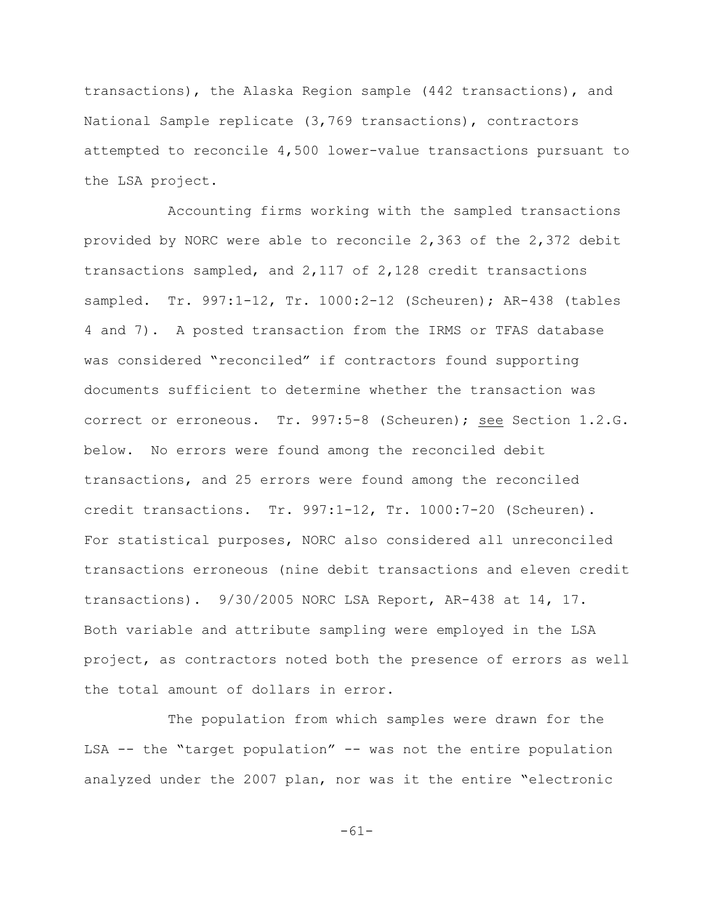transactions), the Alaska Region sample (442 transactions), and National Sample replicate (3,769 transactions), contractors attempted to reconcile 4,500 lower-value transactions pursuant to the LSA project.

Accounting firms working with the sampled transactions provided by NORC were able to reconcile 2,363 of the 2,372 debit transactions sampled, and 2,117 of 2,128 credit transactions sampled. Tr. 997:1-12, Tr. 1000:2-12 (Scheuren); AR-438 (tables 4 and 7). A posted transaction from the IRMS or TFAS database was considered "reconciled" if contractors found supporting documents sufficient to determine whether the transaction was correct or erroneous. Tr. 997:5-8 (Scheuren); see Section 1.2.G. below. No errors were found among the reconciled debit transactions, and 25 errors were found among the reconciled credit transactions. Tr. 997:1-12, Tr. 1000:7-20 (Scheuren). For statistical purposes, NORC also considered all unreconciled transactions erroneous (nine debit transactions and eleven credit transactions). 9/30/2005 NORC LSA Report, AR-438 at 14, 17. Both variable and attribute sampling were employed in the LSA project, as contractors noted both the presence of errors as well the total amount of dollars in error.

The population from which samples were drawn for the LSA -- the "target population" -- was not the entire population analyzed under the 2007 plan, nor was it the entire "electronic

-61-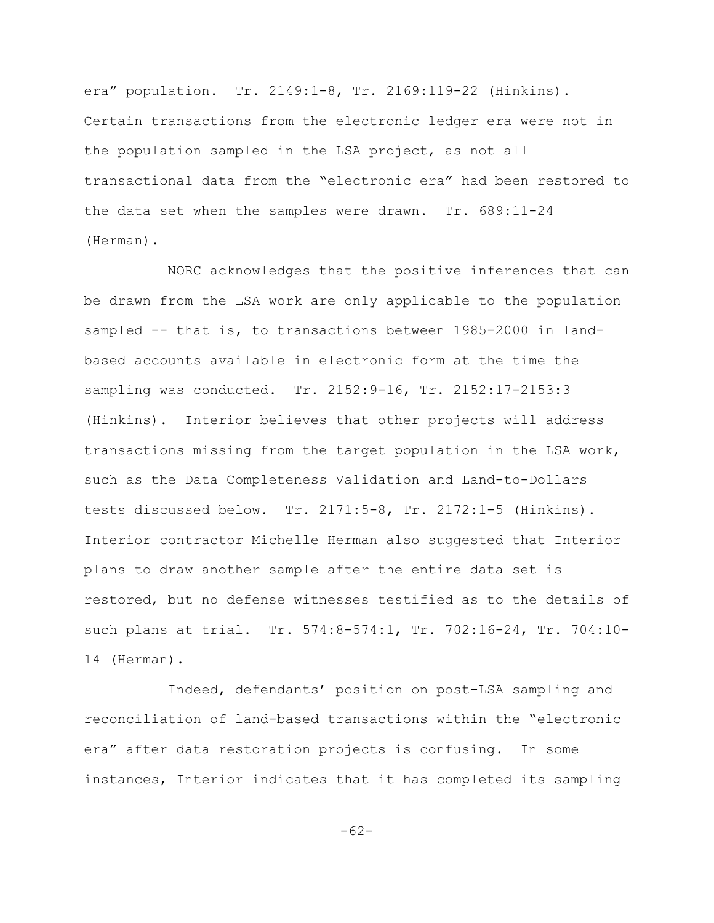era" population. Tr. 2149:1-8, Tr. 2169:119-22 (Hinkins). Certain transactions from the electronic ledger era were not in the population sampled in the LSA project, as not all transactional data from the "electronic era" had been restored to the data set when the samples were drawn. Tr. 689:11-24 (Herman).

NORC acknowledges that the positive inferences that can be drawn from the LSA work are only applicable to the population sampled -- that is, to transactions between 1985-2000 in landbased accounts available in electronic form at the time the sampling was conducted. Tr. 2152:9-16, Tr. 2152:17-2153:3 (Hinkins). Interior believes that other projects will address transactions missing from the target population in the LSA work, such as the Data Completeness Validation and Land-to-Dollars tests discussed below. Tr. 2171:5-8, Tr. 2172:1-5 (Hinkins). Interior contractor Michelle Herman also suggested that Interior plans to draw another sample after the entire data set is restored, but no defense witnesses testified as to the details of such plans at trial. Tr. 574:8-574:1, Tr. 702:16-24, Tr. 704:10- 14 (Herman).

Indeed, defendants' position on post-LSA sampling and reconciliation of land-based transactions within the "electronic era" after data restoration projects is confusing. In some instances, Interior indicates that it has completed its sampling

-62-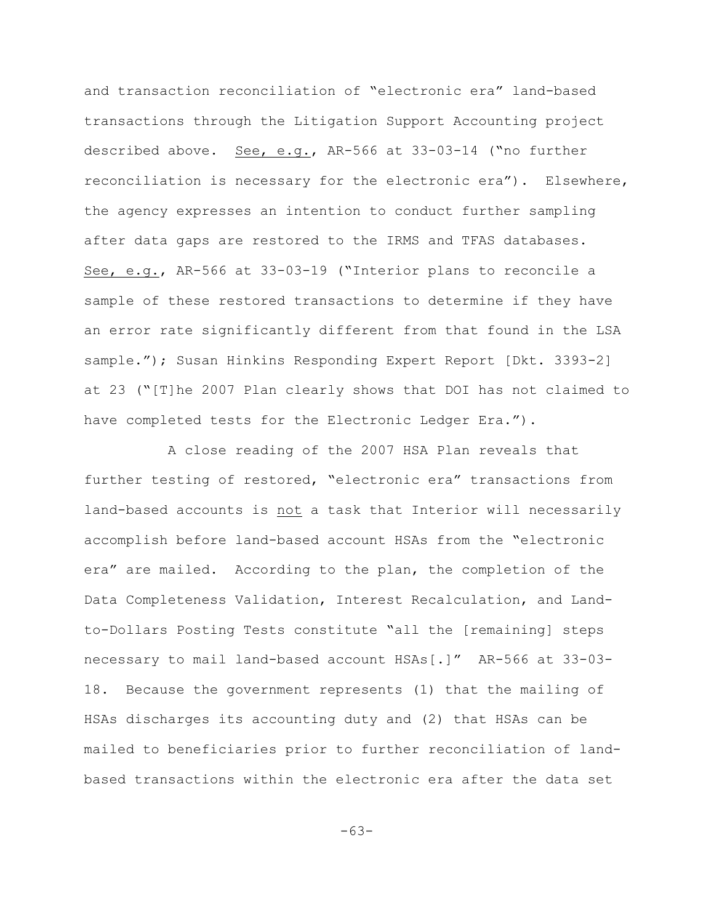and transaction reconciliation of "electronic era" land-based transactions through the Litigation Support Accounting project described above. See, e.g., AR-566 at 33-03-14 ("no further reconciliation is necessary for the electronic era"). Elsewhere, the agency expresses an intention to conduct further sampling after data gaps are restored to the IRMS and TFAS databases. See, e.g., AR-566 at 33-03-19 ("Interior plans to reconcile a sample of these restored transactions to determine if they have an error rate significantly different from that found in the LSA sample."); Susan Hinkins Responding Expert Report [Dkt. 3393-2] at 23 ("[T]he 2007 Plan clearly shows that DOI has not claimed to have completed tests for the Electronic Ledger Era.").

A close reading of the 2007 HSA Plan reveals that further testing of restored, "electronic era" transactions from land-based accounts is not a task that Interior will necessarily accomplish before land-based account HSAs from the "electronic era" are mailed. According to the plan, the completion of the Data Completeness Validation, Interest Recalculation, and Landto-Dollars Posting Tests constitute "all the [remaining] steps necessary to mail land-based account HSAs[.]" AR-566 at 33-03- 18. Because the government represents (1) that the mailing of HSAs discharges its accounting duty and (2) that HSAs can be mailed to beneficiaries prior to further reconciliation of landbased transactions within the electronic era after the data set

-63-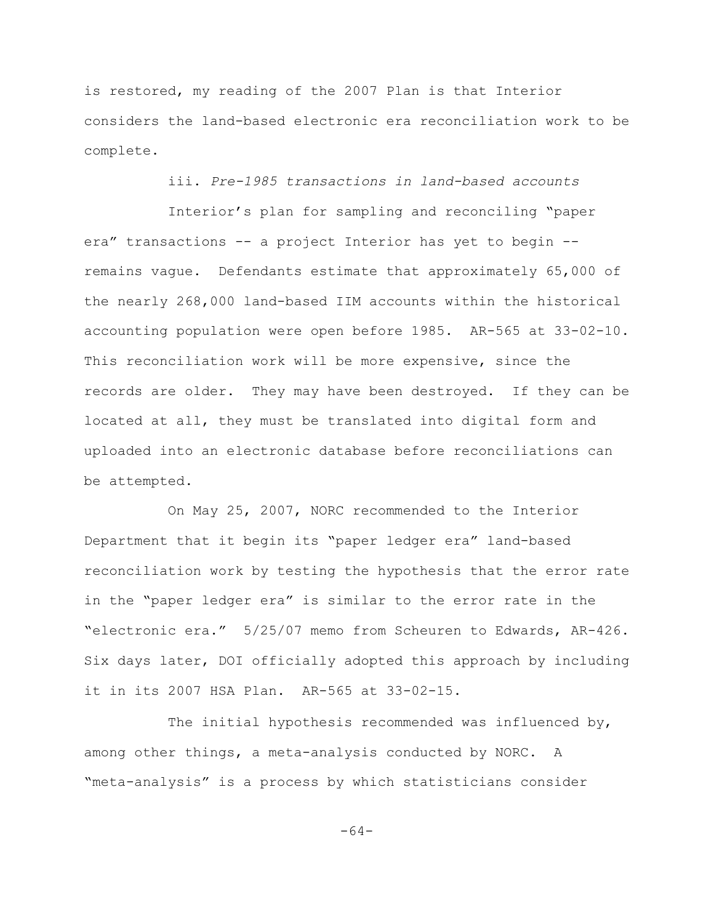is restored, my reading of the 2007 Plan is that Interior considers the land-based electronic era reconciliation work to be complete.

iii. *Pre-1985 transactions in land-based accounts*

Interior's plan for sampling and reconciling "paper era" transactions -- a project Interior has yet to begin - remains vague. Defendants estimate that approximately 65,000 of the nearly 268,000 land-based IIM accounts within the historical accounting population were open before 1985. AR-565 at 33-02-10. This reconciliation work will be more expensive, since the records are older. They may have been destroyed. If they can be located at all, they must be translated into digital form and uploaded into an electronic database before reconciliations can be attempted.

On May 25, 2007, NORC recommended to the Interior Department that it begin its "paper ledger era" land-based reconciliation work by testing the hypothesis that the error rate in the "paper ledger era" is similar to the error rate in the "electronic era." 5/25/07 memo from Scheuren to Edwards, AR-426. Six days later, DOI officially adopted this approach by including it in its 2007 HSA Plan. AR-565 at 33-02-15.

The initial hypothesis recommended was influenced by, among other things, a meta-analysis conducted by NORC. A "meta-analysis" is a process by which statisticians consider

-64-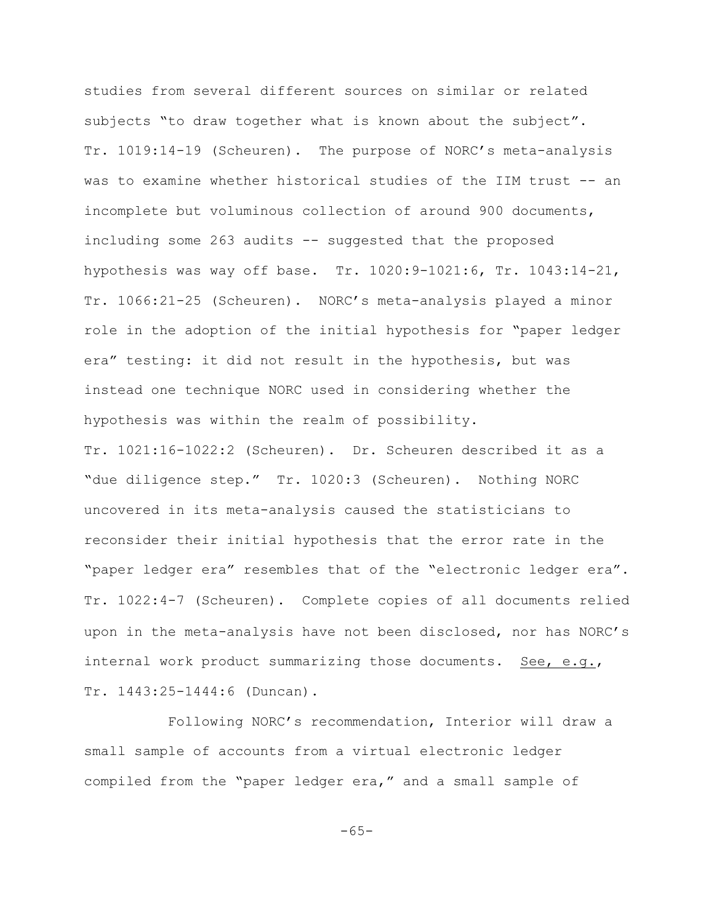studies from several different sources on similar or related subjects "to draw together what is known about the subject". Tr. 1019:14-19 (Scheuren). The purpose of NORC's meta-analysis was to examine whether historical studies of the IIM trust -- an incomplete but voluminous collection of around 900 documents, including some 263 audits -- suggested that the proposed hypothesis was way off base. Tr. 1020:9-1021:6, Tr. 1043:14-21, Tr. 1066:21-25 (Scheuren). NORC's meta-analysis played a minor role in the adoption of the initial hypothesis for "paper ledger era" testing: it did not result in the hypothesis, but was instead one technique NORC used in considering whether the hypothesis was within the realm of possibility.

Tr. 1021:16-1022:2 (Scheuren). Dr. Scheuren described it as a "due diligence step." Tr. 1020:3 (Scheuren). Nothing NORC uncovered in its meta-analysis caused the statisticians to reconsider their initial hypothesis that the error rate in the "paper ledger era" resembles that of the "electronic ledger era". Tr. 1022:4-7 (Scheuren). Complete copies of all documents relied upon in the meta-analysis have not been disclosed, nor has NORC's internal work product summarizing those documents. See, e.g., Tr. 1443:25-1444:6 (Duncan).

Following NORC's recommendation, Interior will draw a small sample of accounts from a virtual electronic ledger compiled from the "paper ledger era," and a small sample of

-65-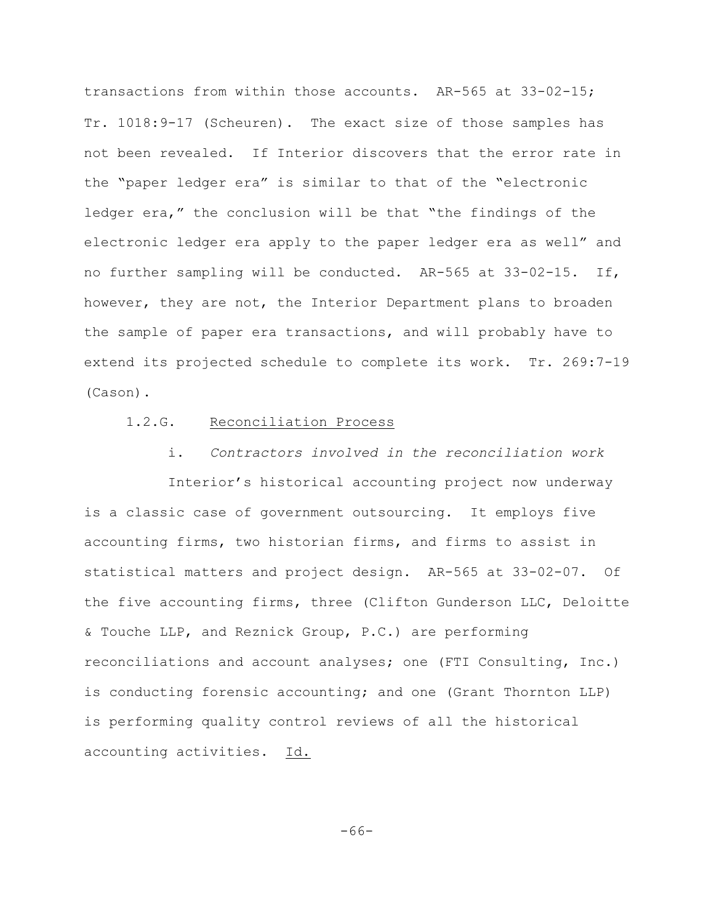transactions from within those accounts. AR-565 at 33-02-15; Tr. 1018:9-17 (Scheuren). The exact size of those samples has not been revealed. If Interior discovers that the error rate in the "paper ledger era" is similar to that of the "electronic ledger era," the conclusion will be that "the findings of the electronic ledger era apply to the paper ledger era as well" and no further sampling will be conducted. AR-565 at 33-02-15. If, however, they are not, the Interior Department plans to broaden the sample of paper era transactions, and will probably have to extend its projected schedule to complete its work. Tr. 269:7-19 (Cason).

#### 1.2.G. Reconciliation Process

i. *Contractors involved in the reconciliation work*

Interior's historical accounting project now underway is a classic case of government outsourcing. It employs five accounting firms, two historian firms, and firms to assist in statistical matters and project design. AR-565 at 33-02-07. Of the five accounting firms, three (Clifton Gunderson LLC, Deloitte & Touche LLP, and Reznick Group, P.C.) are performing reconciliations and account analyses; one (FTI Consulting, Inc.) is conducting forensic accounting; and one (Grant Thornton LLP) is performing quality control reviews of all the historical accounting activities. Id.

-66-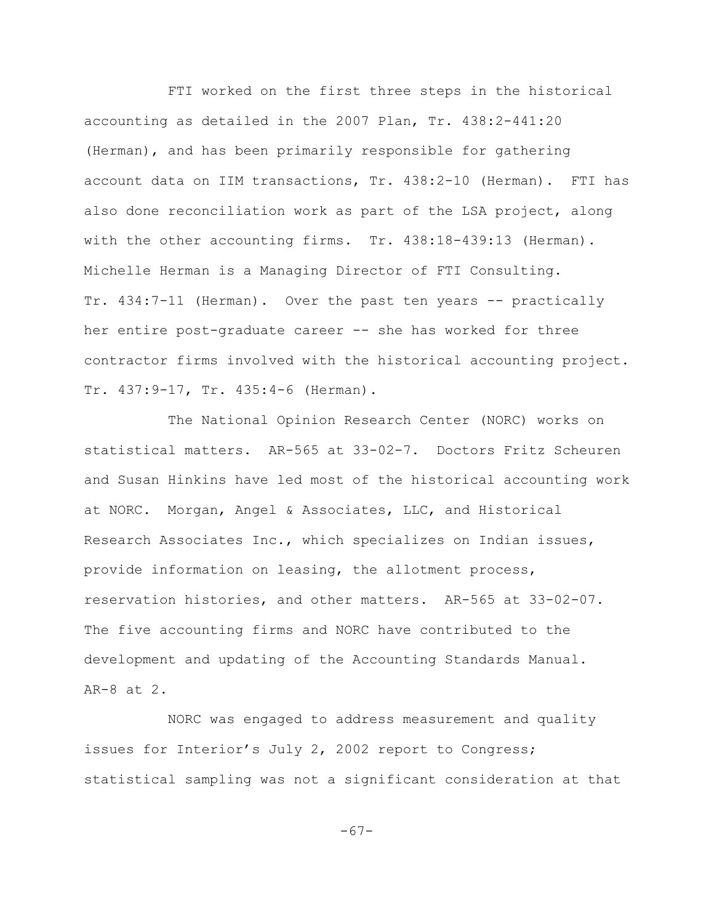FTI worked on the first three steps in the historical accounting as detailed in the 2007 Plan, Tr. 438:2-441:20 (Herman), and has been primarily responsible for gathering account data on IIM transactions, Tr. 438:2-10 (Herman). FTI has also done reconciliation work as part of the LSA project, along with the other accounting firms. Tr. 438:18-439:13 (Herman). Michelle Herman is a Managing Director of FTI Consulting. Tr. 434:7-11 (Herman). Over the past ten years -- practically her entire post-graduate career -- she has worked for three contractor firms involved with the historical accounting project. Tr. 437:9-17, Tr. 435:4-6 (Herman).

The National Opinion Research Center (NORC) works on statistical matters. AR-565 at 33-02-7. Doctors Fritz Scheuren and Susan Hinkins have led most of the historical accounting work at NORC. Morgan, Angel & Associates, LLC, and Historical Research Associates Inc., which specializes on Indian issues, provide information on leasing, the allotment process, reservation histories, and other matters. AR-565 at 33-02-07. The five accounting firms and NORC have contributed to the development and updating of the Accounting Standards Manual. AR-8 at 2.

NORC was engaged to address measurement and quality issues for Interior's July 2, 2002 report to Congress; statistical sampling was not a significant consideration at that

-67-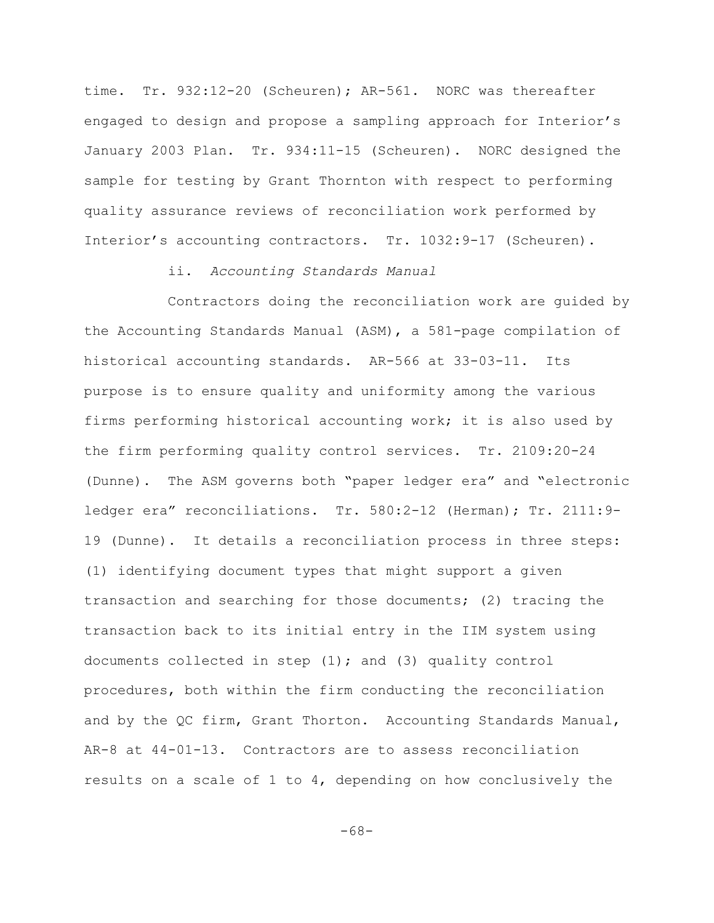time. Tr. 932:12-20 (Scheuren); AR-561. NORC was thereafter engaged to design and propose a sampling approach for Interior's January 2003 Plan. Tr. 934:11-15 (Scheuren). NORC designed the sample for testing by Grant Thornton with respect to performing quality assurance reviews of reconciliation work performed by Interior's accounting contractors. Tr. 1032:9-17 (Scheuren).

#### ii. *Accounting Standards Manual*

Contractors doing the reconciliation work are guided by the Accounting Standards Manual (ASM), a 581-page compilation of historical accounting standards. AR-566 at 33-03-11. Its purpose is to ensure quality and uniformity among the various firms performing historical accounting work; it is also used by the firm performing quality control services. Tr. 2109:20-24 (Dunne). The ASM governs both "paper ledger era" and "electronic ledger era" reconciliations. Tr. 580:2-12 (Herman); Tr. 2111:9-19 (Dunne). It details a reconciliation process in three steps: (1) identifying document types that might support a given transaction and searching for those documents; (2) tracing the transaction back to its initial entry in the IIM system using documents collected in step  $(1)$ ; and  $(3)$  quality control procedures, both within the firm conducting the reconciliation and by the QC firm, Grant Thorton. Accounting Standards Manual, AR-8 at 44-01-13. Contractors are to assess reconciliation results on a scale of 1 to 4, depending on how conclusively the

-68-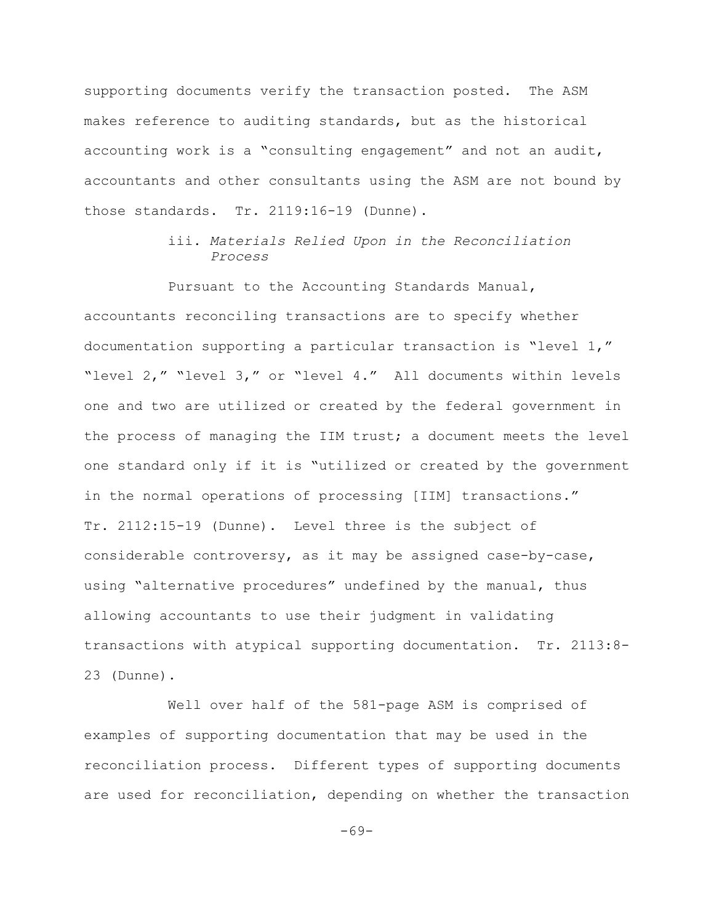supporting documents verify the transaction posted. The ASM makes reference to auditing standards, but as the historical accounting work is a "consulting engagement" and not an audit, accountants and other consultants using the ASM are not bound by those standards. Tr. 2119:16-19 (Dunne).

## iii. *Materials Relied Upon in the Reconciliation Process*

Pursuant to the Accounting Standards Manual, accountants reconciling transactions are to specify whether documentation supporting a particular transaction is "level 1," "level 2," "level 3," or "level 4." All documents within levels one and two are utilized or created by the federal government in the process of managing the IIM trust; a document meets the level one standard only if it is "utilized or created by the government in the normal operations of processing [IIM] transactions." Tr. 2112:15-19 (Dunne). Level three is the subject of considerable controversy, as it may be assigned case-by-case, using "alternative procedures" undefined by the manual, thus allowing accountants to use their judgment in validating transactions with atypical supporting documentation. Tr. 2113:8- 23 (Dunne).

Well over half of the 581-page ASM is comprised of examples of supporting documentation that may be used in the reconciliation process. Different types of supporting documents are used for reconciliation, depending on whether the transaction

-69-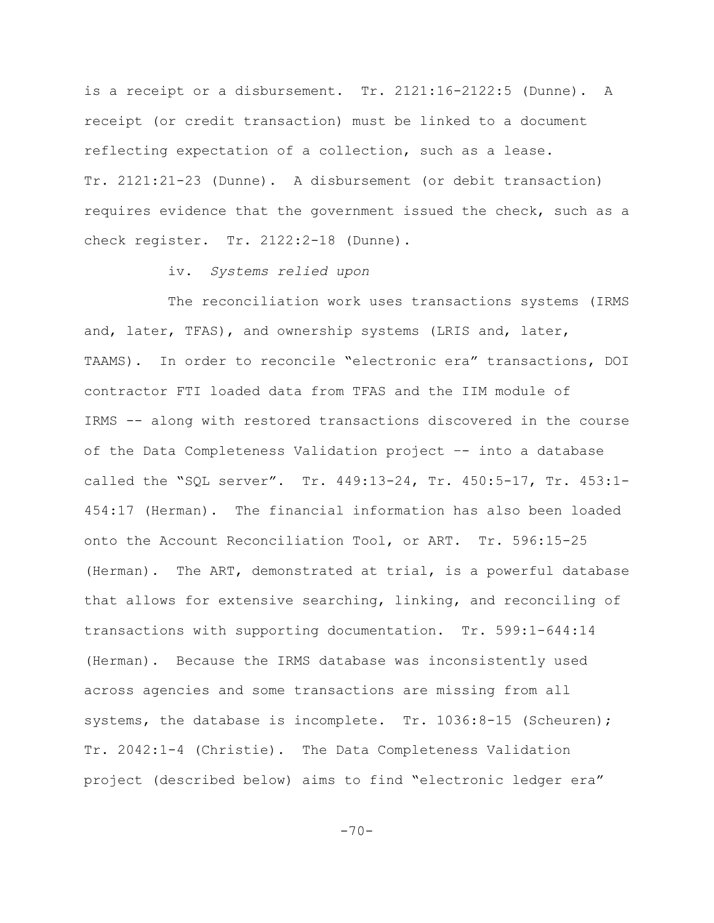is a receipt or a disbursement. Tr. 2121:16-2122:5 (Dunne). A receipt (or credit transaction) must be linked to a document reflecting expectation of a collection, such as a lease. Tr. 2121:21-23 (Dunne). A disbursement (or debit transaction) requires evidence that the government issued the check, such as a check register. Tr. 2122:2-18 (Dunne).

iv. *Systems relied upon*

The reconciliation work uses transactions systems (IRMS and, later, TFAS), and ownership systems (LRIS and, later, TAAMS). In order to reconcile "electronic era" transactions, DOI contractor FTI loaded data from TFAS and the IIM module of IRMS -- along with restored transactions discovered in the course of the Data Completeness Validation project –- into a database called the "SQL server". Tr. 449:13-24, Tr. 450:5-17, Tr. 453:1- 454:17 (Herman). The financial information has also been loaded onto the Account Reconciliation Tool, or ART. Tr. 596:15-25 (Herman). The ART, demonstrated at trial, is a powerful database that allows for extensive searching, linking, and reconciling of transactions with supporting documentation. Tr. 599:1-644:14 (Herman). Because the IRMS database was inconsistently used across agencies and some transactions are missing from all systems, the database is incomplete. Tr. 1036:8-15 (Scheuren); Tr. 2042:1-4 (Christie). The Data Completeness Validation project (described below) aims to find "electronic ledger era"

 $-70-$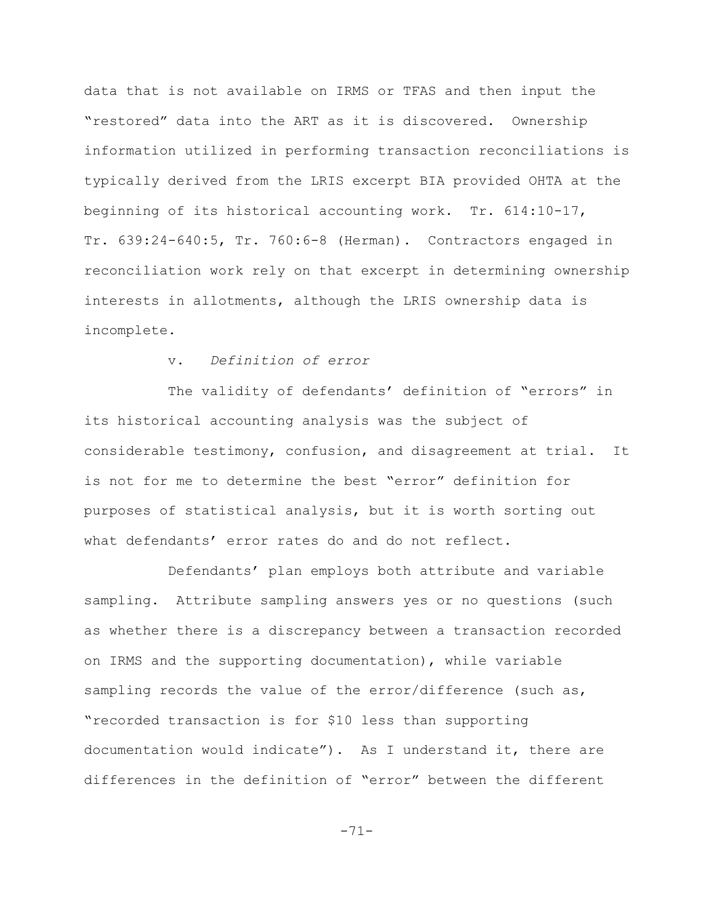data that is not available on IRMS or TFAS and then input the "restored" data into the ART as it is discovered. Ownership information utilized in performing transaction reconciliations is typically derived from the LRIS excerpt BIA provided OHTA at the beginning of its historical accounting work. Tr. 614:10-17, Tr. 639:24-640:5, Tr. 760:6-8 (Herman). Contractors engaged in reconciliation work rely on that excerpt in determining ownership interests in allotments, although the LRIS ownership data is incomplete.

## v. *Definition of error*

The validity of defendants' definition of "errors" in its historical accounting analysis was the subject of considerable testimony, confusion, and disagreement at trial. It is not for me to determine the best "error" definition for purposes of statistical analysis, but it is worth sorting out what defendants' error rates do and do not reflect.

Defendants' plan employs both attribute and variable sampling. Attribute sampling answers yes or no questions (such as whether there is a discrepancy between a transaction recorded on IRMS and the supporting documentation), while variable sampling records the value of the error/difference (such as, "recorded transaction is for \$10 less than supporting documentation would indicate"). As I understand it, there are differences in the definition of "error" between the different

-71-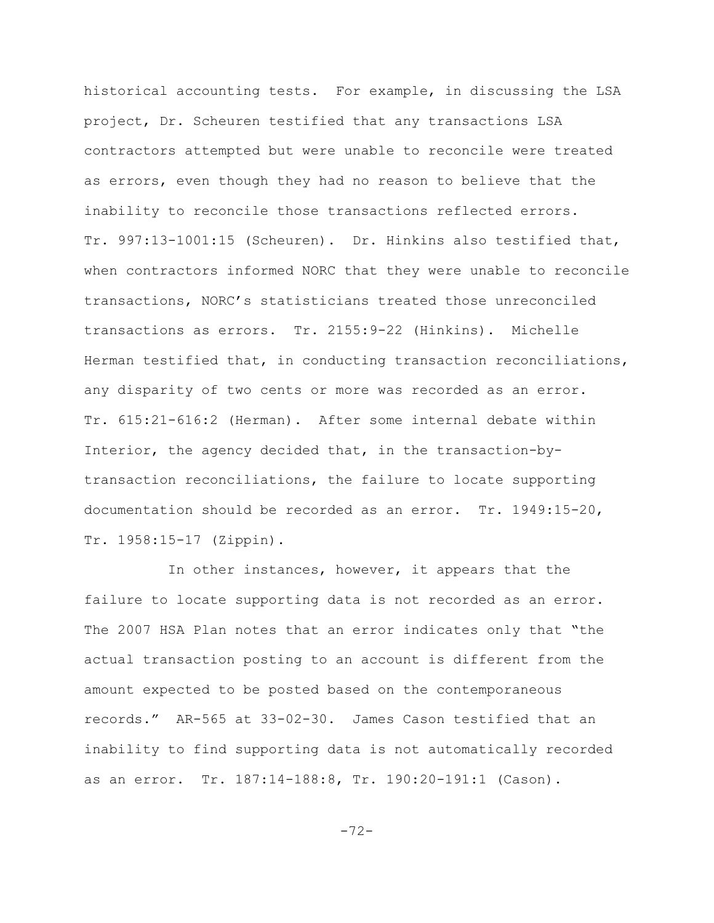historical accounting tests. For example, in discussing the LSA project, Dr. Scheuren testified that any transactions LSA contractors attempted but were unable to reconcile were treated as errors, even though they had no reason to believe that the inability to reconcile those transactions reflected errors. Tr. 997:13-1001:15 (Scheuren). Dr. Hinkins also testified that, when contractors informed NORC that they were unable to reconcile transactions, NORC's statisticians treated those unreconciled transactions as errors. Tr. 2155:9-22 (Hinkins). Michelle Herman testified that, in conducting transaction reconciliations, any disparity of two cents or more was recorded as an error. Tr. 615:21-616:2 (Herman). After some internal debate within Interior, the agency decided that, in the transaction-bytransaction reconciliations, the failure to locate supporting documentation should be recorded as an error. Tr. 1949:15-20, Tr. 1958:15-17 (Zippin).

In other instances, however, it appears that the failure to locate supporting data is not recorded as an error. The 2007 HSA Plan notes that an error indicates only that "the actual transaction posting to an account is different from the amount expected to be posted based on the contemporaneous records." AR-565 at 33-02-30. James Cason testified that an inability to find supporting data is not automatically recorded as an error. Tr. 187:14-188:8, Tr. 190:20-191:1 (Cason).

-72-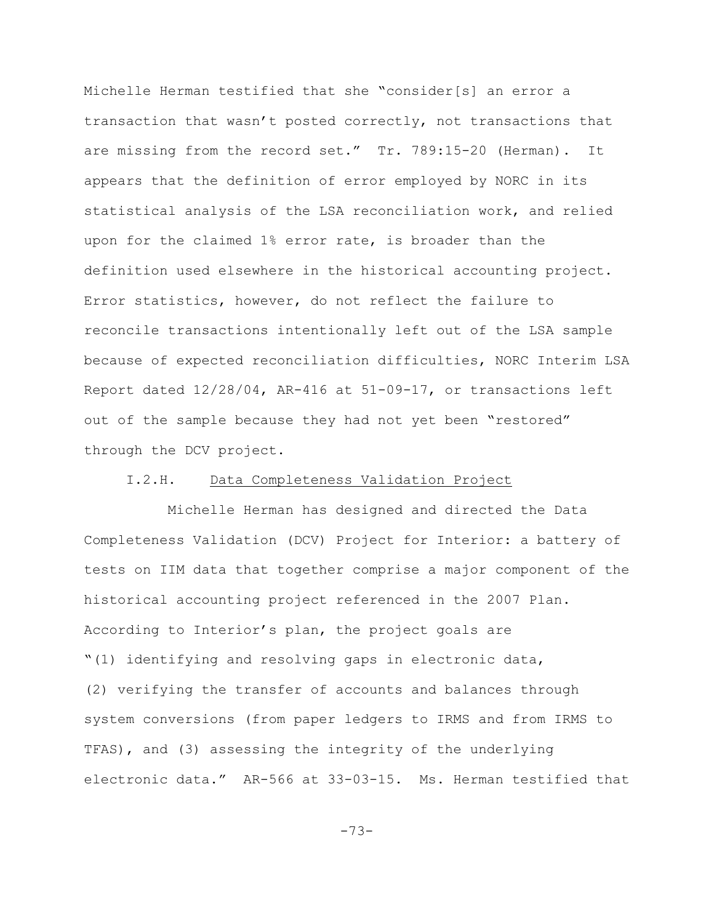Michelle Herman testified that she "consider[s] an error a transaction that wasn't posted correctly, not transactions that are missing from the record set." Tr. 789:15-20 (Herman). It appears that the definition of error employed by NORC in its statistical analysis of the LSA reconciliation work, and relied upon for the claimed 1% error rate, is broader than the definition used elsewhere in the historical accounting project. Error statistics, however, do not reflect the failure to reconcile transactions intentionally left out of the LSA sample because of expected reconciliation difficulties, NORC Interim LSA Report dated 12/28/04, AR-416 at 51-09-17, or transactions left out of the sample because they had not yet been "restored" through the DCV project.

# I.2.H. Data Completeness Validation Project

Michelle Herman has designed and directed the Data Completeness Validation (DCV) Project for Interior: a battery of tests on IIM data that together comprise a major component of the historical accounting project referenced in the 2007 Plan. According to Interior's plan, the project goals are "(1) identifying and resolving gaps in electronic data, (2) verifying the transfer of accounts and balances through system conversions (from paper ledgers to IRMS and from IRMS to TFAS), and (3) assessing the integrity of the underlying electronic data." AR-566 at 33-03-15. Ms. Herman testified that

-73-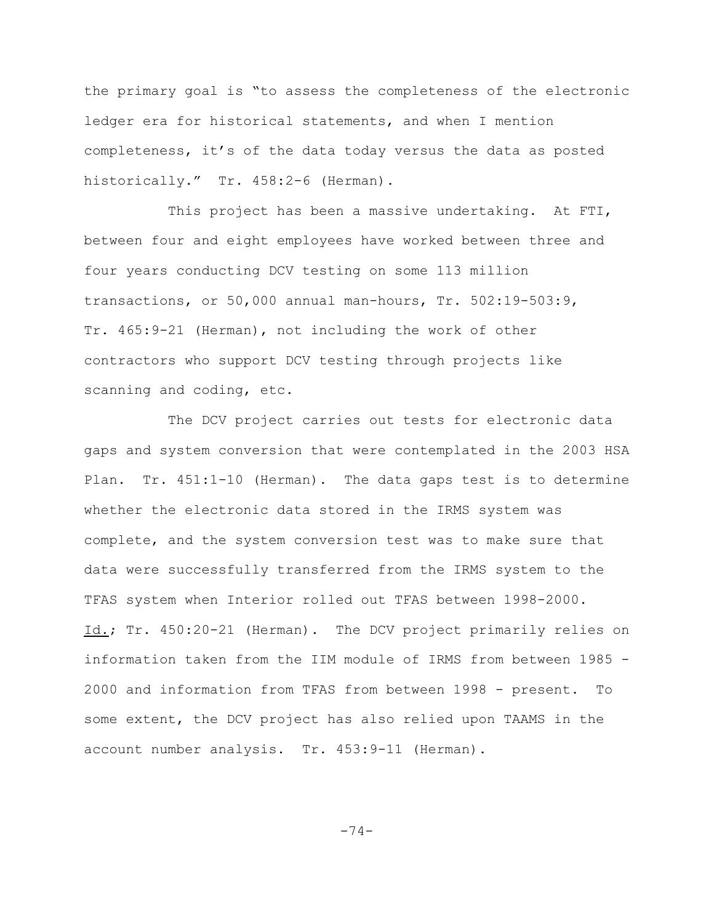the primary goal is "to assess the completeness of the electronic ledger era for historical statements, and when I mention completeness, it's of the data today versus the data as posted historically." Tr. 458:2-6 (Herman).

This project has been a massive undertaking. At FTI, between four and eight employees have worked between three and four years conducting DCV testing on some 113 million transactions, or 50,000 annual man-hours, Tr. 502:19-503:9, Tr. 465:9-21 (Herman), not including the work of other contractors who support DCV testing through projects like scanning and coding, etc.

The DCV project carries out tests for electronic data gaps and system conversion that were contemplated in the 2003 HSA Plan. Tr. 451:1-10 (Herman). The data gaps test is to determine whether the electronic data stored in the IRMS system was complete, and the system conversion test was to make sure that data were successfully transferred from the IRMS system to the TFAS system when Interior rolled out TFAS between 1998-2000. Id.; Tr. 450:20-21 (Herman). The DCV project primarily relies on information taken from the IIM module of IRMS from between 1985 - 2000 and information from TFAS from between 1998 - present. To some extent, the DCV project has also relied upon TAAMS in the account number analysis. Tr. 453:9-11 (Herman).

-74-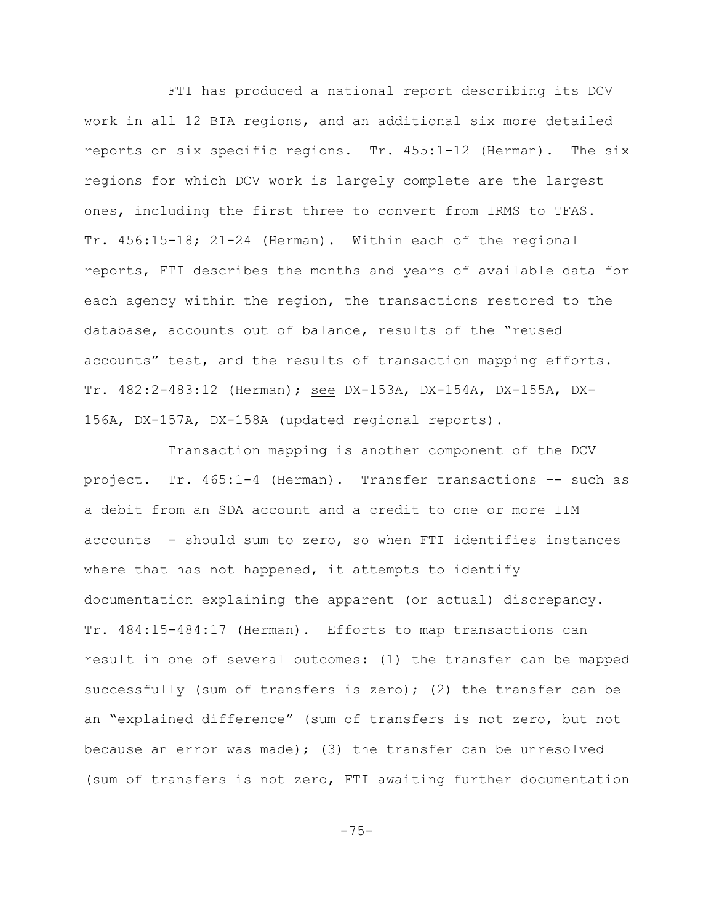FTI has produced a national report describing its DCV work in all 12 BIA regions, and an additional six more detailed reports on six specific regions. Tr. 455:1-12 (Herman). The six regions for which DCV work is largely complete are the largest ones, including the first three to convert from IRMS to TFAS. Tr. 456:15-18; 21-24 (Herman). Within each of the regional reports, FTI describes the months and years of available data for each agency within the region, the transactions restored to the database, accounts out of balance, results of the "reused accounts" test, and the results of transaction mapping efforts. Tr. 482:2-483:12 (Herman); see DX-153A, DX-154A, DX-155A, DX-156A, DX-157A, DX-158A (updated regional reports).

Transaction mapping is another component of the DCV project. Tr. 465:1-4 (Herman). Transfer transactions –- such as a debit from an SDA account and a credit to one or more IIM accounts –- should sum to zero, so when FTI identifies instances where that has not happened, it attempts to identify documentation explaining the apparent (or actual) discrepancy. Tr. 484:15-484:17 (Herman). Efforts to map transactions can result in one of several outcomes: (1) the transfer can be mapped successfully (sum of transfers is zero); (2) the transfer can be an "explained difference" (sum of transfers is not zero, but not because an error was made); (3) the transfer can be unresolved (sum of transfers is not zero, FTI awaiting further documentation

-75-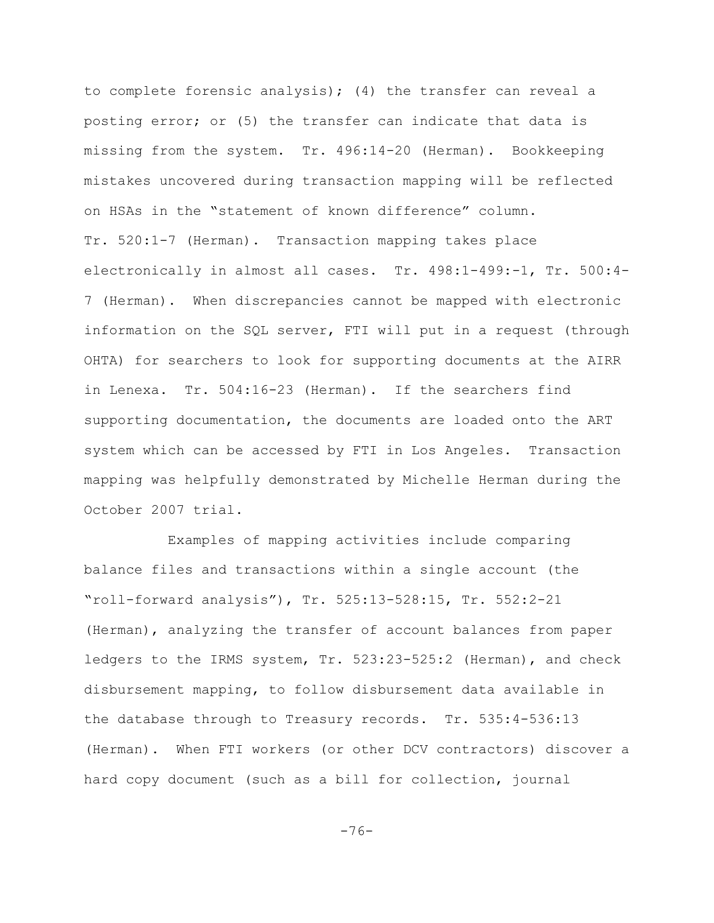to complete forensic analysis); (4) the transfer can reveal a posting error; or (5) the transfer can indicate that data is missing from the system. Tr. 496:14-20 (Herman). Bookkeeping mistakes uncovered during transaction mapping will be reflected on HSAs in the "statement of known difference" column. Tr. 520:1-7 (Herman). Transaction mapping takes place electronically in almost all cases. Tr. 498:1-499:-1, Tr. 500:4- 7 (Herman). When discrepancies cannot be mapped with electronic information on the SQL server, FTI will put in a request (through OHTA) for searchers to look for supporting documents at the AIRR in Lenexa. Tr. 504:16-23 (Herman). If the searchers find supporting documentation, the documents are loaded onto the ART system which can be accessed by FTI in Los Angeles. Transaction mapping was helpfully demonstrated by Michelle Herman during the October 2007 trial.

Examples of mapping activities include comparing balance files and transactions within a single account (the "roll-forward analysis"), Tr. 525:13-528:15, Tr. 552:2-21 (Herman), analyzing the transfer of account balances from paper ledgers to the IRMS system, Tr. 523:23-525:2 (Herman), and check disbursement mapping, to follow disbursement data available in the database through to Treasury records. Tr. 535:4-536:13 (Herman). When FTI workers (or other DCV contractors) discover a hard copy document (such as a bill for collection, journal

-76-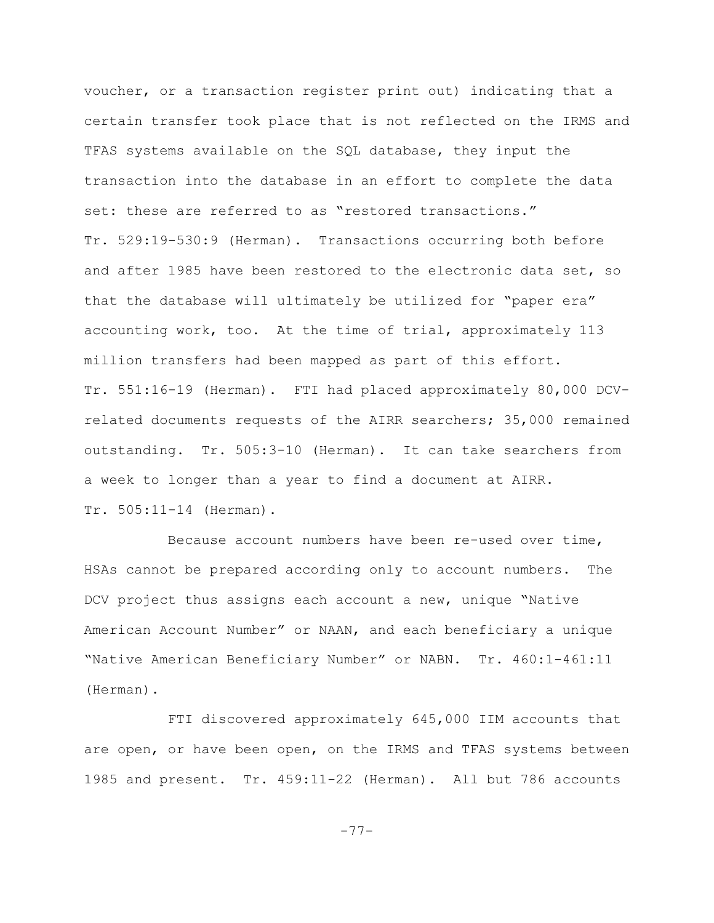voucher, or a transaction register print out) indicating that a certain transfer took place that is not reflected on the IRMS and TFAS systems available on the SQL database, they input the transaction into the database in an effort to complete the data set: these are referred to as "restored transactions." Tr. 529:19-530:9 (Herman). Transactions occurring both before and after 1985 have been restored to the electronic data set, so that the database will ultimately be utilized for "paper era" accounting work, too. At the time of trial, approximately 113 million transfers had been mapped as part of this effort. Tr. 551:16-19 (Herman). FTI had placed approximately 80,000 DCVrelated documents requests of the AIRR searchers; 35,000 remained outstanding. Tr. 505:3-10 (Herman). It can take searchers from a week to longer than a year to find a document at AIRR. Tr. 505:11-14 (Herman).

Because account numbers have been re-used over time, HSAs cannot be prepared according only to account numbers. The DCV project thus assigns each account a new, unique "Native American Account Number" or NAAN, and each beneficiary a unique "Native American Beneficiary Number" or NABN. Tr. 460:1-461:11 (Herman).

FTI discovered approximately 645,000 IIM accounts that are open, or have been open, on the IRMS and TFAS systems between 1985 and present. Tr. 459:11-22 (Herman). All but 786 accounts

-77-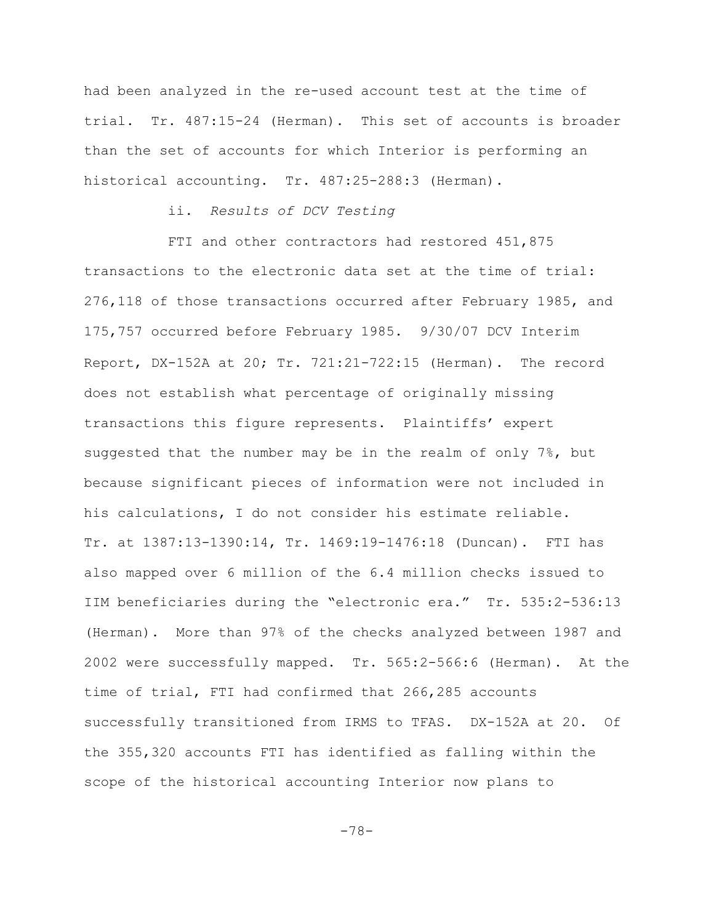had been analyzed in the re-used account test at the time of trial. Tr. 487:15-24 (Herman). This set of accounts is broader than the set of accounts for which Interior is performing an historical accounting. Tr. 487:25-288:3 (Herman).

# ii. *Results of DCV Testing*

FTI and other contractors had restored 451,875 transactions to the electronic data set at the time of trial: 276,118 of those transactions occurred after February 1985, and 175,757 occurred before February 1985. 9/30/07 DCV Interim Report, DX-152A at 20; Tr. 721:21-722:15 (Herman). The record does not establish what percentage of originally missing transactions this figure represents. Plaintiffs' expert suggested that the number may be in the realm of only  $7\%$ , but because significant pieces of information were not included in his calculations, I do not consider his estimate reliable. Tr. at 1387:13-1390:14, Tr. 1469:19-1476:18 (Duncan). FTI has also mapped over 6 million of the 6.4 million checks issued to IIM beneficiaries during the "electronic era." Tr. 535:2-536:13 (Herman). More than 97% of the checks analyzed between 1987 and 2002 were successfully mapped. Tr. 565:2-566:6 (Herman). At the time of trial, FTI had confirmed that 266,285 accounts successfully transitioned from IRMS to TFAS. DX-152A at 20. Of the 355,320 accounts FTI has identified as falling within the scope of the historical accounting Interior now plans to

-78-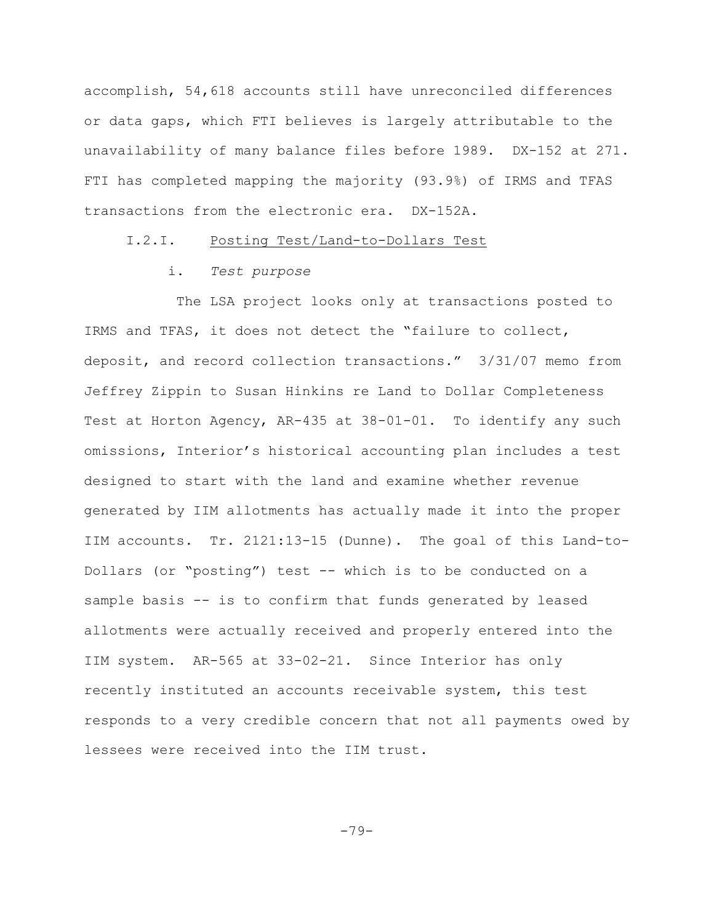accomplish, 54,618 accounts still have unreconciled differences or data gaps, which FTI believes is largely attributable to the unavailability of many balance files before 1989. DX-152 at 271. FTI has completed mapping the majority (93.9%) of IRMS and TFAS transactions from the electronic era. DX-152A.

### I.2.I. Posting Test/Land-to-Dollars Test

## i. *Test purpose*

 The LSA project looks only at transactions posted to IRMS and TFAS, it does not detect the "failure to collect, deposit, and record collection transactions." 3/31/07 memo from Jeffrey Zippin to Susan Hinkins re Land to Dollar Completeness Test at Horton Agency, AR-435 at 38-01-01. To identify any such omissions, Interior's historical accounting plan includes a test designed to start with the land and examine whether revenue generated by IIM allotments has actually made it into the proper IIM accounts. Tr. 2121:13-15 (Dunne). The goal of this Land-to-Dollars (or "posting") test -- which is to be conducted on a sample basis -- is to confirm that funds generated by leased allotments were actually received and properly entered into the IIM system. AR-565 at 33-02-21. Since Interior has only recently instituted an accounts receivable system, this test responds to a very credible concern that not all payments owed by lessees were received into the IIM trust.

-79-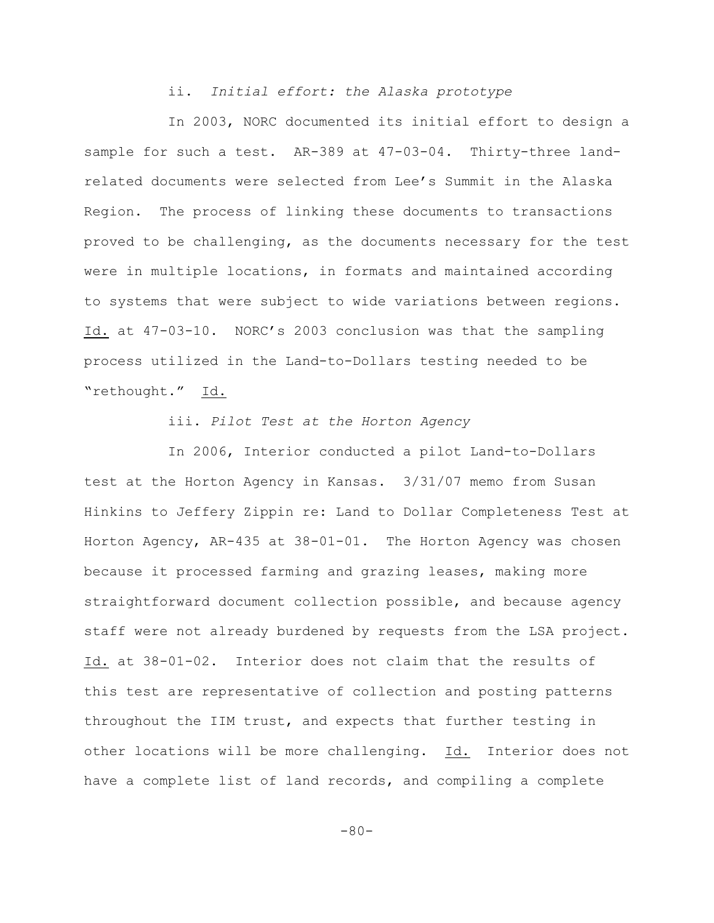ii. *Initial effort: the Alaska prototype*

In 2003, NORC documented its initial effort to design a sample for such a test. AR-389 at 47-03-04. Thirty-three landrelated documents were selected from Lee's Summit in the Alaska Region. The process of linking these documents to transactions proved to be challenging, as the documents necessary for the test were in multiple locations, in formats and maintained according to systems that were subject to wide variations between regions. Id. at 47-03-10. NORC's 2003 conclusion was that the sampling process utilized in the Land-to-Dollars testing needed to be "rethought." Id.

iii. *Pilot Test at the Horton Agency*

In 2006, Interior conducted a pilot Land-to-Dollars test at the Horton Agency in Kansas. 3/31/07 memo from Susan Hinkins to Jeffery Zippin re: Land to Dollar Completeness Test at Horton Agency, AR-435 at 38-01-01. The Horton Agency was chosen because it processed farming and grazing leases, making more straightforward document collection possible, and because agency staff were not already burdened by requests from the LSA project. Id. at 38-01-02. Interior does not claim that the results of this test are representative of collection and posting patterns throughout the IIM trust, and expects that further testing in other locations will be more challenging. Id. Interior does not have a complete list of land records, and compiling a complete

 $-80-$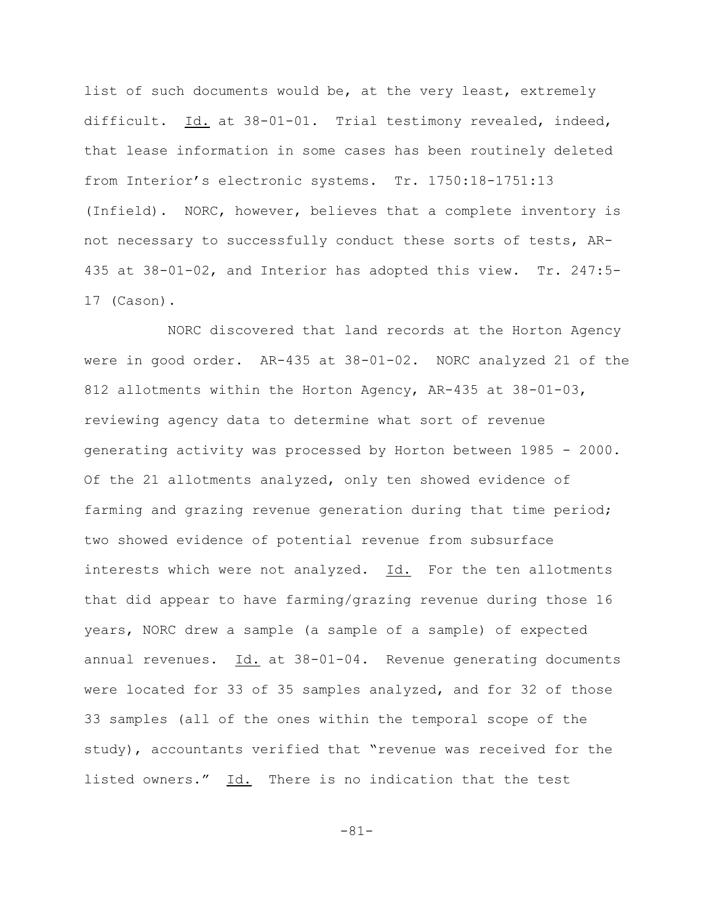list of such documents would be, at the very least, extremely difficult. Id. at 38-01-01. Trial testimony revealed, indeed, that lease information in some cases has been routinely deleted from Interior's electronic systems. Tr. 1750:18-1751:13 (Infield). NORC, however, believes that a complete inventory is not necessary to successfully conduct these sorts of tests, AR-435 at 38-01-02, and Interior has adopted this view. Tr. 247:5- 17 (Cason).

NORC discovered that land records at the Horton Agency were in good order. AR-435 at 38-01-02. NORC analyzed 21 of the 812 allotments within the Horton Agency, AR-435 at 38-01-03, reviewing agency data to determine what sort of revenue generating activity was processed by Horton between 1985 - 2000. Of the 21 allotments analyzed, only ten showed evidence of farming and grazing revenue generation during that time period; two showed evidence of potential revenue from subsurface interests which were not analyzed. Id. For the ten allotments that did appear to have farming/grazing revenue during those 16 years, NORC drew a sample (a sample of a sample) of expected annual revenues. Id. at 38-01-04. Revenue generating documents were located for 33 of 35 samples analyzed, and for 32 of those 33 samples (all of the ones within the temporal scope of the study), accountants verified that "revenue was received for the listed owners." Id. There is no indication that the test

-81-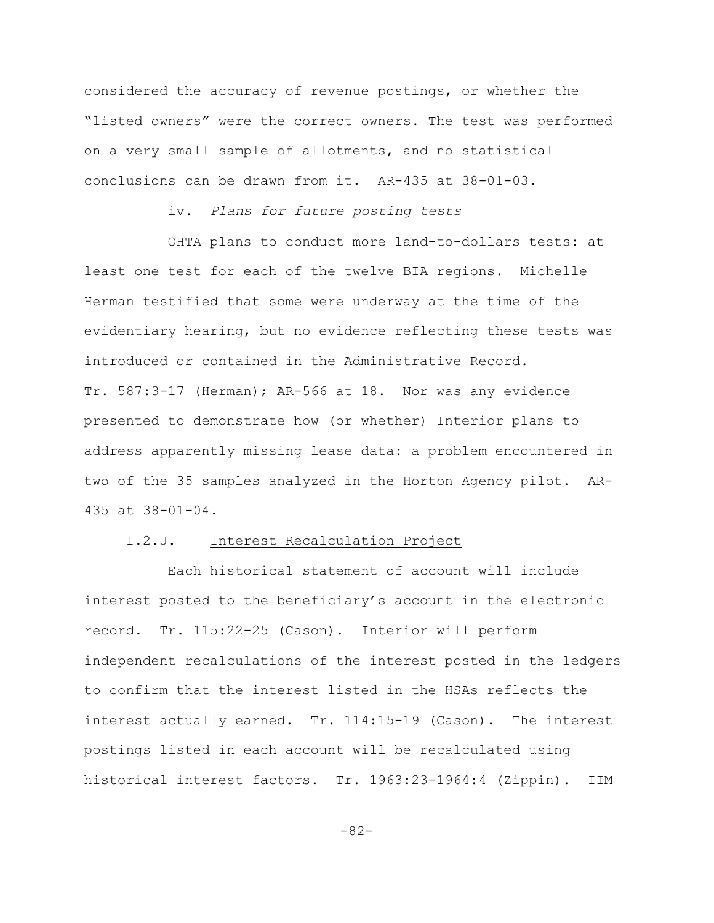considered the accuracy of revenue postings, or whether the "listed owners" were the correct owners. The test was performed on a very small sample of allotments, and no statistical conclusions can be drawn from it. AR-435 at 38-01-03.

# iv. *Plans for future posting tests*

OHTA plans to conduct more land-to-dollars tests: at least one test for each of the twelve BIA regions. Michelle Herman testified that some were underway at the time of the evidentiary hearing, but no evidence reflecting these tests was introduced or contained in the Administrative Record. Tr. 587:3-17 (Herman); AR-566 at 18. Nor was any evidence presented to demonstrate how (or whether) Interior plans to address apparently missing lease data: a problem encountered in two of the 35 samples analyzed in the Horton Agency pilot. AR-435 at 38-01-04.

# I.2.J. Interest Recalculation Project

Each historical statement of account will include interest posted to the beneficiary's account in the electronic record. Tr. 115:22-25 (Cason). Interior will perform independent recalculations of the interest posted in the ledgers to confirm that the interest listed in the HSAs reflects the interest actually earned. Tr. 114:15-19 (Cason). The interest postings listed in each account will be recalculated using historical interest factors. Tr. 1963:23-1964:4 (Zippin). IIM

-82-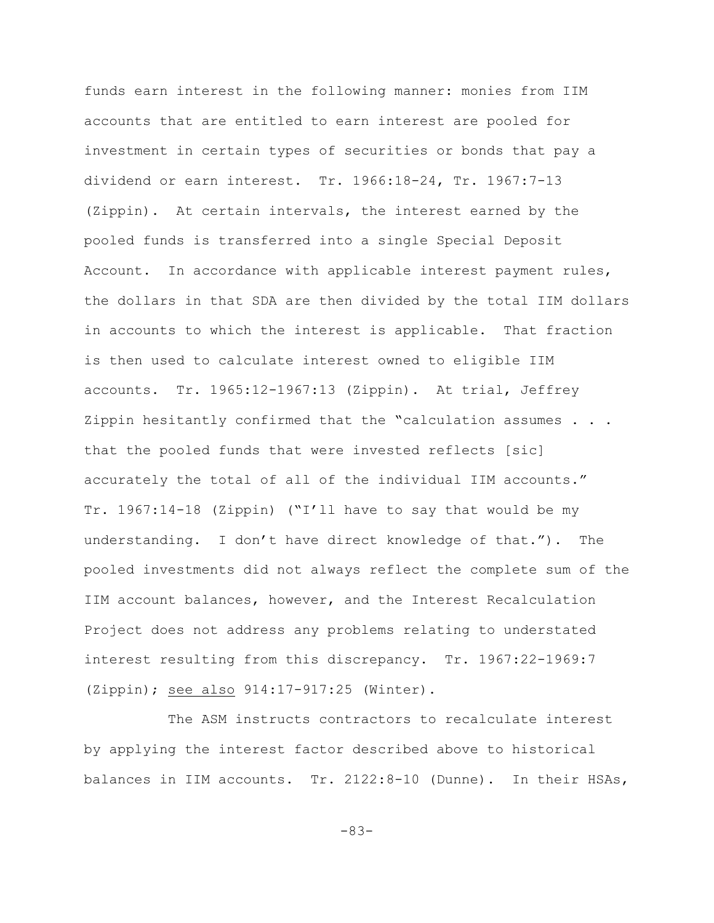funds earn interest in the following manner: monies from IIM accounts that are entitled to earn interest are pooled for investment in certain types of securities or bonds that pay a dividend or earn interest. Tr. 1966:18-24, Tr. 1967:7-13 (Zippin). At certain intervals, the interest earned by the pooled funds is transferred into a single Special Deposit Account. In accordance with applicable interest payment rules, the dollars in that SDA are then divided by the total IIM dollars in accounts to which the interest is applicable. That fraction is then used to calculate interest owned to eligible IIM accounts. Tr. 1965:12-1967:13 (Zippin). At trial, Jeffrey Zippin hesitantly confirmed that the "calculation assumes . . . that the pooled funds that were invested reflects [sic] accurately the total of all of the individual IIM accounts." Tr. 1967:14-18 (Zippin) ("I'll have to say that would be my understanding. I don't have direct knowledge of that."). The pooled investments did not always reflect the complete sum of the IIM account balances, however, and the Interest Recalculation Project does not address any problems relating to understated interest resulting from this discrepancy. Tr. 1967:22-1969:7 (Zippin); see also 914:17-917:25 (Winter).

The ASM instructs contractors to recalculate interest by applying the interest factor described above to historical balances in IIM accounts. Tr. 2122:8-10 (Dunne). In their HSAs,

-83-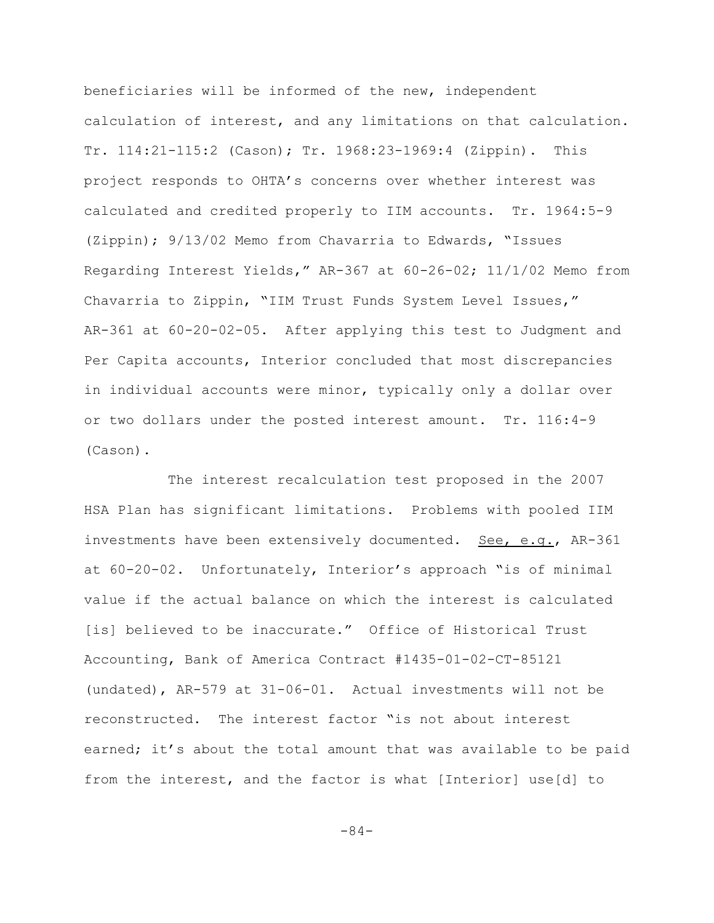beneficiaries will be informed of the new, independent calculation of interest, and any limitations on that calculation. Tr. 114:21-115:2 (Cason); Tr. 1968:23-1969:4 (Zippin). This project responds to OHTA's concerns over whether interest was calculated and credited properly to IIM accounts. Tr. 1964:5-9 (Zippin); 9/13/02 Memo from Chavarria to Edwards, "Issues Regarding Interest Yields," AR-367 at 60-26-02; 11/1/02 Memo from Chavarria to Zippin, "IIM Trust Funds System Level Issues," AR-361 at 60-20-02-05. After applying this test to Judgment and Per Capita accounts, Interior concluded that most discrepancies in individual accounts were minor, typically only a dollar over or two dollars under the posted interest amount. Tr. 116:4-9 (Cason).

The interest recalculation test proposed in the 2007 HSA Plan has significant limitations. Problems with pooled IIM investments have been extensively documented. See, e.g., AR-361 at 60-20-02. Unfortunately, Interior's approach "is of minimal value if the actual balance on which the interest is calculated [is] believed to be inaccurate." Office of Historical Trust Accounting, Bank of America Contract #1435-01-02-CT-85121 (undated), AR-579 at 31-06-01. Actual investments will not be reconstructed. The interest factor "is not about interest earned; it's about the total amount that was available to be paid from the interest, and the factor is what [Interior] use[d] to

-84-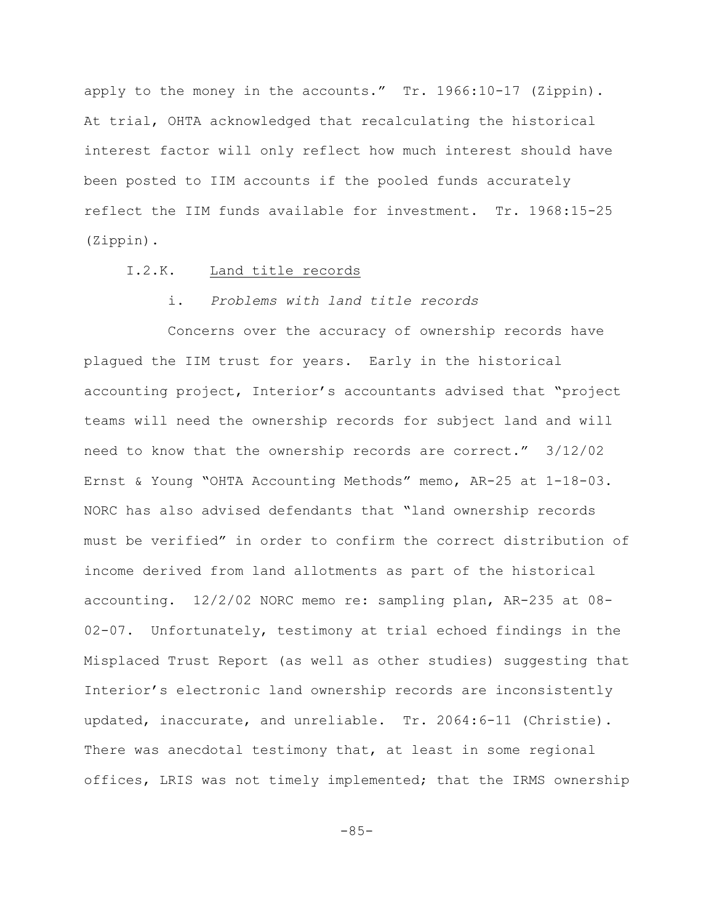apply to the money in the accounts." Tr. 1966:10-17 (Zippin). At trial, OHTA acknowledged that recalculating the historical interest factor will only reflect how much interest should have been posted to IIM accounts if the pooled funds accurately reflect the IIM funds available for investment. Tr. 1968:15-25 (Zippin).

### I.2.K. Land title records

## i. *Problems with land title records*

Concerns over the accuracy of ownership records have plagued the IIM trust for years. Early in the historical accounting project, Interior's accountants advised that "project teams will need the ownership records for subject land and will need to know that the ownership records are correct." 3/12/02 Ernst & Young "OHTA Accounting Methods" memo, AR-25 at 1-18-03. NORC has also advised defendants that "land ownership records must be verified" in order to confirm the correct distribution of income derived from land allotments as part of the historical accounting. 12/2/02 NORC memo re: sampling plan, AR-235 at 08- 02-07. Unfortunately, testimony at trial echoed findings in the Misplaced Trust Report (as well as other studies) suggesting that Interior's electronic land ownership records are inconsistently updated, inaccurate, and unreliable. Tr. 2064:6-11 (Christie). There was anecdotal testimony that, at least in some regional offices, LRIS was not timely implemented; that the IRMS ownership

 $-85-$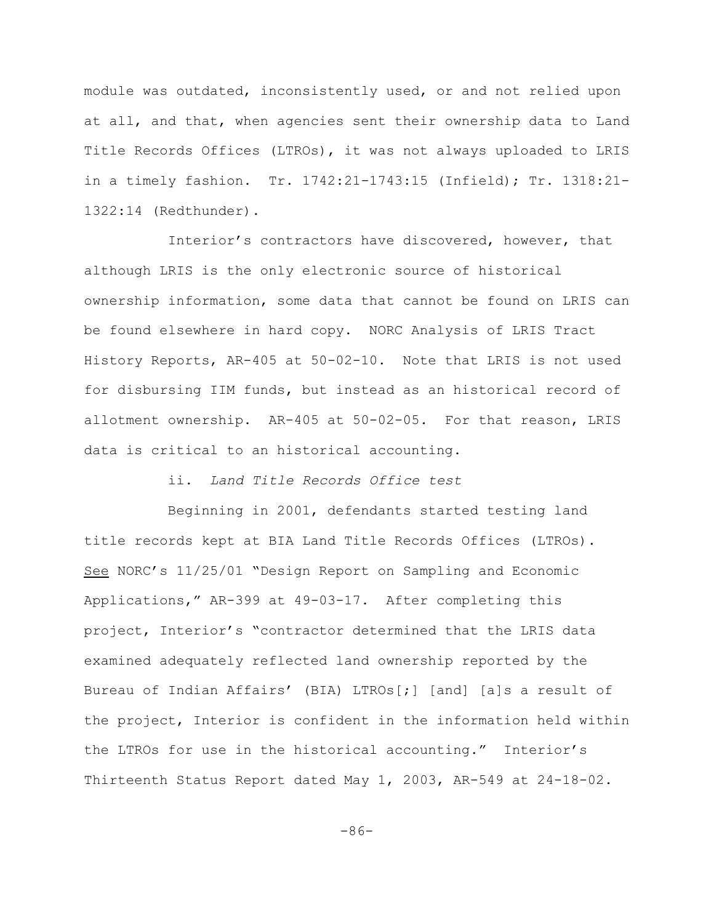module was outdated, inconsistently used, or and not relied upon at all, and that, when agencies sent their ownership data to Land Title Records Offices (LTROs), it was not always uploaded to LRIS in a timely fashion. Tr. 1742:21-1743:15 (Infield); Tr. 1318:21- 1322:14 (Redthunder).

Interior's contractors have discovered, however, that although LRIS is the only electronic source of historical ownership information, some data that cannot be found on LRIS can be found elsewhere in hard copy. NORC Analysis of LRIS Tract History Reports, AR-405 at 50-02-10. Note that LRIS is not used for disbursing IIM funds, but instead as an historical record of allotment ownership. AR-405 at 50-02-05. For that reason, LRIS data is critical to an historical accounting.

ii. *Land Title Records Office test* 

Beginning in 2001, defendants started testing land title records kept at BIA Land Title Records Offices (LTROs). See NORC's 11/25/01 "Design Report on Sampling and Economic Applications," AR-399 at 49-03-17. After completing this project, Interior's "contractor determined that the LRIS data examined adequately reflected land ownership reported by the Bureau of Indian Affairs' (BIA) LTROs[;] [and] [a]s a result of the project, Interior is confident in the information held within the LTROs for use in the historical accounting." Interior's Thirteenth Status Report dated May 1, 2003, AR-549 at 24-18-02.

-86-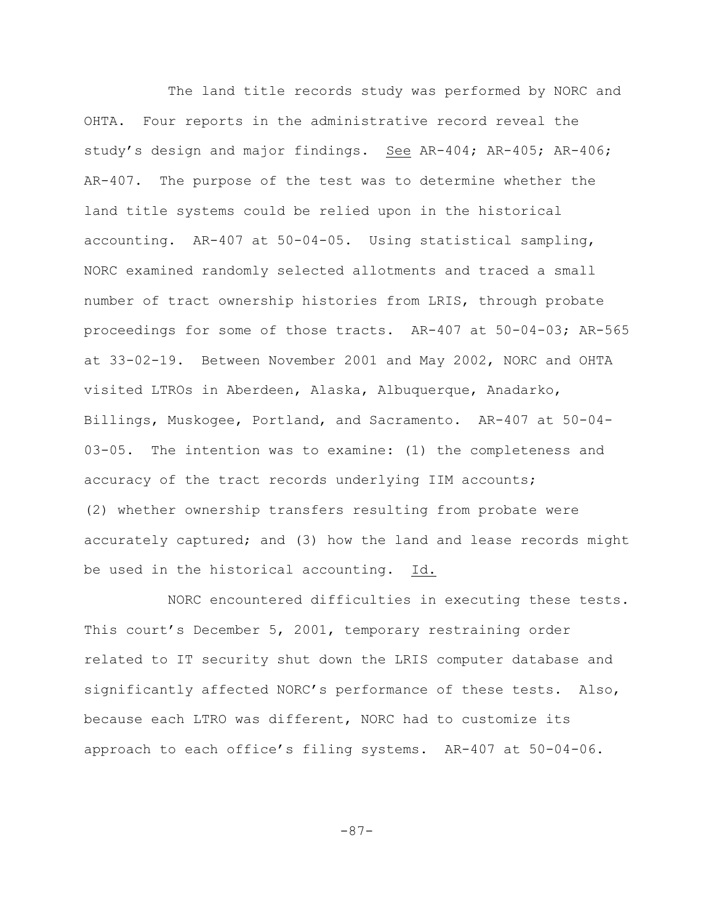The land title records study was performed by NORC and OHTA. Four reports in the administrative record reveal the study's design and major findings. See AR-404; AR-405; AR-406; AR-407. The purpose of the test was to determine whether the land title systems could be relied upon in the historical accounting. AR-407 at 50-04-05. Using statistical sampling, NORC examined randomly selected allotments and traced a small number of tract ownership histories from LRIS, through probate proceedings for some of those tracts. AR-407 at 50-04-03; AR-565 at 33-02-19. Between November 2001 and May 2002, NORC and OHTA visited LTROs in Aberdeen, Alaska, Albuquerque, Anadarko, Billings, Muskogee, Portland, and Sacramento. AR-407 at 50-04- 03-05. The intention was to examine: (1) the completeness and accuracy of the tract records underlying IIM accounts; (2) whether ownership transfers resulting from probate were accurately captured; and (3) how the land and lease records might be used in the historical accounting. Id.

NORC encountered difficulties in executing these tests. This court's December 5, 2001, temporary restraining order related to IT security shut down the LRIS computer database and significantly affected NORC's performance of these tests. Also, because each LTRO was different, NORC had to customize its approach to each office's filing systems. AR-407 at 50-04-06.

-87-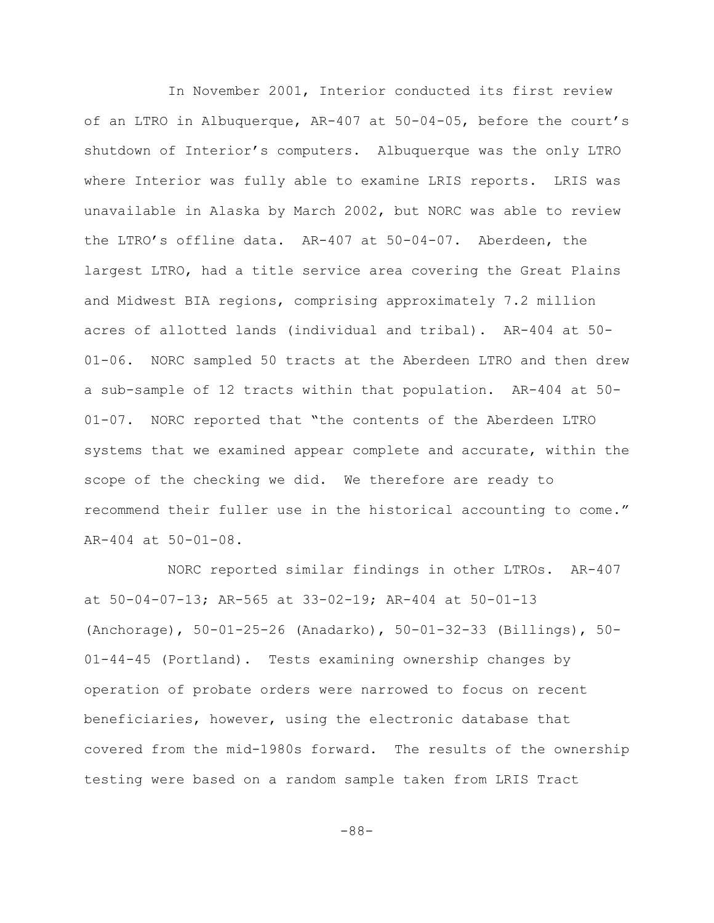In November 2001, Interior conducted its first review of an LTRO in Albuquerque, AR-407 at 50-04-05, before the court's shutdown of Interior's computers. Albuquerque was the only LTRO where Interior was fully able to examine LRIS reports. LRIS was unavailable in Alaska by March 2002, but NORC was able to review the LTRO's offline data. AR-407 at 50-04-07. Aberdeen, the largest LTRO, had a title service area covering the Great Plains and Midwest BIA regions, comprising approximately 7.2 million acres of allotted lands (individual and tribal). AR-404 at 50- 01-06. NORC sampled 50 tracts at the Aberdeen LTRO and then drew a sub-sample of 12 tracts within that population. AR-404 at 50- 01-07. NORC reported that "the contents of the Aberdeen LTRO systems that we examined appear complete and accurate, within the scope of the checking we did. We therefore are ready to recommend their fuller use in the historical accounting to come." AR-404 at 50-01-08.

NORC reported similar findings in other LTROs. AR-407 at 50-04-07-13; AR-565 at 33-02-19; AR-404 at 50-01-13 (Anchorage), 50-01-25-26 (Anadarko), 50-01-32-33 (Billings), 50- 01-44-45 (Portland). Tests examining ownership changes by operation of probate orders were narrowed to focus on recent beneficiaries, however, using the electronic database that covered from the mid-1980s forward. The results of the ownership testing were based on a random sample taken from LRIS Tract

-88-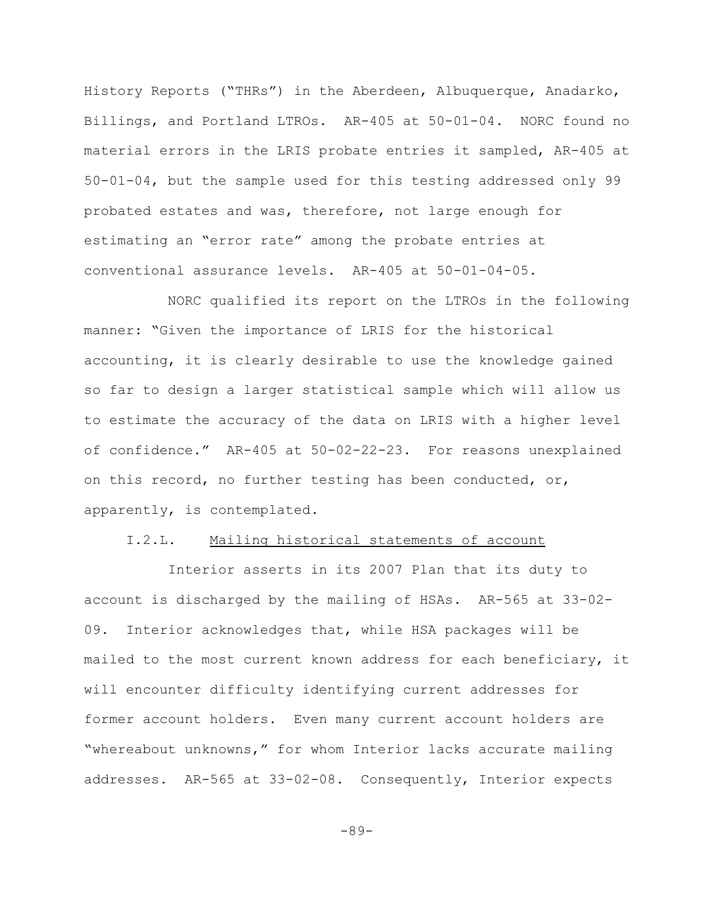History Reports ("THRs") in the Aberdeen, Albuquerque, Anadarko, Billings, and Portland LTROs. AR-405 at 50-01-04. NORC found no material errors in the LRIS probate entries it sampled, AR-405 at 50-01-04, but the sample used for this testing addressed only 99 probated estates and was, therefore, not large enough for estimating an "error rate" among the probate entries at conventional assurance levels. AR-405 at 50-01-04-05.

NORC qualified its report on the LTROs in the following manner: "Given the importance of LRIS for the historical accounting, it is clearly desirable to use the knowledge gained so far to design a larger statistical sample which will allow us to estimate the accuracy of the data on LRIS with a higher level of confidence." AR-405 at 50-02-22-23. For reasons unexplained on this record, no further testing has been conducted, or, apparently, is contemplated.

### I.2.L. Mailing historical statements of account

Interior asserts in its 2007 Plan that its duty to account is discharged by the mailing of HSAs. AR-565 at 33-02- 09. Interior acknowledges that, while HSA packages will be mailed to the most current known address for each beneficiary, it will encounter difficulty identifying current addresses for former account holders. Even many current account holders are "whereabout unknowns," for whom Interior lacks accurate mailing addresses. AR-565 at 33-02-08. Consequently, Interior expects

-89-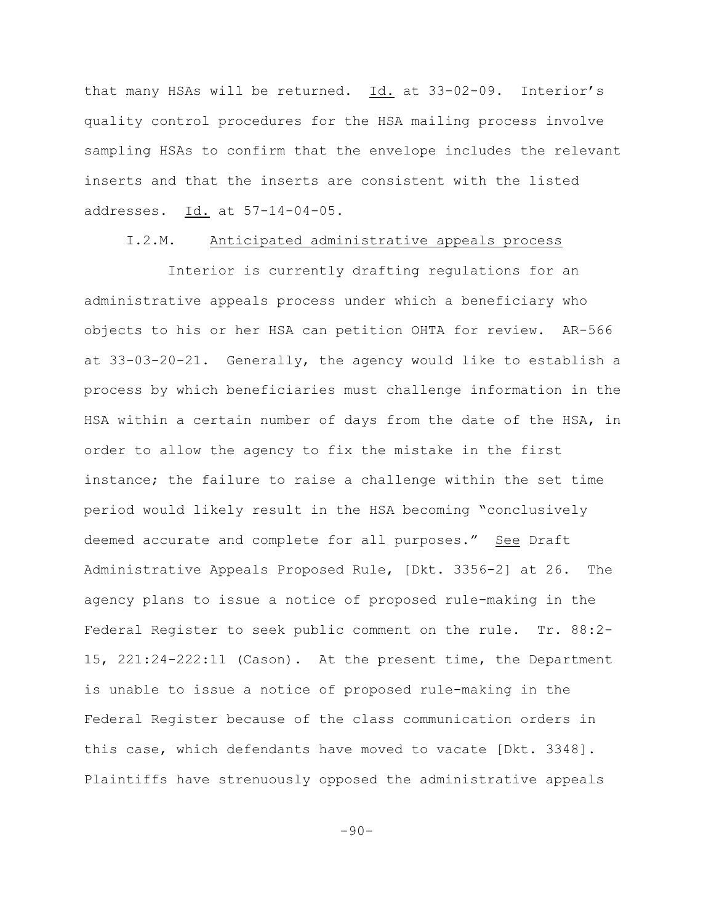that many HSAs will be returned. Id. at 33-02-09. Interior's quality control procedures for the HSA mailing process involve sampling HSAs to confirm that the envelope includes the relevant inserts and that the inserts are consistent with the listed addresses. Id. at 57-14-04-05.

## I.2.M. Anticipated administrative appeals process

Interior is currently drafting regulations for an administrative appeals process under which a beneficiary who objects to his or her HSA can petition OHTA for review. AR-566 at 33-03-20-21. Generally, the agency would like to establish a process by which beneficiaries must challenge information in the HSA within a certain number of days from the date of the HSA, in order to allow the agency to fix the mistake in the first instance; the failure to raise a challenge within the set time period would likely result in the HSA becoming "conclusively deemed accurate and complete for all purposes." See Draft Administrative Appeals Proposed Rule, [Dkt. 3356-2] at 26. The agency plans to issue a notice of proposed rule-making in the Federal Register to seek public comment on the rule. Tr. 88:2- 15, 221:24-222:11 (Cason). At the present time, the Department is unable to issue a notice of proposed rule-making in the Federal Register because of the class communication orders in this case, which defendants have moved to vacate [Dkt. 3348]. Plaintiffs have strenuously opposed the administrative appeals

-90-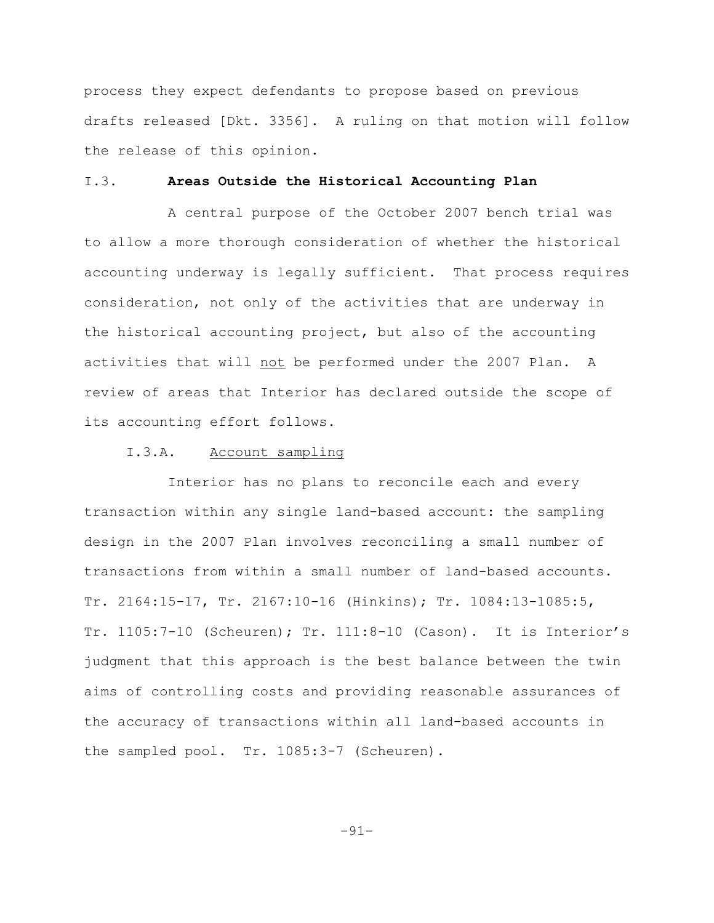process they expect defendants to propose based on previous drafts released [Dkt. 3356]. A ruling on that motion will follow the release of this opinion.

## I.3. **Areas Outside the Historical Accounting Plan**

A central purpose of the October 2007 bench trial was to allow a more thorough consideration of whether the historical accounting underway is legally sufficient. That process requires consideration, not only of the activities that are underway in the historical accounting project, but also of the accounting activities that will not be performed under the 2007 Plan. A review of areas that Interior has declared outside the scope of its accounting effort follows.

### I.3.A. Account sampling

Interior has no plans to reconcile each and every transaction within any single land-based account: the sampling design in the 2007 Plan involves reconciling a small number of transactions from within a small number of land-based accounts. Tr. 2164:15-17, Tr. 2167:10-16 (Hinkins); Tr. 1084:13-1085:5, Tr. 1105:7-10 (Scheuren); Tr. 111:8-10 (Cason). It is Interior's judgment that this approach is the best balance between the twin aims of controlling costs and providing reasonable assurances of the accuracy of transactions within all land-based accounts in the sampled pool. Tr. 1085:3-7 (Scheuren).

-91-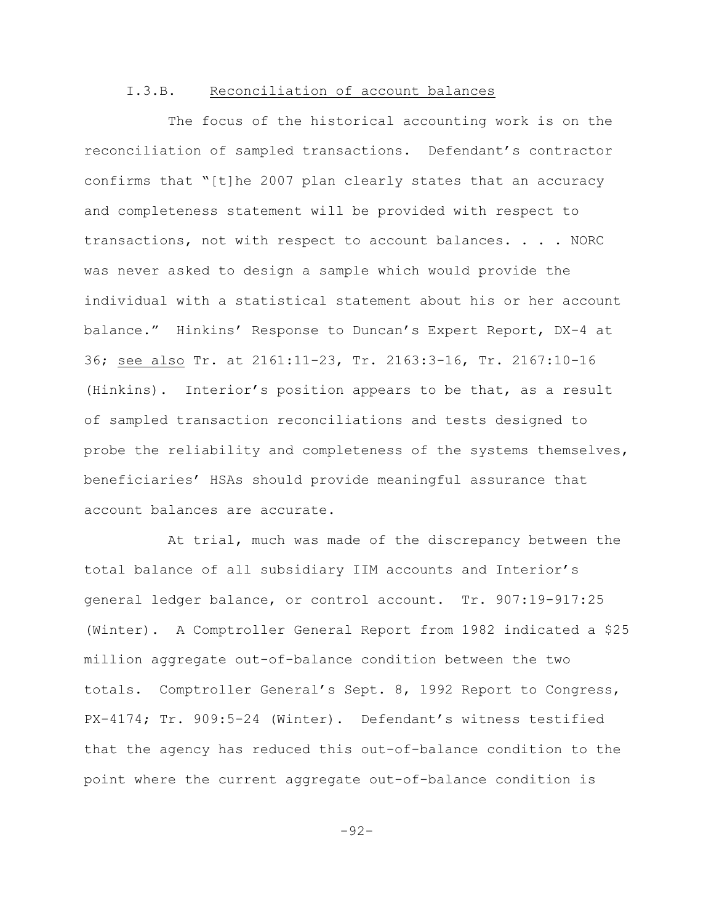## I.3.B. Reconciliation of account balances

The focus of the historical accounting work is on the reconciliation of sampled transactions. Defendant's contractor confirms that "[t]he 2007 plan clearly states that an accuracy and completeness statement will be provided with respect to transactions, not with respect to account balances. . . . NORC was never asked to design a sample which would provide the individual with a statistical statement about his or her account balance." Hinkins' Response to Duncan's Expert Report, DX-4 at 36; see also Tr. at 2161:11-23, Tr. 2163:3-16, Tr. 2167:10-16 (Hinkins). Interior's position appears to be that, as a result of sampled transaction reconciliations and tests designed to probe the reliability and completeness of the systems themselves, beneficiaries' HSAs should provide meaningful assurance that account balances are accurate.

At trial, much was made of the discrepancy between the total balance of all subsidiary IIM accounts and Interior's general ledger balance, or control account. Tr. 907:19-917:25 (Winter). A Comptroller General Report from 1982 indicated a \$25 million aggregate out-of-balance condition between the two totals. Comptroller General's Sept. 8, 1992 Report to Congress, PX-4174; Tr. 909:5-24 (Winter). Defendant's witness testified that the agency has reduced this out-of-balance condition to the point where the current aggregate out-of-balance condition is

-92-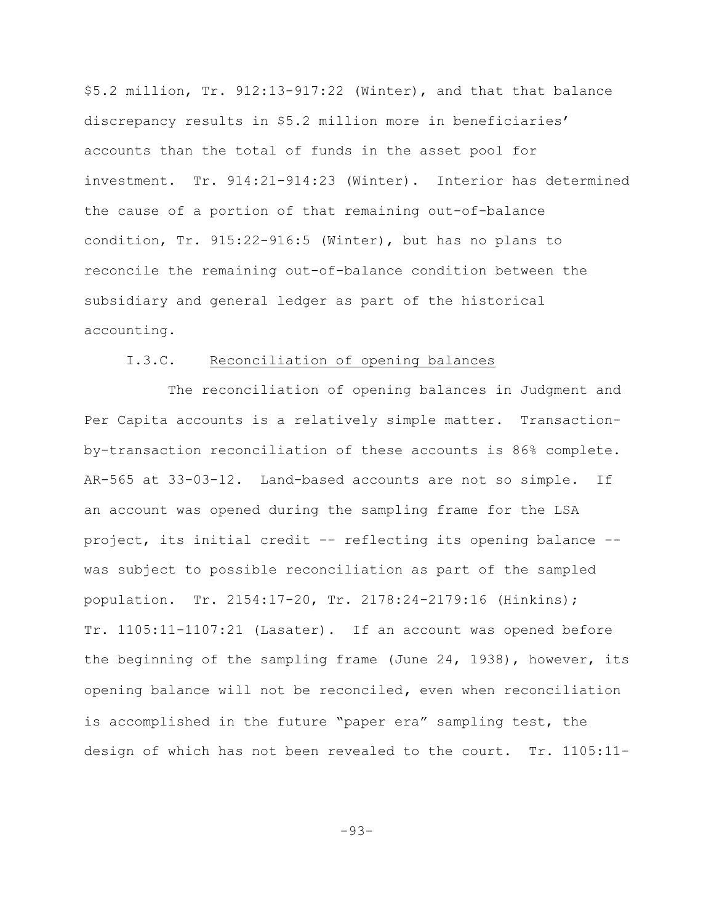\$5.2 million, Tr. 912:13-917:22 (Winter), and that that balance discrepancy results in \$5.2 million more in beneficiaries' accounts than the total of funds in the asset pool for investment. Tr. 914:21-914:23 (Winter). Interior has determined the cause of a portion of that remaining out-of-balance condition, Tr. 915:22-916:5 (Winter), but has no plans to reconcile the remaining out-of-balance condition between the subsidiary and general ledger as part of the historical accounting.

## I.3.C. Reconciliation of opening balances

The reconciliation of opening balances in Judgment and Per Capita accounts is a relatively simple matter. Transactionby-transaction reconciliation of these accounts is 86% complete. AR-565 at 33-03-12. Land-based accounts are not so simple. If an account was opened during the sampling frame for the LSA project, its initial credit -- reflecting its opening balance - was subject to possible reconciliation as part of the sampled population. Tr. 2154:17-20, Tr. 2178:24-2179:16 (Hinkins); Tr. 1105:11-1107:21 (Lasater). If an account was opened before the beginning of the sampling frame (June 24, 1938), however, its opening balance will not be reconciled**,** even when reconciliation is accomplished in the future "paper era" sampling test, the design of which has not been revealed to the court. Tr. 1105:11-

-93-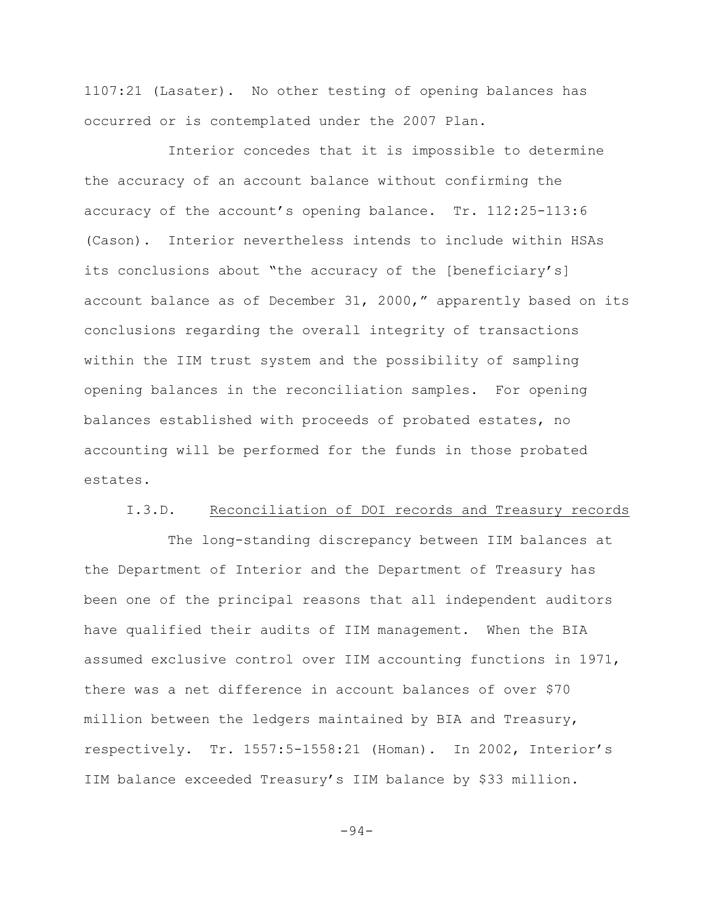1107:21 (Lasater). No other testing of opening balances has occurred or is contemplated under the 2007 Plan.

Interior concedes that it is impossible to determine the accuracy of an account balance without confirming the accuracy of the account's opening balance. Tr. 112:25-113:6 (Cason). Interior nevertheless intends to include within HSAs its conclusions about "the accuracy of the [beneficiary's] account balance as of December 31, 2000," apparently based on its conclusions regarding the overall integrity of transactions within the IIM trust system and the possibility of sampling opening balances in the reconciliation samples. For opening balances established with proceeds of probated estates, no accounting will be performed for the funds in those probated estates.

### I.3.D. Reconciliation of DOI records and Treasury records

The long-standing discrepancy between IIM balances at the Department of Interior and the Department of Treasury has been one of the principal reasons that all independent auditors have qualified their audits of IIM management. When the BIA assumed exclusive control over IIM accounting functions in 1971, there was a net difference in account balances of over \$70 million between the ledgers maintained by BIA and Treasury, respectively. Tr. 1557:5-1558:21 (Homan). In 2002, Interior's IIM balance exceeded Treasury's IIM balance by \$33 million.

-94-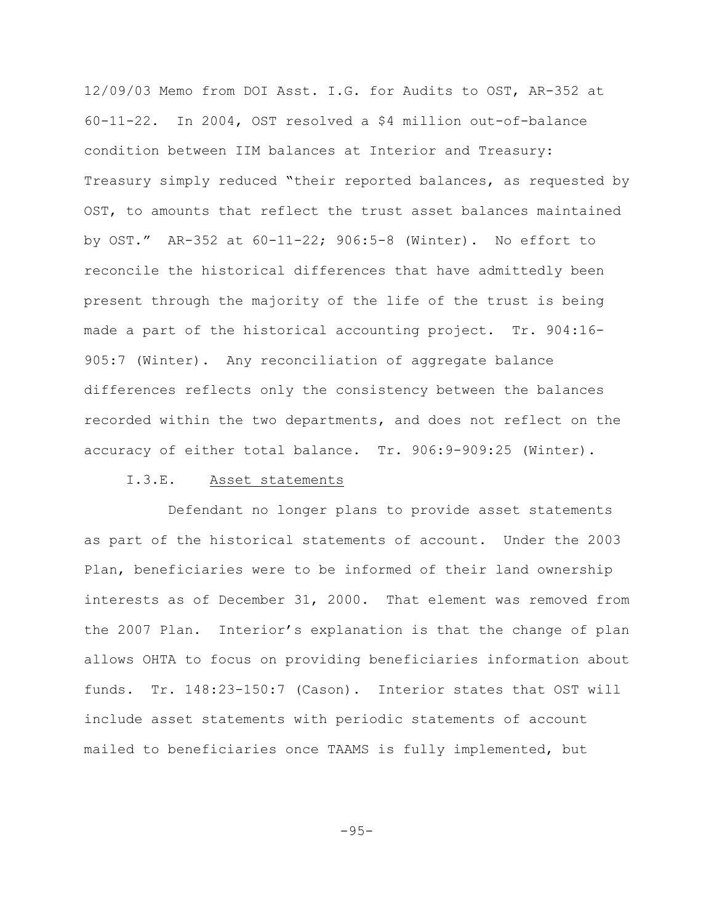12/09/03 Memo from DOI Asst. I.G. for Audits to OST, AR-352 at 60-11-22. In 2004, OST resolved a \$4 million out-of-balance condition between IIM balances at Interior and Treasury: Treasury simply reduced "their reported balances, as requested by OST, to amounts that reflect the trust asset balances maintained by OST." AR-352 at 60-11-22; 906:5-8 (Winter). No effort to reconcile the historical differences that have admittedly been present through the majority of the life of the trust is being made a part of the historical accounting project. Tr. 904:16- 905:7 (Winter). Any reconciliation of aggregate balance differences reflects only the consistency between the balances recorded within the two departments, and does not reflect on the accuracy of either total balance. Tr. 906:9-909:25 (Winter).

# I.3.E. Asset statements

Defendant no longer plans to provide asset statements as part of the historical statements of account. Under the 2003 Plan, beneficiaries were to be informed of their land ownership interests as of December 31, 2000. That element was removed from the 2007 Plan. Interior's explanation is that the change of plan allows OHTA to focus on providing beneficiaries information about funds. Tr. 148:23-150:7 (Cason). Interior states that OST will include asset statements with periodic statements of account mailed to beneficiaries once TAAMS is fully implemented, but

-95-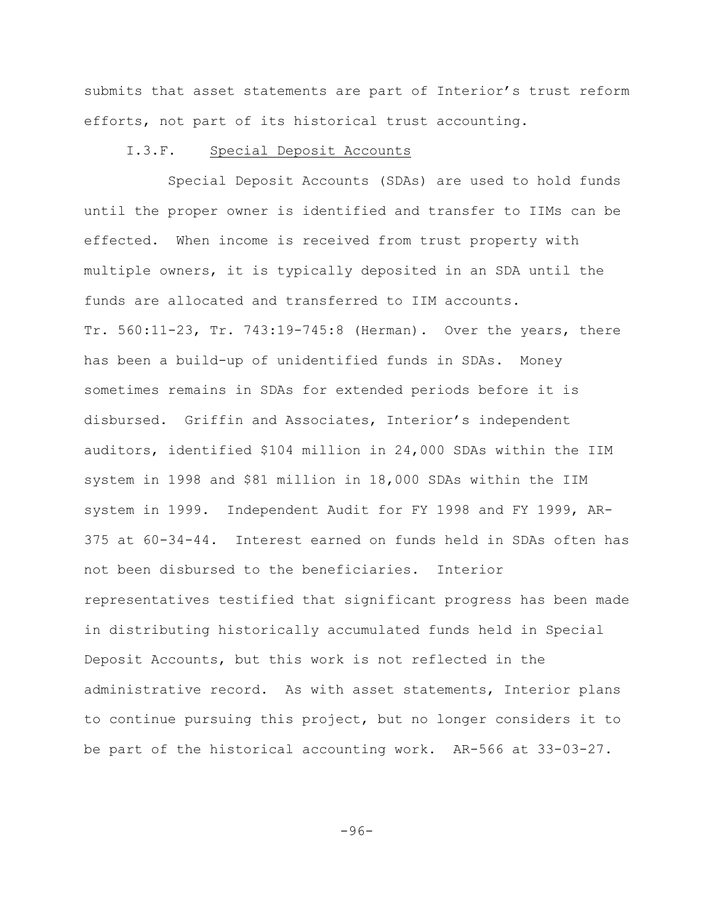submits that asset statements are part of Interior's trust reform efforts, not part of its historical trust accounting.

### I.3.F. Special Deposit Accounts

Special Deposit Accounts (SDAs) are used to hold funds until the proper owner is identified and transfer to IIMs can be effected. When income is received from trust property with multiple owners, it is typically deposited in an SDA until the funds are allocated and transferred to IIM accounts. Tr. 560:11-23, Tr. 743:19-745:8 (Herman). Over the years, there has been a build-up of unidentified funds in SDAs. Money sometimes remains in SDAs for extended periods before it is disbursed. Griffin and Associates, Interior's independent auditors, identified \$104 million in 24,000 SDAs within the IIM system in 1998 and \$81 million in 18,000 SDAs within the IIM system in 1999. Independent Audit for FY 1998 and FY 1999, AR-375 at 60-34-44. Interest earned on funds held in SDAs often has not been disbursed to the beneficiaries. Interior representatives testified that significant progress has been made in distributing historically accumulated funds held in Special Deposit Accounts, but this work is not reflected in the administrative record. As with asset statements, Interior plans to continue pursuing this project, but no longer considers it to be part of the historical accounting work. AR-566 at 33-03-27.

-96-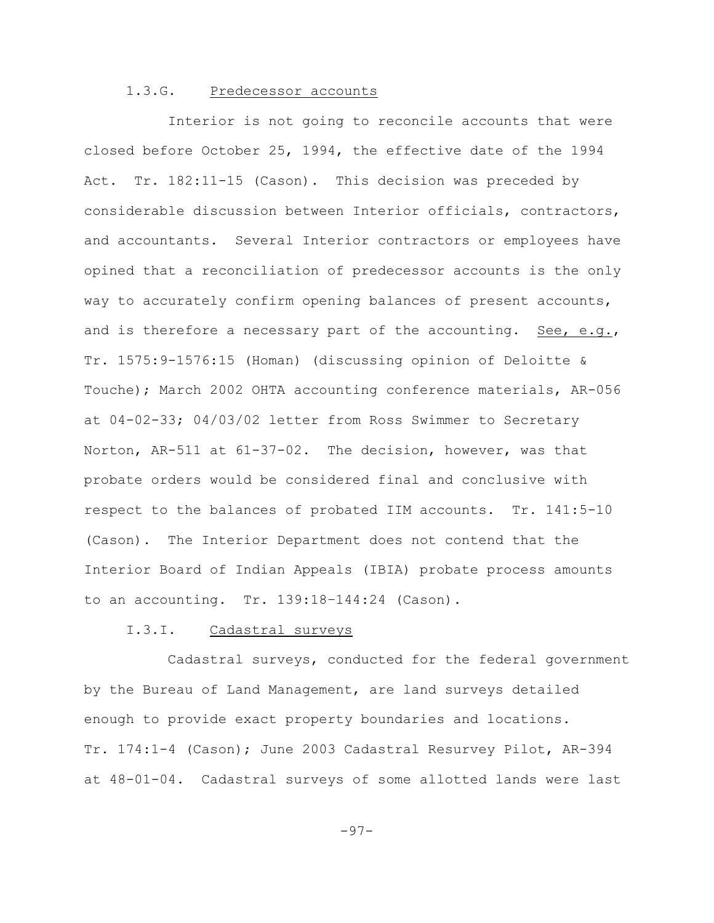### 1.3.G. Predecessor accounts

Interior is not going to reconcile accounts that were closed before October 25, 1994, the effective date of the 1994 Act. Tr. 182:11-15 (Cason). This decision was preceded by considerable discussion between Interior officials, contractors, and accountants. Several Interior contractors or employees have opined that a reconciliation of predecessor accounts is the only way to accurately confirm opening balances of present accounts, and is therefore a necessary part of the accounting. See, e.g., Tr. 1575:9-1576:15 (Homan) (discussing opinion of Deloitte & Touche); March 2002 OHTA accounting conference materials, AR-056 at 04-02-33; 04/03/02 letter from Ross Swimmer to Secretary Norton, AR-511 at 61-37-02. The decision, however, was that probate orders would be considered final and conclusive with respect to the balances of probated IIM accounts. Tr. 141:5-10 (Cason). The Interior Department does not contend that the Interior Board of Indian Appeals (IBIA) probate process amounts to an accounting. Tr. 139:18–144:24 (Cason).

## I.3.I. Cadastral surveys

Cadastral surveys, conducted for the federal government by the Bureau of Land Management, are land surveys detailed enough to provide exact property boundaries and locations. Tr. 174:1-4 (Cason); June 2003 Cadastral Resurvey Pilot, AR-394 at 48-01-04. Cadastral surveys of some allotted lands were last

-97-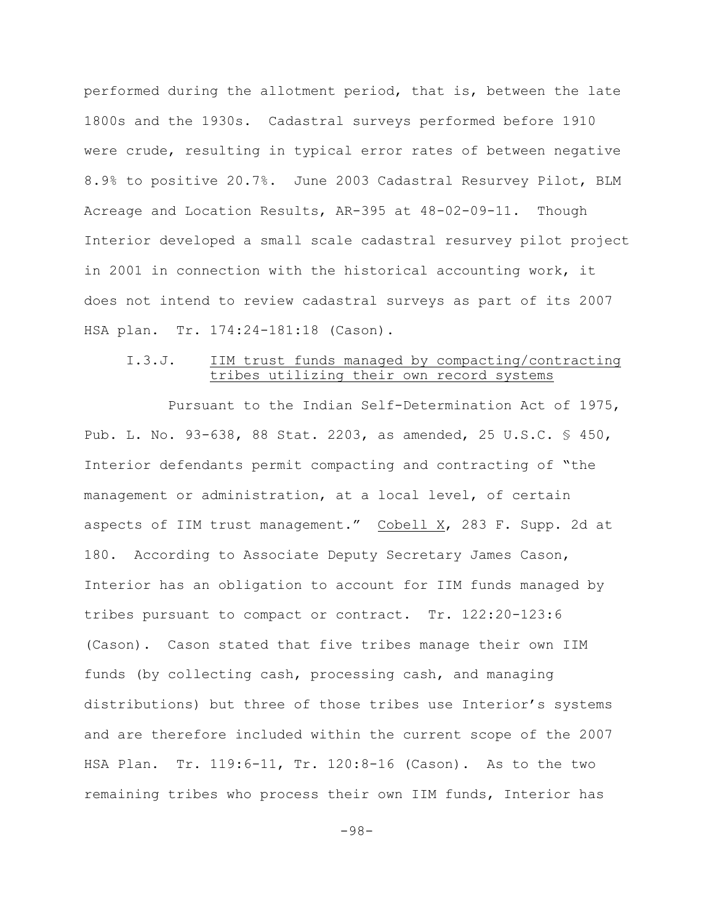performed during the allotment period, that is, between the late 1800s and the 1930s. Cadastral surveys performed before 1910 were crude, resulting in typical error rates of between negative 8.9% to positive 20.7%. June 2003 Cadastral Resurvey Pilot, BLM Acreage and Location Results, AR-395 at 48-02-09-11. Though Interior developed a small scale cadastral resurvey pilot project in 2001 in connection with the historical accounting work, it does not intend to review cadastral surveys as part of its 2007 HSA plan. Tr. 174:24-181:18 (Cason).

# I.3.J. IIM trust funds managed by compacting/contracting tribes utilizing their own record systems

Pursuant to the Indian Self-Determination Act of 1975, Pub. L. No. 93-638, 88 Stat. 2203, as amended, 25 U.S.C. § 450, Interior defendants permit compacting and contracting of "the management or administration, at a local level, of certain aspects of IIM trust management." Cobell X, 283 F. Supp. 2d at 180. According to Associate Deputy Secretary James Cason, Interior has an obligation to account for IIM funds managed by tribes pursuant to compact or contract. Tr. 122:20-123:6 (Cason). Cason stated that five tribes manage their own IIM funds (by collecting cash, processing cash, and managing distributions) but three of those tribes use Interior's systems and are therefore included within the current scope of the 2007 HSA Plan. Tr. 119:6-11, Tr. 120:8-16 (Cason). As to the two remaining tribes who process their own IIM funds, Interior has

-98-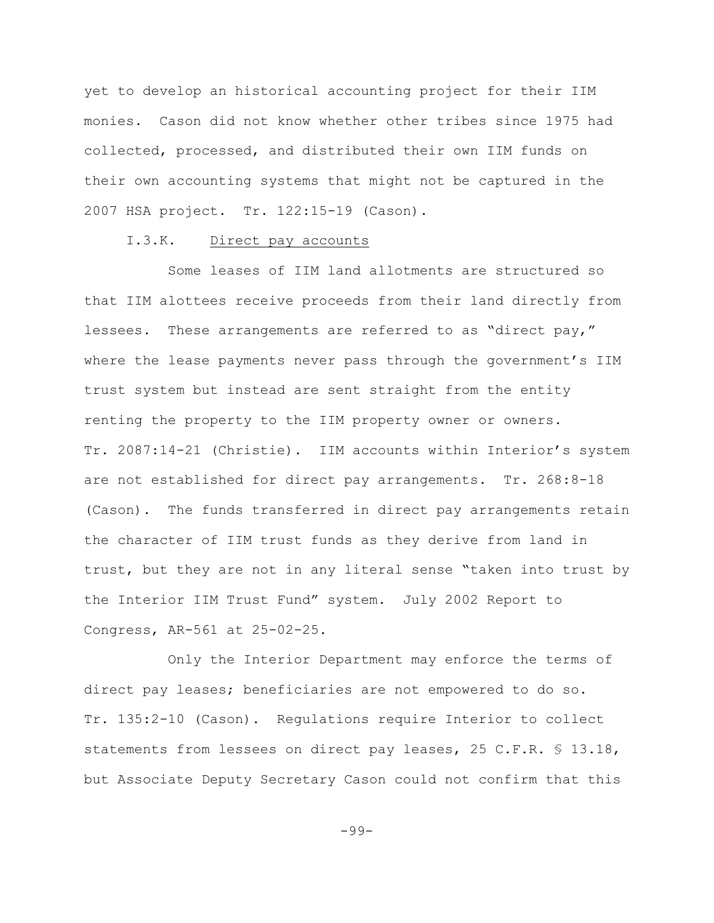yet to develop an historical accounting project for their IIM monies. Cason did not know whether other tribes since 1975 had collected, processed, and distributed their own IIM funds on their own accounting systems that might not be captured in the 2007 HSA project. Tr. 122:15-19 (Cason).

### I.3.K. Direct pay accounts

Some leases of IIM land allotments are structured so that IIM alottees receive proceeds from their land directly from lessees. These arrangements are referred to as "direct pay," where the lease payments never pass through the government's IIM trust system but instead are sent straight from the entity renting the property to the IIM property owner or owners. Tr. 2087:14-21 (Christie). IIM accounts within Interior's system are not established for direct pay arrangements. Tr. 268:8-18 (Cason). The funds transferred in direct pay arrangements retain the character of IIM trust funds as they derive from land in trust, but they are not in any literal sense "taken into trust by the Interior IIM Trust Fund" system. July 2002 Report to Congress, AR-561 at 25-02-25.

Only the Interior Department may enforce the terms of direct pay leases; beneficiaries are not empowered to do so. Tr. 135:2-10 (Cason). Regulations require Interior to collect statements from lessees on direct pay leases, 25 C.F.R. § 13.18, but Associate Deputy Secretary Cason could not confirm that this

-99-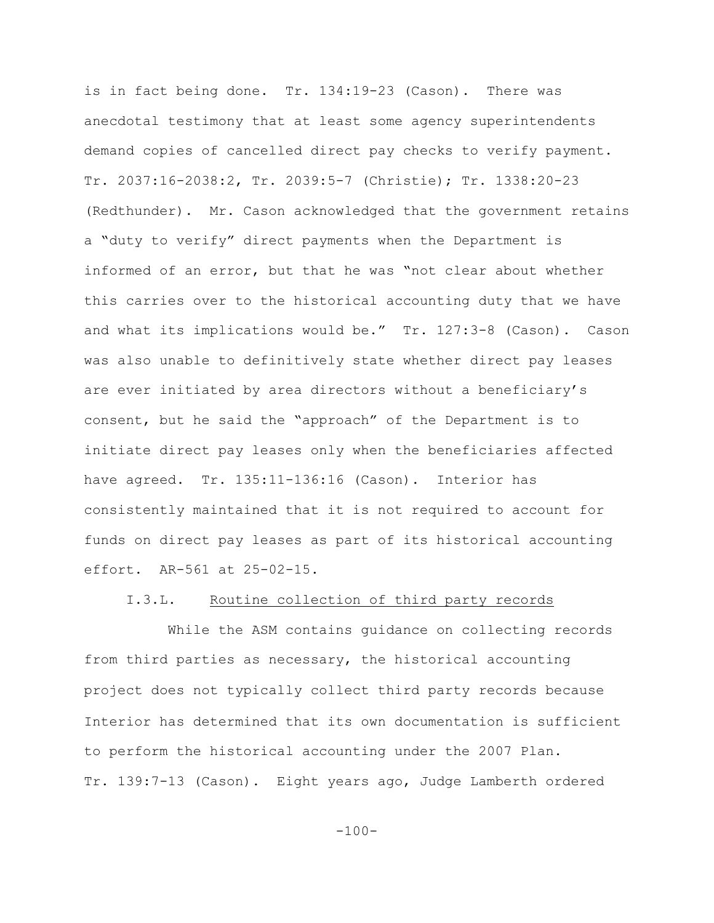is in fact being done. Tr. 134:19-23 (Cason). There was anecdotal testimony that at least some agency superintendents demand copies of cancelled direct pay checks to verify payment. Tr. 2037:16-2038:2, Tr. 2039:5-7 (Christie); Tr. 1338:20-23 (Redthunder). Mr. Cason acknowledged that the government retains a "duty to verify" direct payments when the Department is informed of an error, but that he was "not clear about whether this carries over to the historical accounting duty that we have and what its implications would be." Tr. 127:3-8 (Cason). Cason was also unable to definitively state whether direct pay leases are ever initiated by area directors without a beneficiary's consent, but he said the "approach" of the Department is to initiate direct pay leases only when the beneficiaries affected have agreed. Tr. 135:11-136:16 (Cason). Interior has consistently maintained that it is not required to account for funds on direct pay leases as part of its historical accounting effort. AR-561 at 25-02-15.

## I.3.L. Routine collection of third party records

While the ASM contains guidance on collecting records from third parties as necessary, the historical accounting project does not typically collect third party records because Interior has determined that its own documentation is sufficient to perform the historical accounting under the 2007 Plan. Tr. 139:7-13 (Cason). Eight years ago, Judge Lamberth ordered

 $-100-$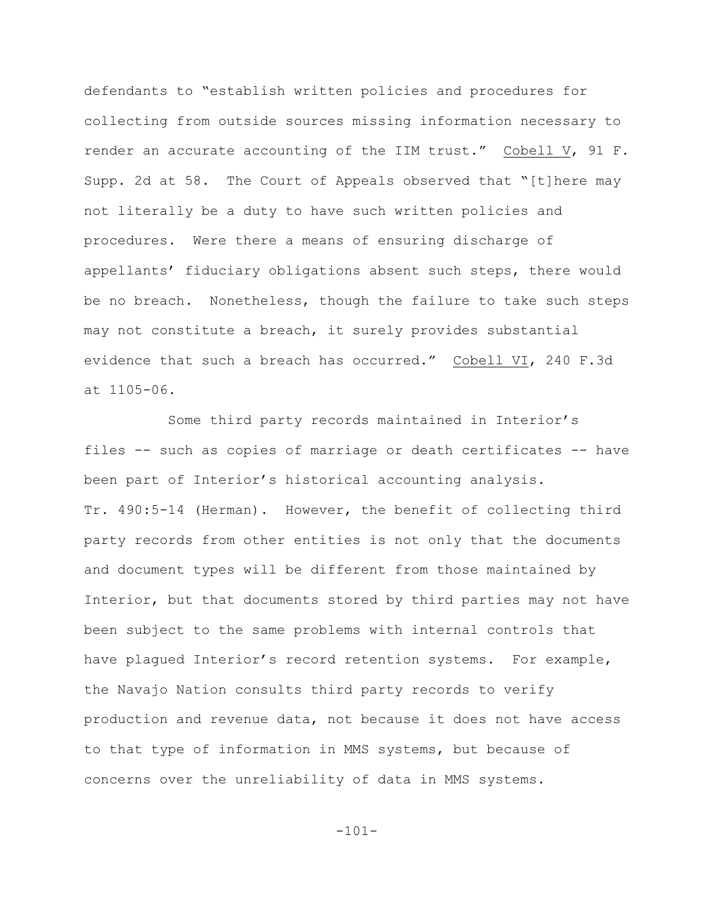defendants to "establish written policies and procedures for collecting from outside sources missing information necessary to render an accurate accounting of the IIM trust." Cobell V, 91 F. Supp. 2d at 58. The Court of Appeals observed that "[t]here may not literally be a duty to have such written policies and procedures. Were there a means of ensuring discharge of appellants' fiduciary obligations absent such steps, there would be no breach. Nonetheless, though the failure to take such steps may not constitute a breach, it surely provides substantial evidence that such a breach has occurred." Cobell VI, 240 F.3d at 1105-06.

Some third party records maintained in Interior's files -- such as copies of marriage or death certificates -- have been part of Interior's historical accounting analysis. Tr. 490:5-14 (Herman). However, the benefit of collecting third party records from other entities is not only that the documents and document types will be different from those maintained by Interior, but that documents stored by third parties may not have been subject to the same problems with internal controls that have plagued Interior's record retention systems. For example, the Navajo Nation consults third party records to verify production and revenue data, not because it does not have access to that type of information in MMS systems, but because of concerns over the unreliability of data in MMS systems.

-101-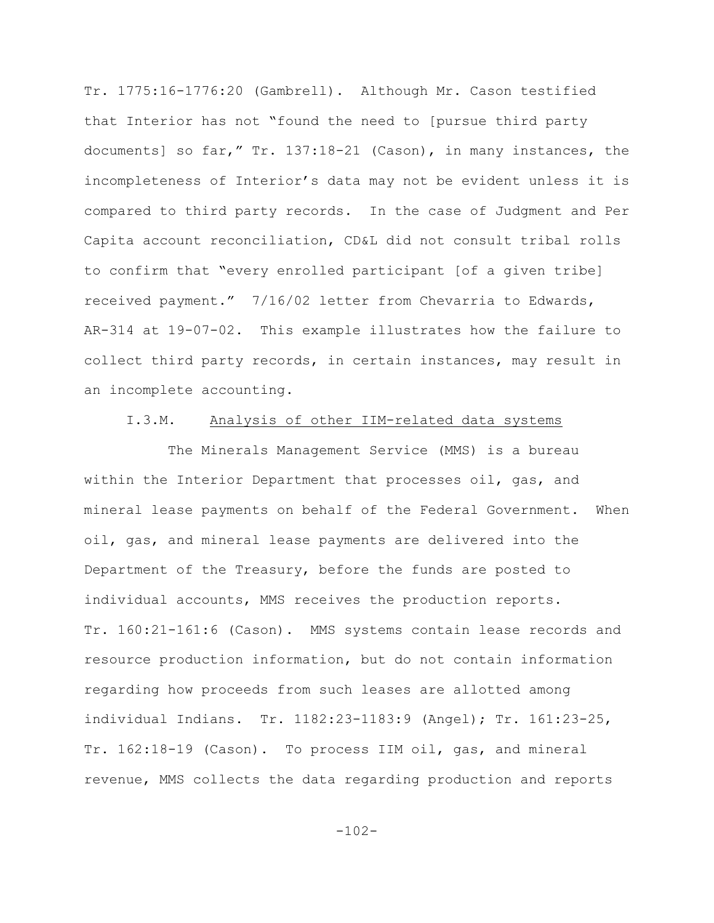Tr. 1775:16-1776:20 (Gambrell). Although Mr. Cason testified that Interior has not "found the need to [pursue third party documents] so far," Tr. 137:18-21 (Cason), in many instances, the incompleteness of Interior's data may not be evident unless it is compared to third party records. In the case of Judgment and Per Capita account reconciliation, CD&L did not consult tribal rolls to confirm that "every enrolled participant [of a given tribe] received payment." 7/16/02 letter from Chevarria to Edwards, AR-314 at 19-07-02. This example illustrates how the failure to collect third party records, in certain instances, may result in an incomplete accounting.

# I.3.M. Analysis of other IIM-related data systems

The Minerals Management Service (MMS) is a bureau within the Interior Department that processes oil, gas, and mineral lease payments on behalf of the Federal Government. When oil, gas, and mineral lease payments are delivered into the Department of the Treasury, before the funds are posted to individual accounts, MMS receives the production reports. Tr. 160:21-161:6 (Cason). MMS systems contain lease records and resource production information, but do not contain information regarding how proceeds from such leases are allotted among individual Indians. Tr. 1182:23-1183:9 (Angel); Tr. 161:23-25, Tr. 162:18-19 (Cason). To process IIM oil, gas, and mineral revenue, MMS collects the data regarding production and reports

 $-102-$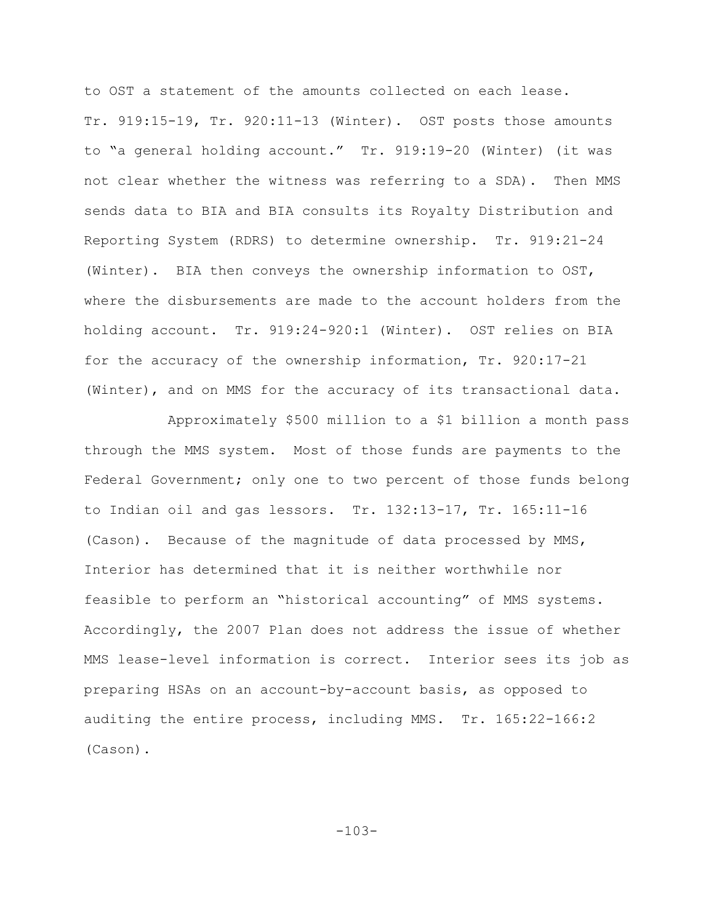to OST a statement of the amounts collected on each lease. Tr. 919:15-19, Tr. 920:11-13 (Winter). OST posts those amounts to "a general holding account." Tr. 919:19-20 (Winter) (it was not clear whether the witness was referring to a SDA). Then MMS sends data to BIA and BIA consults its Royalty Distribution and Reporting System (RDRS) to determine ownership. Tr. 919:21-24 (Winter). BIA then conveys the ownership information to OST, where the disbursements are made to the account holders from the holding account. Tr. 919:24-920:1 (Winter). OST relies on BIA for the accuracy of the ownership information, Tr. 920:17-21 (Winter), and on MMS for the accuracy of its transactional data.

Approximately \$500 million to a \$1 billion a month pass through the MMS system. Most of those funds are payments to the Federal Government; only one to two percent of those funds belong to Indian oil and gas lessors. Tr. 132:13-17, Tr. 165:11-16 (Cason). Because of the magnitude of data processed by MMS, Interior has determined that it is neither worthwhile nor feasible to perform an "historical accounting" of MMS systems. Accordingly, the 2007 Plan does not address the issue of whether MMS lease-level information is correct. Interior sees its job as preparing HSAs on an account-by-account basis, as opposed to auditing the entire process, including MMS. Tr. 165:22-166:2 (Cason).

-103-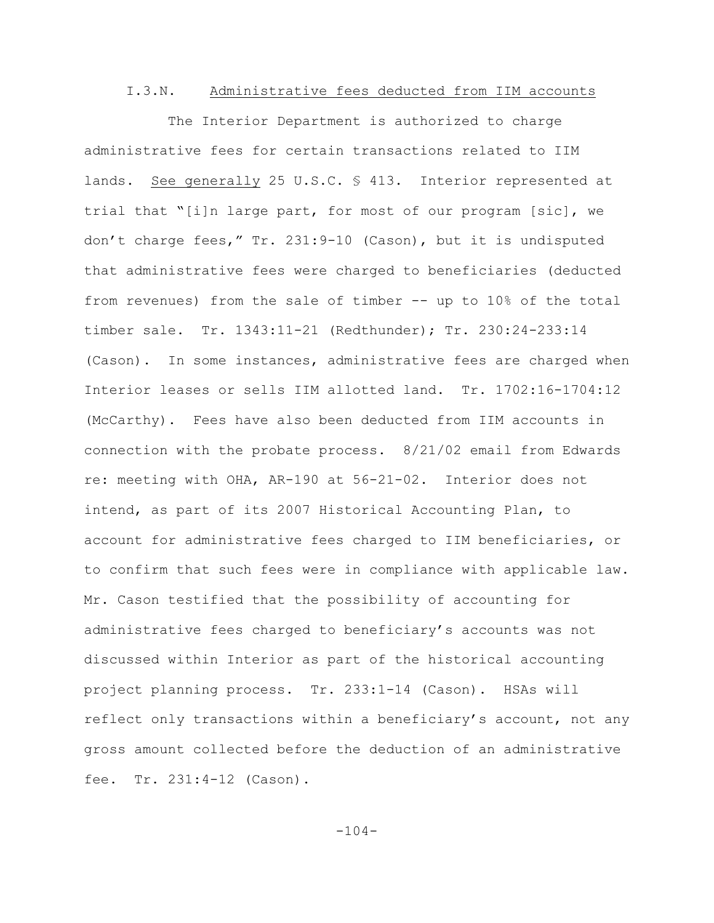## I.3.N. Administrative fees deducted from IIM accounts

The Interior Department is authorized to charge administrative fees for certain transactions related to IIM lands. See generally 25 U.S.C. § 413. Interior represented at trial that "[i]n large part, for most of our program [sic], we don't charge fees," Tr. 231:9-10 (Cason), but it is undisputed that administrative fees were charged to beneficiaries (deducted from revenues) from the sale of timber -- up to 10% of the total timber sale. Tr. 1343:11-21 (Redthunder); Tr. 230:24-233:14 (Cason). In some instances, administrative fees are charged when Interior leases or sells IIM allotted land. Tr. 1702:16-1704:12 (McCarthy). Fees have also been deducted from IIM accounts in connection with the probate process. 8/21/02 email from Edwards re: meeting with OHA, AR-190 at 56-21-02. Interior does not intend, as part of its 2007 Historical Accounting Plan, to account for administrative fees charged to IIM beneficiaries, or to confirm that such fees were in compliance with applicable law. Mr. Cason testified that the possibility of accounting for administrative fees charged to beneficiary's accounts was not discussed within Interior as part of the historical accounting project planning process. Tr. 233:1-14 (Cason). HSAs will reflect only transactions within a beneficiary's account, not any gross amount collected before the deduction of an administrative fee. Tr. 231:4-12 (Cason).

 $-104-$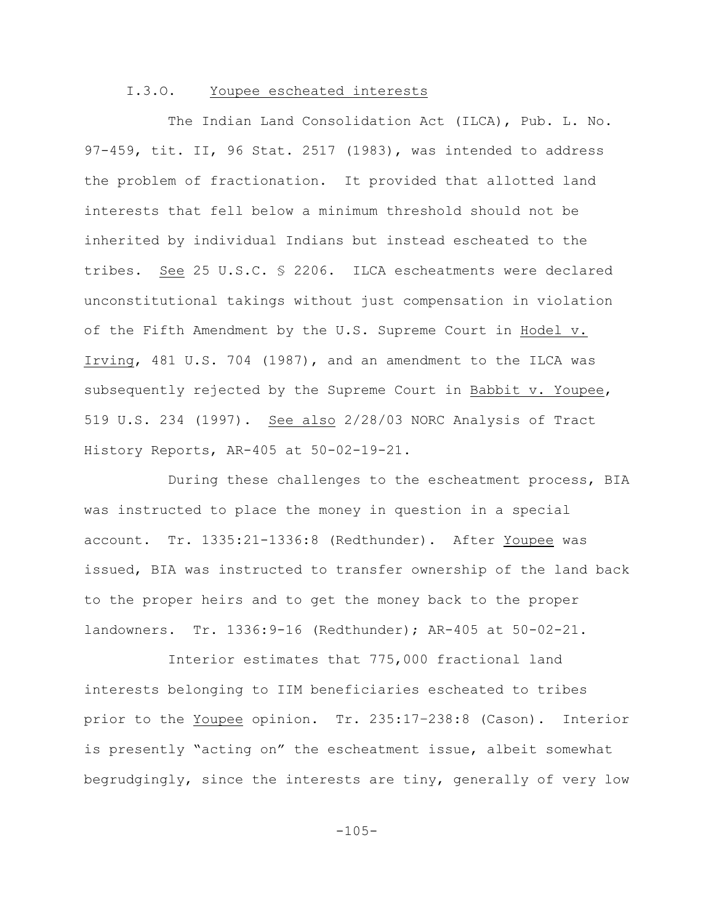### I.3.O. Youpee escheated interests

The Indian Land Consolidation Act (ILCA), Pub. L. No. 97-459, tit. II, 96 Stat. 2517 (1983), was intended to address the problem of fractionation. It provided that allotted land interests that fell below a minimum threshold should not be inherited by individual Indians but instead escheated to the tribes. See 25 U.S.C. § 2206. ILCA escheatments were declared unconstitutional takings without just compensation in violation of the Fifth Amendment by the U.S. Supreme Court in Hodel v. Irving, 481 U.S. 704 (1987), and an amendment to the ILCA was subsequently rejected by the Supreme Court in Babbit v. Youpee, 519 U.S. 234 (1997). See also 2/28/03 NORC Analysis of Tract History Reports, AR-405 at 50-02-19-21.

During these challenges to the escheatment process, BIA was instructed to place the money in question in a special account. Tr. 1335:21-1336:8 (Redthunder). After Youpee was issued, BIA was instructed to transfer ownership of the land back to the proper heirs and to get the money back to the proper landowners. Tr. 1336:9-16 (Redthunder); AR-405 at 50-02-21.

Interior estimates that 775,000 fractional land interests belonging to IIM beneficiaries escheated to tribes prior to the Youpee opinion. Tr. 235:17–238:8 (Cason). Interior is presently "acting on" the escheatment issue, albeit somewhat begrudgingly, since the interests are tiny, generally of very low

 $-105-$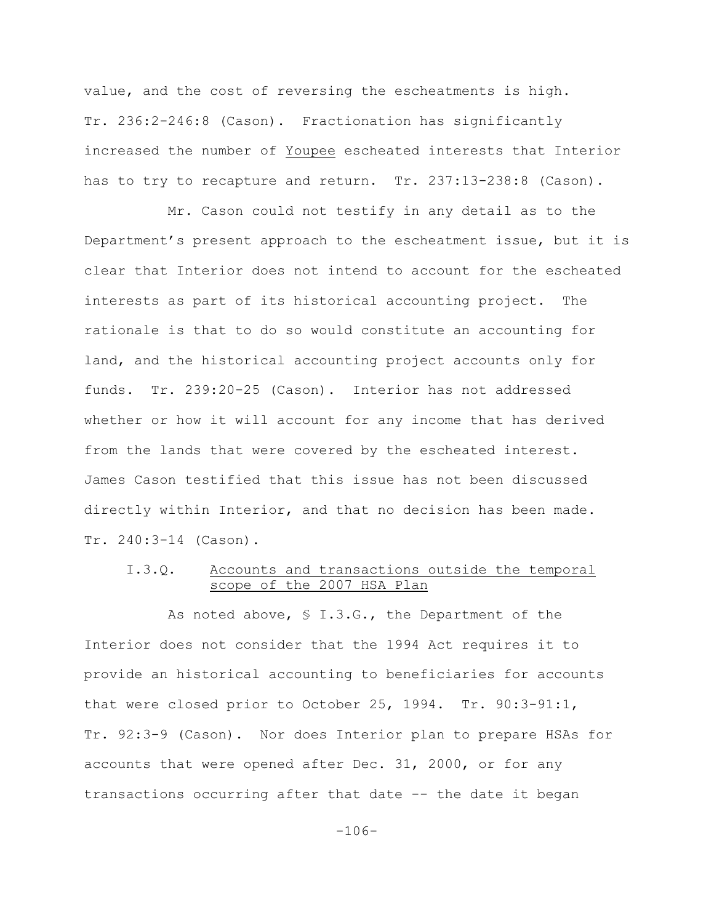value, and the cost of reversing the escheatments is high. Tr. 236:2-246:8 (Cason). Fractionation has significantly increased the number of Youpee escheated interests that Interior has to try to recapture and return. Tr. 237:13-238:8 (Cason).

Mr. Cason could not testify in any detail as to the Department's present approach to the escheatment issue, but it is clear that Interior does not intend to account for the escheated interests as part of its historical accounting project. The rationale is that to do so would constitute an accounting for land, and the historical accounting project accounts only for funds. Tr. 239:20-25 (Cason). Interior has not addressed whether or how it will account for any income that has derived from the lands that were covered by the escheated interest. James Cason testified that this issue has not been discussed directly within Interior, and that no decision has been made. Tr. 240:3-14 (Cason).

# I.3.Q. Accounts and transactions outside the temporal scope of the 2007 HSA Plan

As noted above, § I.3.G., the Department of the Interior does not consider that the 1994 Act requires it to provide an historical accounting to beneficiaries for accounts that were closed prior to October 25, 1994. Tr. 90:3-91:1, Tr. 92:3-9 (Cason). Nor does Interior plan to prepare HSAs for accounts that were opened after Dec. 31, 2000, or for any transactions occurring after that date -- the date it began

-106-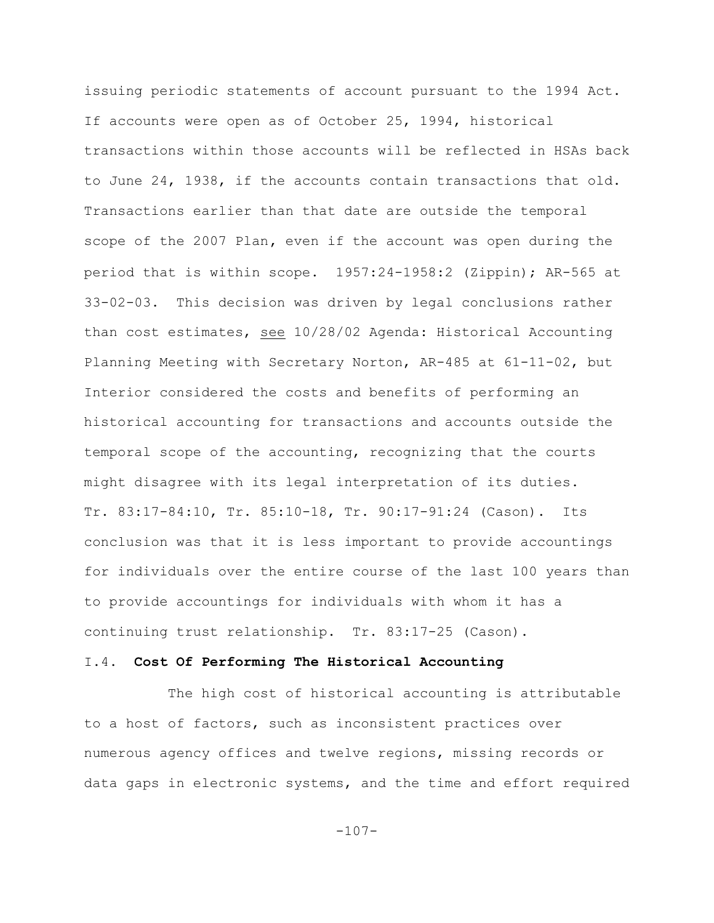issuing periodic statements of account pursuant to the 1994 Act. If accounts were open as of October 25, 1994, historical transactions within those accounts will be reflected in HSAs back to June 24, 1938, if the accounts contain transactions that old. Transactions earlier than that date are outside the temporal scope of the 2007 Plan**,** even if the account was open during the period that is within scope. 1957:24-1958:2 (Zippin); AR-565 at 33-02-03. This decision was driven by legal conclusions rather than cost estimates, see 10/28/02 Agenda: Historical Accounting Planning Meeting with Secretary Norton, AR-485 at 61-11-02, but Interior considered the costs and benefits of performing an historical accounting for transactions and accounts outside the temporal scope of the accounting, recognizing that the courts might disagree with its legal interpretation of its duties. Tr. 83:17-84:10, Tr. 85:10-18, Tr. 90:17-91:24 (Cason). Its conclusion was that it is less important to provide accountings for individuals over the entire course of the last 100 years than to provide accountings for individuals with whom it has a continuing trust relationship. Tr. 83:17-25 (Cason).

#### I.4. **Cost Of Performing The Historical Accounting**

The high cost of historical accounting is attributable to a host of factors, such as inconsistent practices over numerous agency offices and twelve regions, missing records or data gaps in electronic systems, and the time and effort required

 $-107-$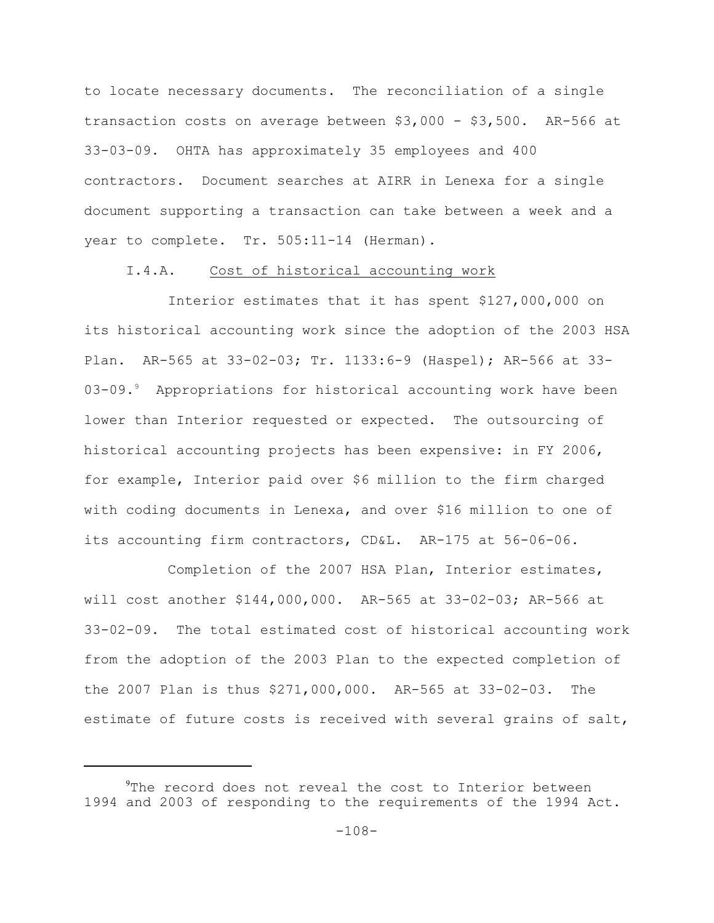to locate necessary documents. The reconciliation of a single transaction costs on average between \$3,000 - \$3,500. AR-566 at 33-03-09. OHTA has approximately 35 employees and 400 contractors. Document searches at AIRR in Lenexa for a single document supporting a transaction can take between a week and a year to complete. Tr. 505:11-14 (Herman).

### I.4.A. Cost of historical accounting work

Interior estimates that it has spent \$127,000,000 on its historical accounting work since the adoption of the 2003 HSA Plan. AR-565 at 33-02-03; Tr. 1133:6-9 (Haspel); AR-566 at 33- 03-09.<sup>9</sup> Appropriations for historical accounting work have been lower than Interior requested or expected. The outsourcing of historical accounting projects has been expensive: in FY 2006, for example, Interior paid over \$6 million to the firm charged with coding documents in Lenexa, and over \$16 million to one of its accounting firm contractors, CD&L. AR-175 at 56-06-06.

Completion of the 2007 HSA Plan, Interior estimates, will cost another \$144,000,000. AR-565 at 33-02-03; AR-566 at 33-02-09. The total estimated cost of historical accounting work from the adoption of the 2003 Plan to the expected completion of the 2007 Plan is thus \$271,000,000. AR-565 at 33-02-03. The estimate of future costs is received with several grains of salt,

 $^{9}$ The record does not reveal the cost to Interior between 1994 and 2003 of responding to the requirements of the 1994 Act.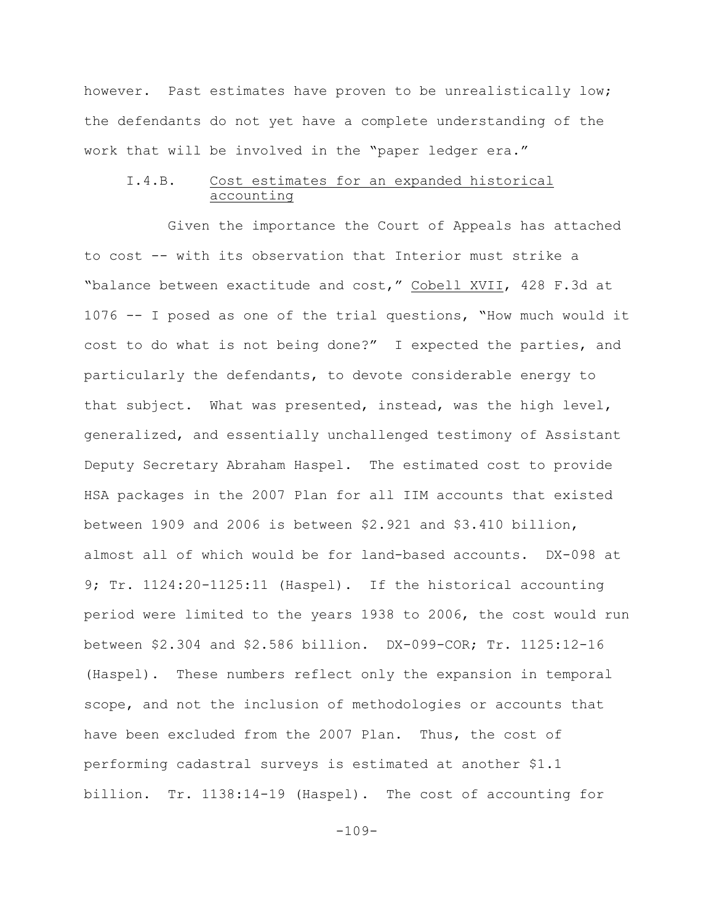however. Past estimates have proven to be unrealistically low; the defendants do not yet have a complete understanding of the work that will be involved in the "paper ledger era."

## I.4.B. Cost estimates for an expanded historical accounting

Given the importance the Court of Appeals has attached to cost -- with its observation that Interior must strike a "balance between exactitude and cost," Cobell XVII, 428 F.3d at 1076 -- I posed as one of the trial questions, "How much would it cost to do what is not being done?" I expected the parties, and particularly the defendants, to devote considerable energy to that subject. What was presented, instead, was the high level, generalized, and essentially unchallenged testimony of Assistant Deputy Secretary Abraham Haspel. The estimated cost to provide HSA packages in the 2007 Plan for all IIM accounts that existed between 1909 and 2006 is between \$2.921 and \$3.410 billion, almost all of which would be for land-based accounts. DX-098 at 9; Tr. 1124:20-1125:11 (Haspel). If the historical accounting period were limited to the years 1938 to 2006, the cost would run between \$2.304 and \$2.586 billion. DX-099-COR; Tr. 1125:12-16 (Haspel). These numbers reflect only the expansion in temporal scope, and not the inclusion of methodologies or accounts that have been excluded from the 2007 Plan. Thus, the cost of performing cadastral surveys is estimated at another \$1.1 billion. Tr. 1138:14-19 (Haspel). The cost of accounting for

-109-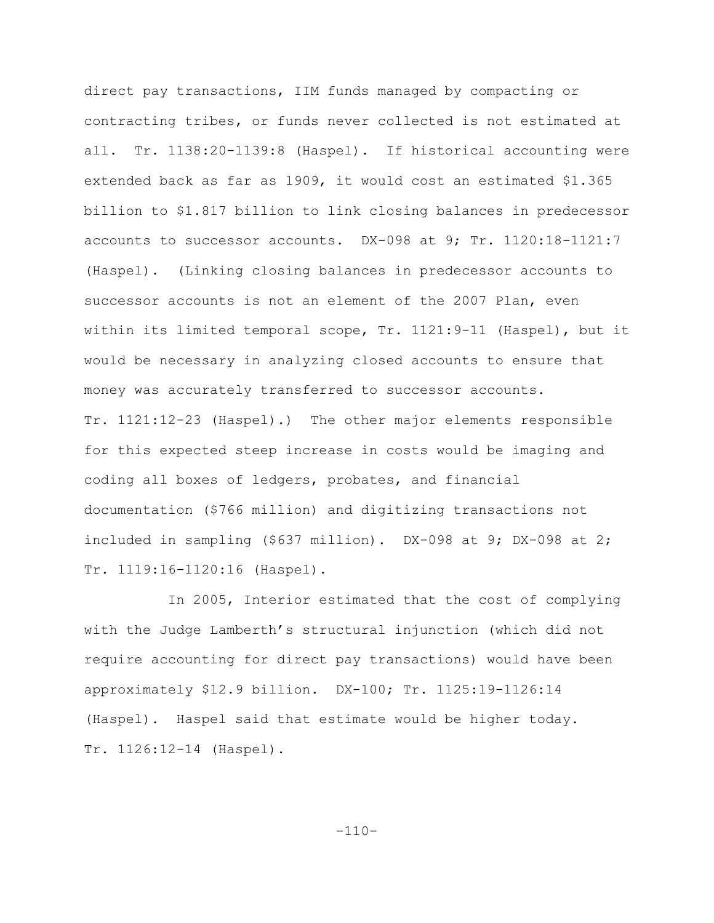direct pay transactions, IIM funds managed by compacting or contracting tribes, or funds never collected is not estimated at all. Tr. 1138:20-1139:8 (Haspel). If historical accounting were extended back as far as 1909, it would cost an estimated \$1.365 billion to \$1.817 billion to link closing balances in predecessor accounts to successor accounts. DX-098 at 9; Tr. 1120:18-1121:7 (Haspel). (Linking closing balances in predecessor accounts to successor accounts is not an element of the 2007 Plan, even within its limited temporal scope, Tr. 1121:9-11 (Haspel), but it would be necessary in analyzing closed accounts to ensure that money was accurately transferred to successor accounts. Tr. 1121:12-23 (Haspel).) The other major elements responsible for this expected steep increase in costs would be imaging and coding all boxes of ledgers, probates, and financial documentation (\$766 million) and digitizing transactions not included in sampling (\$637 million). DX-098 at 9; DX-098 at 2; Tr. 1119:16-1120:16 (Haspel).

In 2005, Interior estimated that the cost of complying with the Judge Lamberth's structural injunction (which did not require accounting for direct pay transactions) would have been approximately \$12.9 billion. DX-100; Tr. 1125:19-1126:14 (Haspel). Haspel said that estimate would be higher today. Tr. 1126:12-14 (Haspel).

 $-110-$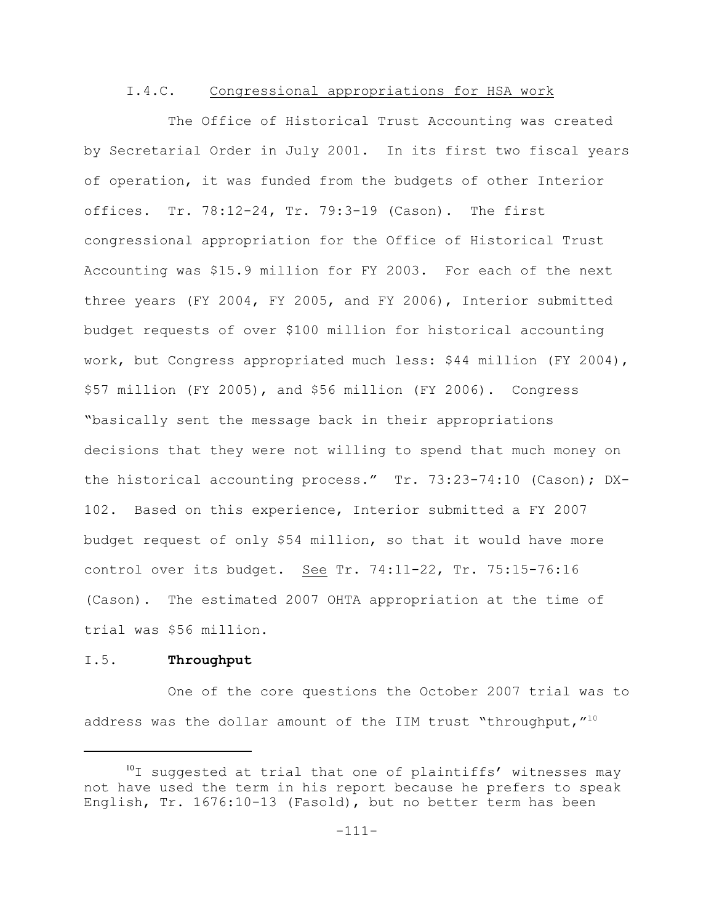### I.4.C. Congressional appropriations for HSA work

The Office of Historical Trust Accounting was created by Secretarial Order in July 2001. In its first two fiscal years of operation, it was funded from the budgets of other Interior offices. Tr. 78:12-24, Tr. 79:3-19 (Cason). The first congressional appropriation for the Office of Historical Trust Accounting was \$15.9 million for FY 2003. For each of the next three years (FY 2004, FY 2005, and FY 2006), Interior submitted budget requests of over \$100 million for historical accounting work, but Congress appropriated much less: \$44 million (FY 2004), \$57 million (FY 2005), and \$56 million (FY 2006). Congress "basically sent the message back in their appropriations decisions that they were not willing to spend that much money on the historical accounting process." Tr. 73:23-74:10 (Cason); DX-102. Based on this experience, Interior submitted a FY 2007 budget request of only \$54 million, so that it would have more control over its budget. See Tr. 74:11-22, Tr. 75:15-76:16 (Cason). The estimated 2007 OHTA appropriation at the time of trial was \$56 million.

## I.5. **Throughput**

One of the core questions the October 2007 trial was to address was the dollar amount of the IIM trust "throughput,  $''^{10}$ 

 $10$  suggested at trial that one of plaintiffs' witnesses may not have used the term in his report because he prefers to speak English, Tr. 1676:10-13 (Fasold), but no better term has been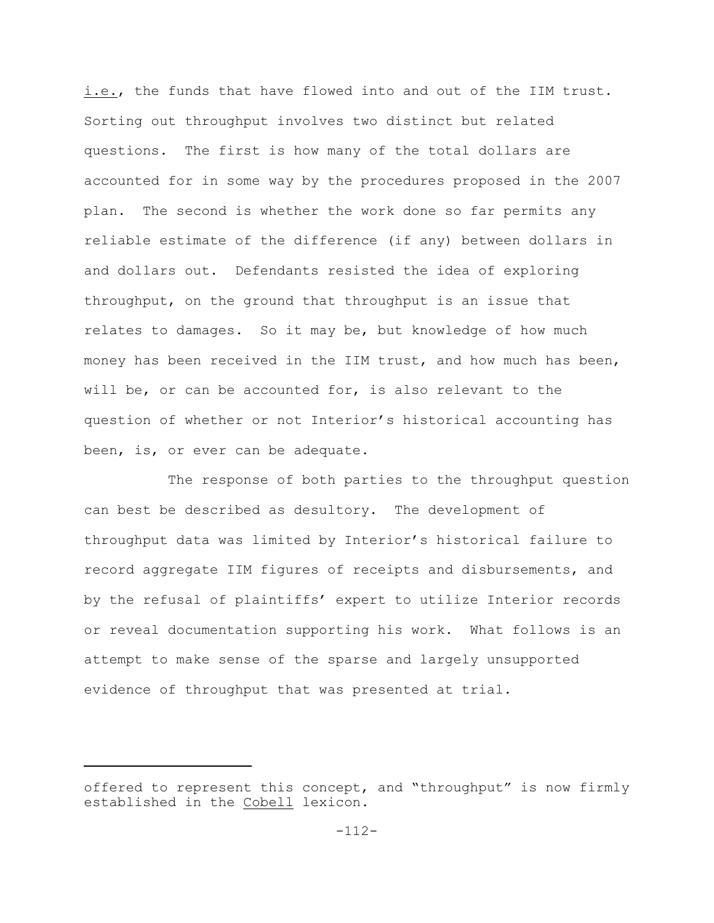i.e., the funds that have flowed into and out of the IIM trust. Sorting out throughput involves two distinct but related questions. The first is how many of the total dollars are accounted for in some way by the procedures proposed in the 2007 plan. The second is whether the work done so far permits any reliable estimate of the difference (if any) between dollars in and dollars out. Defendants resisted the idea of exploring throughput, on the ground that throughput is an issue that relates to damages. So it may be, but knowledge of how much money has been received in the IIM trust, and how much has been, will be, or can be accounted for, is also relevant to the question of whether or not Interior's historical accounting has been, is, or ever can be adequate.

The response of both parties to the throughput question can best be described as desultory. The development of throughput data was limited by Interior's historical failure to record aggregate IIM figures of receipts and disbursements, and by the refusal of plaintiffs' expert to utilize Interior records or reveal documentation supporting his work. What follows is an attempt to make sense of the sparse and largely unsupported evidence of throughput that was presented at trial.

offered to represent this concept, and "throughput" is now firmly established in the Cobell lexicon.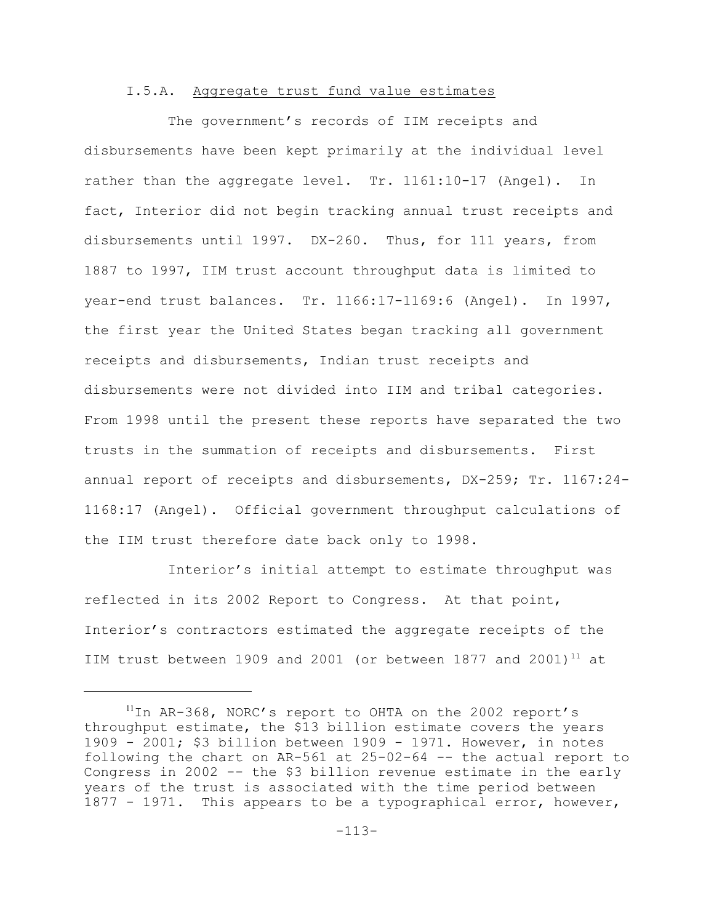### I.5.A. Aggregate trust fund value estimates

The government's records of IIM receipts and disbursements have been kept primarily at the individual level rather than the aggregate level. Tr. 1161:10-17 (Angel). In fact, Interior did not begin tracking annual trust receipts and disbursements until 1997. DX-260. Thus, for 111 years, from 1887 to 1997, IIM trust account throughput data is limited to year-end trust balances. Tr. 1166:17-1169:6 (Angel). In 1997, the first year the United States began tracking all government receipts and disbursements, Indian trust receipts and disbursements were not divided into IIM and tribal categories. From 1998 until the present these reports have separated the two trusts in the summation of receipts and disbursements. First annual report of receipts and disbursements, DX-259; Tr. 1167:24- 1168:17 (Angel). Official government throughput calculations of the IIM trust therefore date back only to 1998.

Interior's initial attempt to estimate throughput was reflected in its 2002 Report to Congress. At that point, Interior's contractors estimated the aggregate receipts of the IIM trust between 1909 and 2001 (or between 1877 and 2001)<sup>11</sup> at

 $11$ In AR-368, NORC's report to OHTA on the 2002 report's throughput estimate, the \$13 billion estimate covers the years 1909 - 2001; \$3 billion between  $1909$  - 1971. However, in notes following the chart on AR-561 at 25-02-64 -- the actual report to Congress in 2002 -- the \$3 billion revenue estimate in the early years of the trust is associated with the time period between 1877 - 1971. This appears to be a typographical error, however,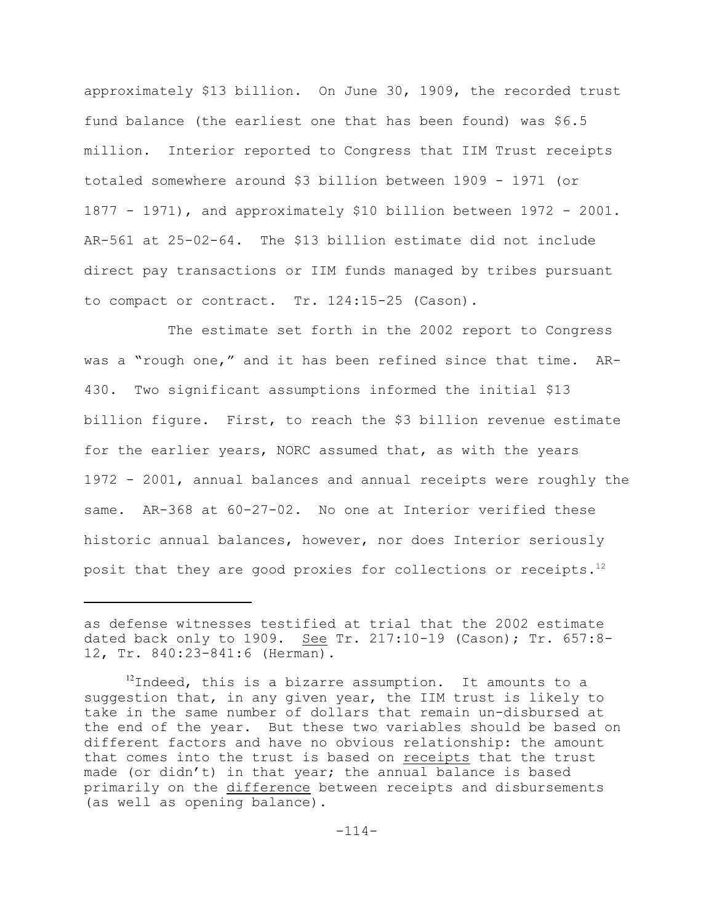approximately \$13 billion. On June 30, 1909, the recorded trust fund balance (the earliest one that has been found) was \$6.5 million. Interior reported to Congress that IIM Trust receipts totaled somewhere around \$3 billion between 1909 - 1971 (or 1877 - 1971), and approximately \$10 billion between 1972 - 2001. AR-561 at 25-02-64. The \$13 billion estimate did not include direct pay transactions or IIM funds managed by tribes pursuant to compact or contract. Tr. 124:15-25 (Cason).

The estimate set forth in the 2002 report to Congress was a "rough one," and it has been refined since that time. AR-430. Two significant assumptions informed the initial \$13 billion figure. First, to reach the \$3 billion revenue estimate for the earlier years, NORC assumed that, as with the years 1972 - 2001, annual balances and annual receipts were roughly the same. AR-368 at 60-27-02. No one at Interior verified these historic annual balances, however, nor does Interior seriously posit that they are good proxies for collections or receipts.<sup>12</sup>

as defense witnesses testified at trial that the 2002 estimate dated back only to 1909. See Tr. 217:10-19 (Cason); Tr. 657:8-12, Tr. 840:23-841:6 (Herman).

 $12$ Indeed, this is a bizarre assumption. It amounts to a suggestion that, in any given year, the IIM trust is likely to take in the same number of dollars that remain un-disbursed at the end of the year. But these two variables should be based on different factors and have no obvious relationship: the amount that comes into the trust is based on receipts that the trust made (or didn't) in that year; the annual balance is based primarily on the difference between receipts and disbursements (as well as opening balance).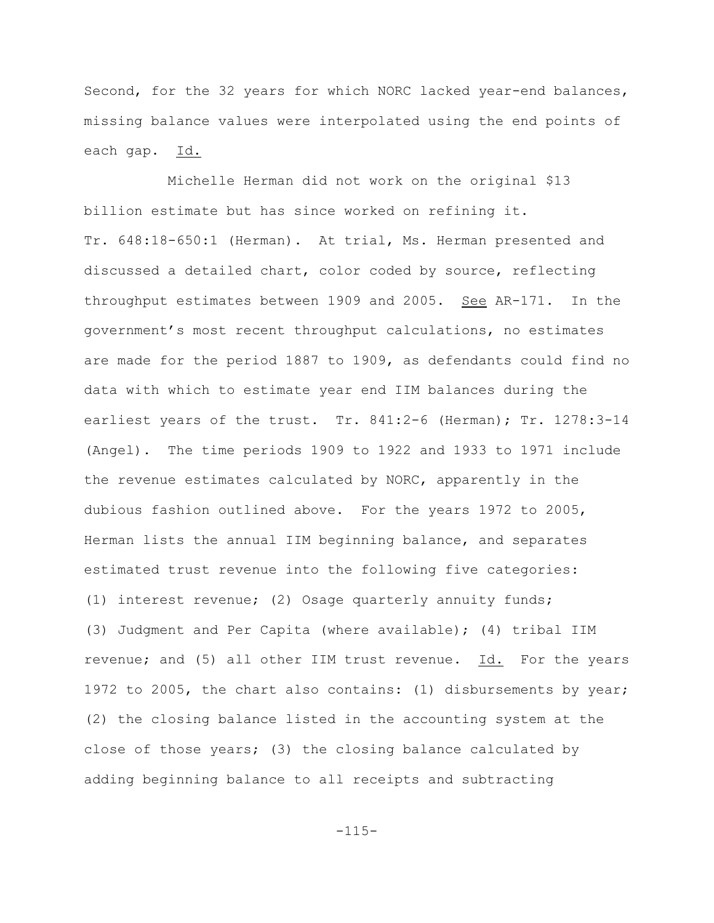Second, for the 32 years for which NORC lacked year-end balances, missing balance values were interpolated using the end points of each gap. Id.

 Michelle Herman did not work on the original \$13 billion estimate but has since worked on refining it. Tr. 648:18-650:1 (Herman). At trial, Ms. Herman presented and discussed a detailed chart, color coded by source, reflecting throughput estimates between 1909 and 2005. See AR-171. In the government's most recent throughput calculations, no estimates are made for the period 1887 to 1909, as defendants could find no data with which to estimate year end IIM balances during the earliest years of the trust. Tr. 841:2-6 (Herman); Tr. 1278:3-14 (Angel). The time periods 1909 to 1922 and 1933 to 1971 include the revenue estimates calculated by NORC, apparently in the dubious fashion outlined above. For the years 1972 to 2005, Herman lists the annual IIM beginning balance, and separates estimated trust revenue into the following five categories: (1) interest revenue; (2) Osage quarterly annuity funds; (3) Judgment and Per Capita (where available); (4) tribal IIM revenue; and (5) all other IIM trust revenue. Id. For the years 1972 to 2005, the chart also contains: (1) disbursements by year; (2) the closing balance listed in the accounting system at the close of those years; (3) the closing balance calculated by adding beginning balance to all receipts and subtracting

-115-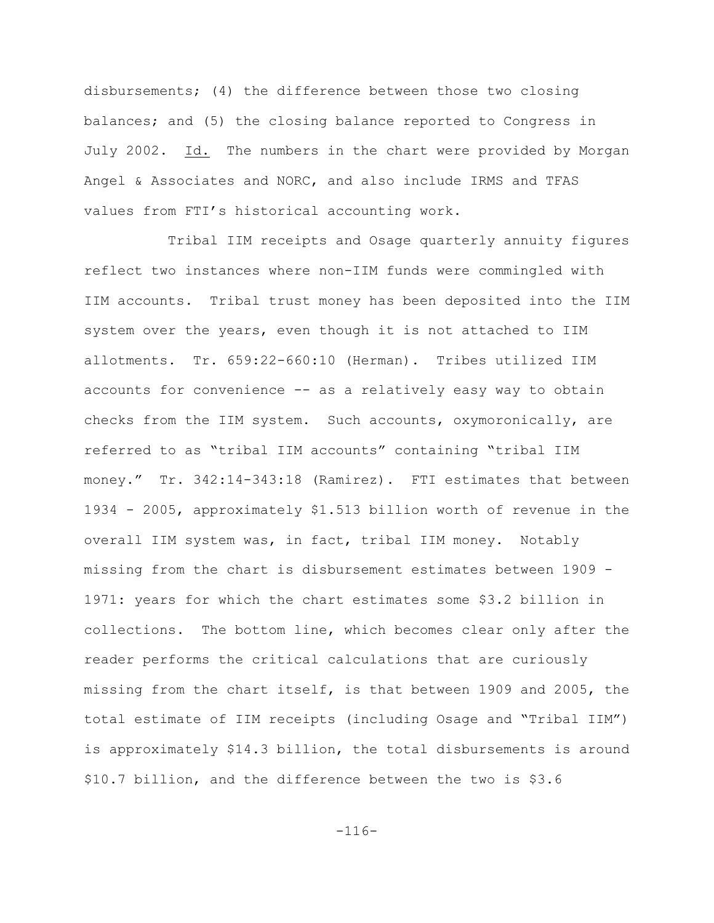disbursements; (4) the difference between those two closing balances; and (5) the closing balance reported to Congress in July 2002. Id. The numbers in the chart were provided by Morgan Angel & Associates and NORC, and also include IRMS and TFAS values from FTI's historical accounting work.

Tribal IIM receipts and Osage quarterly annuity figures reflect two instances where non-IIM funds were commingled with IIM accounts. Tribal trust money has been deposited into the IIM system over the years, even though it is not attached to IIM allotments. Tr. 659:22-660:10 (Herman). Tribes utilized IIM accounts for convenience -- as a relatively easy way to obtain checks from the IIM system. Such accounts, oxymoronically, are referred to as "tribal IIM accounts" containing "tribal IIM money." Tr. 342:14-343:18 (Ramirez). FTI estimates that between 1934 - 2005, approximately \$1.513 billion worth of revenue in the overall IIM system was, in fact, tribal IIM money. Notably missing from the chart is disbursement estimates between 1909 - 1971: years for which the chart estimates some \$3.2 billion in collections. The bottom line, which becomes clear only after the reader performs the critical calculations that are curiously missing from the chart itself, is that between 1909 and 2005, the total estimate of IIM receipts (including Osage and "Tribal IIM") is approximately \$14.3 billion, the total disbursements is around \$10.7 billion, and the difference between the two is \$3.6

-116-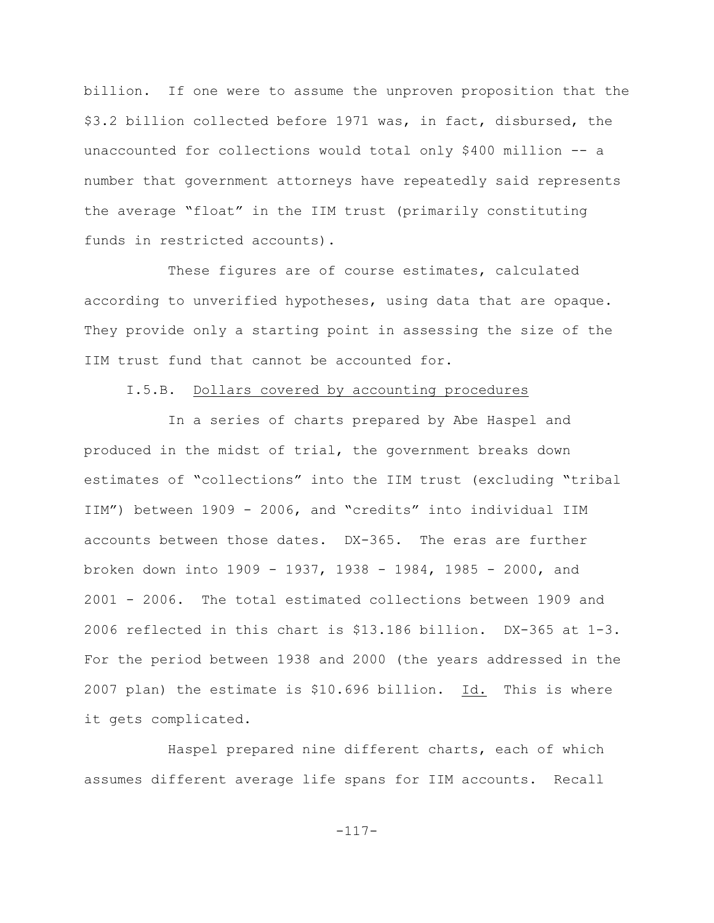billion. If one were to assume the unproven proposition that the \$3.2 billion collected before 1971 was, in fact, disbursed, the unaccounted for collections would total only \$400 million -- a number that government attorneys have repeatedly said represents the average "float" in the IIM trust (primarily constituting funds in restricted accounts).

These figures are of course estimates, calculated according to unverified hypotheses, using data that are opaque. They provide only a starting point in assessing the size of the IIM trust fund that cannot be accounted for.

#### I.5.B. Dollars covered by accounting procedures

In a series of charts prepared by Abe Haspel and produced in the midst of trial, the government breaks down estimates of "collections" into the IIM trust (excluding "tribal IIM") between 1909 - 2006, and "credits" into individual IIM accounts between those dates. DX-365. The eras are further broken down into 1909 - 1937, 1938 - 1984, 1985 - 2000, and 2001 - 2006. The total estimated collections between 1909 and 2006 reflected in this chart is \$13.186 billion. DX-365 at 1-3. For the period between 1938 and 2000 (the years addressed in the 2007 plan) the estimate is \$10.696 billion. Id. This is where it gets complicated.

Haspel prepared nine different charts, each of which assumes different average life spans for IIM accounts. Recall

-117-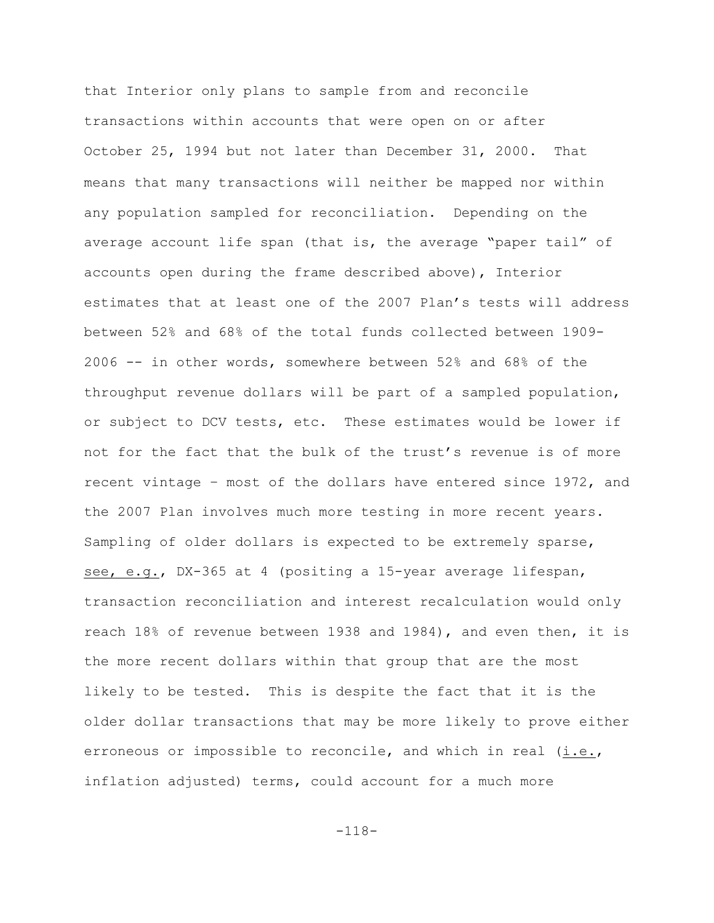that Interior only plans to sample from and reconcile transactions within accounts that were open on or after October 25, 1994 but not later than December 31, 2000.That means that many transactions will neither be mapped nor within any population sampled for reconciliation. Depending on the average account life span (that is, the average "paper tail" of accounts open during the frame described above), Interior estimates that at least one of the 2007 Plan's tests will address between 52% and 68% of the total funds collected between 1909- 2006 -- in other words, somewhere between 52% and 68% of the throughput revenue dollars will be part of a sampled population, or subject to DCV tests, etc. These estimates would be lower if not for the fact that the bulk of the trust's revenue is of more recent vintage – most of the dollars have entered since 1972, and the 2007 Plan involves much more testing in more recent years. Sampling of older dollars is expected to be extremely sparse, see, e.g., DX-365 at 4 (positing a 15-year average lifespan, transaction reconciliation and interest recalculation would only reach 18% of revenue between 1938 and 1984), and even then, it is the more recent dollars within that group that are the most likely to be tested. This is despite the fact that it is the older dollar transactions that may be more likely to prove either erroneous or impossible to reconcile, and which in real (i.e., inflation adjusted) terms, could account for a much more

-118-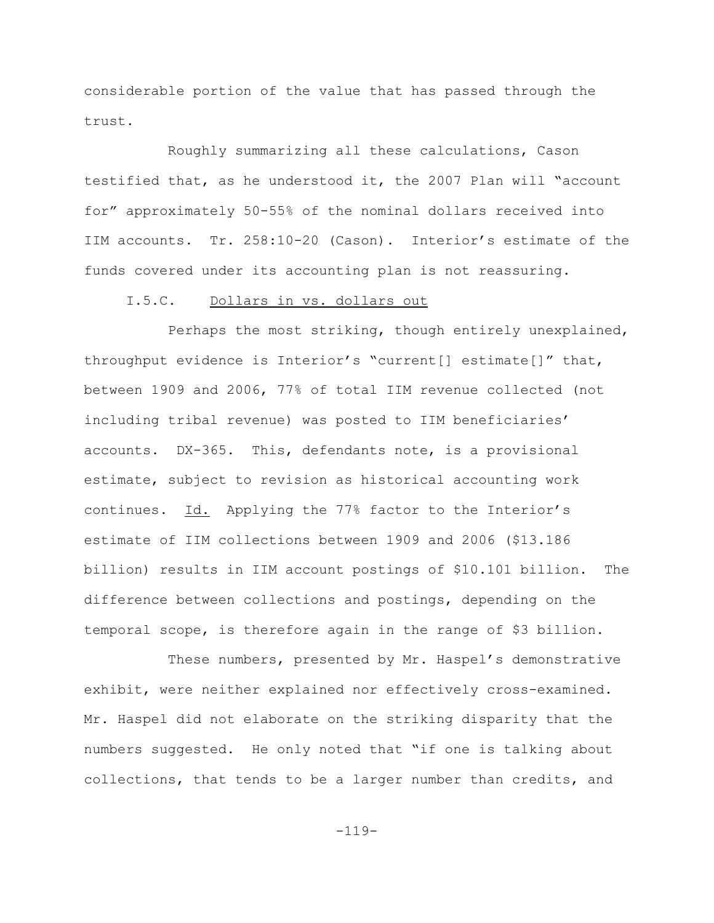considerable portion of the value that has passed through the trust.

Roughly summarizing all these calculations, Cason testified that, as he understood it, the 2007 Plan will "account for" approximately 50-55% of the nominal dollars received into IIM accounts. Tr. 258:10-20 (Cason). Interior's estimate of the funds covered under its accounting plan is not reassuring.

# I.5.C. Dollars in vs. dollars out

Perhaps the most striking, though entirely unexplained, throughput evidence is Interior's "current[] estimate[]" that, between 1909 and 2006, 77% of total IIM revenue collected (not including tribal revenue) was posted to IIM beneficiaries' accounts. DX-365. This, defendants note, is a provisional estimate, subject to revision as historical accounting work continues. Id. Applying the 77% factor to the Interior's estimate of IIM collections between 1909 and 2006 (\$13.186 billion) results in IIM account postings of \$10.101 billion. The difference between collections and postings, depending on the temporal scope, is therefore again in the range of \$3 billion.

These numbers, presented by Mr. Haspel's demonstrative exhibit, were neither explained nor effectively cross-examined. Mr. Haspel did not elaborate on the striking disparity that the numbers suggested. He only noted that "if one is talking about collections, that tends to be a larger number than credits, and

-119-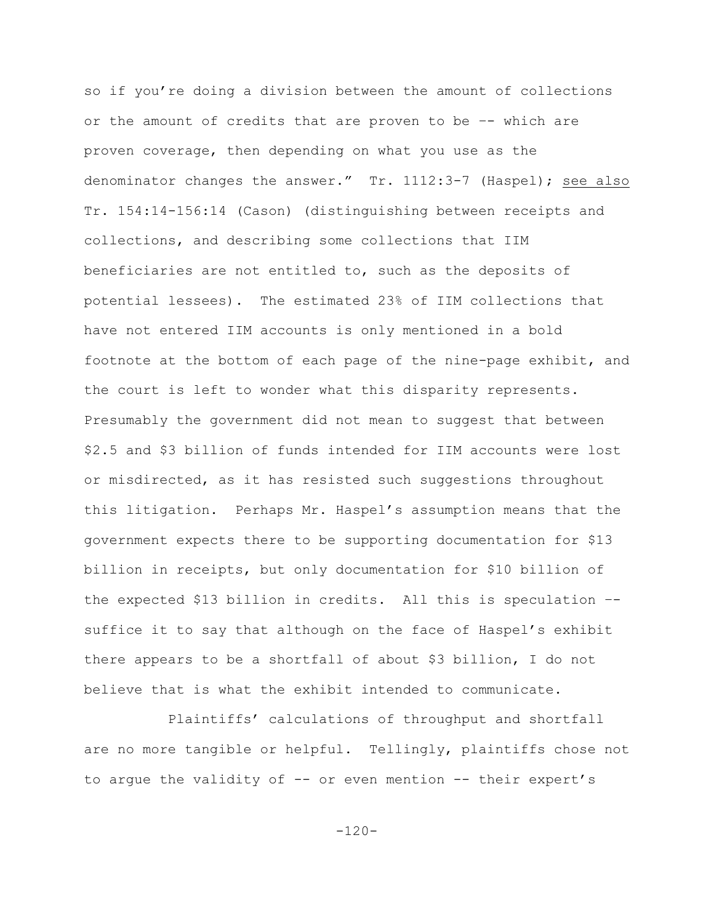so if you're doing a division between the amount of collections or the amount of credits that are proven to be –- which are proven coverage, then depending on what you use as the denominator changes the answer." Tr. 1112:3-7 (Haspel); see also Tr. 154:14-156:14 (Cason) (distinguishing between receipts and collections, and describing some collections that IIM beneficiaries are not entitled to, such as the deposits of potential lessees). The estimated 23% of IIM collections that have not entered IIM accounts is only mentioned in a bold footnote at the bottom of each page of the nine-page exhibit, and the court is left to wonder what this disparity represents. Presumably the government did not mean to suggest that between \$2.5 and \$3 billion of funds intended for IIM accounts were lost or misdirected, as it has resisted such suggestions throughout this litigation. Perhaps Mr. Haspel's assumption means that the government expects there to be supporting documentation for \$13 billion in receipts, but only documentation for \$10 billion of the expected \$13 billion in credits. All this is speculation – suffice it to say that although on the face of Haspel's exhibit there appears to be a shortfall of about \$3 billion, I do not believe that is what the exhibit intended to communicate.

Plaintiffs' calculations of throughput and shortfall are no more tangible or helpful. Tellingly, plaintiffs chose not to arque the validity of  $-$ - or even mention  $-$ - their expert's

 $-120-$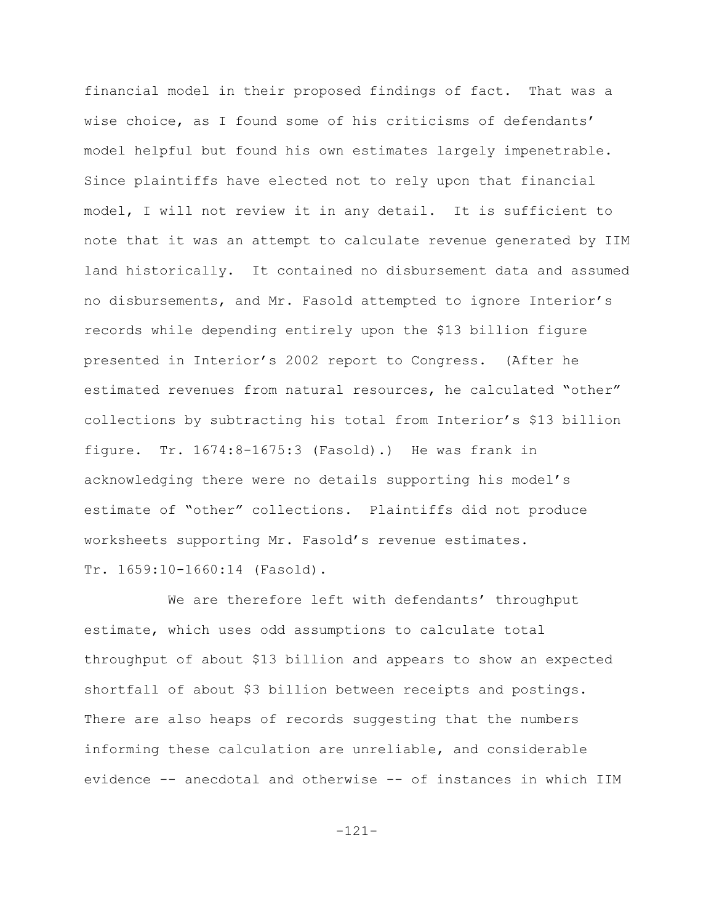financial model in their proposed findings of fact. That was a wise choice, as I found some of his criticisms of defendants' model helpful but found his own estimates largely impenetrable. Since plaintiffs have elected not to rely upon that financial model, I will not review it in any detail. It is sufficient to note that it was an attempt to calculate revenue generated by IIM land historically. It contained no disbursement data and assumed no disbursements, and Mr. Fasold attempted to ignore Interior's records while depending entirely upon the \$13 billion figure presented in Interior's 2002 report to Congress. (After he estimated revenues from natural resources, he calculated "other" collections by subtracting his total from Interior's \$13 billion figure. Tr. 1674:8-1675:3 (Fasold).) He was frank in acknowledging there were no details supporting his model's estimate of "other" collections. Plaintiffs did not produce worksheets supporting Mr. Fasold's revenue estimates. Tr. 1659:10-1660:14 (Fasold).

We are therefore left with defendants' throughput estimate, which uses odd assumptions to calculate total throughput of about \$13 billion and appears to show an expected shortfall of about \$3 billion between receipts and postings. There are also heaps of records suggesting that the numbers informing these calculation are unreliable, and considerable evidence -- anecdotal and otherwise -- of instances in which IIM

-121-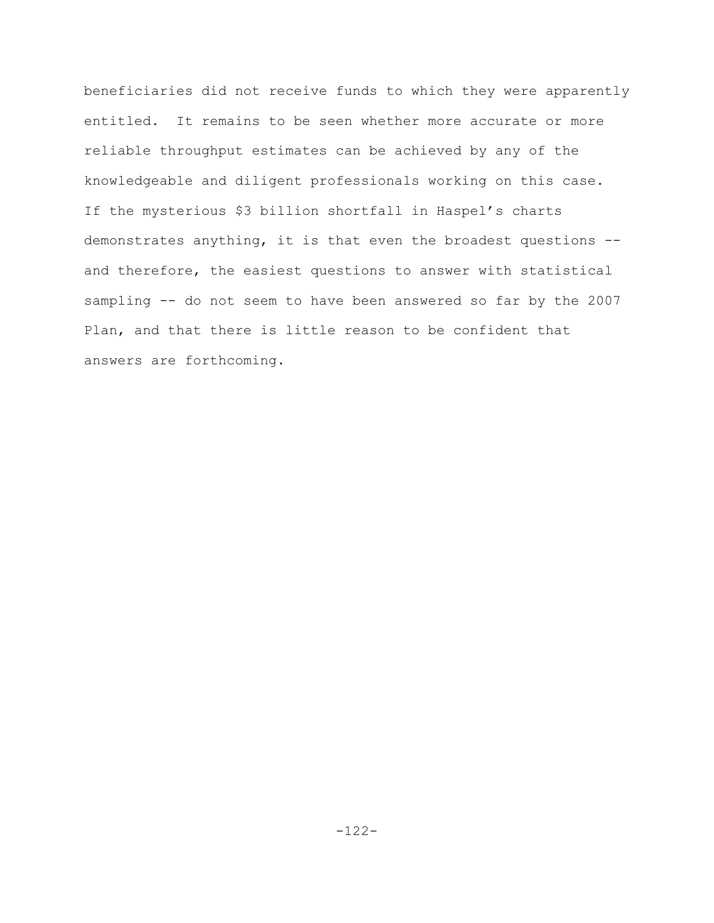beneficiaries did not receive funds to which they were apparently entitled. It remains to be seen whether more accurate or more reliable throughput estimates can be achieved by any of the knowledgeable and diligent professionals working on this case. If the mysterious \$3 billion shortfall in Haspel's charts demonstrates anything, it is that even the broadest questions - and therefore, the easiest questions to answer with statistical sampling -- do not seem to have been answered so far by the 2007 Plan, and that there is little reason to be confident that answers are forthcoming.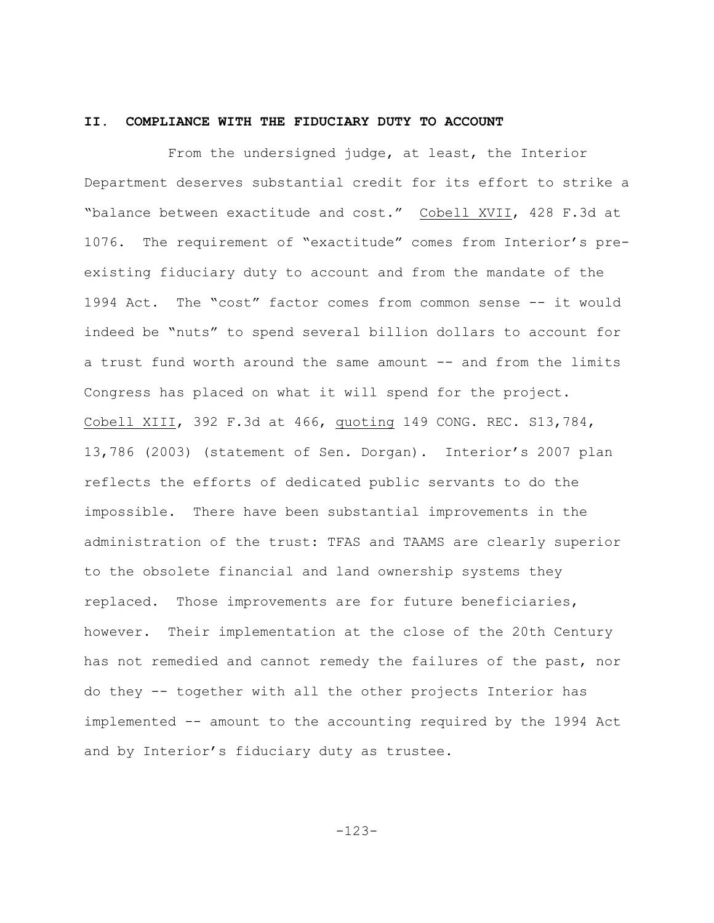### **II. COMPLIANCE WITH THE FIDUCIARY DUTY TO ACCOUNT**

From the undersigned judge, at least, the Interior Department deserves substantial credit for its effort to strike a "balance between exactitude and cost." Cobell XVII, 428 F.3d at 1076. The requirement of "exactitude" comes from Interior's preexisting fiduciary duty to account and from the mandate of the 1994 Act. The "cost" factor comes from common sense -- it would indeed be "nuts" to spend several billion dollars to account for a trust fund worth around the same amount -- and from the limits Congress has placed on what it will spend for the project. Cobell XIII, 392 F.3d at 466, quoting 149 CONG. REC. S13,784, 13,786 (2003) (statement of Sen. Dorgan). Interior's 2007 plan reflects the efforts of dedicated public servants to do the impossible. There have been substantial improvements in the administration of the trust: TFAS and TAAMS are clearly superior to the obsolete financial and land ownership systems they replaced. Those improvements are for future beneficiaries, however. Their implementation at the close of the 20th Century has not remedied and cannot remedy the failures of the past, nor do they -- together with all the other projects Interior has implemented -- amount to the accounting required by the 1994 Act and by Interior's fiduciary duty as trustee.

-123-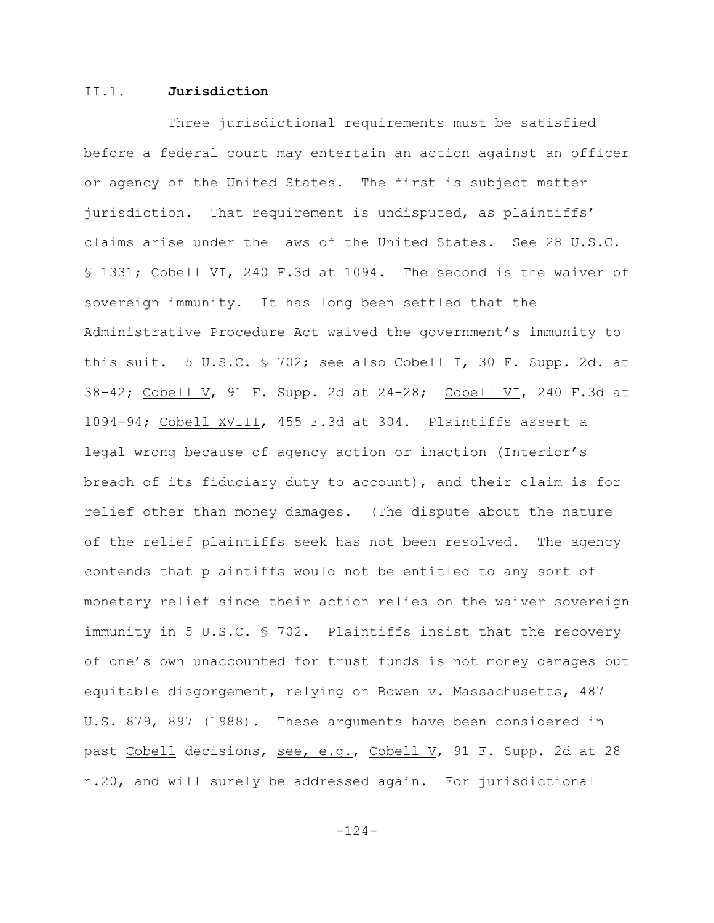### II.1. **Jurisdiction**

Three jurisdictional requirements must be satisfied before a federal court may entertain an action against an officer or agency of the United States. The first is subject matter jurisdiction. That requirement is undisputed, as plaintiffs' claims arise under the laws of the United States. See 28 U.S.C. § 1331; Cobell VI, 240 F.3d at 1094. The second is the waiver of sovereign immunity. It has long been settled that the Administrative Procedure Act waived the government's immunity to this suit. 5 U.S.C. § 702; see also Cobell I, 30 F. Supp. 2d. at 38-42; Cobell V, 91 F. Supp. 2d at 24-28; Cobell VI, 240 F.3d at 1094-94; Cobell XVIII, 455 F.3d at 304. Plaintiffs assert a legal wrong because of agency action or inaction (Interior's breach of its fiduciary duty to account), and their claim is for relief other than money damages. (The dispute about the nature of the relief plaintiffs seek has not been resolved. The agency contends that plaintiffs would not be entitled to any sort of monetary relief since their action relies on the waiver sovereign immunity in 5 U.S.C. § 702. Plaintiffs insist that the recovery of one's own unaccounted for trust funds is not money damages but equitable disgorgement, relying on Bowen v. Massachusetts, 487 U.S. 879, 897 (1988). These arguments have been considered in past Cobell decisions, see, e.g., Cobell V, 91 F. Supp. 2d at 28 n.20, and will surely be addressed again. For jurisdictional

-124-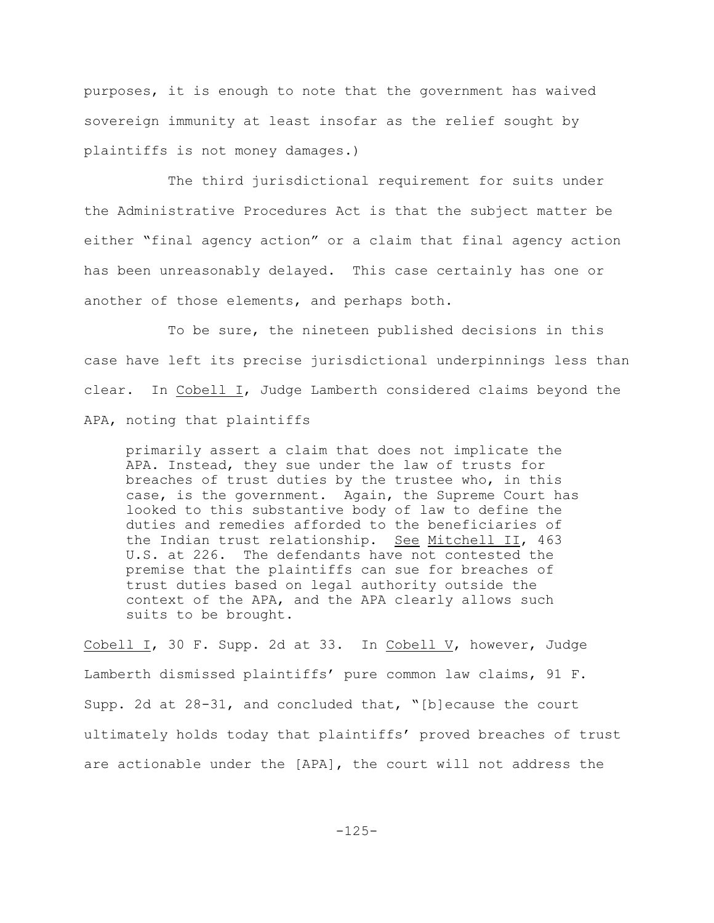purposes, it is enough to note that the government has waived sovereign immunity at least insofar as the relief sought by plaintiffs is not money damages.)

The third jurisdictional requirement for suits under the Administrative Procedures Act is that the subject matter be either "final agency action" or a claim that final agency action has been unreasonably delayed. This case certainly has one or another of those elements, and perhaps both.

To be sure, the nineteen published decisions in this case have left its precise jurisdictional underpinnings less than clear. In Cobell I, Judge Lamberth considered claims beyond the APA, noting that plaintiffs

primarily assert a claim that does not implicate the APA. Instead, they sue under the law of trusts for breaches of trust duties by the trustee who, in this case, is the government. Again, the Supreme Court has looked to this substantive body of law to define the duties and remedies afforded to the beneficiaries of the Indian trust relationship. See Mitchell II, 463 U.S. at 226. The defendants have not contested the premise that the plaintiffs can sue for breaches of trust duties based on legal authority outside the context of the APA, and the APA clearly allows such suits to be brought.

Cobell I, 30 F. Supp. 2d at 33. In Cobell V, however, Judge Lamberth dismissed plaintiffs' pure common law claims, 91 F. Supp. 2d at 28-31, and concluded that, "[b]ecause the court ultimately holds today that plaintiffs' proved breaches of trust are actionable under the [APA], the court will not address the

-125-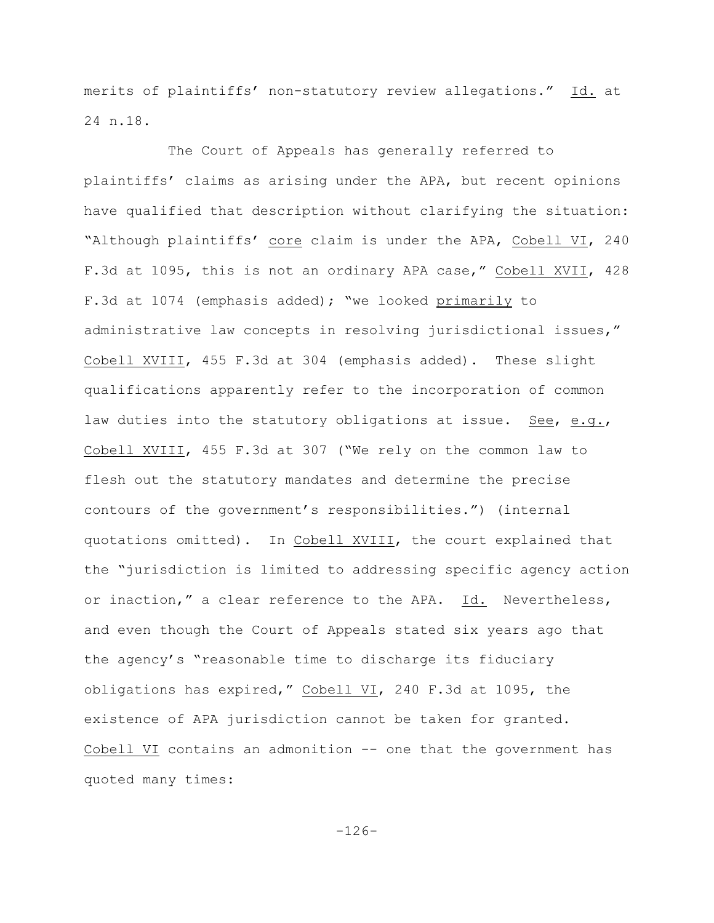merits of plaintiffs' non-statutory review allegations." Id. at 24 n.18.

The Court of Appeals has generally referred to plaintiffs' claims as arising under the APA, but recent opinions have qualified that description without clarifying the situation: "Although plaintiffs' core claim is under the APA, Cobell VI, 240 F.3d at 1095, this is not an ordinary APA case," Cobell XVII, 428 F.3d at 1074 (emphasis added); "we looked primarily to administrative law concepts in resolving jurisdictional issues," Cobell XVIII, 455 F.3d at 304 (emphasis added). These slight qualifications apparently refer to the incorporation of common law duties into the statutory obligations at issue. See, e.g., Cobell XVIII, 455 F.3d at 307 ("We rely on the common law to flesh out the statutory mandates and determine the precise contours of the government's responsibilities.") (internal quotations omitted). In Cobell XVIII, the court explained that the "jurisdiction is limited to addressing specific agency action or inaction," a clear reference to the APA. Id. Nevertheless, and even though the Court of Appeals stated six years ago that the agency's "reasonable time to discharge its fiduciary obligations has expired," Cobell VI, 240 F.3d at 1095, the existence of APA jurisdiction cannot be taken for granted. Cobell VI contains an admonition -- one that the government has quoted many times:

-126-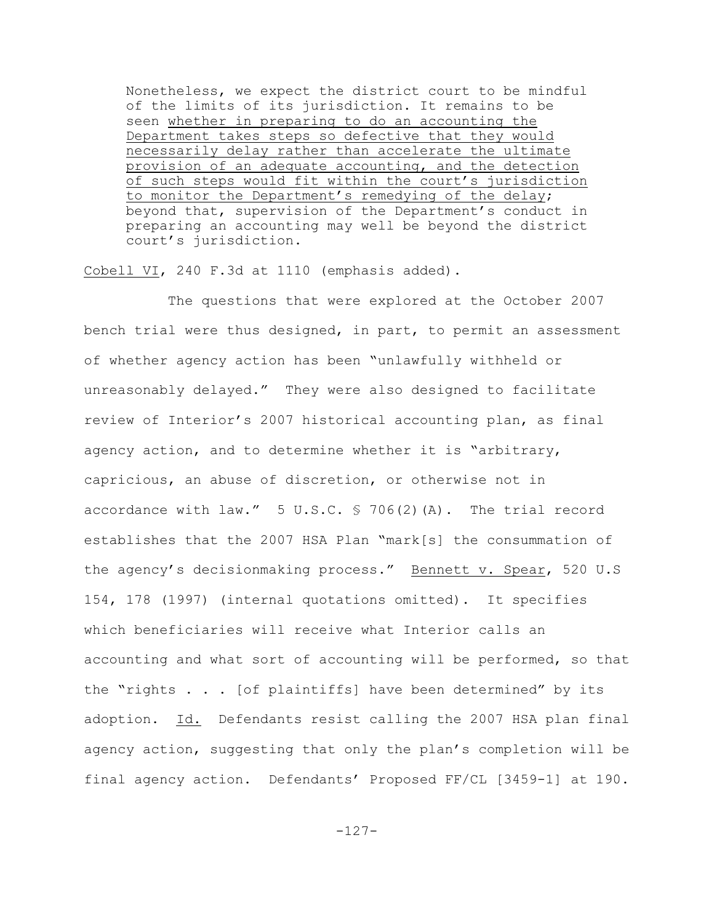Nonetheless, we expect the district court to be mindful of the limits of its jurisdiction. It remains to be seen whether in preparing to do an accounting the Department takes steps so defective that they would necessarily delay rather than accelerate the ultimate provision of an adequate accounting, and the detection of such steps would fit within the court's jurisdiction to monitor the Department's remedying of the delay; beyond that, supervision of the Department's conduct in preparing an accounting may well be beyond the district court's jurisdiction.

Cobell VI, 240 F.3d at 1110 (emphasis added).

The questions that were explored at the October 2007 bench trial were thus designed, in part, to permit an assessment of whether agency action has been "unlawfully withheld or unreasonably delayed." They were also designed to facilitate review of Interior's 2007 historical accounting plan, as final agency action, and to determine whether it is "arbitrary, capricious, an abuse of discretion, or otherwise not in accordance with law."  $5 \text{ U.S.C. } $706(2)(\text{A})$ . The trial record establishes that the 2007 HSA Plan "mark[s] the consummation of the agency's decisionmaking process." Bennett v. Spear, 520 U.S 154, 178 (1997) (internal quotations omitted). It specifies which beneficiaries will receive what Interior calls an accounting and what sort of accounting will be performed, so that the "rights . . . [of plaintiffs] have been determined" by its adoption. Id. Defendants resist calling the 2007 HSA plan final agency action, suggesting that only the plan's completion will be final agency action. Defendants' Proposed FF/CL [3459-1] at 190.

-127-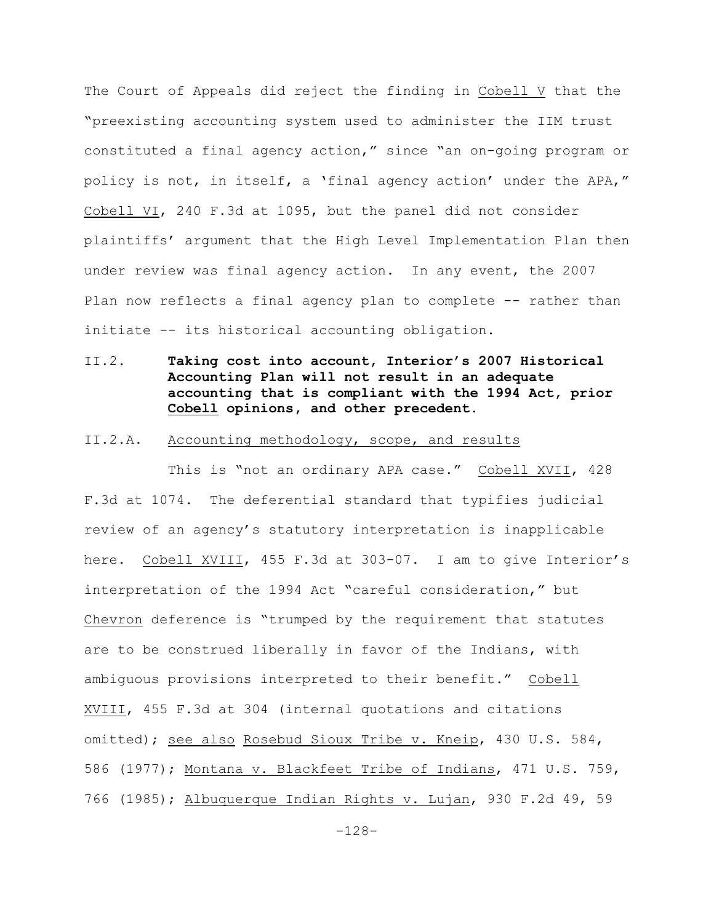The Court of Appeals did reject the finding in Cobell V that the "preexisting accounting system used to administer the IIM trust constituted a final agency action," since "an on-going program or policy is not, in itself, a 'final agency action' under the APA," Cobell VI, 240 F.3d at 1095, but the panel did not consider plaintiffs' argument that the High Level Implementation Plan then under review was final agency action. In any event, the 2007 Plan now reflects a final agency plan to complete -- rather than initiate -- its historical accounting obligation.

II.2. **Taking cost into account, Interior's 2007 Historical Accounting Plan will not result in an adequate accounting that is compliant with the 1994 Act, prior Cobell opinions, and other precedent.**

#### II.2.A. Accounting methodology, scope, and results

This is "not an ordinary APA case." Cobell XVII, 428 F.3d at 1074. The deferential standard that typifies judicial review of an agency's statutory interpretation is inapplicable here. Cobell XVIII, 455 F.3d at 303-07. I am to give Interior's interpretation of the 1994 Act "careful consideration," but Chevron deference is "trumped by the requirement that statutes are to be construed liberally in favor of the Indians, with ambiguous provisions interpreted to their benefit." Cobell XVIII, 455 F.3d at 304 (internal quotations and citations omitted); see also Rosebud Sioux Tribe v. Kneip, 430 U.S. 584, 586 (1977); Montana v. Blackfeet Tribe of Indians, 471 U.S. 759, 766 (1985); Albuquerque Indian Rights v. Lujan, 930 F.2d 49, 59

-128-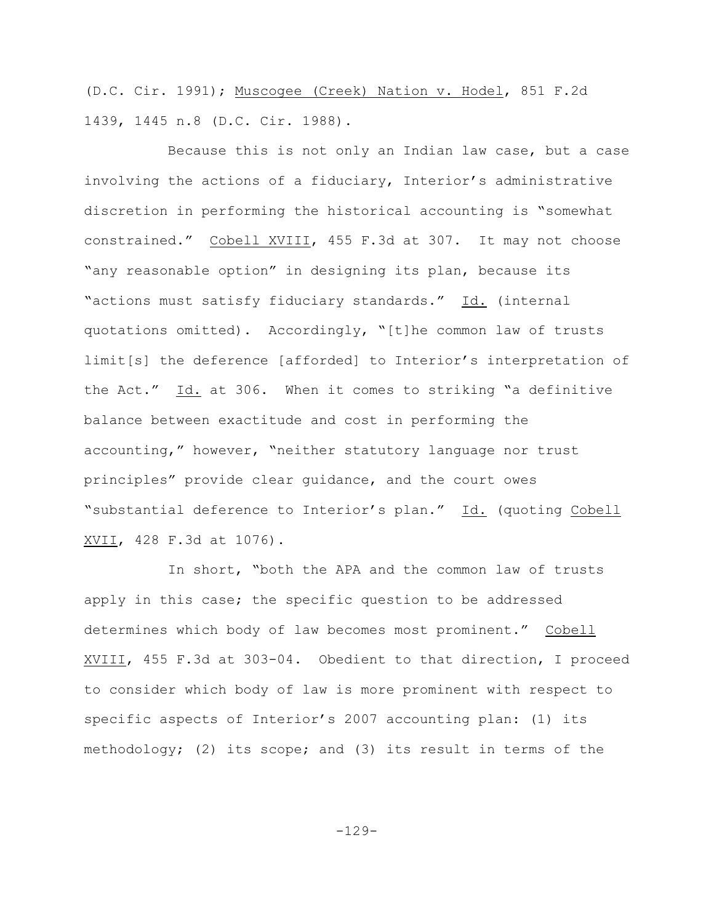(D.C. Cir. 1991); Muscogee (Creek) Nation v. Hodel, 851 F.2d 1439, 1445 n.8 (D.C. Cir. 1988).

Because this is not only an Indian law case, but a case involving the actions of a fiduciary, Interior's administrative discretion in performing the historical accounting is "somewhat constrained." Cobell XVIII, 455 F.3d at 307. It may not choose "any reasonable option" in designing its plan, because its "actions must satisfy fiduciary standards." Id. (internal quotations omitted). Accordingly, "[t]he common law of trusts limit[s] the deference [afforded] to Interior's interpretation of the Act." Id. at 306. When it comes to striking "a definitive balance between exactitude and cost in performing the accounting," however, "neither statutory language nor trust principles" provide clear guidance, and the court owes "substantial deference to Interior's plan." Id. (quoting Cobell XVII, 428 F.3d at 1076).

In short, "both the APA and the common law of trusts apply in this case; the specific question to be addressed determines which body of law becomes most prominent." Cobell XVIII, 455 F.3d at 303-04. Obedient to that direction, I proceed to consider which body of law is more prominent with respect to specific aspects of Interior's 2007 accounting plan: (1) its methodology; (2) its scope; and (3) its result in terms of the

-129-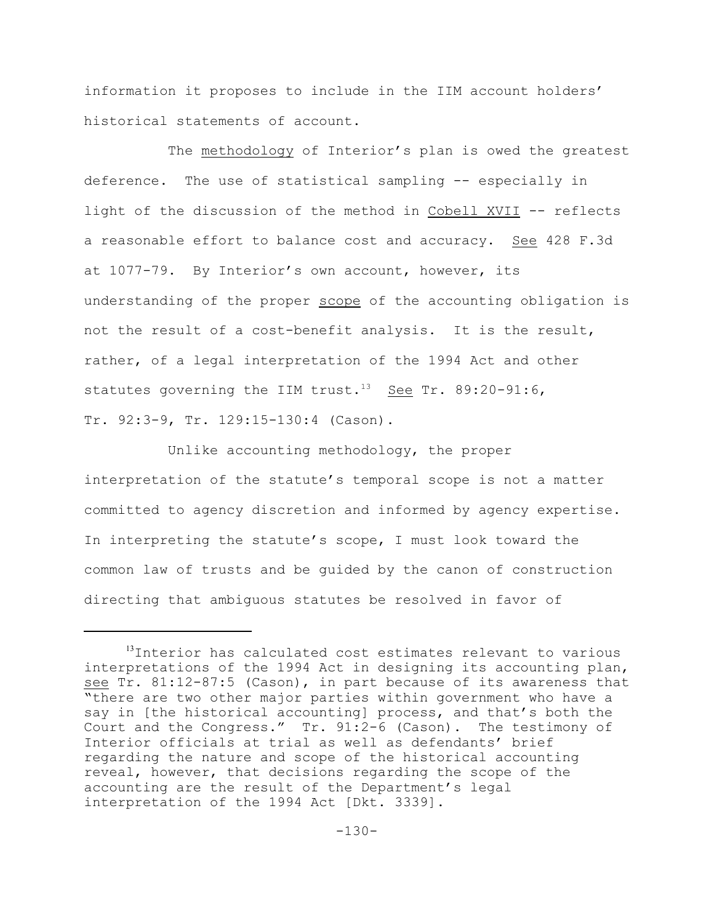information it proposes to include in the IIM account holders' historical statements of account.

The methodology of Interior's plan is owed the greatest deference. The use of statistical sampling -- especially in light of the discussion of the method in Cobell XVII -- reflects a reasonable effort to balance cost and accuracy. See 428 F.3d at 1077-79. By Interior's own account, however, its understanding of the proper scope of the accounting obligation is not the result of a cost-benefit analysis. It is the result, rather, of a legal interpretation of the 1994 Act and other statutes governing the IIM trust.<sup>13</sup> See Tr. 89:20-91:6, Tr. 92:3-9, Tr. 129:15-130:4 (Cason).

Unlike accounting methodology, the proper interpretation of the statute's temporal scope is not a matter committed to agency discretion and informed by agency expertise. In interpreting the statute's scope, I must look toward the common law of trusts and be guided by the canon of construction directing that ambiguous statutes be resolved in favor of

<sup>&</sup>lt;sup>13</sup>Interior has calculated cost estimates relevant to various interpretations of the 1994 Act in designing its accounting plan, see Tr. 81:12-87:5 (Cason), in part because of its awareness that "there are two other major parties within government who have a say in [the historical accounting] process, and that's both the Court and the Congress." Tr. 91:2-6 (Cason). The testimony of Interior officials at trial as well as defendants' brief regarding the nature and scope of the historical accounting reveal, however, that decisions regarding the scope of the accounting are the result of the Department's legal interpretation of the 1994 Act [Dkt. 3339].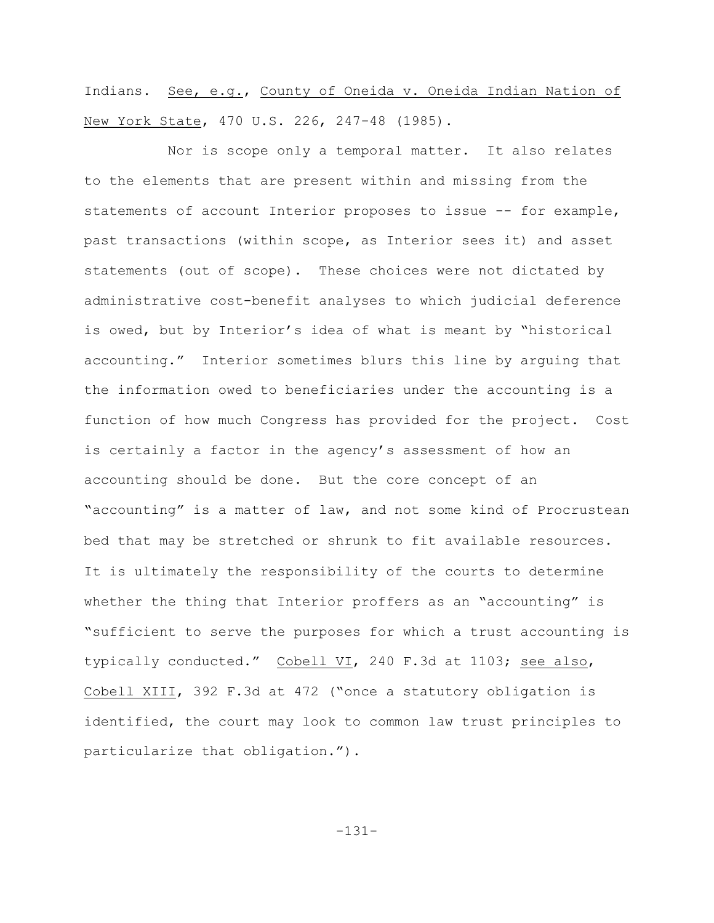Indians. See, e.g., County of Oneida v. Oneida Indian Nation of New York State, 470 U.S. 226, 247-48 (1985).

Nor is scope only a temporal matter. It also relates to the elements that are present within and missing from the statements of account Interior proposes to issue -- for example, past transactions (within scope, as Interior sees it) and asset statements (out of scope). These choices were not dictated by administrative cost-benefit analyses to which judicial deference is owed, but by Interior's idea of what is meant by "historical accounting." Interior sometimes blurs this line by arguing that the information owed to beneficiaries under the accounting is a function of how much Congress has provided for the project. Cost is certainly a factor in the agency's assessment of how an accounting should be done. But the core concept of an "accounting" is a matter of law, and not some kind of Procrustean bed that may be stretched or shrunk to fit available resources. It is ultimately the responsibility of the courts to determine whether the thing that Interior proffers as an "accounting" is "sufficient to serve the purposes for which a trust accounting is typically conducted." Cobell VI, 240 F.3d at 1103; see also, Cobell XIII, 392 F.3d at 472 ("once a statutory obligation is identified, the court may look to common law trust principles to particularize that obligation.").

-131-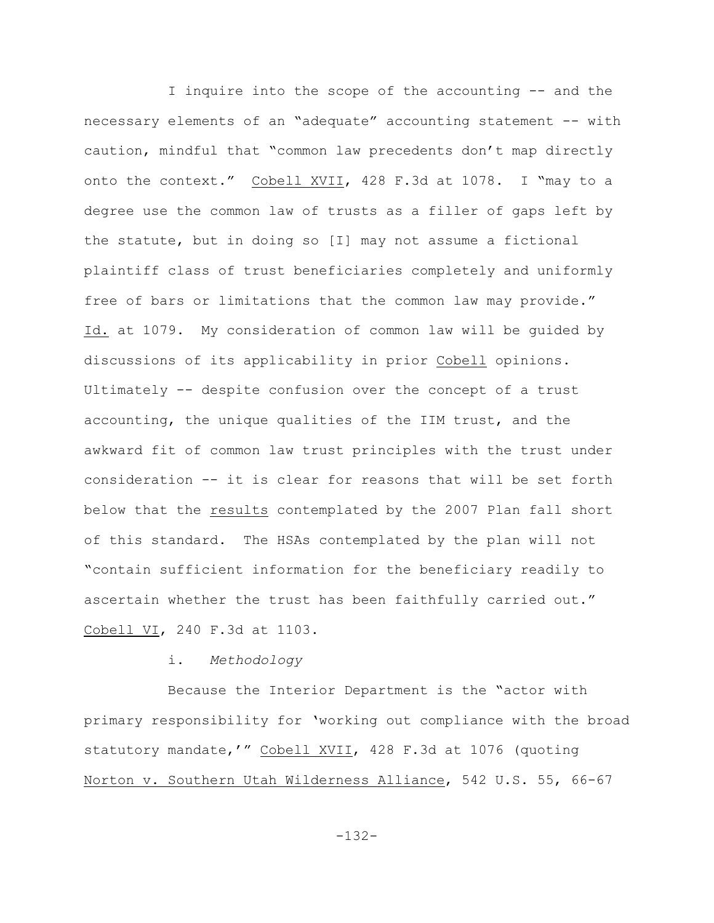I inquire into the scope of the accounting -- and the necessary elements of an "adequate" accounting statement -- with caution, mindful that "common law precedents don't map directly onto the context." Cobell XVII, 428 F.3d at 1078. I "may to a degree use the common law of trusts as a filler of gaps left by the statute, but in doing so [I] may not assume a fictional plaintiff class of trust beneficiaries completely and uniformly free of bars or limitations that the common law may provide." Id. at 1079. My consideration of common law will be guided by discussions of its applicability in prior Cobell opinions. Ultimately -- despite confusion over the concept of a trust accounting, the unique qualities of the IIM trust, and the awkward fit of common law trust principles with the trust under consideration -- it is clear for reasons that will be set forth below that the results contemplated by the 2007 Plan fall short of this standard. The HSAs contemplated by the plan will not "contain sufficient information for the beneficiary readily to ascertain whether the trust has been faithfully carried out." Cobell VI, 240 F.3d at 1103.

## i. *Methodology*

Because the Interior Department is the "actor with primary responsibility for 'working out compliance with the broad statutory mandate,'" Cobell XVII, 428 F.3d at 1076 (quoting Norton v. Southern Utah Wilderness Alliance, 542 U.S. 55, 66-67

-132-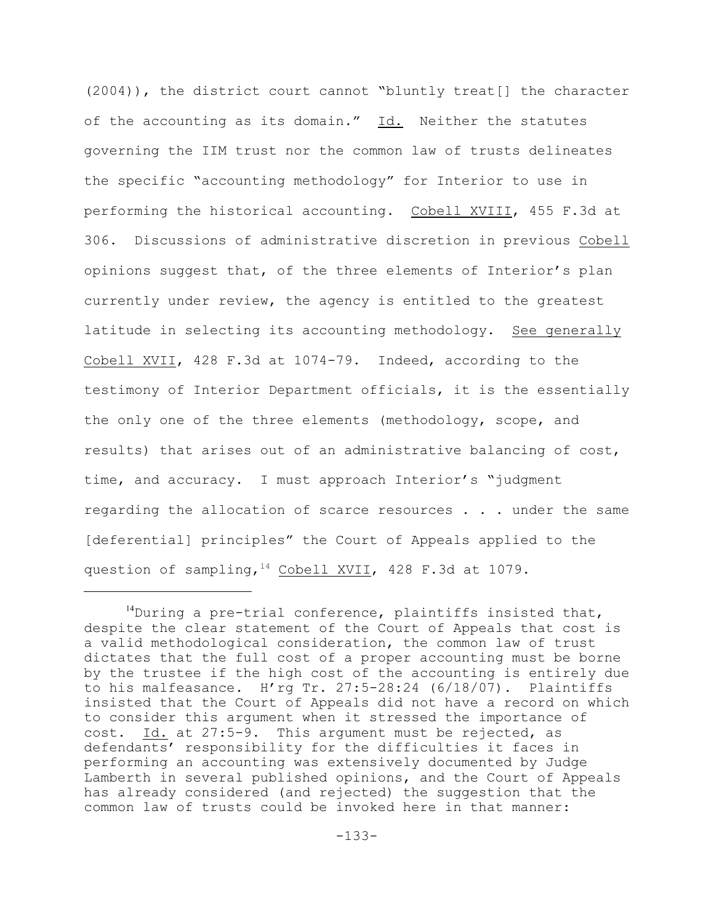(2004)), the district court cannot "bluntly treat[] the character of the accounting as its domain." Id. Neither the statutes governing the IIM trust nor the common law of trusts delineates the specific "accounting methodology" for Interior to use in performing the historical accounting. Cobell XVIII, 455 F.3d at 306. Discussions of administrative discretion in previous Cobell opinions suggest that, of the three elements of Interior's plan currently under review, the agency is entitled to the greatest latitude in selecting its accounting methodology. See generally Cobell XVII, 428 F.3d at 1074-79. Indeed, according to the testimony of Interior Department officials, it is the essentially the only one of the three elements (methodology, scope, and results) that arises out of an administrative balancing of cost, time, and accuracy. I must approach Interior's "judgment regarding the allocation of scarce resources . . . under the same [deferential] principles" the Court of Appeals applied to the question of sampling,  $14$  Cobell XVII, 428 F.3d at 1079.

<sup>&</sup>lt;sup>14</sup>During a pre-trial conference, plaintiffs insisted that, despite the clear statement of the Court of Appeals that cost is a valid methodological consideration, the common law of trust dictates that the full cost of a proper accounting must be borne by the trustee if the high cost of the accounting is entirely due to his malfeasance. H'rg Tr. 27:5-28:24 (6/18/07). Plaintiffs insisted that the Court of Appeals did not have a record on which to consider this argument when it stressed the importance of cost. Id. at 27:5-9. This argument must be rejected, as defendants' responsibility for the difficulties it faces in performing an accounting was extensively documented by Judge Lamberth in several published opinions, and the Court of Appeals has already considered (and rejected) the suggestion that the common law of trusts could be invoked here in that manner: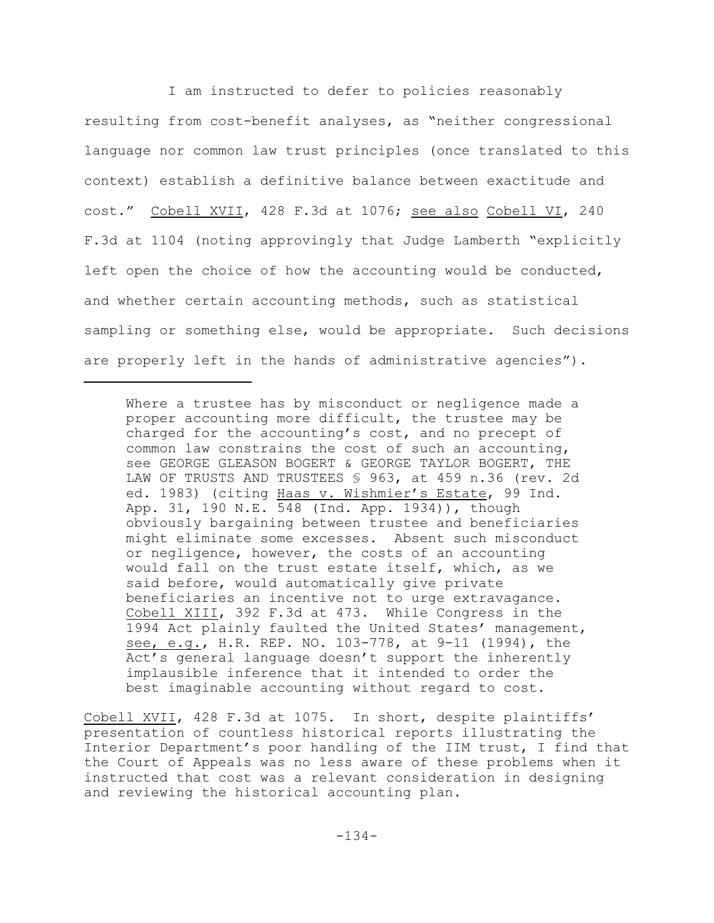I am instructed to defer to policies reasonably resulting from cost-benefit analyses, as "neither congressional language nor common law trust principles (once translated to this context) establish a definitive balance between exactitude and cost." Cobell XVII, 428 F.3d at 1076; see also Cobell VI, 240 F.3d at 1104 (noting approvingly that Judge Lamberth "explicitly left open the choice of how the accounting would be conducted, and whether certain accounting methods, such as statistical sampling or something else, would be appropriate. Such decisions are properly left in the hands of administrative agencies").

Where a trustee has by misconduct or negligence made a proper accounting more difficult, the trustee may be charged for the accounting's cost, and no precept of common law constrains the cost of such an accounting, see GEORGE GLEASON BOGERT & GEORGE TAYLOR BOGERT, THE LAW OF TRUSTS AND TRUSTEES § 963, at 459 n.36 (rev. 2d ed. 1983) (citing Haas v. Wishmier's Estate, 99 Ind. App. 31, 190 N.E. 548 (Ind. App. 1934)), though obviously bargaining between trustee and beneficiaries might eliminate some excesses. Absent such misconduct or negligence, however, the costs of an accounting would fall on the trust estate itself, which, as we said before, would automatically give private beneficiaries an incentive not to urge extravagance. Cobell XIII, 392 F.3d at 473. While Congress in the 1994 Act plainly faulted the United States' management, see, e.g., H.R. REP. NO. 103-778, at 9-11 (1994), the Act's general language doesn't support the inherently implausible inference that it intended to order the best imaginable accounting without regard to cost.

Cobell XVII, 428 F.3d at 1075. In short, despite plaintiffs' presentation of countless historical reports illustrating the Interior Department's poor handling of the IIM trust, I find that the Court of Appeals was no less aware of these problems when it instructed that cost was a relevant consideration in designing and reviewing the historical accounting plan.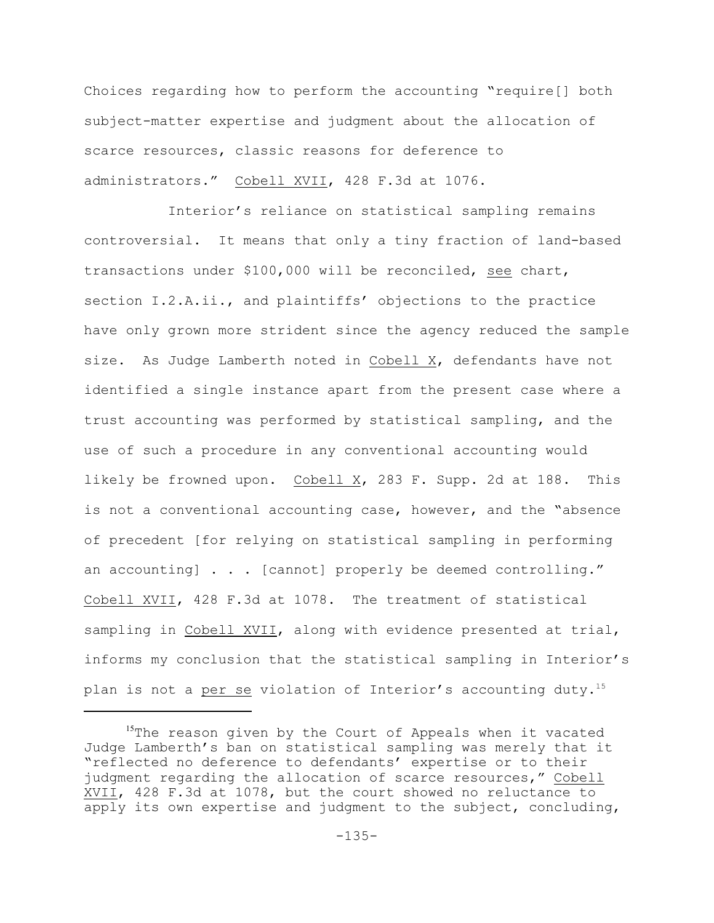Choices regarding how to perform the accounting "require[] both subject-matter expertise and judgment about the allocation of scarce resources, classic reasons for deference to administrators." Cobell XVII, 428 F.3d at 1076.

Interior's reliance on statistical sampling remains controversial. It means that only a tiny fraction of land-based transactions under \$100,000 will be reconciled, see chart, section I.2.A.ii., and plaintiffs' objections to the practice have only grown more strident since the agency reduced the sample size. As Judge Lamberth noted in Cobell X, defendants have not identified a single instance apart from the present case where a trust accounting was performed by statistical sampling, and the use of such a procedure in any conventional accounting would likely be frowned upon. Cobell X, 283 F. Supp. 2d at 188. This is not a conventional accounting case, however, and the "absence of precedent [for relying on statistical sampling in performing an accounting] . . . [cannot] properly be deemed controlling." Cobell XVII, 428 F.3d at 1078. The treatment of statistical sampling in Cobell XVII, along with evidence presented at trial, informs my conclusion that the statistical sampling in Interior's plan is not a per se violation of Interior's accounting duty.<sup>15</sup>

 $15$ The reason given by the Court of Appeals when it vacated Judge Lamberth's ban on statistical sampling was merely that it "reflected no deference to defendants' expertise or to their judgment regarding the allocation of scarce resources," Cobell XVII, 428 F.3d at 1078, but the court showed no reluctance to apply its own expertise and judgment to the subject, concluding,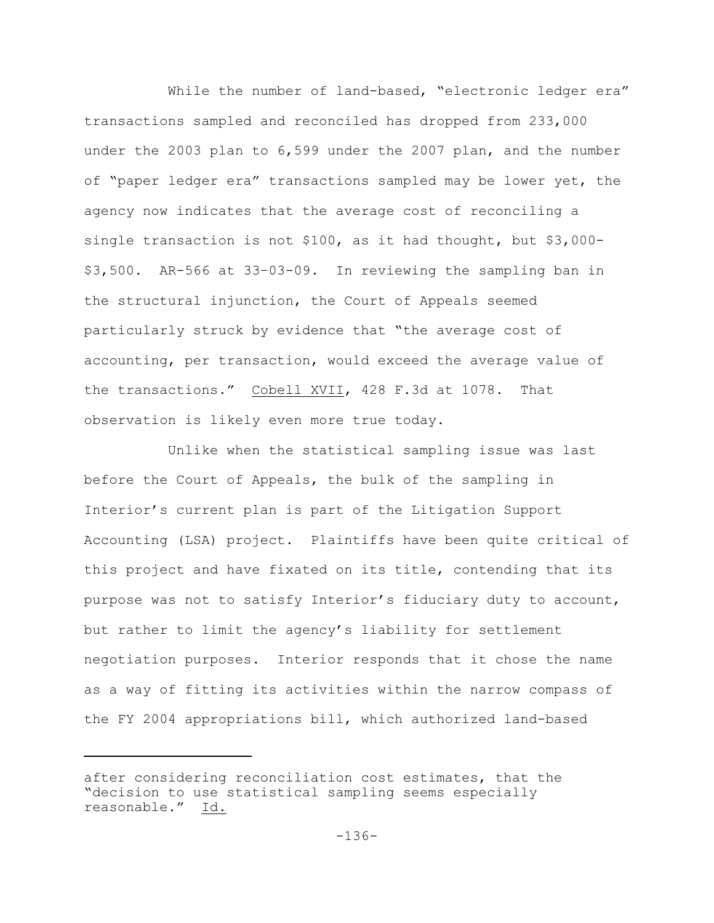While the number of land-based, "electronic ledger era" transactions sampled and reconciled has dropped from 233,000 under the 2003 plan to 6,599 under the 2007 plan, and the number of "paper ledger era" transactions sampled may be lower yet, the agency now indicates that the average cost of reconciling a single transaction is not \$100, as it had thought, but \$3,000- \$3,500. AR-566 at 33–03-09. In reviewing the sampling ban in the structural injunction, the Court of Appeals seemed particularly struck by evidence that "the average cost of accounting, per transaction, would exceed the average value of the transactions." Cobell XVII, 428 F.3d at 1078. That observation is likely even more true today.

Unlike when the statistical sampling issue was last before the Court of Appeals, the bulk of the sampling in Interior's current plan is part of the Litigation Support Accounting (LSA) project. Plaintiffs have been quite critical of this project and have fixated on its title, contending that its purpose was not to satisfy Interior's fiduciary duty to account, but rather to limit the agency's liability for settlement negotiation purposes. Interior responds that it chose the name as a way of fitting its activities within the narrow compass of the FY 2004 appropriations bill, which authorized land-based

after considering reconciliation cost estimates, that the "decision to use statistical sampling seems especially reasonable." Id.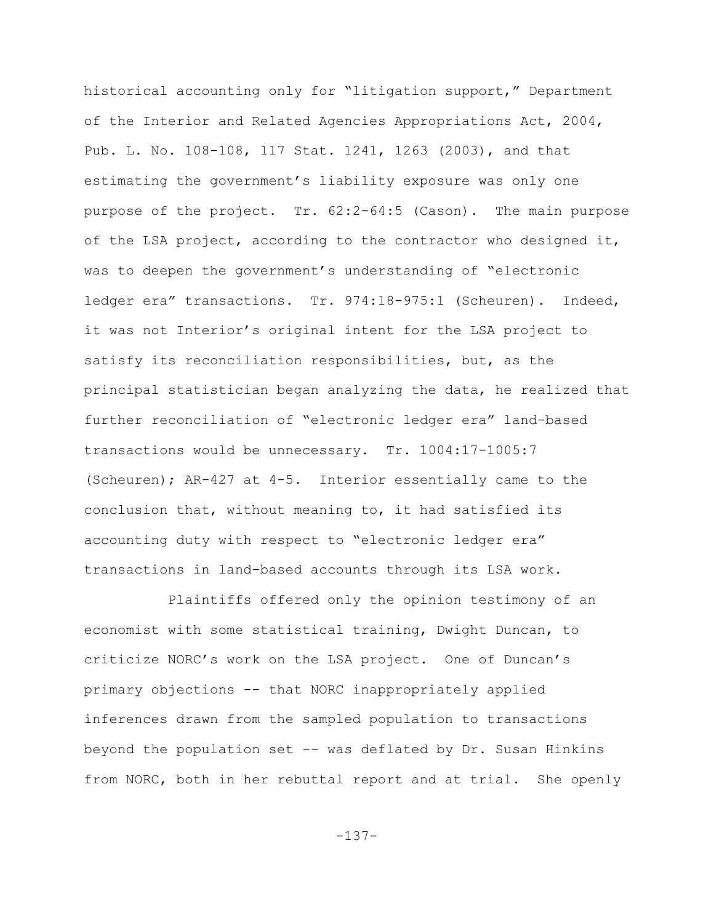historical accounting only for "litigation support," Department of the Interior and Related Agencies Appropriations Act, 2004, Pub. L. No. 108-108, 117 Stat. 1241, 1263 (2003), and that estimating the government's liability exposure was only one purpose of the project. Tr. 62:2-64:5 (Cason). The main purpose of the LSA project, according to the contractor who designed it, was to deepen the government's understanding of "electronic ledger era" transactions. Tr. 974:18-975:1 (Scheuren). Indeed, it was not Interior's original intent for the LSA project to satisfy its reconciliation responsibilities, but, as the principal statistician began analyzing the data, he realized that further reconciliation of "electronic ledger era" land-based transactions would be unnecessary. Tr. 1004:17-1005:7 (Scheuren); AR-427 at 4-5. Interior essentially came to the conclusion that, without meaning to, it had satisfied its accounting duty with respect to "electronic ledger era" transactions in land-based accounts through its LSA work.

Plaintiffs offered only the opinion testimony of an economist with some statistical training, Dwight Duncan, to criticize NORC's work on the LSA project. One of Duncan's primary objections -- that NORC inappropriately applied inferences drawn from the sampled population to transactions beyond the population set -- was deflated by Dr. Susan Hinkins from NORC, both in her rebuttal report and at trial. She openly

-137-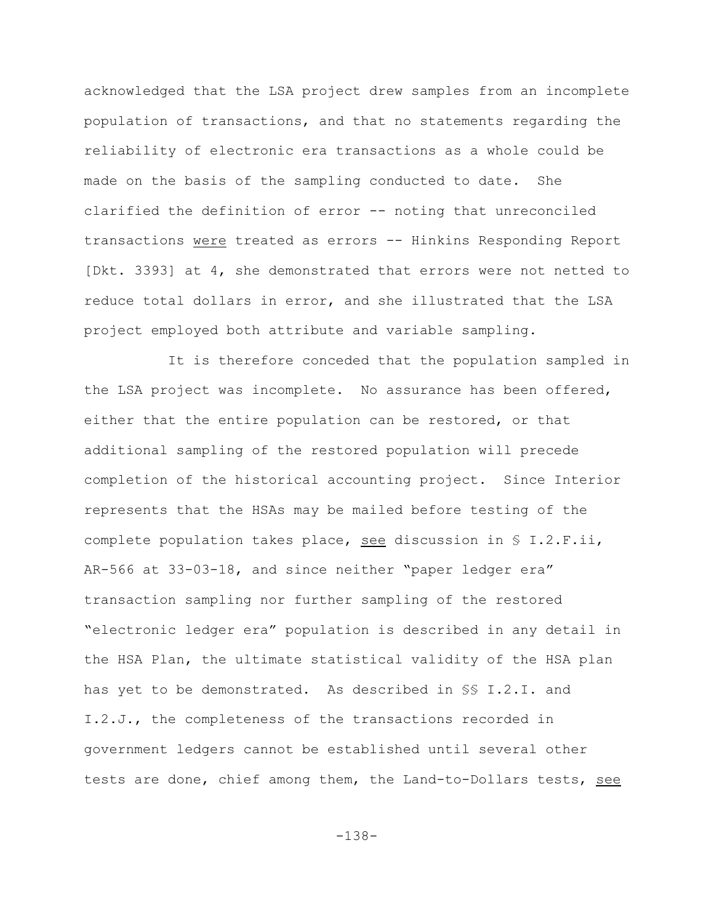acknowledged that the LSA project drew samples from an incomplete population of transactions, and that no statements regarding the reliability of electronic era transactions as a whole could be made on the basis of the sampling conducted to date. She clarified the definition of error -- noting that unreconciled transactions were treated as errors -- Hinkins Responding Report [Dkt. 3393] at 4, she demonstrated that errors were not netted to reduce total dollars in error, and she illustrated that the LSA project employed both attribute and variable sampling.

It is therefore conceded that the population sampled in the LSA project was incomplete. No assurance has been offered, either that the entire population can be restored, or that additional sampling of the restored population will precede completion of the historical accounting project. Since Interior represents that the HSAs may be mailed before testing of the complete population takes place, see discussion in § I.2.F.ii, AR-566 at 33-03-18, and since neither "paper ledger era" transaction sampling nor further sampling of the restored "electronic ledger era" population is described in any detail in the HSA Plan, the ultimate statistical validity of the HSA plan has yet to be demonstrated. As described in §§ I.2.I. and I.2.J., the completeness of the transactions recorded in government ledgers cannot be established until several other tests are done, chief among them, the Land-to-Dollars tests, see

-138-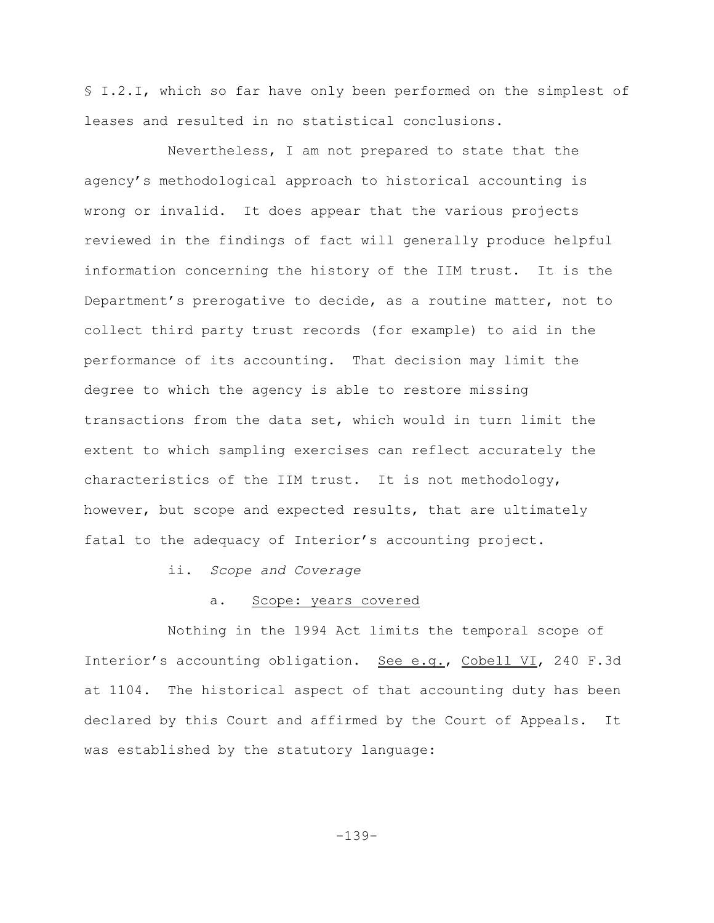§ I.2.I, which so far have only been performed on the simplest of leases and resulted in no statistical conclusions.

Nevertheless, I am not prepared to state that the agency's methodological approach to historical accounting is wrong or invalid. It does appear that the various projects reviewed in the findings of fact will generally produce helpful information concerning the history of the IIM trust. It is the Department's prerogative to decide, as a routine matter, not to collect third party trust records (for example) to aid in the performance of its accounting. That decision may limit the degree to which the agency is able to restore missing transactions from the data set, which would in turn limit the extent to which sampling exercises can reflect accurately the characteristics of the IIM trust. It is not methodology, however, but scope and expected results, that are ultimately fatal to the adequacy of Interior's accounting project.

ii. *Scope and Coverage*

#### a. Scope: years covered

Nothing in the 1994 Act limits the temporal scope of Interior's accounting obligation. See e.g., Cobell VI, 240 F.3d at 1104. The historical aspect of that accounting duty has been declared by this Court and affirmed by the Court of Appeals. It was established by the statutory language:

-139-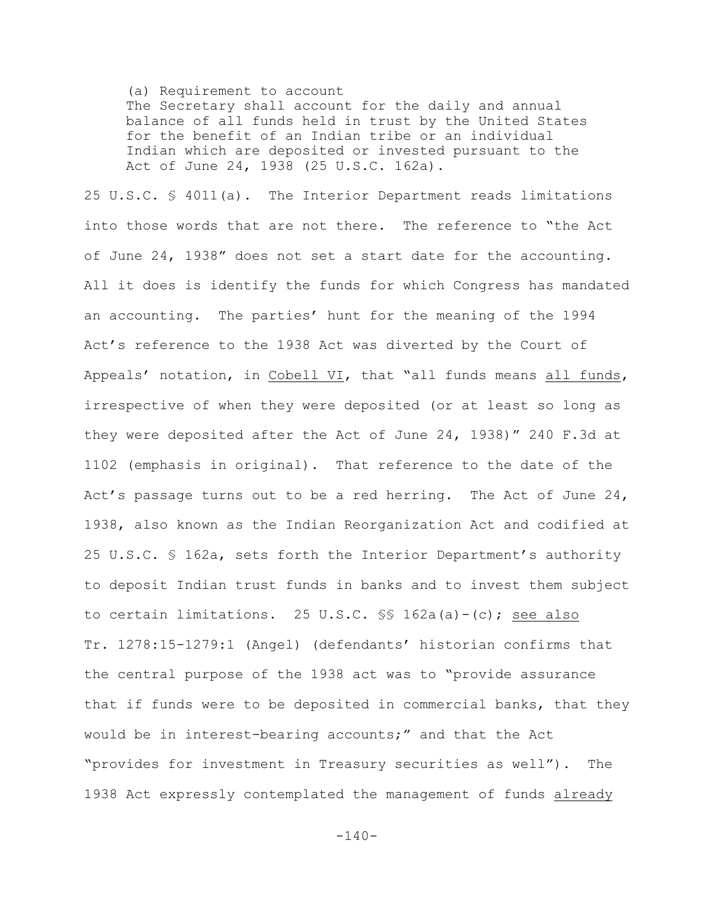(a) Requirement to account

The Secretary shall account for the daily and annual balance of all funds held in trust by the United States for the benefit of an Indian tribe or an individual Indian which are deposited or invested pursuant to the Act of June 24, 1938 (25 U.S.C. 162a).

25 U.S.C. § 4011(a). The Interior Department reads limitations into those words that are not there. The reference to "the Act of June 24, 1938" does not set a start date for the accounting. All it does is identify the funds for which Congress has mandated an accounting. The parties' hunt for the meaning of the 1994 Act's reference to the 1938 Act was diverted by the Court of Appeals' notation, in Cobell VI, that "all funds means all funds, irrespective of when they were deposited (or at least so long as they were deposited after the Act of June 24, 1938)" 240 F.3d at 1102 (emphasis in original). That reference to the date of the Act's passage turns out to be a red herring. The Act of June  $24$ , 1938, also known as the Indian Reorganization Act and codified at 25 U.S.C. § 162a, sets forth the Interior Department's authority to deposit Indian trust funds in banks and to invest them subject to certain limitations. 25 U.S.C. §§ 162a(a)-(c); see also Tr. 1278:15-1279:1 (Angel) (defendants' historian confirms that the central purpose of the 1938 act was to "provide assurance that if funds were to be deposited in commercial banks, that they would be in interest-bearing accounts;" and that the Act "provides for investment in Treasury securities as well"). The 1938 Act expressly contemplated the management of funds already

 $-140-$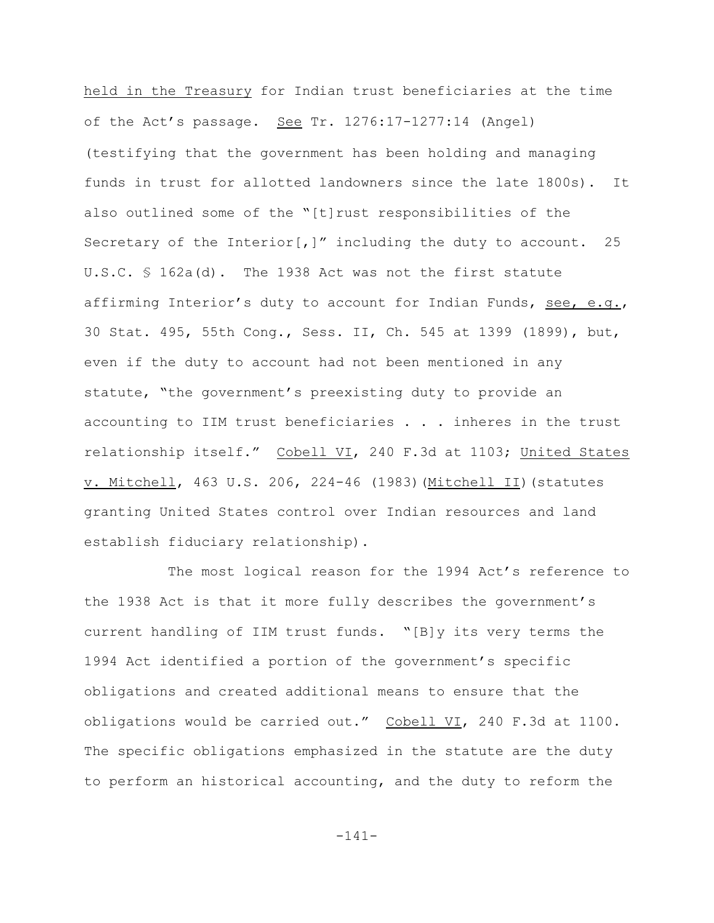held in the Treasury for Indian trust beneficiaries at the time of the Act's passage. See Tr. 1276:17-1277:14 (Angel) (testifying that the government has been holding and managing funds in trust for allotted landowners since the late 1800s). It also outlined some of the "[t]rust responsibilities of the Secretary of the Interior[,]" including the duty to account. 25 U.S.C. § 162a(d). The 1938 Act was not the first statute affirming Interior's duty to account for Indian Funds, see, e.g., 30 Stat. 495, 55th Cong., Sess. II, Ch. 545 at 1399 (1899), but, even if the duty to account had not been mentioned in any statute, "the government's preexisting duty to provide an accounting to IIM trust beneficiaries . . . inheres in the trust relationship itself." Cobell VI, 240 F.3d at 1103; United States v. Mitchell, 463 U.S. 206, 224-46 (1983)(Mitchell II)(statutes granting United States control over Indian resources and land establish fiduciary relationship).

The most logical reason for the 1994 Act's reference to the 1938 Act is that it more fully describes the government's current handling of IIM trust funds. "[B]y its very terms the 1994 Act identified a portion of the government's specific obligations and created additional means to ensure that the obligations would be carried out." Cobell VI, 240 F.3d at 1100. The specific obligations emphasized in the statute are the duty to perform an historical accounting, and the duty to reform the

-141-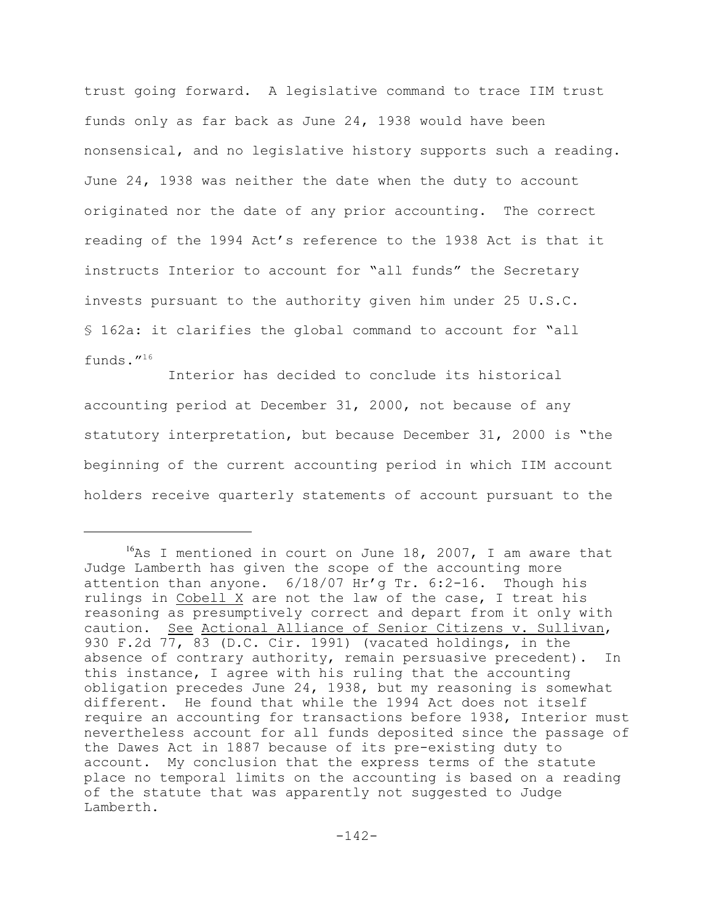trust going forward. A legislative command to trace IIM trust funds only as far back as June 24, 1938 would have been nonsensical, and no legislative history supports such a reading. June 24, 1938 was neither the date when the duty to account originated nor the date of any prior accounting. The correct reading of the 1994 Act's reference to the 1938 Act is that it instructs Interior to account for "all funds" the Secretary invests pursuant to the authority given him under 25 U.S.C. § 162a: it clarifies the global command to account for "all funds."<sup>16</sup>

Interior has decided to conclude its historical accounting period at December 31, 2000, not because of any statutory interpretation, but because December 31, 2000 is "the beginning of the current accounting period in which IIM account holders receive quarterly statements of account pursuant to the

 $16$ As I mentioned in court on June 18, 2007, I am aware that Judge Lamberth has given the scope of the accounting more attention than anyone. 6/18/07 Hr'g Tr. 6:2-16. Though his rulings in Cobell X are not the law of the case, I treat his reasoning as presumptively correct and depart from it only with caution. See Actional Alliance of Senior Citizens v. Sullivan, 930 F.2d 77, 83 (D.C. Cir. 1991) (vacated holdings, in the absence of contrary authority, remain persuasive precedent). In this instance, I agree with his ruling that the accounting obligation precedes June 24, 1938, but my reasoning is somewhat different. He found that while the 1994 Act does not itself require an accounting for transactions before 1938, Interior must nevertheless account for all funds deposited since the passage of the Dawes Act in 1887 because of its pre-existing duty to account. My conclusion that the express terms of the statute place no temporal limits on the accounting is based on a reading of the statute that was apparently not suggested to Judge Lamberth.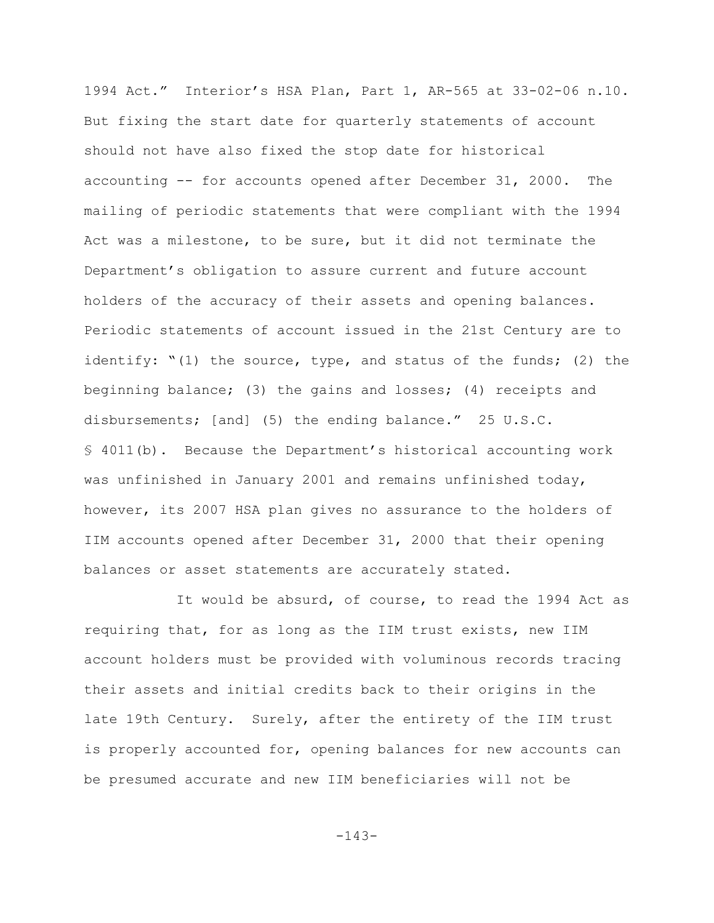1994 Act." Interior's HSA Plan, Part 1, AR-565 at 33-02-06 n.10. But fixing the start date for quarterly statements of account should not have also fixed the stop date for historical accounting -- for accounts opened after December 31, 2000. The mailing of periodic statements that were compliant with the 1994 Act was a milestone, to be sure, but it did not terminate the Department's obligation to assure current and future account holders of the accuracy of their assets and opening balances. Periodic statements of account issued in the 21st Century are to identify: "(1) the source, type, and status of the funds; (2) the beginning balance; (3) the gains and losses; (4) receipts and disbursements; [and] (5) the ending balance." 25 U.S.C. § 4011(b). Because the Department's historical accounting work was unfinished in January 2001 and remains unfinished today, however, its 2007 HSA plan gives no assurance to the holders of IIM accounts opened after December 31, 2000 that their opening balances or asset statements are accurately stated.

 It would be absurd, of course, to read the 1994 Act as requiring that, for as long as the IIM trust exists, new IIM account holders must be provided with voluminous records tracing their assets and initial credits back to their origins in the late 19th Century. Surely, after the entirety of the IIM trust is properly accounted for, opening balances for new accounts can be presumed accurate and new IIM beneficiaries will not be

-143-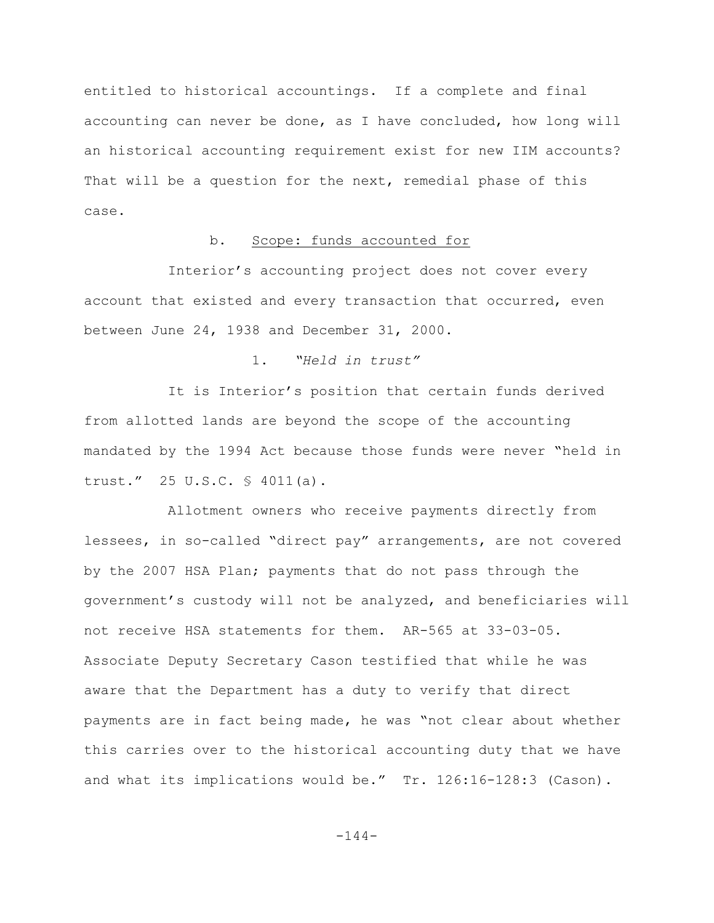entitled to historical accountings. If a complete and final accounting can never be done, as I have concluded, how long will an historical accounting requirement exist for new IIM accounts? That will be a question for the next, remedial phase of this case.

### b. Scope: funds accounted for

Interior's accounting project does not cover every account that existed and every transaction that occurred, even between June 24, 1938 and December 31, 2000.

## 1. *"Held in trust"*

It is Interior's position that certain funds derived from allotted lands are beyond the scope of the accounting mandated by the 1994 Act because those funds were never "held in trust." 25 U.S.C. § 4011(a).

Allotment owners who receive payments directly from lessees, in so-called "direct pay" arrangements, are not covered by the 2007 HSA Plan; payments that do not pass through the government's custody will not be analyzed, and beneficiaries will not receive HSA statements for them. AR-565 at 33-03-05. Associate Deputy Secretary Cason testified that while he was aware that the Department has a duty to verify that direct payments are in fact being made, he was "not clear about whether this carries over to the historical accounting duty that we have and what its implications would be." Tr. 126:16-128:3 (Cason).

 $-144-$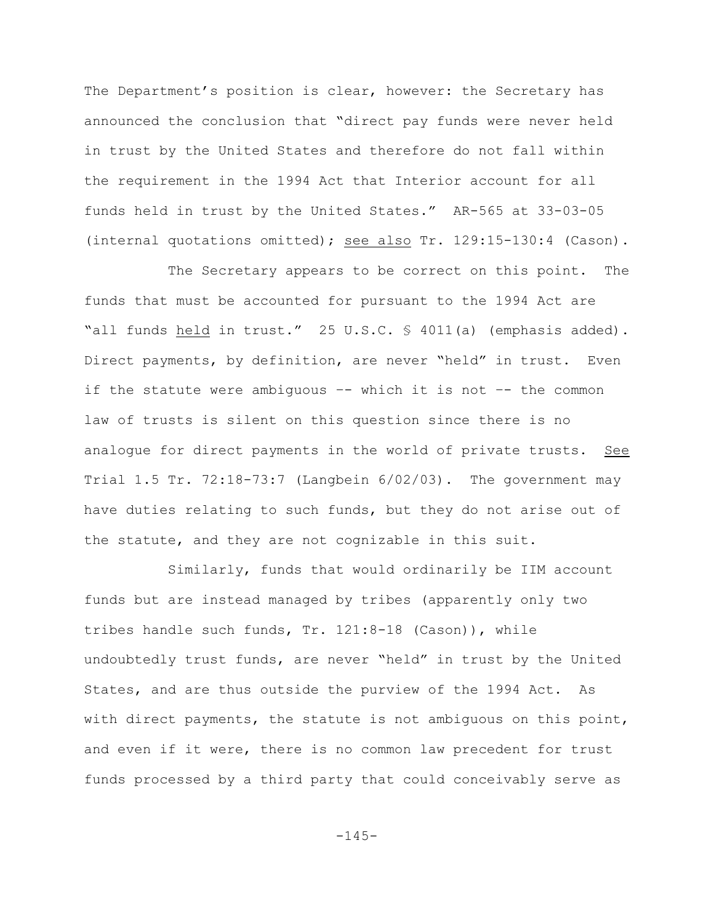The Department's position is clear, however: the Secretary has announced the conclusion that "direct pay funds were never held in trust by the United States and therefore do not fall within the requirement in the 1994 Act that Interior account for all funds held in trust by the United States." AR-565 at 33-03-05 (internal quotations omitted); see also Tr. 129:15-130:4 (Cason).

The Secretary appears to be correct on this point. The funds that must be accounted for pursuant to the 1994 Act are "all funds held in trust." 25 U.S.C. § 4011(a) (emphasis added). Direct payments, by definition, are never "held" in trust. Even if the statute were ambiguous –- which it is not –- the common law of trusts is silent on this question since there is no analogue for direct payments in the world of private trusts. See Trial 1.5 Tr. 72:18-73:7 (Langbein 6/02/03). The government may have duties relating to such funds, but they do not arise out of the statute, and they are not cognizable in this suit.

Similarly, funds that would ordinarily be IIM account funds but are instead managed by tribes (apparently only two tribes handle such funds, Tr. 121:8-18 (Cason)), while undoubtedly trust funds, are never "held" in trust by the United States, and are thus outside the purview of the 1994 Act. As with direct payments, the statute is not ambiguous on this point, and even if it were, there is no common law precedent for trust funds processed by a third party that could conceivably serve as

 $-145-$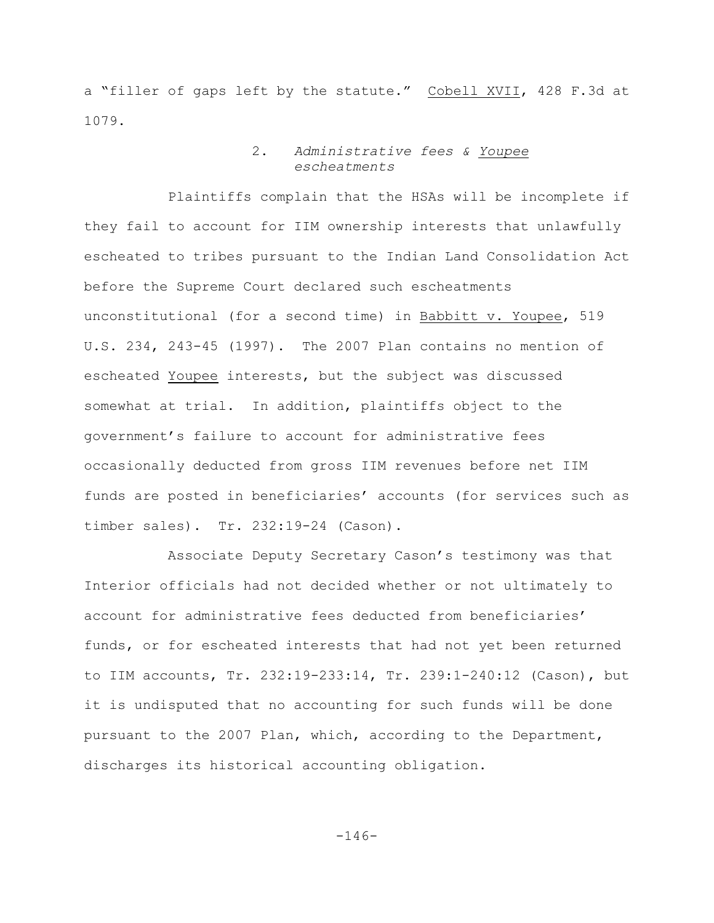a "filler of gaps left by the statute." Cobell XVII, 428 F.3d at 1079.

### 2. *Administrative fees & Youpee escheatments*

Plaintiffs complain that the HSAs will be incomplete if they fail to account for IIM ownership interests that unlawfully escheated to tribes pursuant to the Indian Land Consolidation Act before the Supreme Court declared such escheatments unconstitutional (for a second time) in Babbitt v. Youpee, 519 U.S. 234, 243-45 (1997). The 2007 Plan contains no mention of escheated Youpee interests, but the subject was discussed somewhat at trial. In addition, plaintiffs object to the government's failure to account for administrative fees occasionally deducted from gross IIM revenues before net IIM funds are posted in beneficiaries' accounts (for services such as timber sales). Tr. 232:19-24 (Cason).

Associate Deputy Secretary Cason's testimony was that Interior officials had not decided whether or not ultimately to account for administrative fees deducted from beneficiaries' funds, or for escheated interests that had not yet been returned to IIM accounts, Tr. 232:19-233:14, Tr. 239:1-240:12 (Cason), but it is undisputed that no accounting for such funds will be done pursuant to the 2007 Plan, which, according to the Department, discharges its historical accounting obligation.

-146-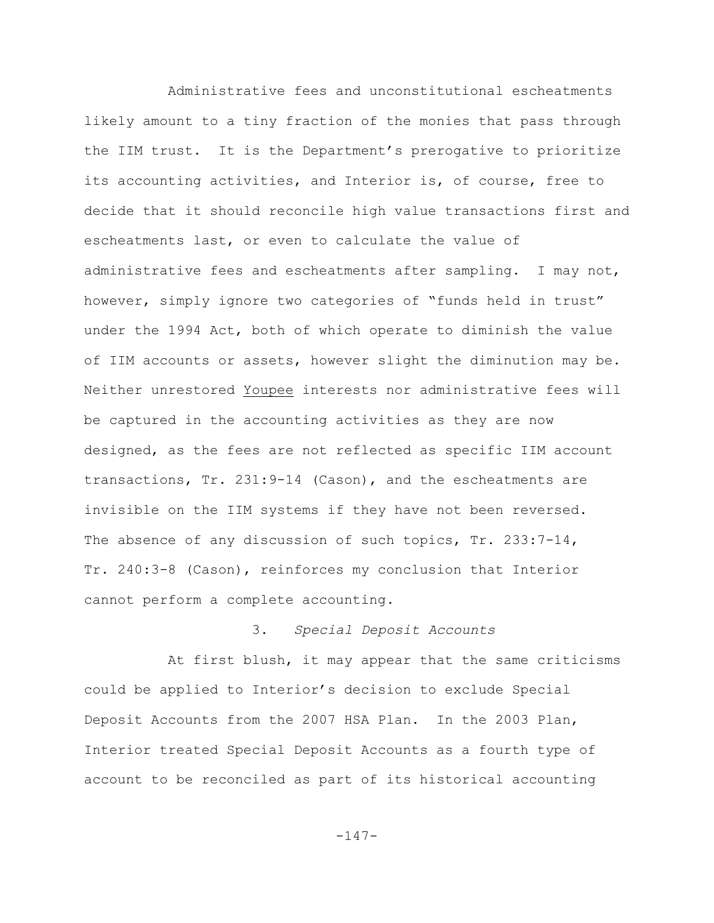Administrative fees and unconstitutional escheatments likely amount to a tiny fraction of the monies that pass through the IIM trust. It is the Department's prerogative to prioritize its accounting activities, and Interior is, of course, free to decide that it should reconcile high value transactions first and escheatments last, or even to calculate the value of administrative fees and escheatments after sampling. I may not, however, simply ignore two categories of "funds held in trust" under the 1994 Act, both of which operate to diminish the value of IIM accounts or assets, however slight the diminution may be. Neither unrestored Youpee interests nor administrative fees will be captured in the accounting activities as they are now designed, as the fees are not reflected as specific IIM account transactions, Tr. 231:9-14 (Cason), and the escheatments are invisible on the IIM systems if they have not been reversed. The absence of any discussion of such topics, Tr. 233:7-14, Tr. 240:3-8 (Cason), reinforces my conclusion that Interior cannot perform a complete accounting.

# 3. *Special Deposit Accounts*

At first blush, it may appear that the same criticisms could be applied to Interior's decision to exclude Special Deposit Accounts from the 2007 HSA Plan. In the 2003 Plan, Interior treated Special Deposit Accounts as a fourth type of account to be reconciled as part of its historical accounting

 $-147-$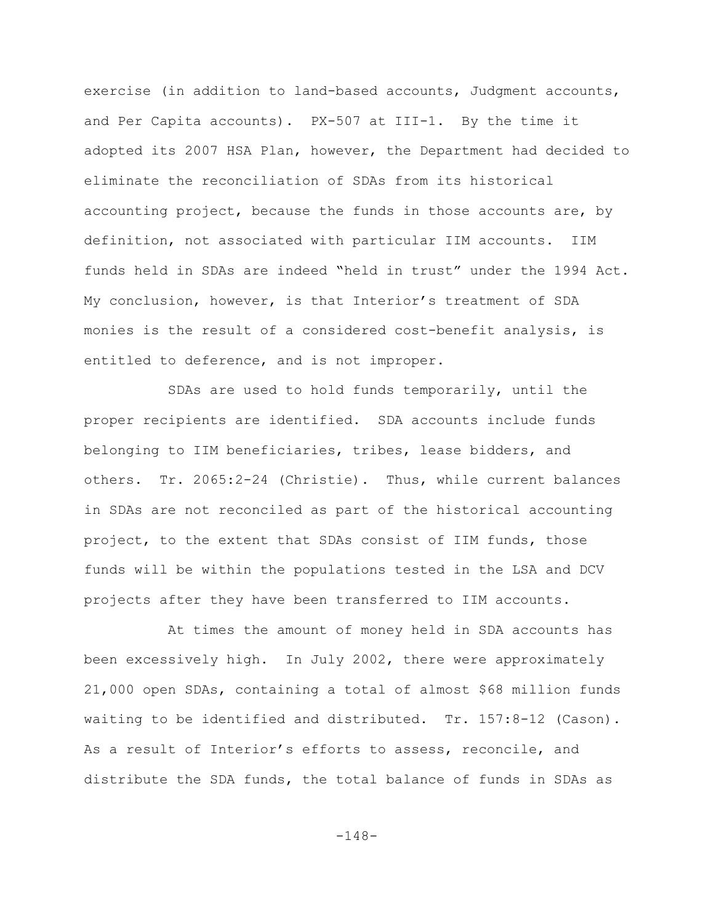exercise (in addition to land-based accounts, Judgment accounts, and Per Capita accounts). PX-507 at III-1. By the time it adopted its 2007 HSA Plan, however, the Department had decided to eliminate the reconciliation of SDAs from its historical accounting project, because the funds in those accounts are, by definition, not associated with particular IIM accounts. IIM funds held in SDAs are indeed "held in trust" under the 1994 Act. My conclusion, however, is that Interior's treatment of SDA monies is the result of a considered cost-benefit analysis, is entitled to deference, and is not improper.

SDAs are used to hold funds temporarily, until the proper recipients are identified. SDA accounts include funds belonging to IIM beneficiaries, tribes, lease bidders, and others. Tr. 2065:2-24 (Christie). Thus, while current balances in SDAs are not reconciled as part of the historical accounting project, to the extent that SDAs consist of IIM funds, those funds will be within the populations tested in the LSA and DCV projects after they have been transferred to IIM accounts.

At times the amount of money held in SDA accounts has been excessively high. In July 2002, there were approximately 21,000 open SDAs, containing a total of almost \$68 million funds waiting to be identified and distributed. Tr. 157:8-12 (Cason). As a result of Interior's efforts to assess, reconcile, and distribute the SDA funds, the total balance of funds in SDAs as

-148-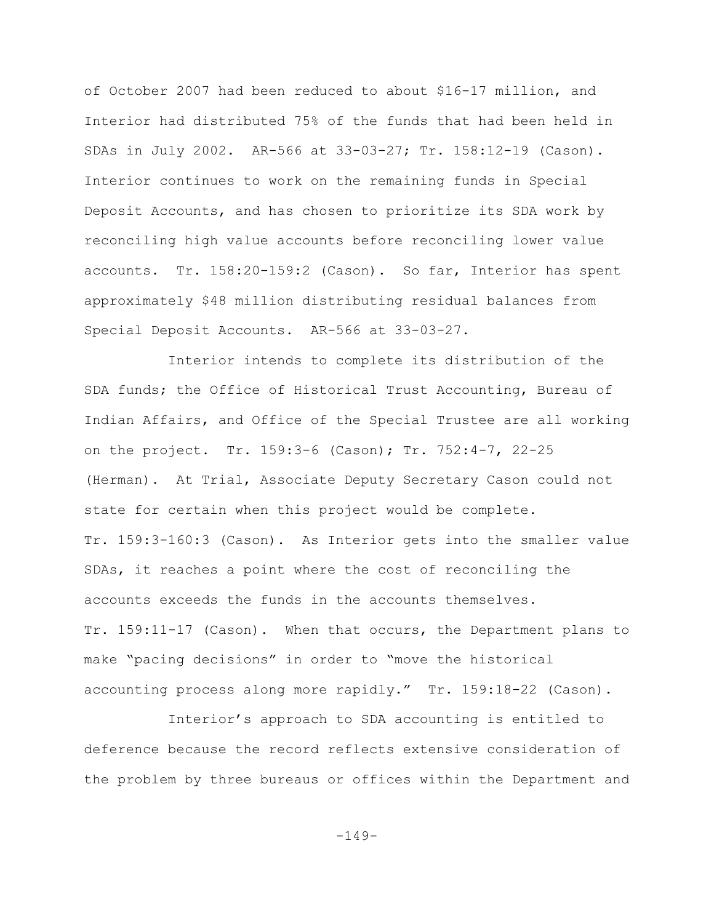of October 2007 had been reduced to about \$16-17 million, and Interior had distributed 75% of the funds that had been held in SDAs in July 2002. AR-566 at 33-03-27; Tr. 158:12-19 (Cason). Interior continues to work on the remaining funds in Special Deposit Accounts, and has chosen to prioritize its SDA work by reconciling high value accounts before reconciling lower value accounts. Tr. 158:20-159:2 (Cason). So far, Interior has spent approximately \$48 million distributing residual balances from Special Deposit Accounts. AR-566 at 33-03-27.

Interior intends to complete its distribution of the SDA funds; the Office of Historical Trust Accounting, Bureau of Indian Affairs, and Office of the Special Trustee are all working on the project. Tr. 159:3-6 (Cason); Tr. 752:4-7, 22-25 (Herman). At Trial, Associate Deputy Secretary Cason could not state for certain when this project would be complete. Tr. 159:3-160:3 (Cason). As Interior gets into the smaller value SDAs, it reaches a point where the cost of reconciling the accounts exceeds the funds in the accounts themselves. Tr. 159:11-17 (Cason). When that occurs, the Department plans to make "pacing decisions" in order to "move the historical accounting process along more rapidly." Tr. 159:18-22 (Cason).

Interior's approach to SDA accounting is entitled to deference because the record reflects extensive consideration of the problem by three bureaus or offices within the Department and

-149-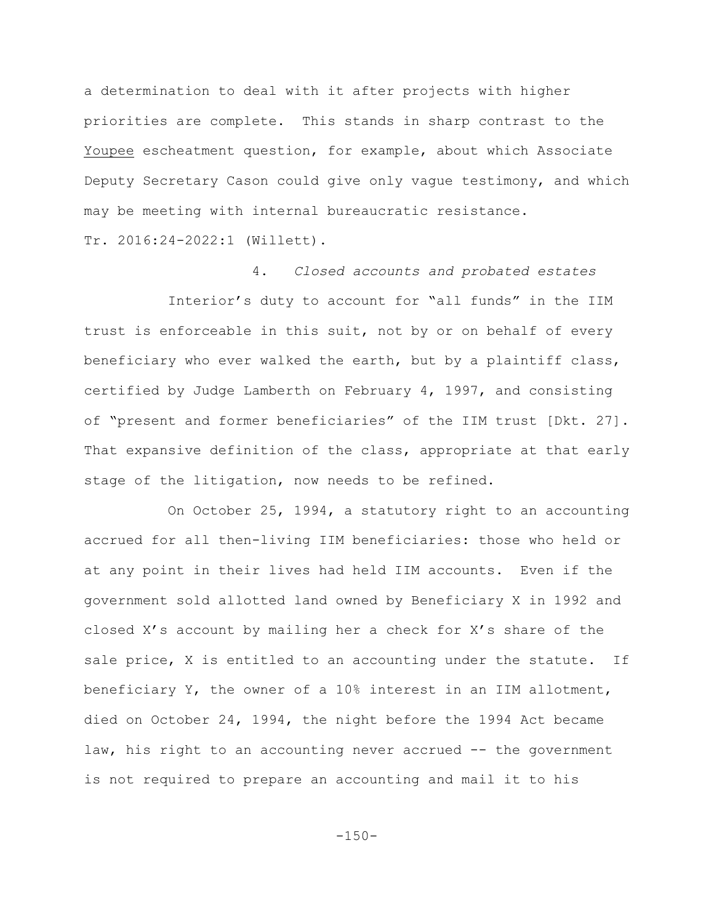a determination to deal with it after projects with higher priorities are complete. This stands in sharp contrast to the Youpee escheatment question, for example, about which Associate Deputy Secretary Cason could give only vague testimony, and which may be meeting with internal bureaucratic resistance.

Tr. 2016:24-2022:1 (Willett).

4. *Closed accounts and probated estates*

Interior's duty to account for "all funds" in the IIM trust is enforceable in this suit, not by or on behalf of every beneficiary who ever walked the earth, but by a plaintiff class, certified by Judge Lamberth on February 4, 1997, and consisting of "present and former beneficiaries" of the IIM trust [Dkt. 27]. That expansive definition of the class, appropriate at that early stage of the litigation, now needs to be refined.

On October 25, 1994, a statutory right to an accounting accrued for all then-living IIM beneficiaries: those who held or at any point in their lives had held IIM accounts. Even if the government sold allotted land owned by Beneficiary X in 1992 and closed X's account by mailing her a check for X's share of the sale price, X is entitled to an accounting under the statute. If beneficiary Y, the owner of a 10% interest in an IIM allotment, died on October 24, 1994, the night before the 1994 Act became law, his right to an accounting never accrued -- the government is not required to prepare an accounting and mail it to his

 $-150-$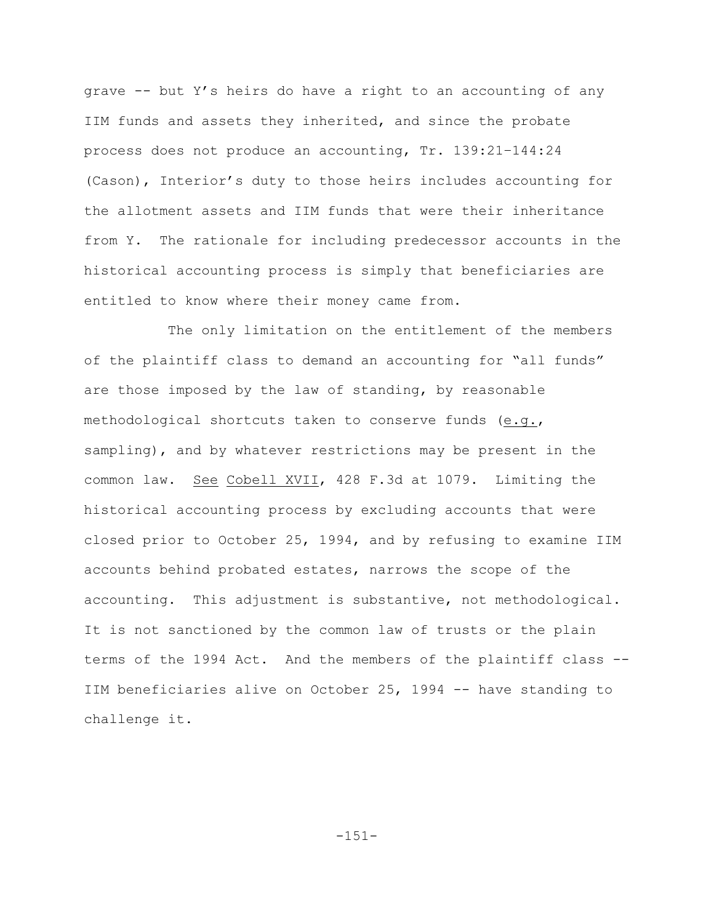grave -- but Y's heirs do have a right to an accounting of any IIM funds and assets they inherited, and since the probate process does not produce an accounting, Tr. 139:21–144:24 (Cason), Interior's duty to those heirs includes accounting for the allotment assets and IIM funds that were their inheritance from Y. The rationale for including predecessor accounts in the historical accounting process is simply that beneficiaries are entitled to know where their money came from.

The only limitation on the entitlement of the members of the plaintiff class to demand an accounting for "all funds" are those imposed by the law of standing, by reasonable methodological shortcuts taken to conserve funds (e.g., sampling), and by whatever restrictions may be present in the common law. See Cobell XVII, 428 F.3d at 1079. Limiting the historical accounting process by excluding accounts that were closed prior to October 25, 1994, and by refusing to examine IIM accounts behind probated estates, narrows the scope of the accounting. This adjustment is substantive, not methodological. It is not sanctioned by the common law of trusts or the plain terms of the 1994 Act. And the members of the plaintiff class -- IIM beneficiaries alive on October 25, 1994 -- have standing to challenge it.

 $-151-$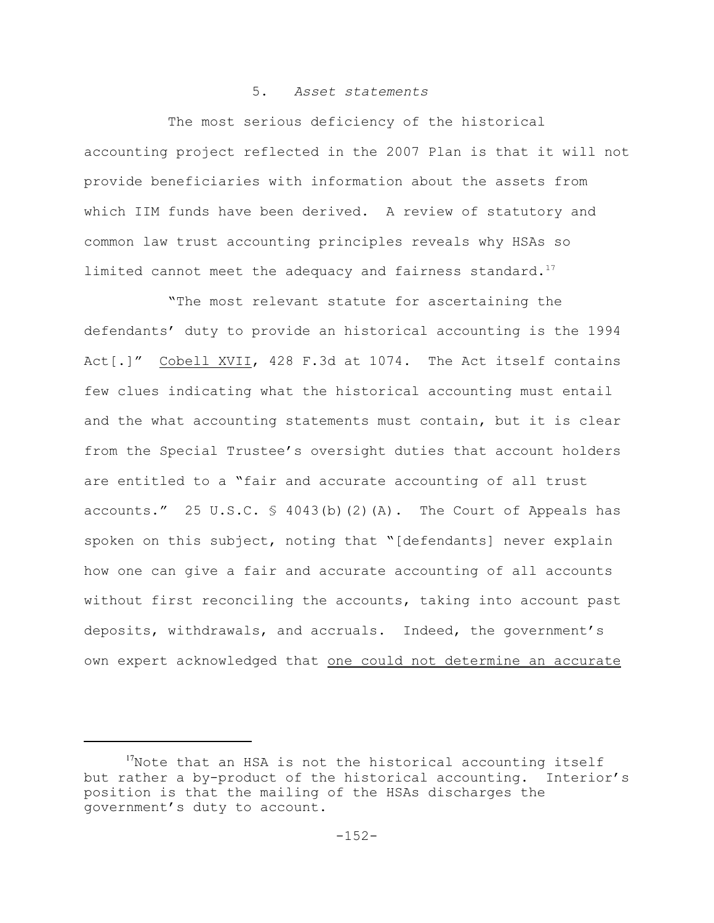# 5. *Asset statements*

The most serious deficiency of the historical accounting project reflected in the 2007 Plan is that it will not provide beneficiaries with information about the assets from which IIM funds have been derived. A review of statutory and common law trust accounting principles reveals why HSAs so limited cannot meet the adequacy and fairness standard.<sup>17</sup>

"The most relevant statute for ascertaining the defendants' duty to provide an historical accounting is the 1994 Act[.]" Cobell XVII, 428 F.3d at 1074. The Act itself contains few clues indicating what the historical accounting must entail and the what accounting statements must contain, but it is clear from the Special Trustee's oversight duties that account holders are entitled to a "fair and accurate accounting of all trust accounts." 25 U.S.C.  $\frac{1}{2}$  4043(b)(2)(A). The Court of Appeals has spoken on this subject, noting that "[defendants] never explain how one can give a fair and accurate accounting of all accounts without first reconciling the accounts, taking into account past deposits, withdrawals, and accruals. Indeed, the government's own expert acknowledged that one could not determine an accurate

 $17$ Note that an HSA is not the historical accounting itself but rather a by-product of the historical accounting. Interior's position is that the mailing of the HSAs discharges the government's duty to account.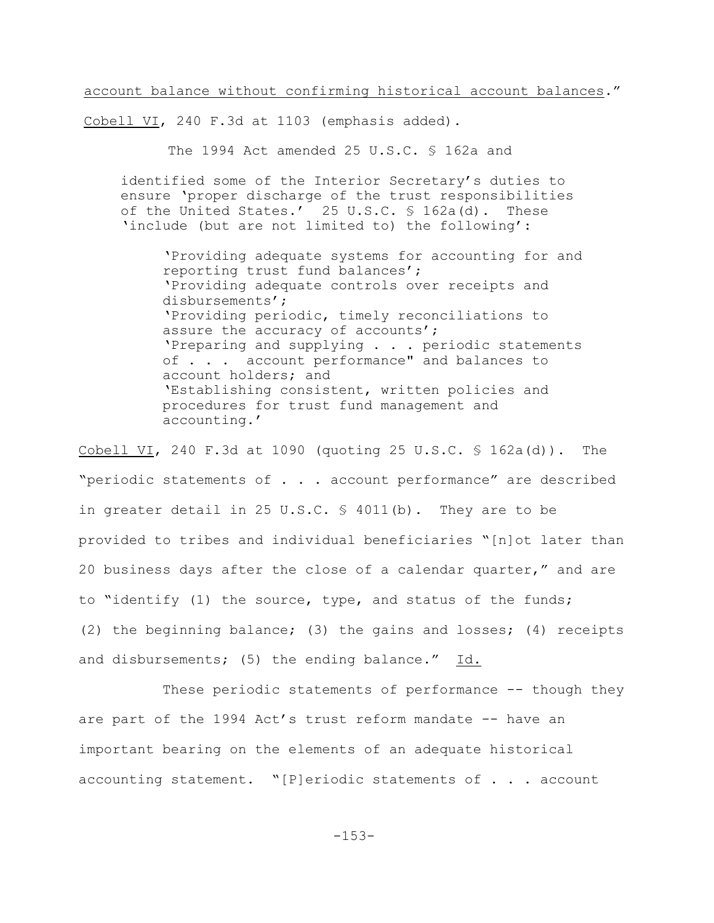account balance without confirming historical account balances."

Cobell VI, 240 F.3d at 1103 (emphasis added).

The 1994 Act amended 25 U.S.C. § 162a and

identified some of the Interior Secretary's duties to ensure 'proper discharge of the trust responsibilities of the United States.' 25 U.S.C. § 162a(d). These 'include (but are not limited to) the following':

'Providing adequate systems for accounting for and reporting trust fund balances'; 'Providing adequate controls over receipts and disbursements'; 'Providing periodic, timely reconciliations to assure the accuracy of accounts'; 'Preparing and supplying . . . periodic statements of . . . account performance" and balances to account holders; and 'Establishing consistent, written policies and procedures for trust fund management and accounting.'

Cobell VI, 240 F.3d at 1090 (quoting 25 U.S.C. § 162a(d)). The "periodic statements of . . . account performance" are described in greater detail in 25 U.S.C.  $\frac{6}{5}$  4011(b). They are to be provided to tribes and individual beneficiaries "[n]ot later than 20 business days after the close of a calendar quarter," and are to "identify (1) the source, type, and status of the funds; (2) the beginning balance; (3) the gains and losses; (4) receipts and disbursements; (5) the ending balance." Id.

These periodic statements of performance -- though they are part of the 1994 Act's trust reform mandate -- have an important bearing on the elements of an adequate historical accounting statement. "[P]eriodic statements of . . . account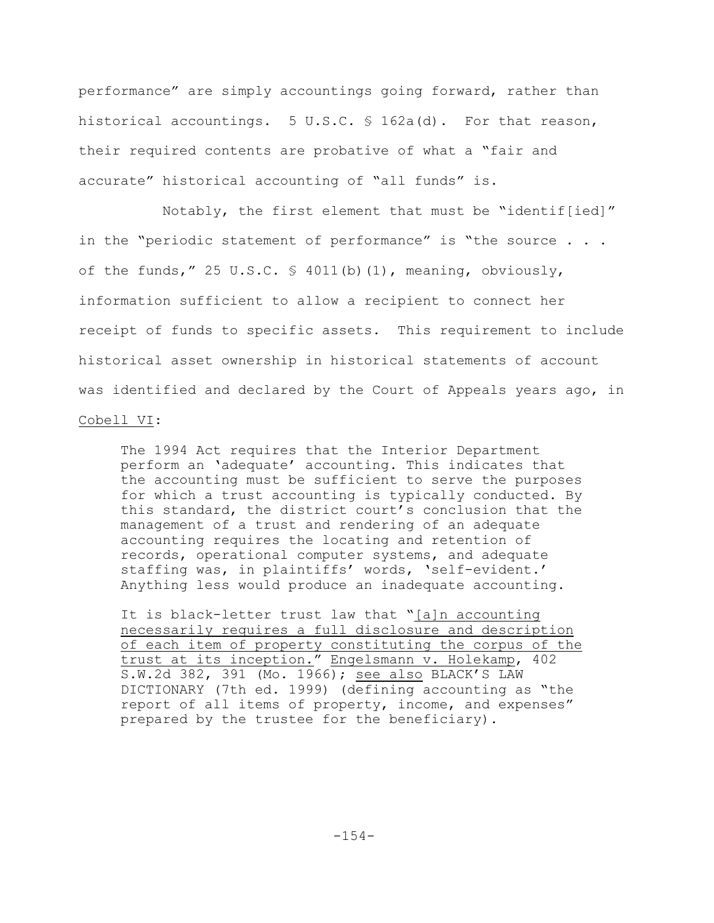performance" are simply accountings going forward, rather than historical accountings. 5 U.S.C. § 162a(d). For that reason, their required contents are probative of what a "fair and accurate" historical accounting of "all funds" is.

Notably, the first element that must be "identif[ied]" in the "periodic statement of performance" is "the source . . . of the funds," 25 U.S.C. § 4011(b)(1), meaning, obviously, information sufficient to allow a recipient to connect her receipt of funds to specific assets. This requirement to include historical asset ownership in historical statements of account was identified and declared by the Court of Appeals years ago, in Cobell VI:

The 1994 Act requires that the Interior Department perform an 'adequate' accounting. This indicates that the accounting must be sufficient to serve the purposes for which a trust accounting is typically conducted. By this standard, the district court's conclusion that the management of a trust and rendering of an adequate accounting requires the locating and retention of records, operational computer systems, and adequate staffing was, in plaintiffs' words, 'self-evident.' Anything less would produce an inadequate accounting.

It is black-letter trust law that "[a]n accounting necessarily requires a full disclosure and description of each item of property constituting the corpus of the trust at its inception." Engelsmann v. Holekamp, 402 S.W.2d 382, 391 (Mo. 1966); see also BLACK'S LAW DICTIONARY (7th ed. 1999) (defining accounting as "the report of all items of property, income, and expenses" prepared by the trustee for the beneficiary).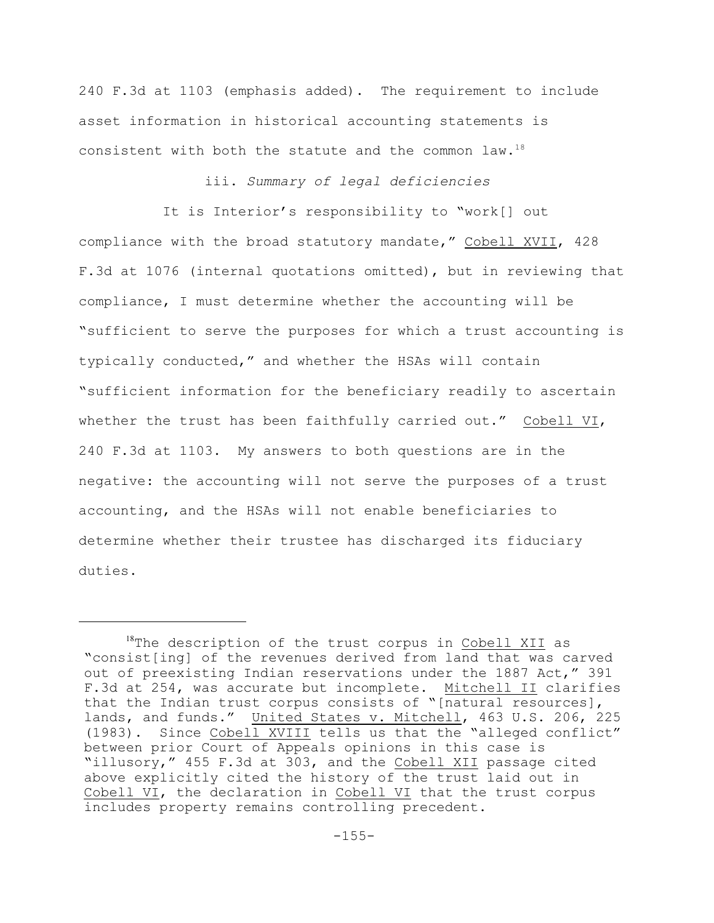240 F.3d at 1103 (emphasis added). The requirement to include asset information in historical accounting statements is consistent with both the statute and the common law.<sup>18</sup>

# iii. *Summary of legal deficiencies*

It is Interior's responsibility to "work[] out compliance with the broad statutory mandate," Cobell XVII, 428 F.3d at 1076 (internal quotations omitted), but in reviewing that compliance, I must determine whether the accounting will be "sufficient to serve the purposes for which a trust accounting is typically conducted," and whether the HSAs will contain "sufficient information for the beneficiary readily to ascertain whether the trust has been faithfully carried out." Cobell VI, 240 F.3d at 1103. My answers to both questions are in the negative: the accounting will not serve the purposes of a trust accounting, and the HSAs will not enable beneficiaries to determine whether their trustee has discharged its fiduciary duties.

 $18$ The description of the trust corpus in Cobell XII as "consist[ing] of the revenues derived from land that was carved out of preexisting Indian reservations under the 1887 Act," 391 F.3d at 254, was accurate but incomplete. Mitchell II clarifies that the Indian trust corpus consists of "[natural resources], lands, and funds." United States v. Mitchell, 463 U.S. 206, 225 (1983). Since Cobell XVIII tells us that the "alleged conflict" between prior Court of Appeals opinions in this case is "illusory," 455 F.3d at 303, and the Cobell XII passage cited above explicitly cited the history of the trust laid out in Cobell VI, the declaration in Cobell VI that the trust corpus includes property remains controlling precedent.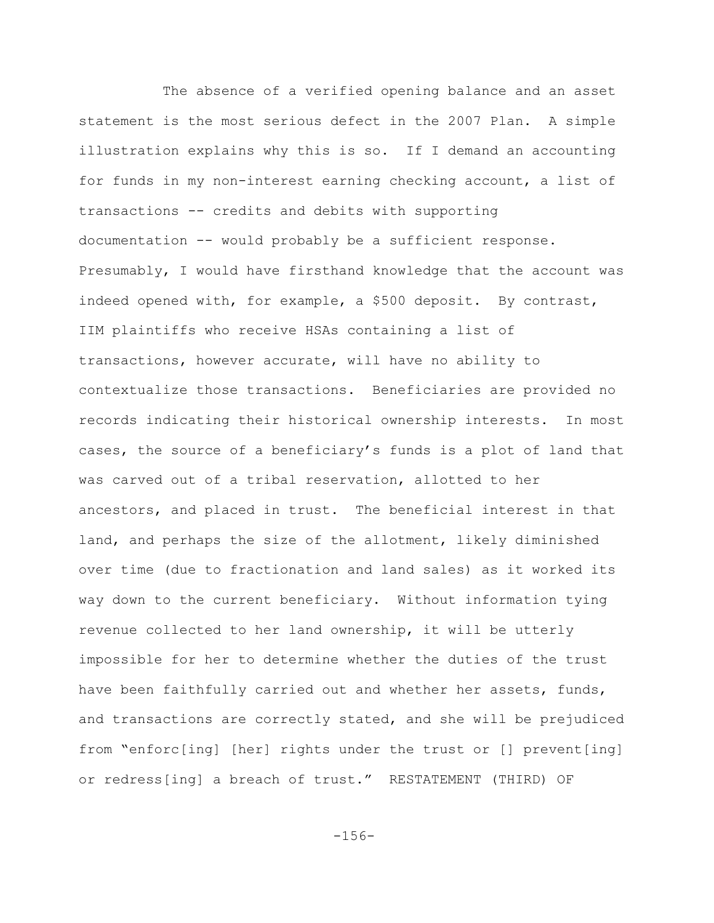The absence of a verified opening balance and an asset statement is the most serious defect in the 2007 Plan. A simple illustration explains why this is so. If I demand an accounting for funds in my non-interest earning checking account, a list of transactions -- credits and debits with supporting documentation -- would probably be a sufficient response. Presumably, I would have firsthand knowledge that the account was indeed opened with, for example, a \$500 deposit. By contrast, IIM plaintiffs who receive HSAs containing a list of transactions, however accurate, will have no ability to contextualize those transactions. Beneficiaries are provided no records indicating their historical ownership interests. In most cases, the source of a beneficiary's funds is a plot of land that was carved out of a tribal reservation, allotted to her ancestors, and placed in trust. The beneficial interest in that land, and perhaps the size of the allotment, likely diminished over time (due to fractionation and land sales) as it worked its way down to the current beneficiary. Without information tying revenue collected to her land ownership, it will be utterly impossible for her to determine whether the duties of the trust have been faithfully carried out and whether her assets, funds, and transactions are correctly stated, and she will be prejudiced from "enforc[ing] [her] rights under the trust or [] prevent[ing] or redress[ing] a breach of trust." RESTATEMENT (THIRD) OF

-156-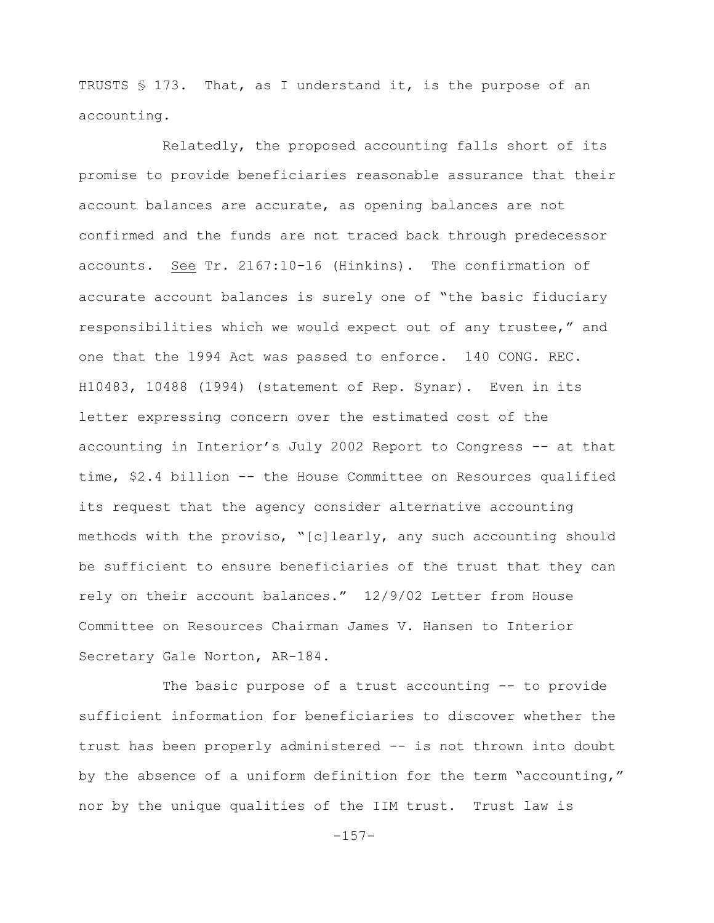TRUSTS § 173. That, as I understand it, is the purpose of an accounting.

Relatedly, the proposed accounting falls short of its promise to provide beneficiaries reasonable assurance that their account balances are accurate, as opening balances are not confirmed and the funds are not traced back through predecessor accounts. See Tr. 2167:10-16 (Hinkins). The confirmation of accurate account balances is surely one of "the basic fiduciary responsibilities which we would expect out of any trustee," and one that the 1994 Act was passed to enforce. 140 CONG. REC. H10483, 10488 (1994) (statement of Rep. Synar). Even in its letter expressing concern over the estimated cost of the accounting in Interior's July 2002 Report to Congress -- at that time, \$2.4 billion -- the House Committee on Resources qualified its request that the agency consider alternative accounting methods with the proviso, "[c]learly, any such accounting should be sufficient to ensure beneficiaries of the trust that they can rely on their account balances." 12/9/02 Letter from House Committee on Resources Chairman James V. Hansen to Interior Secretary Gale Norton, AR-184.

The basic purpose of a trust accounting -- to provide sufficient information for beneficiaries to discover whether the trust has been properly administered -- is not thrown into doubt by the absence of a uniform definition for the term "accounting," nor by the unique qualities of the IIM trust. Trust law is

 $-157-$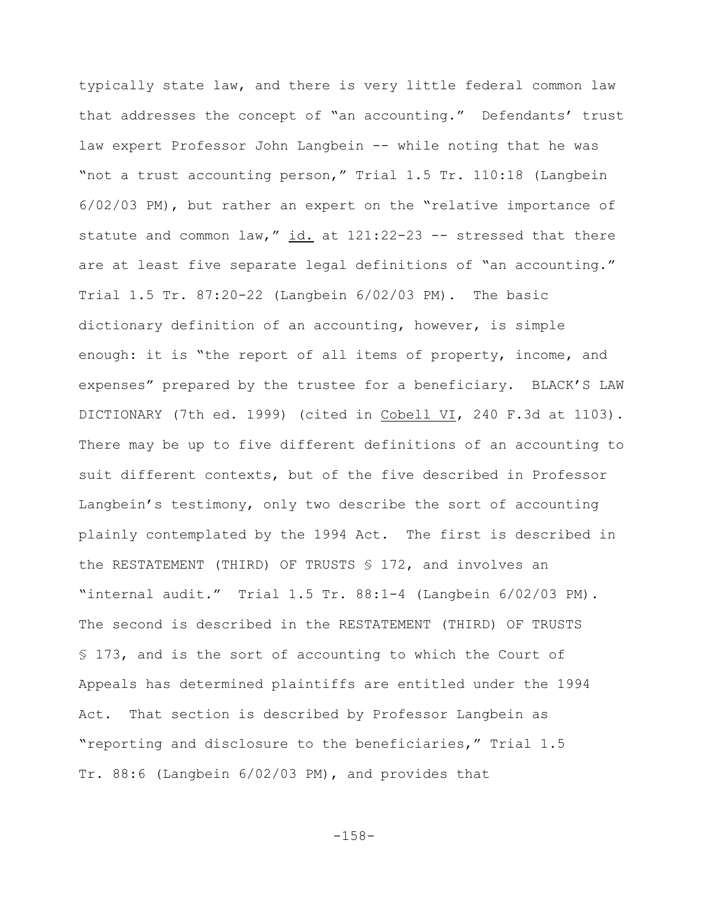typically state law, and there is very little federal common law that addresses the concept of "an accounting." Defendants' trust law expert Professor John Langbein -- while noting that he was "not a trust accounting person," Trial 1.5 Tr. 110:18 (Langbein 6/02/03 PM), but rather an expert on the "relative importance of statute and common law," id. at 121:22-23 -- stressed that there are at least five separate legal definitions of "an accounting." Trial 1.5 Tr. 87:20-22 (Langbein 6/02/03 PM). The basic dictionary definition of an accounting, however, is simple enough: it is "the report of all items of property, income, and expenses" prepared by the trustee for a beneficiary. BLACK'S LAW DICTIONARY (7th ed. 1999) (cited in Cobell VI, 240 F.3d at 1103). There may be up to five different definitions of an accounting to suit different contexts, but of the five described in Professor Langbein's testimony, only two describe the sort of accounting plainly contemplated by the 1994 Act. The first is described in the RESTATEMENT (THIRD) OF TRUSTS § 172, and involves an "internal audit." Trial 1.5 Tr. 88:1-4 (Langbein 6/02/03 PM). The second is described in the RESTATEMENT (THIRD) OF TRUSTS § 173, and is the sort of accounting to which the Court of Appeals has determined plaintiffs are entitled under the 1994 Act. That section is described by Professor Langbein as "reporting and disclosure to the beneficiaries," Trial 1.5 Tr. 88:6 (Langbein 6/02/03 PM), and provides that

-158-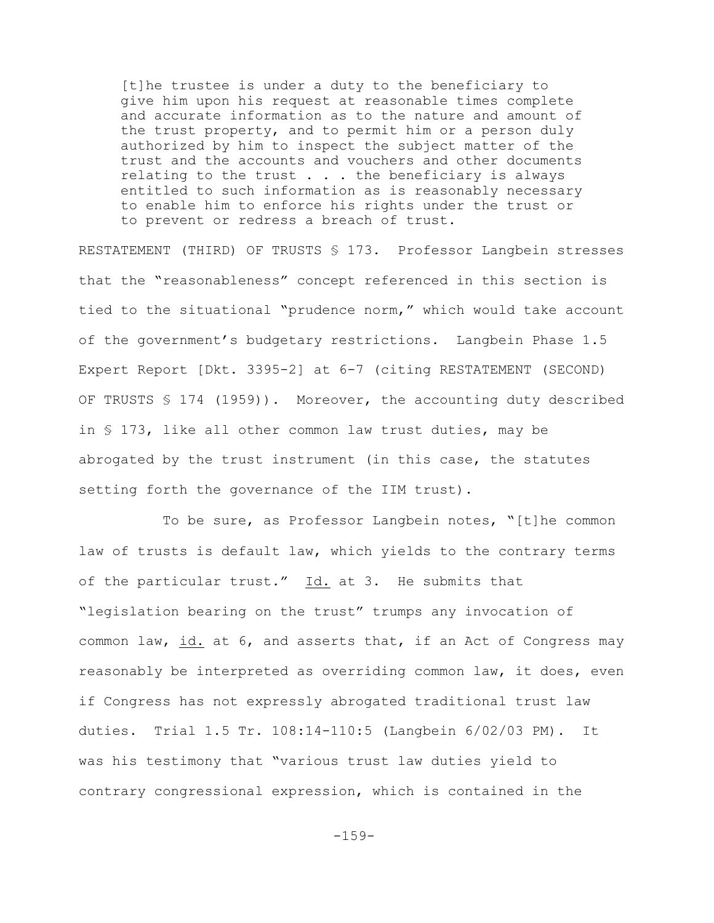[t]he trustee is under a duty to the beneficiary to give him upon his request at reasonable times complete and accurate information as to the nature and amount of the trust property, and to permit him or a person duly authorized by him to inspect the subject matter of the trust and the accounts and vouchers and other documents relating to the trust . . . the beneficiary is always entitled to such information as is reasonably necessary to enable him to enforce his rights under the trust or to prevent or redress a breach of trust.

RESTATEMENT (THIRD) OF TRUSTS § 173. Professor Langbein stresses that the "reasonableness" concept referenced in this section is tied to the situational "prudence norm," which would take account of the government's budgetary restrictions. Langbein Phase 1.5 Expert Report [Dkt. 3395-2] at 6-7 (citing RESTATEMENT (SECOND) OF TRUSTS § 174 (1959)). Moreover, the accounting duty described in § 173, like all other common law trust duties, may be abrogated by the trust instrument (in this case, the statutes setting forth the governance of the IIM trust).

To be sure, as Professor Langbein notes, "[t]he common law of trusts is default law, which yields to the contrary terms of the particular trust." Id. at 3. He submits that "legislation bearing on the trust" trumps any invocation of common law, id. at 6, and asserts that, if an Act of Congress may reasonably be interpreted as overriding common law, it does, even if Congress has not expressly abrogated traditional trust law duties. Trial 1.5 Tr. 108:14-110:5 (Langbein 6/02/03 PM). It was his testimony that "various trust law duties yield to contrary congressional expression, which is contained in the

 $-159-$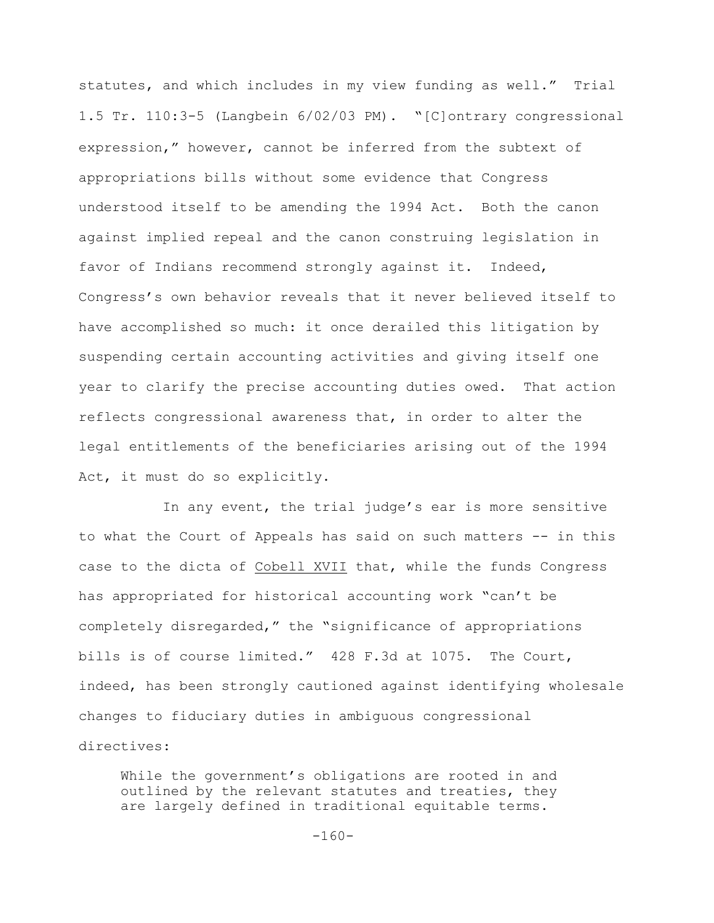statutes, and which includes in my view funding as well." Trial 1.5 Tr. 110:3-5 (Langbein 6/02/03 PM)."[C]ontrary congressional expression," however, cannot be inferred from the subtext of appropriations bills without some evidence that Congress understood itself to be amending the 1994 Act. Both the canon against implied repeal and the canon construing legislation in favor of Indians recommend strongly against it. Indeed, Congress's own behavior reveals that it never believed itself to have accomplished so much: it once derailed this litigation by suspending certain accounting activities and giving itself one year to clarify the precise accounting duties owed. That action reflects congressional awareness that, in order to alter the legal entitlements of the beneficiaries arising out of the 1994 Act, it must do so explicitly.

In any event, the trial judge's ear is more sensitive to what the Court of Appeals has said on such matters -- in this case to the dicta of Cobell XVII that, while the funds Congress has appropriated for historical accounting work "can't be completely disregarded," the "significance of appropriations bills is of course limited." 428 F.3d at 1075. The Court, indeed, has been strongly cautioned against identifying wholesale changes to fiduciary duties in ambiguous congressional directives:

While the government's obligations are rooted in and outlined by the relevant statutes and treaties, they are largely defined in traditional equitable terms.

$$
-160-
$$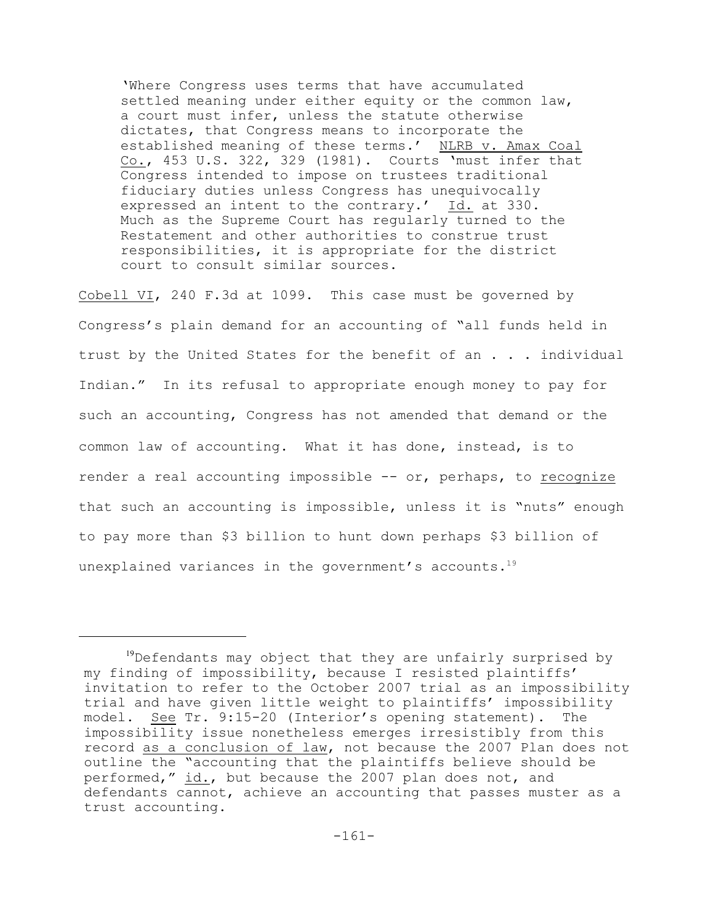'Where Congress uses terms that have accumulated settled meaning under either equity or the common law, a court must infer, unless the statute otherwise dictates, that Congress means to incorporate the established meaning of these terms.' NLRB v. Amax Coal Co., 453 U.S. 322, 329 (1981). Courts 'must infer that Congress intended to impose on trustees traditional fiduciary duties unless Congress has unequivocally expressed an intent to the contrary.' Id. at 330. Much as the Supreme Court has regularly turned to the Restatement and other authorities to construe trust responsibilities, it is appropriate for the district court to consult similar sources.

Cobell VI, 240 F.3d at 1099. This case must be governed by Congress's plain demand for an accounting of "all funds held in trust by the United States for the benefit of an . . . individual Indian." In its refusal to appropriate enough money to pay for such an accounting, Congress has not amended that demand or the common law of accounting. What it has done, instead, is to render a real accounting impossible -- or, perhaps, to recognize that such an accounting is impossible, unless it is "nuts" enough to pay more than \$3 billion to hunt down perhaps \$3 billion of unexplained variances in the government's accounts.<sup>19</sup>

 $19$ Defendants may object that they are unfairly surprised by my finding of impossibility, because I resisted plaintiffs' invitation to refer to the October 2007 trial as an impossibility trial and have given little weight to plaintiffs' impossibility model. See Tr. 9:15-20 (Interior's opening statement). The impossibility issue nonetheless emerges irresistibly from this record as a conclusion of law, not because the 2007 Plan does not outline the "accounting that the plaintiffs believe should be performed," id., but because the 2007 plan does not, and defendants cannot, achieve an accounting that passes muster as a trust accounting.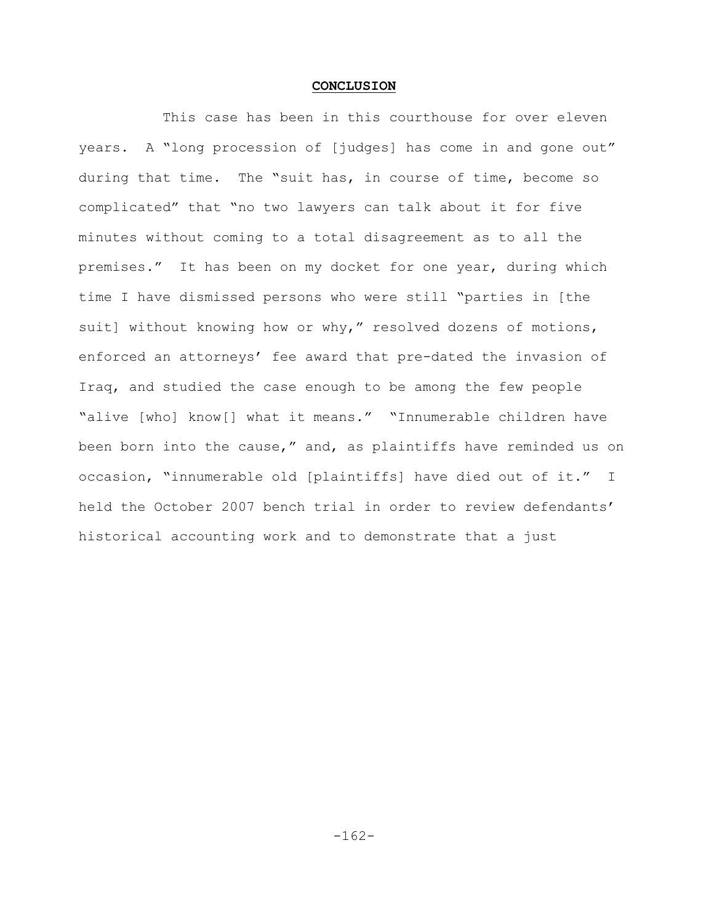#### **CONCLUSION**

This case has been in this courthouse for over eleven years. A "long procession of [judges] has come in and gone out" during that time. The "suit has, in course of time, become so complicated" that "no two lawyers can talk about it for five minutes without coming to a total disagreement as to all the premises." It has been on my docket for one year, during which time I have dismissed persons who were still "parties in [the suit] without knowing how or why," resolved dozens of motions, enforced an attorneys' fee award that pre-dated the invasion of Iraq, and studied the case enough to be among the few people "alive [who] know[] what it means." "Innumerable children have been born into the cause," and, as plaintiffs have reminded us on occasion, "innumerable old [plaintiffs] have died out of it." I held the October 2007 bench trial in order to review defendants' historical accounting work and to demonstrate that a just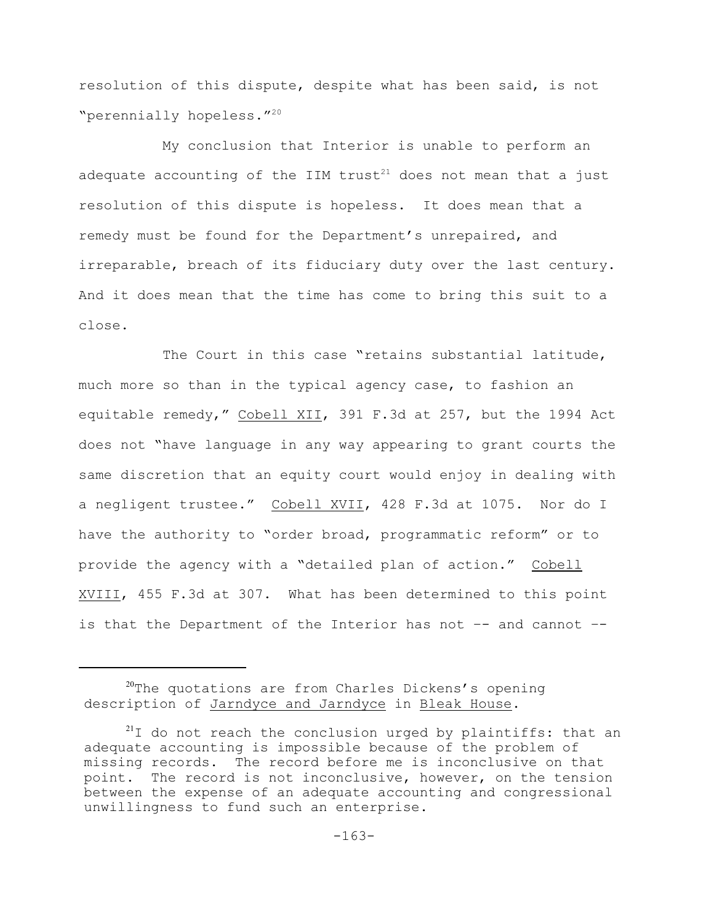resolution of this dispute, despite what has been said, is not "perennially hopeless."<sup>20</sup>

My conclusion that Interior is unable to perform an adequate accounting of the IIM trust<sup>21</sup> does not mean that a just resolution of this dispute is hopeless. It does mean that a remedy must be found for the Department's unrepaired, and irreparable, breach of its fiduciary duty over the last century. And it does mean that the time has come to bring this suit to a close.

The Court in this case "retains substantial latitude, much more so than in the typical agency case, to fashion an equitable remedy," Cobell XII, 391 F.3d at 257, but the 1994 Act does not "have language in any way appearing to grant courts the same discretion that an equity court would enjoy in dealing with a negligent trustee." Cobell XVII, 428 F.3d at 1075. Nor do I have the authority to "order broad, programmatic reform" or to provide the agency with a "detailed plan of action." Cobell XVIII, 455 F.3d at 307. What has been determined to this point is that the Department of the Interior has not –- and cannot –-

 $20$ <sup>20</sup>The quotations are from Charles Dickens's opening description of Jarndyce and Jarndyce in Bleak House.

 $21$ I do not reach the conclusion urged by plaintiffs: that an adequate accounting is impossible because of the problem of missing records. The record before me is inconclusive on that point. The record is not inconclusive, however, on the tension between the expense of an adequate accounting and congressional unwillingness to fund such an enterprise.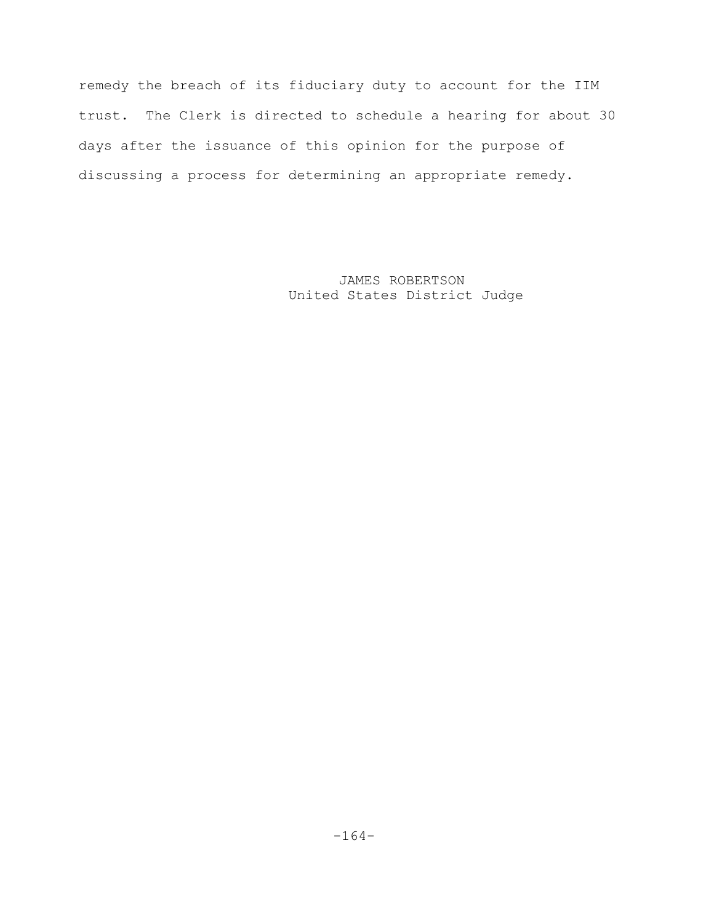remedy the breach of its fiduciary duty to account for the IIM trust. The Clerk is directed to schedule a hearing for about 30 days after the issuance of this opinion for the purpose of discussing a process for determining an appropriate remedy.

> JAMES ROBERTSON United States District Judge